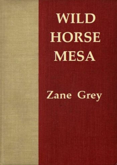# **WILD HORSE MESA**

## **Zane Grey**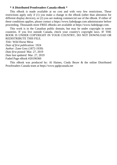#### **\* A Distributed Proofreaders Canada eBook \***

This eBook is made available at no cost and with very few restrictions. These restrictions apply only if (1) you make a change in the eBook (other than alteration for different display devices), or (2) you are making commercial use of the eBook. If either of these conditions applies, please contact a https://www.fadedpage.com administrator before proceeding. Thousands more FREE eBooks are available at https://www.fadedpage.com.

This work is in the Canadian public domain, but may be under copyright in some countries. If you live outside Canada, check your country's copyright laws. IF THE BOOK IS UNDER COPYRIGHT IN YOUR COUNTRY, DO NOT DOWNLOAD OR REDISTRIBUTE THIS FILE. *Title:* Wild Horse Mesa *Date of first publication:* 1924 *Author:* Zane Grey (1872-1939)

*Date first posted:* Mar. 27, 2019

*Date last updated:* Mar. 27, 2019

Faded Page eBook #20190360

This eBook was produced by: Al Haines, Cindy Beyer & the online Distributed Proofreaders Canada team at https://www.pgdpcanada.net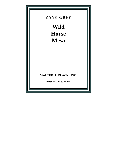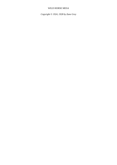#### WILD HORSE MESA

*Copyright © 1924, 1928 by Zane Grey*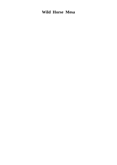### **Wild Horse Mesa**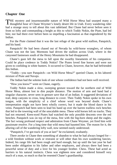#### **Chapter One**

THE mystery and insurmountable nature of Wild Horse Mesa had usurped many a thoughtful hour of Chane Weymer's lonely desert life in Utah. Every wandering rider thoughtful hour of Chane Weymer's lonely desert life in Utah. Every wandering rider had a strange story to tell about this vast tableland. But Chane had never before seen it from so lofty and commanding a height as this to which Toddy Nokin, the Piute, had led him; nor had there ever before been so impelling a fascination as that engendered by the Indian.

For the Piute claimed that it was the last refuge of the great wild stallion, Panquitch, and his band.

Panquitch! He had been chased out of Nevada by wild-horse wranglers, of whom Chane was not the last; Mormons had driven the stallion across Utah, where in the canyoned fastnesses south of the Henry Mountains he had disappeared.

Chane's gaze left the mesa to fall upon the swarthy lineaments of his companion. Could he place credence in Toddy Nokin? The Piutes loved fine horses and were not given to confiding in white hunters. It occurred to Chane, however, that he had befriended this Indian.

"Toddy—you sure Panquitch—on Wild Horse Mesa?" queried Chane, in his labored mixture of Piute and Navajo.

The Indian had the solemn look of one whose confidence had not been well received.

"How you know?" went on Chane, eagerly.

Toddy Nokin made a slow, sweeping gesture toward the far northern end of Wild Horse Mesa, almost lost in dim purple distance. The motion of arm and hand had a singular character, never seen in gesture save that of an Indian. It suggested deviations of trail, deep canyons to cross, long distance to cover. Then Toddy Nokin spoke in his own tongue, with the simplicity of a chief whose word was beyond doubt. Chane's interpretation might not have been wholly correct, but it made the blood dance in his veins. Panquitch had been seen to lead his band up over the barren trailless rock benches that led to the towering wall of the unscalable mesa. These wild horses left no tracks. They had not returned. Keen-eyed Piutes had watched the only possible descents over the red benches. Panquitch was on top of the mesa, free with the big-horn sheep and the eagles. The fact wrung profound respect and admiration from Chane Weymer, yet fired him with passionate resolve. For a long time that wild mesa had haunted him. The reason for it, the alluring call of the wandering lofty wall, now seemed easily understood.

"Panquitch, I've got track of you at last!" he exclaimed, exultantly.

There awoke in Chane then something of abandon to what he had always longed for a wild freedom without work or restraint or will other than his own wandering fancies. Indeed, his range life had been rough and hard enough, but up until the last year he had been under obligation to his father and other employers, and always there had been a powerful sense of duty and a love for his younger brother. Chess. These had acted as barriers to his natural instincts. Chess was eighteen now and considered himself very much of a man, so much so that he resented Chane's guardianship.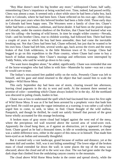"Boy Blue doesn't need his big brother any more," soliloquized Chane, half sadly, remembering Chess's impatience at being watched over. Time, indeed, had passed swiftly. Chess was almost a man. It seemed only a short while since he had been a baby boy, back there in Colorado, where he had been born. Chane reflected on his own age—thirty-four, and on those past years when this beloved brother had been a little child. Those early days in Colorado had been happy ones. The Weymers were a family of close ties. Chane's father had been a ranchman, cattleman, and horse-dealer. It had been on the prairie slopes of Colorado, under the eastern shadows of the Rockies, that Chane had learned what was now his calling—the hunting of wild horses. In time he sought wilder country—Nevada, Utah—and his brother Chess, true to childish worship, had followed him. There had been a couple of years in which the boy had been amenable; then had come the inevitable breaking out. Not that Chess had been bad, Chane reflected, but just that he wanted to be his own boss. Chane had left him, several weeks ago, back across the rivers and the stony brakes of that Utah wilderness, in the little Mormon town of St. George. Chess had begged to go on this expedition to the Piute country, where Chane had come to buy a bunch of Indian mustangs. Here Chane's musings and reflections were interrupted by Toddy Nokin, who said he would go down to his camp.

"No want leave daughter alone," he added, significantly. Chane was reminded that one of the horse-wranglers who had fallen in with him—Manerube by name—was not a man he would care to trust.

The Indian's moccasined feet padded softly on the rocks. Presently Chane was left to himself, and his gaze and mind returned to the object that had caused him to scale the heights—Wild Horse Mesa.

This early September day had been one of storm, clearing toward late afternoon, leaving cloud pageants in the sky to west and north. At the moment there seemed no promise of color—something which Chane always looked for in the sky. All the northland was obscured in paling clouds, leaden in hue.

Chane was at loss to understand the spell which had fascinated him since his first sight of Wild Horse Mesa. It was as if he had been arrested by a prophetic voice that bade him give heed. He could not grasp the vague intimation as a warning; it was rather a call which urged him to come, to seek, to labor, to find. Chane thought of the wild stallion, Panquitch, and though he thrilled, he could not satisfy himself that pursuit of the great horse wholly accounted for this strange beckoning.

A broken mass of gray storm cloud had lodged against the west end of the mesa, where the precipitous red wall towered above the waved area of wind-worn rock. Apparently the cloud hung there, as if against an obstruction, yet it appeared to change form. Chane gazed as he had a thousand times, in idle or wondering moments, yet there was a subtle difference now, either in the aspect of this mesa or in himself. That made him keen-eyed as an Indian and unusually thoughtful.

But it seemed only a vast landscape, grand because of outline and distance, yet at the moment dull and somber. Still, was it not hiding something? The lower edge of the broken mass of cloud extended far down the wall; in some places the top of the mesa was obscured; above the cloud and all to the west was clear. The sun had gone under the huge dark slope that climbed from the undulating canyon country to the mountain.

The cloud above Wild Horse Mesa broke in the center and spread slowly, while the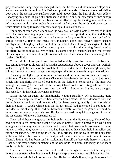gray color almost imperceptibly changed. Between the mesa and the mountain slope sank a vast deep notch, through which V-shaped portal the ends of the earth seemed visible. Low down the distant rock surfaces were gold; above them the belt of sky was yellow. Canopying this band of pale sky stretched a roof of cloud, an extension of that canopy enshrouding the mesa, and it had begun to be affected by the sinking sun. At first the influence was gradual; then suddenly occurred swift changes, beautiful and evanescent white clouds turning to rose, with centers of opal, like a coral shell.

The moment came when Chane saw the west wall of Wild Horse Mesa veiled in lilac haze. He was watching a phenomenon of nature that uplifted him, that indefinably troubled him. The flat roof of the cloud took on a fiery vermilion; the west end of the shroud became a flame; and mesa, sky, mountain slope, and canyon depths seemed transfigured with a glory that was not of earth. It held Chane through its stages of infinite beauty—only a few moments of evanescent power—and then the burning fire changed to the afterglow tones of gold, silver, violet. Last came a single instant when the whole world of rock lay under a mantle of purple. When that faded there spread the encroaching of the shades of twilight.

Chane left his lofty perch and descended rapidly over the smooth rock benches, zigzagging the curved slopes, and at last the cedared ridge above Beaver Canyon. Twilight yielded to night; the babble of the brook broke the desert stillness. Then a bright camp fire shining through darkness changed the vague spell that had come to him upon the heights.

The camp fire lighted up the weird cedar trees and the dark forms of men standing in a half-circle. The scene was natural, one Chane had long been accustomed to, yet just now it struck him singularly. He halted out there in the darkness. Some one of the men was talking, but, owing to the rush of the brook, Chane could not distinguish any words. Several Piutes stood grouped near the fire, wild, picturesque figures, lean, ragged, disheveled, with their high-crowned sombreros.

Chane moved on again, not intentionally walking stealthily, yet approaching quite closely to the camp fire before his boot crunched on a stone. He saw Manerube start and cease his earnest talk to the three men who had been listening intently. They too relaxed their attention. It struck Chane that his abrupt arrival had interrupted a colloquy not intended for his sharing. If he had not been deliberately watching the group he would not have observed how obvious this was. But he had marked the quick change and it roused his suspicions. What were these men up to?

They had all been strangers to him before this visit to the Piute country. Three of them had ridden into his camp one night a few weeks before. They claimed to be wild-horse wranglers on the way across the rivers, and offered their services in exchange for camp rations, of which they were short. Chane had been glad to have them help him collect and run the mustangs he was buying to sell to the Mormons, and he could not find any fault with them. Manerube, however, who had joined them recently, was not a man to inspire Chane's liking. He had been loud in acclaiming himself the best wild-horse wrangler in Utah; he was over-bearing in manner and he was brutal to horses; and lastly he had made trouble with the Piutes.

Chane strode into the camp fire circle with the thought in mind that he might be moody and unreasonable, but he would keep a sharper eye on these unsolicited comrades.

Manerube had his back to the camp fire. He had a rider's figure, long, lithe, round of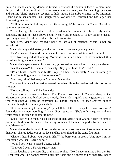limb. As Chane came up Manerube turned to disclose the sunburnt face of a man under thirty, bold, striking, sardonic. It bore lines not easy to read, and its gleaming light eyes and curling blond mustache seemed to hide much. Manerube claimed to be Mormon. Chane had rather doubted this, though the fellow was well educated and had a peculiar dominating manner.

"Well, how was the little squaw sweetheart tonight?" he drawled at Chane. One of the other men snickered.

Chane had good-naturedly stood a considerable amount of this scarcely veiled badinage. He had not been above being friendly and pleasant to Toddy Nokin's duskyeyed daughter—a friendliness Manerube had misconstrued.

"See here, Manerube," replied Chane, at last out of patience, "Sosie is not my sweetheart."

Manerube laughed derisively and seemed more than usually antagonistic.

"Bah! You can't fool a Mormon when it comes to women, white or red," he said.

"I've lived a good deal among Mormons," returned Chane. "I never noticed they talked insultingly about women."

Manerube's eyes wavered for a second, yet something was added to their pale gleam.

"Insult a squaw!" he ejaculated, coarsely. "Say, your bluff don't work."

"It's no bluff. I don't make bluffs," replied Chane, deliberately. "Sosie's nothing to me. And I'm telling you not to hint otherwise."

"Weymer, I don't believe you," returned Manerube.

Chane took a quick long stride toward the other. He rather welcomed this turn to the situation.

"Do you call me a liar?" he demanded.

There was a moment's silence. The Piutes took note of Chane's sharp voice. Manerube's comrades backed away slowly. He made a quick angry gesture that was wholly instinctive. Then he controlled his natural feeling. His face showed sudden restraint, though it remained just as bold.

"If Sosie's nothing to you, why'd you tell her father to keep her away from me?" demanded Manerube, avoiding Chane's direct question. "She's only a squaw, and one white man's the same as another to her."

"Sosie likes white men. So do all these Indian girls," said Chane. "They're simple, primitive children of the desert. That's why so many of them are degraded by such men as you, Manerube."

Manerube evidently held himself under strong control because of some feeling other than fear. The red faded out of his face and his eyes glared in the camp fire light.

"Chane, I heard about you over in Bluff," he burst out, in scorn. "And now I'm not wondering whether it's true or not."

"What'd you hear?" queried Chane, calmly.

"That you'd been a Navajo squaw-man."

Chane laughed at the absurdity of that and replied: "No, I never married a Navajo. But I'll tell you what. I'd sooner marry a girl like Sosie and be decent to her, than treat her as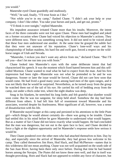you would."

Manerube eyed Chane guardedly and studiously.

"Well," he said, finally, "I'll treat Sosie as I like."

"Not while you're in my camp," flashed Chane. "I didn't ask your help or your company. I don't like either. You take your horses and pack, and get out, pronto."

"I'll think it over tonight," replied Manerube.

His impudent assurance irritated Chane more than his insults. Moreover, the intent faces of the three comrades were not lost upon Chane. These men had laughed and joked on a former occasion when Chane had voiced his objection to Manerube's actions. They were different now. There was something wrong here. It did not need to be voiced aloud that these four men understood one another. At the same time he grasped the subtle fact that they were not unaware of his reputation. Chane's lone-wolf ways and his championship of Indian maidens, his hard fist and swift gun, forced a respect on the wildhorse ranges of Utah and Nevada.

"Manerube, I reckon you don't want any advice from me," declared Chane. "But I'll tell you—don't let me run into you with Sosie."

Chane looked into Manerube's eyes with the same deliberate intent that had characterized his speech. It was the moment which fixed hatred between him and this selfcalled Mormon. Chane wanted to read what he had to expect from the man. And his first impression had been right—Manerube was not what he pretended to be and he was dangerous. Sooner or later the issue would be forced. Chane did not care how soon that would come. He had lived a good many years among hard men of the open ranges, and it was not likely that he would be surprised. Nevertheless, as he turned away from the group he watched them out of the tail of his eye. He carried his roll of bedding away from the camp, out under a thick cedar tree, where the night shadow was deep.

Snug in his blankets, he stretched his long limbs and felt grateful that slumber would soon come. But he was too sanguine, for sleep held aloof. Somehow the day had been different from others. It had left him full of resentment toward Manerube and his associates, worried despite his fearlessness. Most significant of all, however, was a sense of dissatisfaction with his life.

If Manerube stayed longer at this camp and persisted in his attentions to the little Piute girl—which things he would almost certainly do—there was going to be trouble. Chane had settled this in his mind before he gave Manerube to understand what would happen. But as a matter of fact Chane did not know exactly what would happen. He had concluded that the man was dangerous, but not out in the open face to face; and Chane decided to force a fight at the slightest opportunity and let Manerube's response settle how serious it would be.

Then Chane pondered over the other men who had attached themselves to him. Day by day, and especially since the arrival of Manerube, they had grown less welcome in his camp. They called themselves Jim Horn, Hod Slack, and Bud McPherson—names that in this wilderness did not mean anything. Chane was not well acquainted on the south side of the San Juan River, having been there only once before. During that time he had hunted horses among the Navajos. The Piutes did not know these men well, and that in itself was thought-provoking. Horn and Slack had not appeared to exhibit any force of character, but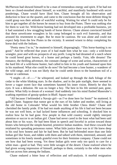McPherson had showed himself to be a man of tremendous energy and spirit. If he had not been so closed-mouthed about himself, so watchful, and manifestly burdened with secret ponderings, Chane would have liked him. Chane brought all his observation and deduction to bear on the quartet, and came to the conclusion that the most definite thing he could grasp was their attitude of watchful waiting. Waiting for what! It could only be for him to get together all the horses he meant to buy from the Piutes. There was nothing else for them to wait for. Wild-horse hunting had not developed into a profitable business, yet it had sustained a few straggling bands of horse thieves. Chane almost convinced himself that these unwelcome wranglers in his camp belonged to such evil fraternity, and that aroused his resentment to anger. But he must be cautious. He was alone and could not expect help from the few Piutes in the vicinity. It seemed wisest to delay completing his horse deal with the Indians.

"Pretty mess I'm in," he muttered to himself, disparagingly. "This horse-hunting is no good." And he reflected that years of it had made him what he was—only a wild-horse wrangler, poor and with no prospects of any profit. Long he had dreamed of a ranch where he could breed great horses, of a home and perhaps a family. Vain, idle dreams! The romance, the thrilling adventure, the constant change of scene and action, characteristic of the hard life of a wild-horse hunter, had called to him in his youth and fastened upon him in his manhood. What else could he do now? He had become a lone hunter, a wanderer of the wild range, and it was not likely that he could settle down to the humdrum toil of a farmer or cattleman.

"I might—if—if——" he whispered, and looked up through the dark foliage of the cedar to the white blinking stars. In the shadow, and in the pale starlight, there seemed to hover a vague sweet face that sometimes haunted his inner vision. Bitterly he shut his eyes. It was a delusion. He was no longer a boy. The best in his life seemed past, gone, useless. What folly to dream of a woman! And suddenly into his mind flashed Manerube's scathing repetition of gossip spoken in Bluff. Squaw man!

"All because I befriended a Navajo girl—as I've done here for Sosie!" he muttered. It galled Chane. Suppose that rumor got to the ears of his father and mother, still living at the old home in Colorado! What would his little brother Chess think? Chane still cherished the family pride. If he had not made anything of his life it had not been because he was not well born, or had lacked home influences and schooling. It shocked him to realize how far he had gone. Few people in that wild country would rightly interpret attention or succor to an Indian girl. Chane had never cared in the least what had been said about him or his ways. He had been blunt in speech and forceful in action toward those brutes who betrayed the simple-hearted, primitive Indian maidens. And these cowards had retaliated by spreading poisonous rumor. What little justice there was in it! He knew deep in his soul how honest and fair he had been. But he had befriended more than one little Indian girl like Sosie, and ridden with them and talked with them, interested, amused, and sometimes in his lonely moods grateful even for their feminine company. Chane could not see how that had been wrong. Yet these Indian girls were only too quick to care for a white man—good or bad. They were little savages of the desert. Chane realized where he had given wrong impression of himself, perhaps to them, certainly to the white men who had run across him among the Indians.

Chane endured a bitter hour of reflection and self-analysis. A morbid resignation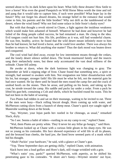seemed about to fix its dark lichen upon his heart. What folly these dreams! How futile to love a horse! Was even the grand Panquitch on Wild Horse Mesa worth the time and toil and pang that it would take to capture him, if such were possible? What hope lay in the future? Why not forget his absurd dreams, his strange belief in the romance that would come to him, his parents and the little brother? Why not drift as the tumbleweed of the desert, where the wind listed? Why not find some solace in little Sosie's dusky eyes?

But with that thought a revolt stirred in Chane, a fight against the insidious weakness which would make him ashamed of himself. Whatever he had done and however he had failed of the thing people called success, he had remained a man. He clung to the idea. Evil tongues could not hurt him. His life, profitless as it was, still had wonderful charm. He was free, healthy, active; he found that the wild desert meant infinitely more to him than he had known; he had loved a horse, and he could love another. There was always his brother to return to. What did anything else matter? Thus the dark mood was beaten down and conquered.

The cool wind had died away, except for low intermittent moans through the cedars, and the lonely desert silence settled down. The brook murmured faintly and the insects sang their melancholy notes, but these only accentuated the vast dead stillness of the solitude. Chane fell asleep.

He awoke at dawn, when the dark luminous light was changing to gray. The September air held a nipping edge of frost. Chane found that something new, a spirit or strength, had seemed to awaken with him. Not resignation nor bitter dissatisfaction with his lot, but stranger, stronger faith! His life must be what he felt, not the material gain he had once wanted. He lay there until he heard the men round the camp fire and the crack of unshod hoofs on the stones. Then he arose, and pulling on his boots, and taking up his coat, he strode toward the camp. His saddle and packs lay under a cedar. From a pack he lifted his gun-belt, containing a Colt and shells, which he buckled round his waist. This he had not been in the habit of wearing.

Two Piutes had ridden in and sat on their mustangs, waiting to be invited to eat. Three of the men were busy—Slack rolling biscuit dough, Horn coming up with water, and McPherson cutting slices from a haunch of sheep meat. Chane's quick eye caught sight of Manerube washing down at the brook.

"Say, Weymer, your Injun pards hev rustled in for chineago, as usual," remarked Slack, dryly.

"So I see. Seems a habit of riders—rustling in on my camp to eat," replied Chane.

"Wal, them Piutes are pretty white. They'd never let any fellar go hungry," said Horn.

McPherson looked up at Chane with a curious little gleam in his sharp eyes. He was not so young as his comrades. His face showed experience of wild life in all its phases, and the bronzed lean cheeks, the hard jaw, the lined brow seemed parts of a mask which hid his thought.

"Ahuh! Packin' your hardware," he said, with a glance at Chane's gun.

"Yep. These September days are getting chilly," replied Chane, with animation.

Slack burst into a loud guffaw and Horn's dark, still visage wrinkled with a grin.

"What's eatin' you, pards?" queried McPherson, with asperity, as he shifted his penetrating gaze to his comrades. "It shore ain't funny—Weymer struttin' out hyar,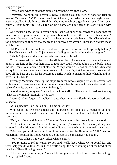waggin' a gun."

"Wal, it was what he said that hit my funny bone," returned Horn.

"Weymer," went on McPherson, slowly, "I reckon you ain't feelin' none too friendly toward Manerube. An' I'm sayin' as I don't blame you. What he said last night wasn't easy to swaller. I told him so. He didn't show up much of a gentleman, seein' he's been eatin' at your camp fire. Wal, I reckon he's sorry an' ain't achin' to start trouble with you."

One casual glance at McPherson's calm face was enough to convince Chane that the man was as deep as the sea. His appearance bore out too well the content of his words. A less keen observer than Chane would have been won to charitableness. But Chane had felt too poignantly and thought too deeply to be deceived by anyone. These men did not mean well by him.

"McPherson, I never look for trouble—except in front of me, and especially behind," replied Chane, sarcastically. "I just woke up feeling uncomfortable without my gun."

"Ahuh!" ejaculated the other, soberly, and bent to his task.

Chane reasoned that he had not the slightest fear of these men and wanted them to know it. As long as he kept them face to face they could not shoot him in the back; and if the issue came to an open fight at close range they would suffer as much as he. Men were not quick to draw under such circumstances. As for a fight at long range, Chane would have all the best of that, for he possessed a rifle, which he meant to hide when he did not have it in his hands.

Presently Manerube came up the slope from the brook, wiping his clean-shaven face with a scarf. Chane conceded that the man was a handsome devil, calculated to stir the pulse of a white woman, let alone an Indian girl.

"Good morning, Weymer," he said, not without effort. "Hope you'll overlook the way I shot off my mouth last night. I was sore."

"Sure. Glad to forget it," replied Chane, cheerfully. Manifestly Manerube had been talked to.

At this juncture Slack called out, "Come an' git it."

Whereupon the five men attended to the business of breakfast, a matter of cardinal importance in the desert. They ate in silence until all the food and drink had been consumed.

"Bud, what're you doing today?" inquired Manerube, as he rose, wiping his mouth.

"Wal, thet depends on the boss of this hyar outfit," answered McPherson, slowly, and he stared hard at Manerube. But this worthy did not take the hint, if there really was one.

"Weymer, you said once you'd be hitting the trail for the Hole in the Wall," went on Manerube, "soon as the Piutes rounded up the rest of the mustangs you bought."

"Why, yes. What's it to you?" asked Chane, easily.

"You're going to sell in Wund, so you said. Well, that's where we're bound for, and we'll help you drive through. But let's rustle along. It's been raining up at the head of the San Juan. There'll be high water."

"The San Juan is up now, so Toddy told me yesterday. I reckon I'll wait for it to go down," replied Chane.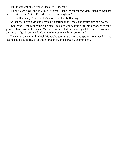"But that might take weeks," declared Manerube.

"I don't care how long it takes," retorted Chane. "You fellows don't need to wait for me. I'll take some Piutes. I'd rather have them, anyhow."

"The hell you say!" burst out Manerube, suddenly flaming.

At that McPherson violently struck Manerube in the chest and thrust him backward.

"See hyar, Bent Manerube," he said, in voice contrasting with his action, "we ain't goin' to have you talk for *us*. Me an' Jim an' Hod are shore glad to wait on Weymer. We're out of grub, an' we don't aim to let you make him sore on us."

The sullen amaze with which Manerube took this action and speech convinced Chane that he had no authority over these three men, and a break was imminent.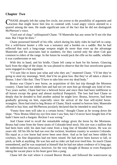#### **Chapter Two**

CHANE abruptly left the camp fire circle, not averse to the possibility of argument and action that might leave him less to contend with. Loud angry voices attested to a action that might leave him less to contend with. Loud angry voices attested to a quarrel among the men. He made significant note of the fact that he did not distinguish McPherson's voice.

"Cool sort of chap," soliloquized Chane. "If Manerube has any sense he'll not rile that man. But I hope he does."

Chane possessed himself of his rifle, which during his daily rides he had left in camp. For a wild-horse hunter a rifle was a nuisance and a burden on a saddle. But he had reflected that such a long-range weapon might do more than even up the advantage Manerube and his associates had in numbers, for they carried only the short Colt gun common to riders of the range. In the future he would pack the rifle on his saddle, whether it was cumbersome or not.

With this in hand, and his bridle, Chane left camp to hunt for his horses. Glancing back from the edge of the slope, he was pleased to observe that the four unwelcome guests were engaged in a hot argument.

"I'd sure like to know just what and who they are," muttered Chane. "I'll bet they're going to steal my mustangs. Well, that'd be no great loss. But they've all taken a shine to Brutus. I don't like that. They'll have to take him over my dead body."

Brutus was Chane's new horse, an acquisition of this last trip through the Mormon country. Chane had not ridden him and had not yet seen him go through any kind of test. Two years earlier, Chane had lost a beloved horse and since then had been indifferent to all horses except the great and almost mythical Panquitch. The loss had hurt Chane so deeply that he dreaded to find another animal he might love. Brutus, however, had been gradually growing on him, especially since the arrival of the four self-styled horsewranglers. Horn had tried to beg Brutus of Chane; Slack wanted to borrow him; Manerube offered to buy him; and McPherson jocularly declared that he intended to steal him.

"Funny how men will take to a certain horse," thought Chane as he swung down the slope. "Now Brutus filled my eye first time I saw him, but I'd never have bought him if he hadn't been such a bargain. Reckon I was wrong."

And Chane tried to recall the remarkable eulogy given the horse by the Mormons. Brutus had come from the finest strain of Colorado-bred stock. His sire was a stallion that had been born wild; his dam had come from a long line of blooded horses. He was six years old. All his life he had run over the rockiest, brushiest country in western Colorado. His equal as a cow horse had never been seen there. And as he had not been ridden by cowboys, his fine disposition had not been ruined. He had never been known to fall, or pitch, or balk at anything. He was fast and no rider yet had ever tired him. So much Chane remembered, and he was surprised at himself that he had not taken credence of it long ago. He understood his reluctance, however, for the very thought of Brutus or even Panquitch taking the vacant place in his heart gave him a pang.

Chane left the trail where it crossed Beaver Brook, and followed the watercourse up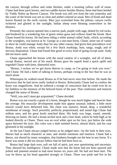the canyon, through willow and cedar thickets, under a looming yellow wall of stone. Chane had three pack horses, and two saddle horses besides Brutus; these had been herded by Toddy Nokin up Beaver Canyon. The brush was still wet from the rain yesterday and the water of the brook was not so clear and amber-colored as usual. Bits of brush and dead leaves floated on the swift current. Blue jays screeched from the piñons; canyon swifts twittered and glinted in the sunlight; Indian sheep were bleating somewhere in the distance.

Presently the canyon opened into a narrow park, purple with sage, dotted by red rocks, and bordered by a wandering line of green where grass and willows lined the brook. Here Chane found his horses. He had been riding a white animal called Andy, which, according to the wranglers, was known at St. George as a one-man horse. Chane, more out of vanity to show he could manage Andy than for any other reason, had given him precedence over Brutus. Andy was white, except for a few black markings, lean, rangy, tough, and of nervous disposition. Chane had found him good in every kind of going except sand. Andy did not know sand.

Chane approached the horses with the usual caution of a wrangler, and all of them, except Brutus, moved out of his reach. Brutus gave his superb head a quick uplift and regarded Chane with keen, distrustful eyes.

"Brutus, I reckon we've got horse thieves in camp, so I'm going to look you over," said Chane. He had a habit of talking to horses, perhaps owing to the fact that he was so much alone.

Whereupon he walked round Brutus as if he had never seen him before. He made the discovery that he had never really looked at Brutus. Reluctantly Chane had to confess the horse was magnificent. And he suffered a twinge of conscience that he could ever be so far faithless to the memory of the beloved horse of the past. That confession and remorse changed the status of Brutus.

"Well, you and I must get acquainted," Chane decided.

Brutus was not exactly a giant of a horse, though he was much higher and heavier than the average. His muscular development made him appear unusual; indeed, a little more muscle would have deformed him. His chest was massive, broad, deep, a wonderful storehouse of energy. Such powerful, perfectly proportioned, and sound legs Chane had seldom seen, and his great hoofs matched them. His body was large, round, smooth, showing no bones. He had a broad arched neck and a fine head, which he held high as he looked directly at Chane. There was an oval white spot on his face, just below the wide space between his eyes. His color was a dark mottled brown, almost black, and his coat glistened in the sunlight.

At the last Chane always judged horses as he judged men—by the look in their eyes. Horses had as much character as men, and similar emotions and instincts. Chane had a theory, not shared by many wranglers, that kindness brought out the best in any horse. If a horse was mean it did not always follow that he had been born so.

Brutus had large dark eyes, soft yet full of spirit, just now questioning and uncertain. They showed his intelligence. Chane made sure that the horse had not been spurred and jerked and jammed around as had most horses six years old. He had not been hurt. The way he threw up his head appealed strongly to Chane. There was pride and fire in his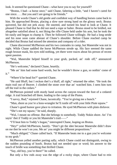look. It seemed he questioned Chane—what have you to say for yourself?

"Brutus, I had—a horse once," said Chane, faltering a little, "and I haven't cared for one since. . . . But you and I are going to be friends."

With the words Chane's old gentle and confident way of handling horses came back to him. He approached Brutus, placing a slow sure strong hand on the glossy neck. Brutus quivered, but did not jerk away. He snorted, and turned his head to look at Chane. It pleased Chane to find that he did not need a rope or halter. Brutus stood to be bridled, not altogether satisfied about it, not liking the rifle Chane held under his arm, but he took the bit easily and began to champ it. Then he followed Chane willingly. He had a long stride and his nose soon came abreast of Chane's shoulder. Before Chane reached camp he decided that Brutus had missed the attention and company of a rider.

Chane discovered McPherson and his two comrades in camp, but Manerube was not in sight. While Chane saddled the horse McPherson strode up. His face seemed the same rough bronze mask, his eyes told nothing, yet there were traces about his person of recent spent passion.

"Wal, Manerube helped hisself to your grub, packed, an' rode off," announced McPherson.

"He's welcome," declared Chane, heartily.

"Me an' him had some hard words, but he wouldn't throw a gun, so nothin' come of it."

"Where'd he head for?" queried Chane.

"He said Bluff, but I reckon thet's a bluff, all right," returned the other. "He took the main trail out of Beaver. I climbed the stone over thar an' watched him. I seen him turn off the trail in the cedars."

McPherson pointed with sturdy hand across the canyon toward the foot of a cedared ridge. A trail branched off there, leading to the camp of the Piutes.

"I savvy, Bud," rejoined Chane, laconically. "You're giving me a hunch."

"Man, shore as you're a hoss-wrangler he'll rustle off with your little Piute squaw."

Chane's good humor gave place to irritation. He eyed McPherson with plain disfavor. "She's not my squaw," he said, sharply.

"Wal, I meant no offense. But she belongs to somebody. Toddy Nokin shore. An' I'm sayin' thet if Toddy or you hit Manerube's trail——"

"I'll beat him to Toddy's hogan," interrupted Chane, leaping on Brutus.

"Hey!" yelled McPherson, hastily. "Don't git the idee because Manerube didn't draw on me thet he won't on you. Me an' you might be different propositions."

"Much obliged," Chane called back. "If Manerube beats me to a gun you're welcome to my grub."

McPherson yelled another parting sally, which Chane could not distinguish, owing to the sudden pounding of hoofs. Brutus had not needed spur or word; his answer to the touch of bridle was something that thrilled Chane.

"Say, old boy, you're there!" he called.

But only a few rods away was the edge of a rocky slope, where Chane had to rein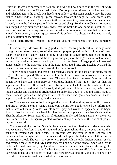Brutus in. It was not necessary to haul on the bridle and hold hard as in the case of Andy and most spirited horses Chane had ridden. Brutus pounded down the rock-strewn trail and splashed across the brook. His hoofs rang hollow on the stone bench where the water rushed. Chane rode at a gallop up the canyon, through the sage flat, and on to a low cedared break in the wall. There was a trail leading over this, down upon the sage upland beyond, where the Indians pastured their horses and sheep. By the time Chane surmounted this ragged rocky eminence he was aware that he bestrode one horse in a million. His heart warmed to Brutus. Apparently he climbed with no more effort than that required on a level. Once on top, he gave a great heave of his bellows-like chest, and that was the only sign of exertion he manifested.

"Look here, Brutus, I reckon I overlooked you, but you needn't rub it in," remarked Chane.

It was an easy ride down the long gradual slope. The fragrant breath of the sage came strong on the breeze. Away rolled the heaving purple upland, with its clumps of green cedar, its groups of yellow rocks, its long level lines of canyon rims, red in the morning sun. Herds of mustangs colored the soft gray and purple of the sage flats; a flock of sheep moved like a wide white-and-black patch out on the desert. A sage prairie it seemed, almost endless to the eastward; but in the north interrupted lines and notches betrayed the break-off down into the wilderness world of wind-worn rock.

Toddy Nokin's hogan, and that of his relatives, stood at the base of the slope, on the edge of the bare upland. These mounds of earth plastered over framework of cedar were no different from the Navajo structures. The one door faced the east. Door as well as hogan invited the sun. Temporary as were these homes of the Piutes, they yet had the appearance of service. Blue smoke curled from the circular holes in the roofs; white and black puppies played with half naked, dusky-skinned children; mustangs with crude Indian saddles and blankets of bright colors stood bridles down; in a round corral, made of cedar branches planted in the ground, a flock of sheep and goats baa-baaed at Chane's approach, and the shepherd dogs barked viciously.

As Chane rode down to the first hogan the Indian children disappeared as if by magic, and one of Toddy Nokin's squaws came out. Inquiry for Toddy elicited the information that he was out hunting horses. An old brave, gray and wrinkled, appeared at the hogan door, to bend a dark skinny hand in direction too complicated for Chane's deduction. Then he asked for Sosie, assured that, if Manerube really had designs upon her, there was time to outwit him. The squaw pointed toward a clump of cedars on the rise of slope just beyond the corral.

Chane rode thither, to find Sosie in the shade of the trees, beside an older squaw who was weaving a blanket. Chane dismounted and, approaching them, he bent a more than usually interested gaze upon Sosie. His greeting was answered in good English. The Indian maiden, though only sixteen years old, had spent the latter nine of these in the government school. She was very pretty, compared with the older Indian women, as she had retained the cleanly and tidy habits fostered upon her at the school. She was slight in build, with small oval face, a golden-bronze complexion, and hair black as the wing of a raven. Her eyes were too large for her face, but they were beautiful. She wore a dark velveteen blouse and necklaces of silver, and her skirt was long, full, and of a bright color. Her little feet were incased in silver-buttoned moccasins.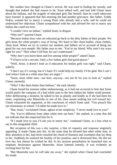Her somber face changed at Chane's arrival. He was used to finding her moody, and thought that indeed she had reason to be. Sosie talked well, and had told Chane more about the Indians, and the tragedy of educated girls like herself, than he could otherwise have learned. It appeared that this morning she had another grievance. Her father, Toddy Nokin, wanted her to marry a young Piute who already had a wife, and he could not understand her objection. Chane sympathized with her and advised her not to marry any Indian she could not love.

"I couldn't love an Indian," replied Sosie, in disgust.

"Why not?" queried Chane.

"Because Indian boys who are educated go back to the dirty habits of their people. We girls learn the white people's way of living. We learn to like clean bodies, clean clothes, clean food. When we try to correct our mothers and fathers we're accused of being too good for our own people. My father says to me: 'You're my blood. Why aren't my ways right for you?' Then when I tell him, he can't understand."

"Why don't you leave them and live among white people?" asked Chane.

"I'd have to be a servant. Only a few Indian girls find good places."

"Well, Sosie, it doesn't look as if education for Indian girls was right," said Chane, soberly.

"I don't say it's wrong, but it's hard. If I could help my family I'd be glad. But I can't. And when I look at a white man they are angry."

"Sosie, most white men—out here, anyway—are not fit for you to look at," replied Chane, earnestly.

"Why? I like them better than Indians," she said, bluntly.

Chane found his mission rather embarrassing, as it had not occurred to him that Sosie would prefer the company of a bad white man to the best Indian her father could present. After deliberating a moment, he talked to her as plainly and kindly as if she had been his sister, explaining why Manerube or one of his class meant nothing but evil toward her. Chane exhausted his argument, at the conclusion of which Sosie said: "You preach like our missionary at school. I'd rather be made love to."

"But, Sosie," exclaimed Chane, aghast at her simplicity, "I never made love to you!"

"No. You're different from other white men out here," she replied, in a tone that did not indicate that she respected him for it.

"If I made love to you I'd ask you to marry me," continued Chane, at a loss what to say to this misguided child.

Her reception of this was a shy surprise, a hint of coquetry and response singularly appealing. It made Chane pity her. At the same time he divined that other white men, in their attention to her, had never touched the chord of fineness and sweetness that lay deep in her. Suddenly he realized the fatality of her position, and it distressed him. He did not love her, but almost he wished he did. In his anxious perturbation he launched into an emphatic declaration against Manerube. Sosie listened intently. It was evidently an exciting hour for her.

"But Manerube says he will take me away," she replied when Chane had concluded his tirade.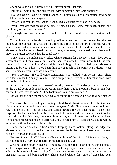Chane was shocked. "Surely he will. But you mustn't let him."

"I'll run off with him," the girl replied, with something inevitable about her.

"No, you won't, Sosie," declared Chane. "I'll stop you. I told Manerube he'd better not let me see him with you again."

"What would you do, Mr. Chane?" she asked, a curious dark flash in her eyes.

"Well—that depends on what *he* did," rejoined Chane, somewhat taken aback. "I'd beat him good and hard, at least."

"I thought you said you weren't in love with me," cried Sosie, in a sort of wild gladness.

Chane threw up his hands. It was impossible to hear her talk and remember she was Indian, yet the content of what she said forcibly struck home the proof that she was not white. Chane had a momentary desire to tell her he did care for her and thus save her from Manerube; but he reconsidered the hasty thought because, once acted upon, that would involve a greater sacrifice than he could offer.

"Sosie, can't you understand?" asked Chane, striving for patience, "I don't love you as a man of my kind must love a girl to want her—to marry her, you know. But I like you. I'm sorry for you. I think you're a bright, fine little girl. I want to help you. Manerube means bad by you. I know. I've heard him say as much to his pards. He'll destroy your soul. Promise me you'll not see him again."

"Yes, I promise—if you'll come sometimes," she replied, won by his spirit. There were tears in her big dusky eyes. She was a simple, impulsive child, honest at heart, with the hot blood of her race.

"Of course I'll come—as long——" he said, breaking off suddenly. He had meant to say he would come as long as he stayed in camp there, but he thought it best to hide from her that he was leaving soon. "I'll be back in an hour. You stay here."

"*Adios*, señor," she murmured, gladly, speaking the Spanish he had told her pleased him.

Chane rode back to the hogan, hoping to find Toddy Nokin or one of the Indian men. He thought it best to tell some one to keep an eye on Sosie. He was not sure he could trust her. But he did not find anyone, and turned Brutus for the open sage. As he rode, perplexed by the unsolvable problem of this little Indian girl, he became conscious that now, although he pitied her, somehow his sympathy was different from what it had been. He had rather idealized Sosie. It affronted and alienated him to learn she was quite willing to run off with such a man as Manerube.

Chane rode across the rolling upland, keeping sharp lookout along the ridge that Manerube would cross if he had ventured toward the Indian camp. There was, however, no sign of horses in that direction.

"Reckon it was a bluff," declared Chane, with relief. In spite of McPherson's hint, he did not entertain a very high regard for Manerube's courage.

Circling to the south, Chane at length reached the rise of ground running along a shallow league-wide valley, gray and purple with sage, spotted with rocks and cedars, and animated by moving horses. Toddy Nokin and his braves were driving in the last of the mustangs Chane had bargained for. This pleased Chane, for some of these had been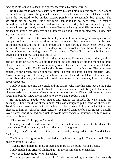ranging Piute Canyon, a deep long gorge, accessible by but few trails.

Brutus saw the moving dots below and lifted his head high, his ears erect. Then Chane put him to a lope down the gradual descent. It soon became evident to Chane that this horse did not need to be guided, except possibly in exceedingly bad ground. The sagebrush did not bother Brutus any more than if it had not been there. He crashed through it; and the little washes and ruts in the red earth, that sometimes tripped an ordinary horse, apparently were the same to Brutus as level ground. His hoofs were so big, his legs so strong, his dexterity and judgment so good, that it seemed safe to ride him anywhere a horse could run.

Down in the center of this oval bowl lay a natural corral, a long narrow space of the best pasture land, barred on two sides by low stone walls that came to an apex at the head of the depression, and shut off at its mouth and widest part by a cedar fence. Even at dry seasons there was always water in the deep hole in the rocks where the walls met; and at this time there was a running stream. Chane arrived as Toddy Nokin and his Indians were driving a bunch of mustangs into this corral.

Chane rode inside to take a look at these mustangs. There were nine of them, and the best of the lot he had seen. A blue roan stood out conspicuously among the tan-colored, black-maned buckskins. They were young horses, fat and sleek, and, unlike most Indian ponies, not at all wild. The Piutes handled horses better than the Navajos. The latter were nomads of the desert, and seldom took time to break and train a horse properly. Most Navajo mustangs were head shy, which was a trait Chane did not like. They had been beaten about the head, or broken with cruel hackamores, or in some way hurt so that they never recovered.

Toddy Nokin rode into the corral, and his braves, who were his sons, put up the poles that formed a gate. He held up his hands to Chane and counted with fingers to the number of twenty-six, and informed Chane he would not sell more. Chane had hoped to buy a larger number, but knew it was useless to try to change Toddy's mind.

He motioned to Toddy to dismount, and, getting off himself, he went among the mustangs. They would not allow him to get close enough to put a hand on them, until Toddy's sons drove them back into a bunch. Then Chane, following a habit that was pleasure to him as well as business, leisurely examined them one by one. He just naturally loved horses, and if he had been rich he would have owned a thousand. The blue roan at once took his eye.

"Blue, reckon I'll keep you," he said.

Presently he had looked them over to his satisfaction, and repaired to the shade of a cedar, where Toddy squatted, making a flat wisp of a cigarette.

"Toddy, they're worth more than I offered and you agreed to take," said Chane, frankly.

The Piute made a gesture that signified a bargain was a bargain. Then he asked, "How much Mormons pay you?"

"Twenty-five dollars for most of them and more for the best," replied Chane.

Toddy nodded his grizzled old head as if that was something to consider.

"Why good horse trade now?" he asked.

Chane explained to him that a St. Louis horse-dealing company had recently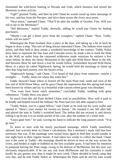stimulated the wild-horse hunting in Nevada and Utah, which business had stirred the Mormons to more activity.

"Ugh!" grunted Toddy, and then he told Chane he would round up more mustangs of his own, and buy from the Navajos, and drive them across the rivers next moon.

"Next moon," repeated Chane. "That'll be after the middle of October. Fine. Will you sell to me or the Mormons?"

"Sell Mormons," replied Toddy, shrewdly, adding he would pay Chane for finding purchasers.

"Maybe I can get a better price from the wranglers," replied Chane. "Now, Toddy, where will we meet?"

Whereupon the Piute brushed clear a place in the dust, and taking up a bit of stick he began to draw a map. This sort of thing always interested Chane. The Indians were natural artists, and they held in their minds a wonderful knowledge of the country. Toddy Nokin drew lines to represent the San Juan and Colorado rivers; he made a dot to mark the Hole in the Wall, an outlet from the canyoned wilderness made notorious by outlaws a few years before; he drew the Henry Mountains to the right and Wild Horse Mesa to the left, and between these he laid down a trail he would follow. Somewhere beyond Wild Horse Mesa, at a place he called Nightwatch Spring, he would hold the mustangs to fatten up after that long hard journey over the barren rocks.

"Nightwatch Spring," said Chane. "I've heard of that place from someone—maybe a wrangler. . . . Toddy, mark out where this water lies."

Toddy showed Chane where to branch off the main Piute trail, north and west of the low end of Wild Horse Mesa, and he gave Chane the impression that this spring had never been known by whites and lay in a beautiful wide canyon where grass was abundant.

"You want have horse ranch sometime," concluded Toddy, nodding with great vehemence. "Toddy show you place."

So much from this old Piute thrilled Chane with its possibilities. How well it paid to be kindly and helpful toward the Indians! No Piute had ever left debt unpaid to him.

"Toddy Nokin, you're a good fellow," said Chane as he took out his worn wallet and opened it. "Here's your money for twenty-six horses." He counted it out, bill after bill, and placed the sum in Toddy's wrinkled hand. The Indian did not recount it, and slowly rolling it up he put it in an inside pocket of his coat, after the manner of a white man.

"Grass gone here," he said, waving his hand to indicate the long pasture-corral. "You go now."

To leave at once with his newly purchased mustangs, which Toddy manifestly advised, had scarcely been in Chane's calculations. But a moment's study told him how necessary that was. If the mustangs were turned loose again to feed they would wander in one night back to their regular haunts. It had taken two weeks to collect the band. Chane saw it the same as Toddy—the mustangs should be driven at once on the way across the rivers, and herded at night or hobbled on the best available grass. It had been his intention to postpone leaving the Piute range, owing to his distrust of McPherson, but this now was obviously impracticable. If he ran any risk from McPherson and his comrades it could hardly be any greater now than it might be next week. Chane decided to break camp that very day, and he told Toddy Nokin so. Whereupon the Piute said he and his sons would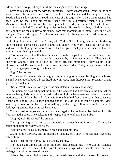ride with him a couple of days, until the mustangs were off their range.

Leaving his sons to follow with the mustangs, Toddy accompanied Chane up the sage slope toward the mounds and knolls of yellow rock that marked the canyon country. Toddy's hogans lay somewhat south and west of this sage valley where the mustangs had been kept. So that upon his return Chane rode in a direction which would cross Manerube's trail, if this worthy had approached Toddy's camp. The fact of such possibility reminded Chane of his promise to Sosie. He would see her, to bid her goodbye, and then he must hurry to his camp. From that moment McPherson, Horn, and Slack occupied Chane's thoughts. The situation was not to his liking, yet there had not occurred to him an alternative.

Riding along at a brisk trot, Chane, with Toddy Nokin loping behind on his shaggy little mustang, approached a zone of gray and yellow wind-worn rocks, as high as hills, and with both sloping and abrupt walls. Cedars grew thickly around them and in the winding lanes that separated them.

Turning a corner of wall, Chane's quick eye sighted a pack horse trotting toward him, and then part of another horse, mostly concealed by an intervening cedar. They were in line with Chane. Quick as a flash he leaped off, and motioning Toddy Nokin to do likewise he led Brutus behind a thick low-branched cedar. Toddy slipped close behind him, stooping to peer through the branches.

"Ugh!" he grunted.

Chane saw Manerube ride into sight, coming at a good trot and leading a pack horse. Behind Manerube bobbed a black head, now in view, then disappearing. Presently Chane got a better look at it.

"Sosie! Well, I'm a son-of-a-gun!" he ejaculated, in amaze and dismay.

The Indian girl was riding behind Manerube, and she had both arms round him. At the moment her gold-bronze face flashed in the sunlight. Chane watched intently, standing motionless until Manerube had ridden within one hundred feet of the cedar that concealed Chane and Toddy. Sosie's face bobbed out to the side of Manerube's shoulder. Most assuredly it was not the face of an unwillingly abducted girl. It wore a smile. The wide dark eyes gleamed. Her white teeth showed.

Chane's rush of anger was almost as much against her as Manerube. Jerking his rifle from its saddle-sheath, he cocked it and stepped out to level it at Manerube.

"Stop! Quick! Hands up!" he ordered.

The approaching horse snorted and jumped. Manerube hauled it to a halt. Then as his hands shot aloft his ruddy face paled.

"Up they are!" he said, hoarsely, in rage and discomfiture.

Chane strode forward, and he heard the padding of Toddy's moccasined feet close behind him.

"Sosie—get off that horse," called Chane, sharply.

The Indian girl almost fell off in the hurry that actuated her. There was no radiance now on her face, nor any of the stoical Indian courage which should have been an heritage. Her big eyes were distended.

"Manerube, I've a mind to shoot you," declared Chane, with the rifle steadily leveled.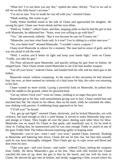"What for? I've not done you any dirt," replied the other, thickly. "You've no call to kill me on this little hussy's account."

"I'm not so sure. You've made her run off with you," retorted Chane.

"Made nothing. She wants to go."

Toddy Nokin shuffled round to the side of Chane and approached his daughter. He swung his quirt. Chane saw Sosie shrink and her eyes dilate.

"Hold on, Toddy!" called Chane, and then, stepping aside so that he had the girl in line with Manerube, he addressed her: "Sosie, were you willing to go with him?"

"Yes," she answered, sullenly. "But it was because he says he'll marry me."

"Manerube, you hear what Sosie said. Is it true? You're talking to a white man now."

"No, you damn fool!" shouted Manerube. "I wouldn't marry a squaw."

Chane eyed Manerube in silence for a moment. The man had no sense of guilt, and he was not afraid to tell the truth.

"Well, I reckon you'd better sit tight and keep your hands high," went on Chane. "Toddy, you take his gun."

The Piute advanced upon Manerube, and quickly jerking his gun from its holster, he stepped back. Then Chane strode round Manerube to see if he had another weapon.

"Get off your horse," ordered Chane, and handed both his rifle and his short gun to the Indian.

Manerube stared, without complying. At the outset of this encounter he had showed fear, but now, as there seemed no certainty of a fatal issue for him, the color was returning to his face.

Chane wasted no more words. Laying a powerful hold on Manerube, he jerked him from the saddle to the ground, where he sprawled hard.

"Get up, before I kick you!" went on Chane, yielding to an anger that grew hot.

Manerube got to his feet, with astonishment giving way to fury. Chane rushed him and knocked him flat. He raised on his elbow, then on his hand, while he extended the other, now shaking with passion. A reddening lump appeared on his face.

"I'll kill you!" he hissed.

"Aw, get up and fight!" retorted Chane, derisively, and he kicked Manerube, not with violence, but hard enough to elicit a solid thump. It served to make Manerube leap erect and plunge at Chane. They fought all over the place, dealing each other blow for blow. Manerube was no match for Chane at that game, and manifestly saw it, for he tried to close in. Failing that, he maneuvered until he was near enough Toddy to snatch at one of the guns Toddy held. The Indian showed surprising agility in leaping aside.

"Manerube—you're just—what I said—you were," panted Chane, hoarsely. Rushing at Manerube and battering him down, Chane did not let him rise, but beat him soundly until he was most thoroughly whipped. Then Chane got up, to wipe sweat and blood and dust from his face.

"Take your gun—and your horses—and rustle," ordered Chane, jerking the weapons from Toddy. He threw Manerube's gun at his feet. Then with rifle leveled low Chane watched the man sit up, draw the gun to him by the barrel, and rise with his back to Chane. He shoved the gun into its holster, and strode, staggering a little, toward where his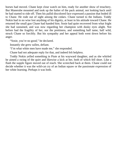horses had moved. Chane kept close watch on him, ready for another show of treachery. But Manerube mounted and took up the halter of the pack animal, not looking back until he had started to ride off. Then his pallid discolored face expressed a passion that boded ill to Chane. He rode out of sight among the cedars. Chane turned to the Indians. Toddy Nokin had in no wise lost anything of his dignity, at least in his attitude toward Chane. He returned the small gun Chane had handed him. Sosie had quite recovered from what fright she had sustained, and was now regarding her champion with dusky eyes alight. Not before had the fragility of her, nor the prettiness, and something half tame, half wild, struck Chane so forcibly. But his sympathy and her appeal both went down before his anger.

"Sosie, you're no good," he declared.

Instantly she grew sullen, defiant.

"I'm what white men have made me," she responded.

Chane had not adequate reply for that, and indeed felt helpless.

Toddy Nokin yelled something in Piute at his wayward daughter, and as she whirled he aimed a swing of the quirt and likewise a kick at her, both of which fell short. Like a flash the supple figure moved out of reach. She screeched back at them. Chane could not decide whether it was the wild-cat cry of an Indian squaw or the passionate expression of her white learning. Perhaps it was both.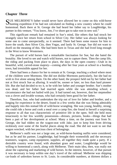#### **Chapter Three**

SUE MELBERNE'S father would never have allowed her to come on this wild-horse<br>hunting expedition if he had not calculated on finding a new country where he could UE MELBERNE'S father would never have allowed her to come on this wild-horse homestead. Back there at St. George she had heard her father say to Loughbridge, his partner in this venture, "You know, Jim, I've shore got to take root in new soil."

This significant remark had remained in Sue's mind, like others that had struck her strangely since her return from school in Silver City. Her father was always looking for some one to come unexpectedly, so it seemed. There had been some reason for him to leave the south, then Silver City, then Vegas, and lastly St. George. Sue did not want to dwell on the meaning of this. She had been born in Texas and she had lived long enough in the West to know Westerners.

The pursuit of wild horses had a remarkable fascination for Sue, but she hated the brutality. She loved to see and watch wild horses, not to capture them. Then the camp life, the riding and packing from place to place, the days in the open country—Utah in its beautiful, wild, carved-stone majesty—coming after her four years at school in a bustling town, had irresistible appeal for her.

There had been a chance for her to remain at St. George, teaching a school where most of the children were Mormons. She did not dislike Mormons particularly, but she had no wish to live alone among them. On the other hand, the prospect held out by her father had not at first struck Sue as alluring. It would be, sooner or later, no less than hard pioneer life. But she had decided to try it, to be with her father and younger brother. Sue's mother was dead, and her father had married again while she was attending school, a circumstance she had not hailed with joy. It had turned out, however, that her stepmother was a clever and lovable woman, who had certainly been good for her father.

Therefore, Sue, who had undertaken the trip out of love for father and brother, and a longing for experience in the desert, found in a few weeks that she was fitting admirably and happily into this nomad life of wild-horse wrangling. She was young, healthy, strong; she could ride a horse and cook a meal over a camp fire; she found in herself a surprising response to all that was characteristic of primitive life in the open. Still she held most tenaciously to her few worldly possessions—dresses, pictures, books—things that had been a part of her development at school. Many a time, on the journey east from St. George, she had ridden on the wagon-seat with Jake, just to keep him from driving recklessly over some of the fearful places along the road. She did not want to see that wagon wrecked, with her precious chest of belongings.

Melberne's outfit was not a large one, as wild-horse-hunting outfits were considered, but as he and his partner, Loughbridge, had brought their womenfolk and the necessary teamsters, wagons, camp equipment, supplies, all together they made quite a party. If a desirable country were found, with abundant grass and water, Loughbridge would be willing to homestead a ranch, along with Melberne. Their main idea, then, was really not alone the capturing and marketing of wild horses. In the interest, however, of that pursuit it was necessary to keep within one day's travel of the railroad. Melberne was shipping car-loads of unbroken horses to St. Louis. In considerable numbers, at thirteen dollars a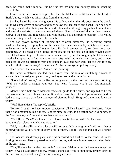head, he could make money. But he was not striking any country rich in ranching possibilities.

It was on an afternoon of September that the Melberne outfit halted at the head of Stark Valley, which was thirty miles from the railroad.

Sue had heard the men talking about this valley, and all the ride down from the divide to the welcome grove of cottonwood trees below she had gazed and gazed. Utah had been strikingly beautiful with its pink cliffs, wide plains of white sage, rugged black mountains, and then the colorful stone-monumented desert. She had marked that as they traveled eastward the scale and ruggedness and wild beauty had appeared to magnify. This valley was something to make her catch her breath.

She had grown capable of judging the colorful distances, the deceiving purple shadows, the long sweeping lines of the desert. Here she saw a valley which she estimated to be twenty miles wide and eighty long. Really it seemed small, set down in a vast panorama, with a ragged black range of mountains on one side, an endless waving green rise of land sweeping to a horizon on the other. Far beyond the long length of this valley stood what appeared a flat mountain, very lofty, with red walls now sunlit, and a level black top. It was so different from any landmark Sue had ever seen that she was forcibly struck with it. How far away! How isolated! It had a strange, impelling beauty.

"Dad, what's that mountain?" asked Sue, pointing.

Her father, a stalwart bearded man, turned from his task of unhitching a team, to answer Sue. He had gray, penetrating, tired eyes that held a smile for her.

"Shore I don't know," he replied as he glanced in the direction Sue was pointing. "Wal, no wonder it caught your eye! See heah, Alonzo, what's that flat mountain yonder?"

Alonzo was a half-breed Mexican *vaquero*, guide to the outfit, and reputed to be the best wrangler in Utah. He was a slim, lithe rider, very light of build yet muscular, and he had a sharp, smooth, dark face, and eyes of piercing black. He gazed a moment down the valley.

"Wild Horse Mesa," he replied, briefly.

"Reckon I ought to have known, considerin' all I've heard," said Melberne. "Sue, that's not a mountain, but a mesa. Biggest mesa in Utah. It's a refuge for wild horses, so the Mormons say, an' no white men have set foot on it."

"Wild Horse Mesa!" exclaimed Sue. "How beautiful—and wild! So far away. . . . It's good there's a place where horses are safe."

"Wal, lass, there'll shore be a lot of wild horses safe for a long time," said her father as he surveyed the valley. "This country is full of them. Look! I see hundreds of wild horses now."

Sue focused her dreamy gaze, and was surprised and thrilled to see bands of horses dotting the valley. They appeared to be of all colors, and grew in numbers until they faded in the gray haze.

"They'll shore be the devil to catch," continued Melberne as his keen eye swept the valley. It was a vast green hollow, treeless, stoneless, with its monotony broken only by the bands of horses and pale gleams of winding streams.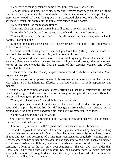"Dad, we're to make permanent camp here, didn't you say?" asked Sue.

"Yep, an' right glad I am," he rejoined, heartily. "We've shore been on the go, with no chance to make you womenfolk comfortable. Heah we can make a fine camp. Plenty of grass, water, wood, an' meat. This grove is in a protected place, too. We'll be heah days, an' maybe weeks. I'm shore goin' to trap a great bunch of wild horses."

"Dad, you mean trap them at one time?"

"That's my idea. Jim doesn't agree, but he'll come to my way of thinkin'."

"If you'd only keep the wild horses you do catch and tame them!" protested Sue.

"Tame wild horses at thirteen dollars a head!" ejaculated her father, with a laugh. "Child, it can't be done."

"Some of the horses I've seen, if properly broken, would be worth hundreds of dollars," replied Sue.

Melberne scratched his grizzled face and pondered thoughtfully; then he shook his head as if the problem was beyond him, and returned to his task.

Many experienced hands made short work of pitching camp. Before the sun set tents were up, fires were blazing, blue smoke was curling upward through the golden-green leaves of the cottonwoods; the fragrant steam of hot biscuits, venison and coffee permeated the cool air.

"I refuse to call out that cowboy slogan," announced Mrs. Melberne, cheerfully, "but I say come to supper."

She was a short, stout, pleasant-faced little woman, just now ruddy from the fire heat. Her helper, Mrs. Loughbridge, afforded a marked contrast, in both appearance and manner.

Young Chess Weymer, who was always offering gallant little courtesies to Sue and Ora Loughbridge, lifted a seat from one of the wagons and placed it conveniently out of line of the blowing camp fire smoke.

"There, girls, have a seat," he said, in his rich bass voice.

Sue complied with a nod of thanks, and seated herself with burdened tin plate in one hand and a cup in the other. But Ora did not get up from where she squatted on the ground. She was a dark-eyed handsome girl, and just now rather sullen of face.

"Come have a seat, Ora," called Chess.

She flashed him an illuminating look. "Chess, I wouldn't deprive you of such a chance," she said, with sarcasm.

"Oh, well, if you won't, I will," replied Chess, and seated himself beside Sue.

Sue rather enjoyed the situation. Ora had been plainly captivated by this good-looking boy, who showed a preference for Sue's society. He was a cleancut lad of eighteen, brown of face and eye, and possessed of a fine frank countenance, singularly winning. At St. George, where he had joined the caravan, he had appeared to be a wild, happy youngster, not above drinking and fighting, and utterly unable to resist the girls. Sue liked his company so long as he did not grow over-sentimental. She was two years older than Chess, and in her mind vastly more mature. She had condescended to regard him with sisterly favor until the Loughbridges joined the party, when Ora had taken most of the pleasure, as well as Chess's society.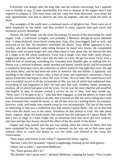Everybody was hungry after the long ride, and ate without conversing. Sue's appetite was as healthy as any. It took considerably less time to dispose of the supper than it had required to prepare it. This meal hour, and the camp fire hour afterward, were about the only opportunities Sue had to observe the men all together, and she made the most of them.

The wranglers of the outfit were a continual source of delight to her. There were six of these employed by her father, and they worked in every capacity that such travel and strenuous activity demanded.

Alonzo, the half-breed, was the most fascinating, by reason of the knowledge he could impart. Utah, a wild-horse wrangler, was probably a Mormon, though he never admitted that—a sharp-featured, stone-faced young man, long, slim, bow-legged, hard as rock, and awkward on his feet. He somehow resembled the desert. Tway Miller appeared to be a cowboy who had abandoned cattle-riding because he hated wire fences. He complained that there were no great ranges left, and when taken to task about this, he showed his idea of a range to be the whole southwest. Tway was a tough, wiry little rider, dusty always, ragged and shiny, and he had a face like the bark of a tree. He got his name Tway from a habit he had of stuttering, something his comrades took fiendish glee in making him do. Bonny was a stalwart Irishman, sandy bearded and haired, freckle-faced, and he possessed a wonderful deep bass voice, the solemnity of which suited his big light-blue eyes. His age was about thirty, and he had been ten years in America. His one dislike, it appeared, was anything in the shape of a town. Jake, a man of years and experience, possessed a heavy square frame that had begun to show the wear of time. He was bald. His round brown face was a wrinkled record of all the vicissitudes of life, not one of which had embittered him. Everything ill had happened to Jake. He had once had wife, children, home, prosperity, position, all of which had gone with the years. Yet he was the most cheerful and unselfish and helpful of men. If anyone wanted a service he ran to Jake. And Jake would say: "Why, sure! I'll be glad to do it." Jake had been engaged, as had the others, to chase wild horses, and betweentimes help at all jobs. But it turned out that his active riding days were past. It tortured him, racked his bones, to ride all day even on a trotting horse. As teamster, however, cook, and handy man around camp he was incomparable. The last of this sextet so interesting to Sue was a tenderfoot they had named Captain Bunk. The sea to him had been what the desert was to the riders. Somehow he had drifted to Utah. His talk about boats, engines, ships, his bunk-mates, had earned him the sobriquet of Captain Bunk. He had a face as large as a ham, bright red, an enormous nose that never got over sunburn, and eyes and lips that always showed the effect of the dry winds of the desert.

Supper had long passed and the sun was setting when the chores of these men had been completed for the day. Sue stopped a moment, on her way out to find some quiet outlook, there to watch and dream as was her habit, and listened to the camp fire conversation.

"How many wild horses in the valley?" inquired her father, eagerly.

"Reckon I seen five thousand," replied Loughbridge, holding up his field-glasses.

"Shore you're jokin'," ejaculated Melberne.

"No. These glasses don't lie."

"By thunder! that's great news," declared Melberne, clapping his hands. "Now to plan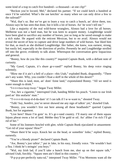some kind of a trap to catch five hundred—a thousand—at one clip!"

"Reckon you're locoed, Mel," declared his partner. "If we could ketch a hundred at once I'd be satisfied. What's the use ketchin' so many when we can only drive a few to the railroad?"

"Wal, that's so. But we've got to learn a way to catch a bunch, an' drive them, too. Alonzo says he has seen that done, but it kills a lot of horses. An' he won't tell me."

Like a majority of the real wild-horse wranglers, Alonzo had a love for all horses. Melberne was not a hard man, but he was keen to acquire money. Loughbridge would have been glad to sacrifice any number of horses, just so long as he saved enough to make a rich stake. He argued with the reticent Mexican, but to no avail. Alonzo would not reveal the secret of how to capture and drive large numbers of wild horses. Sue liked him for that, as much as she disliked Loughbridge. Her father, she knew, was earnest, strong, but easily led, especially in the direction of profits. Presently he and Loughbridge strolled off into the grove, evidently to talk alone. Whereupon the conversation grew loquacious and general.

"Bonny, how do you like this country?" inquired Captain Bunk, with a defiant note of curiosity.

"My Gawd, Captain, it's shure gr-r-rand!" replied Bonny, his deep voice ringing solemnly.

"Blow me if it ain't a hell of a place—this Utah," exploded Bunk, disgustedly. "There ain't any water. Why, you couldn't float a skiff in the whole of this desert!"

"Shure this is land, mon, an' dom' foine land," expostulated Bonny. "All we need is water enough to drink."

"I-t-t-t-twa-tway-tway-" began Tway Miller.

"Aw, hev a cigarette," interrupted Utah, handing Miller his pouch. "Listen to our Irish pard an' this seafarin' man."

"T-t-t-t-t-ttt-tway-d-d-da-dam' it! I can talk if I w-w-want to," shouted Tway.

"Talk! Say, *hombre*, you've never showed me any sign of talkin' yet," drawled Utah.

"Bonny, you wouldn't live out here among all these headlands?" queried Captain Bunk, hot for argument.

"Live here? Shure I'm goin' to. It's gr-r-rand country. I'll marry one of them squaw Injuns phwat owns a lot of land. Mebbe they'll be gold or oil. An' afther I'm rich I'll git rid of her."

Some of his listeners howled with glee, while Captain Bunk ejaculated in amazement: "Get rid of your squaw! How?"

"Shure there'd be ways. Knock her on the head, or somethin' loike," replied Bonny, earnestly.

"You're a bloody pirate!" declared Captain Bunk.

"Aw, Bonny's just talkin'," put in Jake, in his easy, friendly voice. "He wouldn't hurt a flea. I think he's stringin' you boys."

"Wal, my Irish lad, if you'll take a hunch from me, shut up on thet squaw talk," advised Utah, forcibly. "Squaw men ain't liked in this country."

"P-p-p-p-per-perfectly natu-ral," interposed Tway Miller. "You Mormons want all the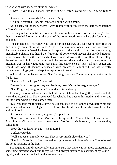w-w-w-wim-wim-men, red skins an' white."

"Tway, if you make a crack like thet in St. George, you'd sure get cured," replied Utah.

"C-c-c-cured of w-w-what?" demanded Tway.

"Talkin'!" retorted Utah, his lean face lighting with a smile.

At this sally all the men, except Tway, roared with mirth. Even the half-breed laughed at Tway's discomfiture.

Sue lingered near until her presence became rather obvious to the bantering riders; then she strolled farther on, to the edge of the cottonwood grove, where she found a seat on a log.

The sun had set. The valley was full of purple shadows, and far beyond them rose the dim strange bulk of Wild Horse Mesa. How vast and open this Utah wilderness! Reluctantly she confessed its beauty, its appeal to the depths of her, its all-satisfying, inexplicable charm. She heard the fluttering of cottonwood leaves; she smelled fragrant wood smoke; she saw the dim bands of wild horses down on the level floor of the valley. Something took hold of her soul, and the nearest she could come to interpreting its meaning was in her vague glad sense that this experience of hers had just begun and would last long. It seemed connected with dreams of childhood, far off, sweetly remembered things, yet too deep, too mysterious to recall.

A footfall on the leaves roused Sue. Turning, she saw Chess coming, a smile on his frank face.

"Sue, may I sit with you?" he asked.

"Yes—if you'll be a good boy and fetch my coat. It's on the wagon tongue."

"Sue, I'd get anything for you," he said, and turned away.

Presently he returned with it and held it for her. Chess had thoughtful, courteous little ways that pleased Sue. They spoke well for what he had been to his mother and sister, and for the home where he had learned them.

"Sue, you take me for such a boy!" he expostulated as he flopped down before her and sat Indian fashion with his legs crossed. He was bareheaded and his curly brown locks had a glint of gold.

"Of course I do. You're only eighteen," replied Sue.

"Sure. But I'm a man. I had *that* out with my brother Chane. I feel old as the hills. And, Sue, you'll be only twenty next month. You're no Methuselum, or whatever they called him."

"How did you learn my age?" she inquired.

"I asked your dad."

"Well, suppose I am only twenty. That is very much older than you."

"Sue, I can't see it. . . . I'm sure old enough to—to be in love with you," he rejoined, his voice lowering at the last.

She regarded him disapprovingly, not quite sure that there was not more earnestness or something different about him today. She had always disarmed his sentiment by taking it lightly, and she now decided on the same tactics.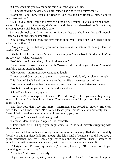"Chess, when did you say the same thing to Ora?" queried Sue.

"I—I never said it," he denied, stoutly, but a flush tinged his healthy cheek.

"Don't fib. You know you did," retorted Sue, shaking her finger at him. "You've made love to Ora."

"Yes, I did, at first—same as I have to all the girls. I reckon I just couldn't help that. I always liked girls. . . . Ora, now, she's pretty and clever, but she—I—I don't like to say anything about a girl, but, Sue, she's catty."

Sue merely looked at Chess, trying to hide the fact that she knew this well enough. Chess was laboring under some stress.

"Ora's catty. She's spiteful. She says things about you I don't like, Sue. That's about settled her with me."

"Any jealous girl is that way, you know. Jealousy is the hatefulest feeling. Don't be hard on Ora. She<sup>-"</sup>

"Ahuh! All right, but she can't talk to me about you," he declared. "And you didn't let me say what—what I wanted to."

"No? Well, get it over, then, if it will relieve you."

"I can prove I wasn't in earnest with Ora—and all the girls you hint of," he said, manfully, gazing straight at her.

"Oh, you can!" murmured Sue, wanting to laugh.

"I never asked Ora—or *any* of them—to marry me," he declared, in solemn triumph.

This liberated Sue's laugh, but it was not hearty. His earnestness touched her.

"You never asked *me*, either," she retorted, and then could have bitten her tongue.

"No, but I'm asking you now," he flashed back at her.

"Chess!" exclaimed Sue, aghast.

"You needn't be so surprised. I mean it. I'm old enough to love you—and big enough to work for you. I've thought it all out. You're too wonderful a girl to mind my being poor; you're . . ."

"My dear boy, don't say any more," interrupted Sue, forced to gravity. His clean brown face had turned white. "I'm sorry I teased you—didn't take you seriously. But— Chess, I feel like—like a mother to you. I can't marry you, boy."

"Why—not?" he asked, swallowing hard.

"Because I don't love you," replied Sue, earnestly.

"I knew that, but I—I hoped you might come to it," he said, bravely struggling with his emotions.

Sue watched him, rather dubiously inquiring into her memory. Had she been unduly friendly to this impulsive lad? But, though she felt a kind of remorse, she did not have a guilty conscience. She saw Chess fight down his cherished dream. Then it seemed he turned to her with a stranger earnestness, with more eloquent eyes and eager lips.

"All right, Sue. I'll take my medicine," he said, hurriedly. "But I want to ask you something just as important."

"What is it?" she asked, curiously.

"If you won't marry me, will you wait for my brother Chane? . . . You can't help but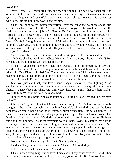#### love *him*!"

"Why, Chess! . . ." murmured Sue, and then she halted. She had never been quite so astounded in her life. There had come a sudden change in the boy's voice—in his big dark eyes—so eloquent and beautiful that it was impossible to consider his request as ridiculous. Sue did not know how to answer him.

"Chane has gone to the Indian reservation—over the canyons," went on Chess. "He went to buy horses to sell to the Mormons. I wanted to go, but he wouldn't let me. He tried to make me stay at my job in St. George. But I saw you—and I asked your dad for work so I could be near you. . . . Now Chane, as soon as he gets rid of those horses, he'll be hitting my trail. He always hunts me up. He thinks I'm still a boy. He still calls me Boy Blue. He's afraid I'm going to the bad. . . . Well, when he finds me he'll see you, and he'll fall in love with you. Chane never fell in love with a girl, to my knowledge. But you're the sweetest, wonderfulest girl in the world. He just can't help himself. . . . And then I could have you for a sister."

The swift words rushed out in a torrent, and the simplicity of them touched Sue to the heart. Indeed, she had not known Chess Weymer. Less than boy—he was a child! But now she understood better why she had liked him.

"I—I'll be your sister, anyhow," said Sue, trying to think of something to say that would not hurt him. She sensed a singular relation between him and this older brother who called him Boy Blue. It thrilled Sue. There must be a wonderful love between them. It made her curious to hear more about this brother, yet, in view of Chess's proposal, she did not quite like to ask. Perhaps that would not be necessary, so she waited.

"Sue, you just can't help but love Chane," began Chess, his face lighting. "I've watched you. I've studied you. I know what you care about. But any girl would love Chane. I've never been anywhere with him where there was a girl—that she didn't fall in love with him. Without his even looking at her!"

"Indeed! Well, this brother of yours must be a—quite a fellow," replied Sue. "What's he like?"

"Oh, Chane's grand," burst out Chess, thus encouraged. "He's like my father, only he's got mother in him, too, which makes him finer. He's tall and dark, and, say! he looks right through you. Chane's got the sweetest, gentlest disposition. But he's a fighter. It's because of his kindness that he's always getting into fights. He's had some worse than fist-fights, I'm sorry to say. He's ridden all over and has been in many outfits. He hates cattle and loves horses. I guess the Weymers were all horse lovers. My father was born in Kentucky. Chane never settles down. He goes more and more to the wild places. He's a lonely sort of fellow—gets restless where there're lots of people. Somebody will get into trouble and then Chane takes up that trouble. He'd never have any trouble if he'd keep away from people—and *me*. I give him most trouble. I'm always in hot water; then, sooner or later Chane rides up and gets me out of it."

"No wonder he calls you Boy Blue!" said Sue, impulsively.

"He doesn't any more, to my face. I hate it," declared Chess, darkly.

"Is this brother a wild-horse hunter?" asked Sue.

"Chane's been everything, but he loves horses best. They don't have to be wild. They just have to be *horses*, tame or wild, good or bad, young or old. But I reckon lately the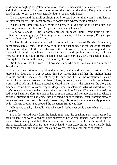wild-horse wrangling has gotten more into Chane. It's been sort of a fever across Nevada and Utah, you know. Two years ago he saw that great wild stallion, Panquitch. You've heard of him. Well, Chane was actually dotty over that wild horse."

"I can understand the thrill of chasing wild horses. I've felt that when I've ridden out to watch you riders. But I can't bear to see horses hurt, whether wild or tame."

"Chane's the same way, Sue," rejoined Chess. "Oh, you and he are a lot alike. Just wait 'til you meet him. Just wait 'til you see *him* handle horses."

"Very well, Chess, I'll try to possess my soul in peace—until Chane trails you up," replied Sue, laughing gayly. "Good night now. I'm sorry if I hurt you—yet, I'm glad you told me about yourself—and Chane."

Sue left him sitting there in the dusk and returned camp fireward. But she did not tarry in the ruddy circle where the men were talking and laughing, nor did she go to her tent. She went off alone into the deep shadow of the cottonwoods. The air was crisp and cold, sweet with its wild tang; white stars were burning in the deep-blue vault above; the leaves were rustling in the night breeze; the late crickets were chirping with a melancholy note of coming frost; far out in the lonely darkness coyotes were howling.

"So I must wait for this wonderful brother Chane who calls him Boy Blue," murmured Sue, dreamily.

She had been strangely, profoundly stirred, and could not grasp just why. She reasoned at first that it was because this boy Chess had paid her the highest honor possible, and then because she felt sorry for him, and then, at the revelation of such a beautiful attachment between brothers. These, however, were not conclusive. Chess's words had struck at a hitherto untouched chord in her heart—the romance, the glory and dream of some love to come, vague, deep, latent, mysterious. Absurd indeed was the boy's hope and assurance that she could not help but love Chane. What an odd name! She had never heard it before. In spite of her common sense, and her appreciation of Chess's boyish sentiment, there had come into her mind a sudden strange establishment between her vague dream hero and this lonely desert rider, this horse lover so eloquently portrayed by his adoring brother. Sue scouted the inception. But it was there.

"Oh, it was so silly—his talk," she whispered. "Who ever could guess what was in that wild boy?"

Sue at last turned away from the lonely night and the speaking stars, and repaired to her little tent. She went to bed not quite mistress of her vagrant fancies, not wholly sure of herself. Night always had that effect upon her; on the morrow she knew she would be her old, practical, sensible self. But the hour at hand, when sleep did not come readily, held her at the mercy of the unknown, the calling voices, the dim awakenings of instinct.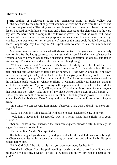#### **Chapter Four**

THE settling of Melberne's outfit into permanent camp at Stark Valley was characterized by the advent of perfect weather, a welcome change from the storms and characterized by the advent of perfect weather, a welcome change from the storms and winds of the past weeks. The rainy season had lingered late. It was most beneficial to the desert, but hard on wild-horse wranglers and others exposed to the elements. But the very day after Melberne pitched camp in the cottonwood grove it seemed the wonderful Indian summer of Utah smiled its golden purple-hazed welcome. It made camp life a joy, whether there was work or not, especially if some of the time could be idled away. Sue heard Loughbridge say that they might expect such weather to last for a month and possibly longer.

Melberne was not an experienced wild-horse hunter. This game was comparatively new to him. But he had great force and energy and he could handle men. Whatever his weakness, which perhaps was mostly a susceptibility to suggestion, he was just and fair in his dealings. The riders would not take orders from Loughbridge.

"Wal, men, we're heah," announced Melberne, cheerfully, after breakfast that first morning at Stark Valley. "An' now let's rustle. I'm not goin' to drive this valley till I've a plan mapped out. Some way to trap a lot of horses. I'll ride with Alonzo an' Jim down into the valley an' get the lay of the land. Reckon I can give you-all plenty to do. . . . Jake, you keep charge of camp an' help the womenfolks. Build a stone oven, make a stand for the big kettle, pack water, an' whatever offers. . . . Captain, saddle your horse an' snake in a lot of dead hardwood. My boy Tommy will help you saw it. He just loves the end of a cross-cut saw. Ha! Ha! . . . An', Miller, you an' Utah ride up into some of them canyons that open into the valley. Take stock of any place where there's sign of wild horses. . . . Chess, you like to hunt. Now we're out of meat an' I look to you as provider. Don't hunt alone. That's bad business. Take Bonny with you. There shore ought to be lots of game heah"

"In a pinch we can eat wild-hoss meat," observed Utah, with a drawl. "It shore ain't had"

"Dad, you wouldn't kill a beautiful wild horse to *eat*!" exclaimed Sue, in horror.

"Wal, lass, I never did," he replied. "Fact is I never tasted horse flesh. Is it good, Alonzo?"

"Señor, I don't know," answered the Mexican *vaquero*, almost curtly. Manifestly the suggestion was not to his liking.

"I'd starve first," added Sue, spiritedly.

Her father laughed good-naturedly and gave order for the saddle-horses to be brought in. Chess went whistling his pleasure at the duty assigned him, and taking his bridle up he halted before Sue.

"Little Girl Gold," he said, gayly, "do you want your pony fetched in?"

"No, thanks, Chess. I've a heap of mending—washing to do. . . . And why did you call me that? I'm not little. I weigh—or did—a hundred and thirty. My hair is chestnut, not gold."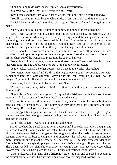"It had nothing to do with looks," replied Chess, mysteriously.

"Oh, very well, little Boy Blue," returned Sue, lightly.

"Say, I can stand that from *you*," flashed Chess, "but don't say it before anybody."

"You'll see. Wait till your brother Chane rides in on your trail," said Sue, teasingly.

"I wish I hadn't told you," he replied, with regret. "Because if you do I'm going to get mad"

"Chess, you have called me a number of names, and none of them suited me."

"Mrs. Chess Weymer would suit fine, but you're hard to please," he retorted, with a laugh. Then he went whistling on his way, leaving behind him a pleasant sense of something fine and gay and irresponsible in him. Sue reflected that it was rather inconsistent of her to note he apparently had not been cast down by her rejection. Sometimes she regarded some of her thoughts and feelings quite dubiously.

She set about her own necessary duties, which, however, were all personal. She was not often called upon to help in the general camp chores. First she got Jake and Bonny to lift her chest out of the wagon and place it in the back of her tent.

"Now, Sue, I'll bet you've got some pretty dresses in here," ventured Jake, his tanned face wrinkling. He had big brown eyes, full of the kindliest expression.

"A few, Jake. And all the other possessions I have in the world," she replied.

"No wonder you were afraid I'd drive the wagon over a bank," responded Jake, with tremendous interest. "Some day you'll dress up for us, won't you? I'd like awful well to see you. My little girl, if she'd lived, would be about your age now."

"Yes, Jake, I will if it would please you," said Sue.

"Please me! Well now, listen to her! . . . Bonny, wouldn't you like to see Sue all dressed up?"

"Shure, Miss Sue, it'd be g-g-grand," replied the Irishman, with the most intense gravity. "I'd like to see you knock out the black-eyed wench."

Jake and Bonny stooped out under the tent flaps, leaving Sue on her knees beside her precious chest. "These men. . . . It's funny how they give Ora a little dig now and then. She's pretty. But, no, I guess it's not funny."

Sue dragged her tarpaulin and roll of blankets, and her chaps, spurs, gloves, gun, slicker, coat—all her belongings except the big chest, out into the sunlight. She spread the blankets in the sun.

"Jake," she called, "I want you to help me some more."

She dispatched the genial Jake to fetch a tarpaulinful of cedar and piñon boughs; and on second thought, finding she had no task at hand while she waited for him, she followed him up the slope and helped him gather the boughs and drag the loaded tarpaulin back to her tent. Jake was the best of company, and, moreover, he had a way of making one feel more thoughtful and tolerant of others. "I'll tell you, Sue," he said, very confidentially, "don't let Bonny or anybody put you against Ora. She's a nice girl, if you just like her. She's been spoiled. It's plain she was sweet on young Chess, and everybody saw Chess favored you. That's a hard place for a girl. It brings out feelings we all have."

"Jake, I liked Ora, but lately she's different," protested Sue, and she tried to explain to the earnest old fellow how hard it was to be always sweetly disposed toward Ora.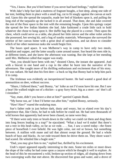"Yes, I know. But you'd feel better if you never had hard feelings," replied Jake.

With Jake's help Sue laid a mattress of fragrant boughs, a foot deep, along one side of her tent, holding them in place with a small log, cut to fit snugly against the canvas at each end. Upon this she spread the tarpaulin, made her bed of blankets upon it, and pulling the long end of the tarpaulin up she tucked it in all around. That done, she and Jake covered the rest of the floor space in the tent with the remaining boughs. Upon this springy carpet she spread the few Indian blankets she had. Jake fashioned a crude little rack to hold whatever she chose to hang upon it. Her duffle bag she placed in a corner. Then upon the chest, which could serve as a table, she placed her little mirror and the other toilet articles she possessed, her sewing kit, and a bag of sundry materials. Whereupon she surveyed the interior of her canvas home with a great deal of satisfaction, and sat down to consider which of her other numerous tasks she would begin first.

The hours sped apace. It was Melberne's way in camp to have only two meals, breakfast and supper, and the latter usually came around sunset. Sue heard the men ride in, at different times, and she knew the afternoon was waning. But she kept at her mending until Mrs. Melberne called that supper was ready.

"Sue, you should have been with me," shouted Chess, the instant she appeared. And with a biscuit in one hand and a cup in the other he burst into the narrative of his adventures. She caught more of his thrilling enthusiasm and excitement than of his story. He was radiant. He had shot his first deer—a buck so big that Bonny had to help him pack it to camp.

The Irishman was evidently an inexperienced hunter. He had wasted a good deal of ammunition on deer, without success.

"Shure, I follered them," said Bonny, "an' loike as not I'd soon have hit one. But I saw a bear! He walked roight out of a thicket—a gray furry brute, big as a steer—an' thot's all I rimimber"

"Say, mate, didn't you heave a shot at him?" queried Captain Bunk.

"My horse run, an' I thot I'd better run after him," replied Bonny, seriously.

"Haw! Haw!" roared the seafaring man.

Sue's father rode in just before dark, dusty and weary, but so elated over his day's experience that, like Chess, he had to talk before he could eat. He had seen thousands of wild horses that apparently had never been chased, so tame were they.

"If there were only trees or brush down in the valley we could cut them and drag them into long fences leading to a trap!" he ejaculated. "What a haul we'd make! But there's not a tree in this heah valley, so far as we rode. . . . Sue, I saw a sorrel today—the finest piece of horseflesh I ever beheld. He was light color, not red or brown, but something between. A stallion with mane and tail that almost swept the ground. He had a whole bunch of bays and blacks. As we rode toward them he drove them on. They shore wasn't bad scared. He whistled like a bugle note."

"Dad, you may give him to me," replied Sue, thrilled by his excitement.

Utah's report appeared equally interesting to the men. Some ten miles or more down the slope of the valley he had come upon a canyon which he thought it well to explore. At the head of this he encountered a wild, broken-up section of ridges, all sloping down from two converging walls that met above. He discovered fine grass and water, and a drove of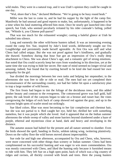wild mules. They were in a natural trap, and it was Utah's opinion they could be caught in one day.

"Wal, shore that's fine," declared Melberne. "We're going to be busy round heah."

Miller was the last to come in, and he had his supper by the light of the camp fire. Manifestly he had unusual and good reports to make, but, unfortunately, it happened to be a time when his fatal stuttering affected him most. Once he nearly got launched into clear speech, but Utah, who seemed peculiarly irritated by his rider comrade's failing, yelled out, "Whistle it, you Chinese poll-parrot!"

That was too much for the exhausted wrangler; casting a baleful glance at Utah he subsided into silence.

Long and earnestly the other wild-horse hunters talked. It was an interesting evening round the camp fire. Sue, inspired by Jake's kind words, deliberately sought out Ora Loughbridge and persistently made herself agreeable. At first Ora was stiff and what Chess had called snippy. But she was not proof against Sue's kindliness, and gradually she thawed. Somehow during that hour Sue got an impression of Ora's really deep attachment to Chess. She was about Chess's age, and a romantic girl of strong emotions. Sue noted that Ora could scarcely keep her eyes from wandering in his direction, yet at the same time she was trying to hide her secret. Her state of mind seemed no longer trivial and amusing; indeed, Sue found that by exerting herself to be kind she had roused her own sympathy for the girl.

Sue divided the mornings between her own tasks and helping her stepmother; in the afternoons she was free to idle or ride or read. The men had not yet completed their reconnaissance of the surrounding country, nor had her father hit upon a satisfactory plan to trap a large number of wild horses.

The first frosts had begun to tint the foliage of the deciduous trees, and this added fresher beauty and contrast to the evergreens. The cottonwood grove was half gold, half green; the oak brush of the canyons began to take on a bronze and russet hue; the vines overgrowing the ledges of rock back of camp showed red against the gray; and up in the canyons bright spots of scarlet stood out strikingly.

Sue liked colors. Blue was most becoming to her fair complexion and chestnut hair, but she was not partial to it. Red caught her eye, held her, thrilled her with something nameless, but it was purple which she loved. And it appeared that on the Indian summer afternoons the whole sweep of valley and stone barriers beyond slumbered under a haze of purple, ethereal and mysterious close at hand, dark and heavy and enveloping in the distance.

The autumn season had halted for the present and all nature seemed to slumber. Even the birds showed the spell, banding in flocks, seldom taking wing, twittering plaintively. Down on the valley floor the wild horses moved almost imperceptibly.

Sue rode far and high one afternoon, accompanied by Ora and Chess, who, however, were more concerned with other things than scenery or Indian summer. Chess had been complimented on his successful hunting and was eager to win more commendation. Ora was mostly concerned with Chess, and liked the hunting only because it furnished means to ride with him. They left Sue on a high open point, back of which was a big country of ridges and ravines, all thickly covered with brush and trees. Here the young hunters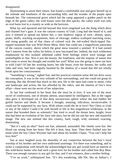disappeared.

Dismounting to await their return, Sue found a comfortable seat and gave herself up to the solitude and loneliness of the surrounding hills, and the wonder of the purple open beneath her. The cottonwood grove which hid the camp appeared a golden patch on the edge of the green valley; the wild horses were but dim specks; the valley itself was only an oval basin lost in a country as wide as the horizons.

What lay and upreared and hid beyond that level rangeland was the thing which drew and chained Sue's gaze. It was the canyon country of Utah. Long had she heard of it, and now it seemed to spread out before her, a vast shadowy region of rock—domes, spurs, peaks, bluffs, reaching escarpments, lines of cleavage, endless scalloped marching rocks; and rising grandly out of that chaos of colored rock the red-walled black-tipped flattopped mountain that was Wild Horse Mesa. Here Sue could see a magnificent panorama of the canyon country, above which the great mesa towered a sentinel. If it had earned Sue's interest from the valley far below, it now fascinated her. Indeed, the rock wilderness emphasized by this isolated tableland called forth feelings which were strange and unintelligible to Sue. Was it just the beauty, the loneliness, and the majesty of nature that had come to arrest her thought and trouble her soul? What was she going to meet out here in wild Utah? Of late her working hours, her idle hours, even her dreams, her walks and rides and rests, had been vaguely haunted by the shadow of a mood that did not wholly break upon her consciousness.

"Something's wrong," sighed Sue, and her practical common sense did not drive away the conception. It was in the very solitude of her surroundings, and she could not grasp its meaning. But she divined that much as this new life in the open had come to mean, color and landscape and action, the fun afforded by the riders, and the interest of Ora's love affair—these were not the secret of her subjection.

At last Sue confessed to her heart that she must be in love. It was one of the most secret of confessions, one of dreams almost, unaccepted by intelligence. But as the vague idea grew it developed out of that deep unconscious sphere where she had hidden her girlish fancies and ideals. It became a thought, amazing, ridiculous, inconceivable. It could not be supported by any facts. With whom could she be in love? Not Chess or Utah or any of the riders! Could it be with herself or life or this magnificent wilderness, or the nature that brooded there so solemnly? Sue tried to recall the dream hero, knight, lover that had been an evolution of her fairy-tale days, but he did not suit her new and masterful image. The new one seemed like this country, hard, rough, wild, untamed, exacting, dominating.

"But it's only an idea!" burst out Sue, ashamed, astounded. Her cheeks were hot. Her blood ran strong from her heart. She felt it beat, beat, beat. Then there flashed into her mind what the boy Chess Weymer had said about his brother Chane; "You can't help but love *him*!"

Sue at once laughed away the absurdity of any connection between the boy's loyal worship of his brother and her own undivined yearnings. Yet there was something, and to strike a compromise with herself she acknowledged that any girl would have an interest in this wild-horse hunter who had such a great love for his brother and called him Boy Blue. There was enough romance in any girl for that, and if not romance, then a mother feeling.

"I've no work," soliloquized Sue. "It's this wandering, idle life, like an Indian's. I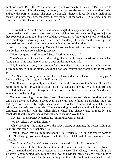think too much. But—there's the other side to it. How beautiful the earth! I've learned to know the sunset, night, the stars, the moon, the sunrise, day—storm and cloud and rain, and now this purple summer. The birds, the animals—horses I love. I love the smell of the cedars, the pines, the earth, the grass. I love the feel of the rocks. . . . Oh, something has come into my life. There's a step on my trail!"

Sue waited long for Ora and Chess, and at length they appeared riding under the trees, close together, without any game. Sue had a suspicion that they were holding hands just as they rode out of the timber, but she could not be certain. A further glance told her that they were no longer quarreling, which had been decidedly the case on the way up. Sue mounted her pony and started down the winding descent of the ridge.

About halfway down to camp, Ora and Chess caught up with her, and both appeared to overdo their excuses for such long absence.

"Were you gone long?" inquired Sue. "I hadn't noticed that."

Chess's account of their hunt did not ring like those of former occasions, when he had found game. This time there was not a deer on the mountain-side.

"My brave hunter boy, I'm sure you found one *dear*," said Sue, tantalizingly. She felt a tiny feminine twinge of pique. Chess had not long resisted the propinquity of the other girl.

"Aw, Sue, I reckon you are a lot older and wiser than me. There's no fooling you," declared Chess, half in regret and half resignedly.

This allusion to her proudly maintained maturity did not please Sue. It was all right for her to think it, but for Chess to accept it all of a sudden somehow irritated Sue. But she reflected that she was in a strange mood and not so kindly disposed as usual. She decided to let them do the talking.

Ora was overdoing it more than Chess. She was enthusiastic about the ride, and the canyon up there, and about a great deal in general, and nothing in particular. Ora's big dark eyes were unusually bright, her cheeks were redder than seemed natural for slow riding, and her hair was disheveled. There was a singular radiance, a glow in her face, that contrasted markedly with the sullen shade which had characterized it recently. Sue concluded that this rascal Chess had really been making love to Ora.

"Sue, isn't it just perfectly gorgeous?" murmured Ora, dreamily.

"What?" asked Sue, rather bluntly.

"Oh, everything—the bright colors, the sweet, sleepy something, the horses, riding out this way, this camp life," babbled Ora.

"I think I know what you're raving about, Ora," replied Sue. "I'm glad you've come to feel it. Not long ago you were disgusted with the desert, Utah, wild horses, wranglers, and yourself."

"Yes, I know, Sue," said Ora, somewhat dampened, "but I—I'm not now."

There appeared to be a humility in Ora, at this moment, that Sue had never observed before. It strengthened Sue's conviction as to the cause. Then Chess, who was riding half a horse's length behind Ora, caught Sue's eye and winked mysteriously, with a hint of deviltry. Almost it seemed that he was telling Sue that if he could not have her he could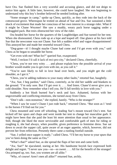have Ora. Sue flashed him a very scornful and accusing glance, and did not deign to notice him again. A little later, however, she could have laughed. She was beginning to understand why this boy's brother believed he needed looking after.

"Some stranger in camp," spoke up Chess, quickly, as they rode into the back of the cottonwood grove. Whereupon he trotted on ahead of Sue and Ora. Sue sustained a little shock of excitement that made her conscious of her own interest in a strange rider. What if it might be Chane Weymer! She saw a muddy, weary pack horse sagging under a bedraggled pack. But trees obstructed her view of the rider.

Ora headed her horse for the quarters of the Loughbridges and Sue turned for her tent. When she dismounted, Chess rode up at a lope and leaped off. One glance at his face told Sue that the newcomer was not Chane. Sue felt a sudden relief and vague disappointment! This annoyed her and made her resentful toward Chess.

"Dog-gone—it! I thought maybe Chane had come and I'd get even with you," said Chess as he began to unsaddle her horse.

"Get even with me! What for?" queried Sue, exasperated.

"Well, I reckon I'd call it lack of reci-pro-city," declared Chess, cheerfully.

"Chess, you're not very witty . . . and please explain how the possible arrival of your brother would enable you to get even with me, as you call it."

"You're sure likely to fall in love head over heels, and you *might* get the cold shoulder, as I got it."

"Chess, you're adding rudeness to your many other faults," retorted Sue, haughtily.

"Aw, Sue, I beg pardon," said Chess, contritely, as he slid her saddle and blankets to the ground. "I'm only sore. But I'll get over it. . . . And listen. Chane'd never give you a cold shoulder. Now remember what I tell you. He'll fall terribly in love with you."

Suddenly a hot blush burned Sue's neck and face. Ashamed, furious with her ungovernable and conflicting emotions, she turned away from Chess.

"Don't talk—non-nonsense," she replied, hastily. "Who is the stranger?"

"When I saw he wasn't Chane I just rode back," returned Chess. "But soon as I 'tend to the horses I'll find out for you."

Chess mounted and went off whistling, leading Sue's mount toward Ora's tent. Sue kicked off her spurs and chaps and went inside her tent to change her masculine garb. It might have been that she paid the least bit more attention than usual to her appearance. Still, though she liked the more serviceable and comfortable garb of men for riding or roughing it, she had always, when possible, given preference to feminine dress. Sue sat down to await the supper call, quite aware of an eager appetite, which, however, did not prevent her from reflection. Presently there came a rustling footfall outside.

"Sue, I yelled once supper is ready," called Chess. "I'll bet my horse to your spurs that you've been doing the same as Ora."

"What's that?" asked Sue, as she spread the flaps of her tent and came forth.

"Aw, Sue!" he ejaculated, staring at her. His handsome boyish face expressed both delight and regret. "I never saw you—so—so sweet. . . . All for the benefit of the stranger! Ora primped up, too. Sue, you women are all alike."

"Why, of course! Aren't men all alike?" returned Sue, archly.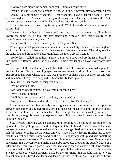"Not by a darn sight," he denied, "and you'll find out some day."

"Well, who's the stranger?" demanded Sue, with undue interest, just to torment Chess.

"Ahuh! Well, his name's Manerube—Bent Manerube. How's that for a handle? He's a horse-wrangler from Nevada. Husky, good-looking chap. He's just in from the Piute country, across the canyons. Sure looked like he'd been riding rough."

"That's the country I saw today from up high. Wild Horse Mesa! He can tell us about it, can't he?"

"I reckon. But see here, Sue," went on Chess, and as he faced about to walk with her toward the camp fire he took her arm gently and firmly. "Don't forget you're to be Chane's sweetheart—and my sister."

"Little Boy Blue, I'll not be won by proxy," rejoined Sue.

Whereupon he let go her arm and maintained a rather lofty silence. Sue stole a glance at him out of the tail of her eye. His face seemed different, somehow. Then they reached the camp fire and the supper table. Manifestly the men were all waiting.

"Hello, lass!" called her father. "Shore you an' Ora have held up the festal board. . . . Sue, meet Mr. Benton Manerube of Nevada.—This's my daughter. Now, everybody, let's eat."

Sue saw a tall man standing beside her father and she bowed in acknowledgment of the introduction. He had gleaming eyes that seemed to leap at sight of her and absorb her. Sue dropped her own. Chess, as usual, was promptly on hand with a seat for her and Ora; and in a moment they were supplied with bountifully laden plates.

"Sue, isn't he handsome?" whispered Ora.

"Who?" queried Sue.

"Mr. Manerube, of course. Did you think I meant Chess?"

"Why, I hadn't noticed."

"Well, he's noticed *you*, and I'm jealous," declared Ora.

"Yes, you acted like it on the ride back to camp. . . . But I'm hungry."

Some moments later Sue covertly stole a glance at the newcomer, who sat opposite, between her father and Loughbridge. Ora had not been mistaken about the man's looks, despite a discolored bruise on his face. His hair glinted in the sunset glow, and his complexion, though browned by exposure, was still so fair that it made the other riders look like Indians.

Sue, perhaps following Ora's example, rather prolonged the eating of her supper. One by one the riders got up from round the tarpaulin tablecloth and clinked away to the tasks necessary before dark. Chess remained sitting cross-legged beside Ora, while Jake, always helpful, began to gather up the plates and cups. Sue's father, having finished his supper, rose to his feet and threw some wood on the fire. Loughbridge got up and said something in a low tone to Melberne. They were both interested in the newcomer. Naturally this quickened Sue's perceptions. Finally Manerube stood up, showing the superb figure of a rider and the worn, soiled garb of one who had surely been in contact with hard country. He wore a belt which swung low on his right hip with the weight of a gun. His blouse was a heavy checkered woolen garment, made by the Mormons, Sue thought, and as he wore no coat or vest, his broad shoulders and deep chest showed strikingly. His unshaven beard,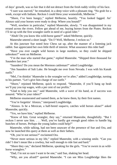of days' growth, was so fair that it did not detract from the fresh ruddy virility of his face.

"I sure was starved," he remarked, in a deep voice with a pleasant ring. "No grub for a week, except with Indians. Reckon I could bless your womenfolk, Melberne."

"Shore, I've been hungry," replied Melberne, heartily. "You looked fagged. An' Alonzo said your horses were ready to drop. Where you bound?"

"Well, nowhere in particular," replied Manerube, slowly. "I was disappointed in my errand across the rivers. Fellow got ahead of me, buying horses from the Piutes. Reckon I'll tie up with the first wrangler outfit in need of a good rider."

"Ahuh! Do you know this wild-horse game?" asked Melberne, quickly.

Manerube uttered a short laugh. "Do I? Well, Melberne, I reckon so."

At this juncture Sue noted how Chess sat up, after the manner of a listening jack rabbit. Sue appreciated her own little thrill of interest. What assurance this rider had!

"Have you ever caught wild horses in large numbers, so they could be shipped unbroken?" went on Melberne.

"I'm the man who started that game," replied Manerube. "Shipped three thousand for Saunders last year."

"Saunders? Do you mean the Mormon cattleman?" asked Loughbridge.

"Jim Saunders of Salt Lake. He brought me over from Nevada. I was with his Kanab outfit."

"Mel, I'm thinkin' Manerube is the wrangler we're after," added Loughbridge, turning to his partner. "Let's give him charge of our outfit."

"Shore," rejoined Melberne, quick to respond. "Manerube, if you'll hang up heah we'll pay you top wages, with a per cent of our profits."

"Glad to help you out," said Manerube, with a wave of his hand, as if success was assured. "Who're your riders?"

Melberne enumerated and named them, as he knew them, by their first names.

"You're forgettin' Alonzo," interposed Loughbridge.

"Alonzo. Is he a Mexican, a half-breed *vaquero*, catches wild horses alone?" asked Manerube, quickly.

"Yes, we have him," replied Melberne.

"Know of him. Great wrangler, they say," returned Manerube, thoughtfully. "But I reckon I never saw him. . . . Well, you've hardly got enough good riders to handle big bunches of horses. Perhaps the young ladies could help?"

Manerube, while talking, had not been unaware of the presence of Sue and Ora, and now he launched this query at them as well as their fathers.

"Oh, you're not serious?" exclaimed Ora.

"Never more serious in my life," replied Manerube, with a winning smile. "Can you ride? I don't mean like a cowboy, but well enough to ride fast and hard."

"Shore they can," declared Melberne, speaking for the girls. "You're sworn in as wildhorse wranglers."

"Dad, I'm not so sure I want to be one," said Sue, shaking her head.

"Why, are you afraid?" queried Manerube. "I can see Miss Loughbridge likes the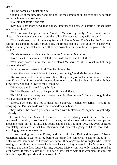idea."

"It'll be gorgeous," burst out Ora.

Sue looked at the new rider and did not like the something in his eyes any better than his intimation of her cowardice.

"No, I'm not afraid," she said.

"Say, Sue's got more nerve than a man," interposed Chess, with spirit. "But she hates to see horses hurt."

"Wal, we won't argue aboot it," replied Melberne, genially. "Sue can do as she likes. . . . Manerube, you come across the valley. Did you see many wild horses?"

"Thousands every day. All the way from Wild Horse Mesa. That's what the Mormons call the last stand of the wild horses. I saw the finest stock in all this country. It'd pay you, Melberne, after you catch and ship all horses possible near the railroad, to go after the fine stock"

"But shore we can't drive over thirty miles," protested Melberne.

"No. I meant to take time—catch the best wild horses and break them."

"Wal, shore heah's a new idea, Jim," declared Melberne. "I like it. What kind of range land over there?"

"Finest grass and water in Utah," replied Manerube.

"I heah there are horse thieves in the canyon country," said Melberne, dubiously.

"Reckon some outfits hold up over there. But you're just as liable to run across them here. Fact is I run into some Mormon outlaws over across the San Juan. Stayed with them a few days. Not bad fellows to meet, though."

"Who were they?" asked Loughbridge.

"Bud McPherson and two of his pards, Horn and Slack."

"Bud McPherson's pretty well known over St. George way," declared Loughbridge. "You've heard of him, Mel?"

"Shore, I've heard of a lot of these horse thieves," replied Melberne. "They're not worrying me. I've had to do with that brand down in Texas."

"Say, Manerube, how'd you come to camp with McPherson?" inquired Loughbridge, curiously.

It struck Sue that Manerube was not averse to talking about himself. She was interested, naturally, in so forceful a character, and there seemed something compelling about the man, but all at once she found she did not like him. Ora, however, appeared completely fascinated, a fact that Manerube had manifestly grasped. Chess, too, had, if anything, grown more attentive.

"I was hunting for some Piutes, and run right into Bud and his pards," began Manerube, taking a seat on a log before the camp fire, somewhat closer to the girls. "It really wasn't their camp, as I learned afterward. It belonged to the wrangler who beat me getting to the Piutes. You know I told you I went to buy horses for the Mormons. This wrangler got there first. Lucky for me, because McPherson was only hanging round to steal horses. It rather tickles me, for I had a little set-to with that wrangler. He gave me this black eye. But you should have seen him!"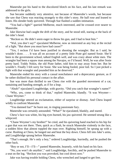Manerube put his hand to the discolored blotch on his face, and his last remark was addressed to the girls.

Sue became suddenly very attentive, not because of Manerube's words, but because she saw that Chess was reacting strangely to this rider's story. He half rose and leaned to listen. His slender body quivered. Through Sue flashed a sudden intimation.

"You had a fight?" queried Melberne, much interested, and he crossed over nearer to Manerube.

Jake likewise had caught the drift of the story, and he stood still, staring at the back of the rider's head.

"Reckon so. He didn't seem eager to throw his gun, and I had to beat him."

"Wal, you don't say!" ejaculated Melberne, now as interested as any boy at the recital of a fight. "But shore you must have had cause?"

"Yes, I reckon I'd have been justified in shooting the wrangler. But as I said, he wouldn't draw. . . . It was all on account of a pretty little Piute girl named Sosie. She'd been to the government school, talked English well, and was crazy about white men. The wrangler had been a squaw man among the Navajos, so I'd heard. Well, he was after Sosie pretty hard. Toddy Nokin, the old Piute father, told him to stay away from her. But he wouldn't. Finally I felt sorry for Sosie. She was being fooled, poor kid. So I just picked a fight with that wrangler and pounded him as he deserved."

Manerube ended his story with a casual nonchalance and a deprecatory gesture, as if he rather disliked his personal contact in the affair.

Sue was more than thrilled to see Chess rise with the guarded movement of a cat, sustaining and banding strength, as if for a leap.

"Ahuh!" ejaculated Loughbridge, with gravity. "Did you catch that wrangler's name?"

"Why, yes, come to think of that," replied Manerube, blandly. "It was Weymer— Chane Weymer."

Loughbridge uttered an exclamation, either of surprise or dismay. And Chess leaped wildly to confront Manerube.

"You damned liar!" he burst out, in ringing passionate fury.

Manerube was certainly astounded. "What?" he ejaculated, blankly, and stared.

Chess's face was white, his big eyes burned, his jaw quivered. He seemed strung like a whipcord.

"Chane Weymer's my brother!" he cried, and his quivering hand reached to his hip for a gun that was not there. Then, quick as a flash, he struck Manerube violently in the face, a sodden blow that almost toppled the man over. Righting himself, he sprang up with a curse. Rushing at Chess, he lunged out and beat the boy down. Chess fell into Jake's arms, and Loughbridge sprang before Manerube.

"That's enough. He's only a boy," ordered Loughbridge, hurriedly, and he pushed the other back.

"Boy or not, I'll—I'll—" panted Manerube, hoarsely, with his hand on his face.

"No, you won't do anythin'," said Loughbridge, forcibly, and he pushed Manerube to a seat on the log. "Reckon you was provoked, but cool down now."

Jake was having trouble holding Chess, who wrenched and lunged to get free.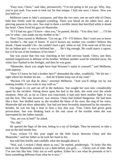"Easy now, Chess," said Jake, persuasively. "I'm not going to let you go. Why, boy, you're just mad. You want to look out for that temper. I had one once. I know. Now you just hold on."

Melberne came to Jake's assistance, and then the two men, one on each side of Chess, held him firmly until he stopped wrestling. There was blood on his ashen face, and a piercing passion in his eyes. Sue read in them a terrible intent that horrified while it shook her heart. Chess fixed his gaze on Manerube.

"If I'd had my gun I'd have—shot you," he panted, thickly. "You dirty liar! . . . I'll bet *you're* what—you made out my brother to be."

Then Chess turned to Melberne. "Let me go. I'll—I'll behave. But I want you to know my brother's—the soul of honor. If you'd known my mother you couldn't believe this skunk. Chane wouldn't lie—he couldn't hurt a girl, white or red. If he went out of his way for an Indian girl—it was to befriend her. . . . He's big enough. He could marry a squaw, but it'd be out of the kindness of his heart."

Sue was aware that Ora was clutching at her with nervous hands. Chess, just then, seemed magnificent in defense of his brother. Without another word he wheeled away, his white face flashed in the firelight, and then he was gone.

"Manerube, shore you might have kept Weymer's name to yourself," said Melberne, with asperity.

"How'd I know he had a brother here?" demanded the other, wrathfully. "He hit me right where his brother hit me. . . . And he'd better keep out of my road."

"Reckon I'll see that he does," returned Melberne. "And you'll oblige me by not making trouble, if you want to stay with us."

Ora began to cry and ran off in the darkness. Sue sought her own tent, considerably upset by the incident. Sitting down upon her bed in the dark, she went over the whole situation. After all, as far as Chess was concerned, it had only been another fight. It was not the first. This one, however, was serious. Chess had looked dangerous. He had been like a lion. Sue thrilled anew as she recalled the blaze of his eyes, the ring of his voice. Manerube did not show admirably. Sue had not been favorably impressed by his narrative; besides, he was too big a man to beat a boy that way. True, Chess had given great provocation. Sue was thinking back to the real cause of the trouble when she was interrupted by her father outside.

"Sue, are you in bed?" he asked.

"No, dad."

He opened the flaps of the tent, letting in a ray of firelight. Then he entered, to take a seat on the bed beside Sue.

"Lass, reckon I'd like your angle on the little fracas between Chess and this Manerube," said her father as he took her hand in his.

Sue told him briefly and candidly what she thought about it.

"Wal, wal, I reckon I think aboot as you," he replied, ponderingly. "It looks like this heah to me. Manerube wanted to cut a dash before you girls. . . . Chesty sort of rider. But I've met lots like him. Only not so well spoken. Either he's not what he pretends or he's been something different from what he is now."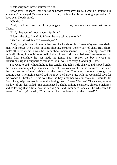"I felt sorry for Chess," murmured Sue.

"Poor boy! But shore I can't see as he needed sympathy. He said what he thought, like a man, an' he banged Manerube hard. . . . Sue, if Chess had been packing a gun—there'd have been blood spilled."

"Oh, dad!"

"Wal, I reckon I can control the youngster. . . . Sue, he shore must love that brother Chane."

"Dad, I happen to know he worships him."

"More's the pity. I'm afraid Manerube was telling the truth."

"Ah!" exclaimed Sue. "How—why—?"

"Wal, Loughbridge told me he had heard a lot aboot this Chane Weymer. Wonderful man with horses! He's been in some shooting scrapes. Lonely sort of chap. But, shore, that's all to his credit. It was the rumor aboot Indian squaws. . . . Loughbridge heard talk in Bluff. Shore, it was Mormon talk. I don't know. I'd like to believe Chess—he was so damn fine. Somehow he just made me jump. But I reckon the boy's wrong an' Manerube's right. Loughbridge thinks so. Wal, wal, I'm sorry. Good night, lass."

Sue went to bed without lighting her candle. She felt a little shaken, and slipped under the blankets more quickly than usual. Then she lay wide awake in the darkness. She heard the low voices of men talking by the camp fire. The wind mourned through the cottonwoods. The night seemed sad. Poor devoted Boy Blue, with his wonderful love for the wonderful brother! It was well that the boy's mother was far away in Colorado, far from the gossip that would wound a loving heart. Chane Weymer! The vague, strange shadow of an ideal faded. Sue experienced a slight sinking sensation, almost a sickness, and following that a little heat at her vagrant and unfounded fancies. She whispered to herself: "Poor boy! He said, 'You couldn't help but love my brother Chane!' "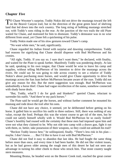## **Chapter Five**

TO Chane Weymer's surprise, Toddy Nokin did not drive the mustangs toward the left<br>on the Beaver Canyon trail, but in the direction of the great green bowl of shelving on the Beaver Canyon trail, but in the direction of the great green bowl of shelving land that led down into the rock country. The long string of bobbing mustangs stretched out, with Toddy's sons riding in the rear. At the junction of the two trails the old Piute waited for Chane, and motioned for him to dismount. Toddy's demeanor was in no wise different from usual, yet Chane felt a quickening of his pulse.

Toddy Nokin made one of his slow gestures toward Chane's camp.

"No want white men," he said, significantly.

Chane regarded his Indian friend with surprise and dawning comprehension. Toddy had reasons for signifying that Chane should dispense with Bud McPherson and his cronies.

"All right, Toddy. If you say so. I sure don't want them," he declared, with finality, and waited for the Piute to speak further. Manifestly Toddy was pondering deeply. At last he said, speaking in his own tongue, that Chane would be wise to leave his camp and supplies, without telling McPherson of his intention to drive the mustangs across the rivers. He could say he was going to ride across country to see a relative of Toddy Nokin's about purchasing more horses, and would give Chane opportunity to drive his mustangs across the San Juan before McPherson became aware of the ruse. Toddy did not give any reason for this. But the mere suggestion was enough. Bud McPherson was undoubtedly a horse thief. Chane had vague recollection of the name, somehow connected with shady horse deals.

"But, Toddy, what'll I do for grub and blankets?" queried Chane, reluctant to surrender his outfit. "And there're my pack horses."

The Piute said he would get the horses, and without further comment he mounted his mustang and rode down the trail after his sons.

Chane did not have any choice, it seemed, yet he deliberated before getting on his horse. It galled him to sacrifice his outfit to three outlaws. Still, there was nothing of any value, except the food. Perhaps this was the wisest course to get rid of the men, but he could not satisfy himself wholly with it. Would Bud McPherson be so easily fooled? Chane's hostility had roused with the certainty that these men had imposed upon him and were not what they claimed to be. Why not ride into camp with a drawn gun, fight it out with them, or, better, take possession of their weapons, so they could not ambush his trail?

"Reckon Toddy knows best," he soliloquized, finally. "There's less risk in his plan maybe. I don't know. . . . But I'd like to have it out with Bud McPherson."

Chane did not find it easy to abandon that last idea. He had fought the same thing before more than once, and every time it had been harder. He did not like violent issues, but as he had grown older among the rough men of this desert he had not seen any advantage in turning his other cheek to those who struck him. That stone country taught stern measures.

Mounting Brutus, he headed west on the Beaver Creek trail, reached the great corner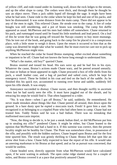of yellow cliff, and rode round under its looming wall, down the rock ledges to the stream, and up the other slope to camp. The cedars were thick, and through them he thought he saw an object move. Then a jack rabbit loped off through the sage. It might have been what he had seen. Chane rode to the cedar where he kept his bed and one of his packs, and here he dismounted. It was some distance from the main camp. There did not appear to be any of the men in sight. This relieved Chane. He strode over to the camp. A fire of cedar boughs was still smoldering, and a pot of beans was smoking. The camp fire duffle appeared as usual. McPherson and his men had ridden off somewhere. Chane returned to his pack, and rummaged round until he found his little notebook and lead pencil. On a leaf of this he wrote that he was going off toward the Navajo country to buy more mustangs. This he tore out of the book, and going back to the camp fire he placed it in a conspicuous place, with a little stone to weigh it down. Upon the return it occurred to him that as the camp was deserted he might take what he wanted. But he must exercise care not to pick up anything McPherson might miss.

When he reached the cedar he found Brutus stamping, either excited about something or impatient to be off. Chane had not known the horse long enough to understand him.

"What's the matter, old boy?" queried Chane.

Brutus snorted and tossed his head. His ears were up and he had fire in his eyes. Whatever the cause, Brutus's actions made Chane wary, and he peered around uneasily. No man or Indian or beast appeared in sight. Chane procured a box of rifle shells from his pack, a small leather case, and a bag of parched and salted corn, which he kept for emergency travel. These he folded in his coat and tied on the back of the saddle. As he finished this his quick eye, accustomed to running over horse and saddle, suddenly fell upon his rifle sheath. It was empty.

Annoyance succeeded to dismay. Chane swore, and then thought swiftly to ascertain when last he had surely seen the rifle. It must have joggled out of the sheath, and by retracing his steps he would find it. That often happened to a rider.

"No. It was there—when I got off Brutus," he said, suddenly. He remembered. He never made mistakes about things like that. Chane peered all around, then down upon the ground. In a bare dusty spot he espied a moccasin track. Fresh! It gave him a start. He recognized it as belonging to a crippled Piute who had often been in camp. Chane had not trusted him. Toddy Nokin said he was a bad Indian. There was no mistaking that malformed moccasin imprint.

"Now, the thing to decide is, is he just a sneak Indian thief, or did McPherson put him up to stealing my rifle?" pondered Chane. It might be either, but Chane leaned to the opinion that McPherson had had a hand in it. If this surmise was correct, then the present locality might not be healthy for Chane. The Piute was somewhere close, in possession of the rifle, and possibly with the hidden outlaws. Chane leaped upon Brutus and for the first time spurred him. The result was grimly thrilling to Chane. Brutus left that spot like an arrow shot from a bow. Chane fully expected to hear the report of his rifle. It would take an unerring marksman to hit Brutus at that speed; and as far as pursuit was concerned, that would be useless.

Chane headed west, directly opposite from what McPherson would have calculated upon, if he were waiting in ambush. The open cedar ridge slanted away for a couple of miles, and Brutus covered it at a pace that positively amazed Chane.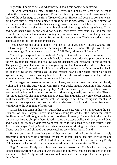"By golly! I begin to believe what they said about this horse," he muttered.

The wind whipped his face, blurring his eyes. But dim as his sight was, he made certain there were no riders in pursuit. Therefore checking Brutus, he rode down round the brow of the cedar ridge to the rim of Beaver Canyon. Here it had begun to box into walls, but he was sure he could find a place to cross before it grew deep. Half a mile farther on he encountered a trail used by horses going down for water, and here he reached the canyon floor. It was a shallow canyon, but showed signs of growing ruggedness. Chane had never been down it, and could not risk the easy travel over sand. He took the first possible ascent, a small side ravine sloping out, and soon found himself on the green level above. Here he headed east, putting Brutus to his long easy lope. The horse had as smooth action as one of the light Indian mustangs.

"You never can tell about a horse—what he is—until you know," mused Chane. "But I'll have to give McPherson credit for sizing up Brutus. He knew, all right. And he was sure crazy to get Brutus. Meant to steal him! Well, Bud, I think we'll fool you."

Chane kept sharp lookout for sight of Toddy Nokin and the string of mustangs. This league-wide basin appeared deceptively level, but there was a decided pitch down toward the yellow rounded rocks, and shallow washes deepened and narrowed in that direction. The gray sage prevailed here, and it was growing stunted. Grass and weed were abundant, and a few cacti. No animal or bird life crossed Chane's roving gaze. Often he looked back, up at the brow of the purple-sage upland, marked now by the sharp outline of cedar against the sky. He was traveling fast down toward the weird canyon country; still, all around him was open and beautiful, sunny and fragrant.

Chane began to quarter more to the northeast, and soon turned into the trail Toddy Nokin had taken. The dust was cut with fresh hoof tracks. Brutus swung into this winding trail, heading north and sloping perceptibly. As the miles swiftly passed by, Chane saw the great round yellow rocks come closer on each side, and gradually encompass him. They at first stood isolated, like huge mountainous beasts, then gradually they grew closer together until they coalesced into the waved wall, so strange to see from the upland country. A mile-wide space appeared to open into this wilderness of rock, and it sloped from each wall down to the beginning of a canyon.

Chane had not come in this way, but farther to the eastward, by a trail crossing the San Juan east of Piute Canyon. Toddy Nokin was leading toward the little-known trail called the Hole in the Wall, long a rendezvous of outlaws. Presently Chane rode to the rim of a canyon that headed abruptly there. It had sloping bare stone walls, and soon yawned deep and rugged, an irregular vent that wandered down to the chaos of red and yellow rock. Across this canyon Toddy Nokin and his sons appeared, driving the string of mustangs. Chane rode down and climbed out, soon catching up with his Indian friend.

He was quick to observe that the trail here was very old and dim, in places scarcely perceptible. It had been little traveled. Evidently the trail that he had just left was the one mostly used on the way to the Piute ford of the San Juan. Chane lost no time telling Toddy Nokin about the loss of his rifle and the moccasin track of the club-footed Piute.

"Ugh!" grunted Toddy, and his accent was not reassuring. Halting his mustang, he looked back toward the uplands. It was the gaze of a desert falcon. Chane trusted to it, and was relieved that Toddy turned away without comment. But he urged the mustangs to a little faster trot.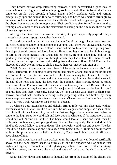They headed narrow deep intersecting canyons, which necessitated a good deal of travel without marking any considerable progress in a straight line. At length the Indians came out on flat hard ground, a bench under a lofty crackling wall, and verging precipitously upon the canyon they were following. The bench was marked strikingly by immense boulders that had broken from the cliffs above and had lodged along the brink of the abyss. Some were ready to topple over. Their prodigious size, from fifty to a hundred feet high, and almost as thick, and the marvelous balancing on the rim, made them objects of awe and speculation.

At length the Piutes started down over the rim, at a place apparently perpendicular, a succession of rocky zigzag steps rather than a trail.

Chane dismounted at the rim and watched the file of mustangs clatter down, sending the rocks rolling to gather in momentum and volume, until there was an avalanche roaring down into this red chasm of ruined stone. Chane had his doubts about Brutus getting down that slope of solid corners and loose footing. He was too big a horse to be nimble enough to turn at the sharp zigzags. But Chane had no choice. He took a last long look up the gradually ascending desert gateway through which they had entered this maze of rock. Nothing moved except the heat veils rising from the stony floor. If McPherson had discovered Toddy Nokin's ruse to elude pursuit, there was not yet any sign of it.

"Well, Brutus, if you can get down here I'll be ready to believe you can fly," said Chane. Heretofore, in climbing or descending bad places Chane had held the bridle and led Brutus. It occurred to him here to trust the horse, making travel easier for both of them, provided Brutus was clever and supple enough to go it alone. So he tied a knot in the end of the reins and hung the loop over the pommel. Then starting down, he called Brutus to follow. For some rods the descent was not so very bad, and Brutus rolled the rocks without paying any heed to travel. He was just walking down, and looking for a tuft of grass here and there. Presently, however, the long zigzags gave place to short ones, narrow, crowded with boulders, winding under projecting walls, and broken by many abrupt steps, some of them four feet straight down. Chane soon realized the fact that this trail, if it were a trail, was never used except in descent.

To Chane's utter astonishment and delight, Brutus followed him absolutely without nervousness or hesitation. On the short turns he was as quick and supple as a jack rabbit. His big bulk did not hinder him; he had the feet and legs of a mountain goat. When he came to the high steps he would halt and look down at Chane as if for instruction. Chane would call out, "Come on, Brutus." The horse would look at Chane and snort, then lift both great hoofs evenly, and plunge down, landing them squarely. He would slide. His hind hoofs would follow, to thump down. Then the rocks would roar and scatter. The dust would rise. Chane had to leap and run to keep from being hurt. If Brutus had not met often with the abrupt steps, where he halted until called, Chane would have found it difficult to keep ahead of him.

Down and down horse and man worked, until the ragged red wall loomed terrifically above and the hazy depths began to grow clear, and the opposite wall of canyon rose higher and higher, to blot out part of the glaring sky. Chane could not see either mustangs or Indians below, but he heard the crack and rattle of rocks and the shrill cries of the drivers.

About halfway down, and perhaps a thousand feet from the bottom of the chasm, this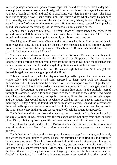tortuous passage wound out upon a narrow cape that looked down sheer into the depths. It was a place to make a man go cautiously, with tense muscle and clear eye, Chane passed it, drew a breath of relief, and stifled a vacillating consideration for Brutus. The horse must not be stopped now. Chane called him. But Brutus did not wholly obey. He pounded down readily, and stamped out on the narrow projection, where, instead of turning, he espied a tiny tuft of grass on the extreme edge. He took two steps, reached for it, plucked it, and then stood on the very edge of the tremendous abyss, gazing down.

Chane's heart leaped to his throat. The front hoofs of Brutus lapped the edge. If the ground crumbled! If he made a slip! Chane was afraid to trust his voice. Then Brutus turned on the apex of that small point as nimbly as a burro, and came on.

"Hey! I give up!" exclaimed Chane as the horse reached him. And he meant that in more ways than one. He put a hand on the soft warm muzzle and looked into the big dark eyes. It seemed to him those eyes were intensely alive. Brutus understood him. Was it possible for him to understand Brutus?

Chane clambered down, no longer worried about his horse. The canyon wall began to slant more easily toward the bottom; the abrupt places disappeared; the zigzags grew longer, winding through monumental débris from the cliffs above. Soon the mustangs and Indians below became visible, and at length they stretched out on the narrow floor.

When Chane walked out on the level, Brutus was right behind him. So Chane got into the saddle again and soon caught up with the Piutes.

This narrow red gulch, with its lofty overhanging walls, opened into a wider canyon, where color and ruggedness and ruin appeared to keep pace with the increased dimensions. When Chane turned the corner of wall he came upon a wonderful garden spot of green cottonwood and grass, perhaps ten acres in extent, set down like a gem amid the brazen iron devastation. A stream of water, shining like silver in the sunlight, passed through this oasis. A long wide canyon yawned to the west, and at the extreme end, where it notched, the golden sun hung, perceptibly dimming. From the direction of this canyon and the stream that wound through it Chane decided it must be Beaver Canyon. Upon inquiring of Toddy Nokin, he found that his surmise was correct. Beyond the verdant spot the great walls appeared to have collapsed, to choke the canyon mouth and bar egress to the river. Somewhere in the red and russet jumble of rock the stream disappeared.

Toddy Nokin and his sons drove the mustangs into the oasis and let that be the end of the day's journey. It was obvious that the mustangs would not stray from that luxuriant place. Birds, rabbits, squirrels gave life and color to this beautiful fresh oval of green.

Chane took the saddle and bridle off Brutus, and watched him roll, four times over one way, three times back. He had to confess again that the horse possessed extraordinary powers.

Toddy Nokin said this was the safest place he knew to stop for the night, and the only one where there was plenty of grass. Chane was surprised not to find any indication of Indian camps or travel. Not a hoof track showed along the sand of the stream. It was one of the lonely places seldom frequented by Indians, perhaps never by white men. Chane lost some of his apprehension about McPherson. There did not seem to be probability of the horse thieves surprising him here. The danger, perhaps, was farther on, at or near the ford of the San Juan. Chane did not, however, cease to be worried about the loss of his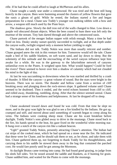rifle. If he had that he could afford to laugh at McPherson and his allies.

Chane sought a sandy seat under a cottonwood. He was tired and the heat still hung heavily in the canyon. Bees were humming around the clusters of yellow flowers that gave the oasis a gleam of gold. While he rested, the Indians started a fire and began preparations for a meal. Chane saw Toddy's younger son stalking rabbits with a bow and arrow, a weapon still much used by the Piute boys.

The shadows grew. Slowly the dull iron red of the walls changed to blue. Low down a purple veil obscured distant objects. When the bees ceased to hum there was left only the murmur of the stream. Tiny bats darted through and above the cottonwood oasis.

Chane partook of the meager Indian supper with relish enough. Many a time he had lived on less. Dusky smoky sunset quickly succeeded to twilight, and at that depth under the canyon walls, twilight reigned only a moment before yielding to night.

The Indians did not talk. Toddy Nokin was more than usually reticent and somber. Chane grasped anew the risk in this venture for him. Tomorrow would tell the tale. Chane made a bed of his saddle blankets, on soft warm sand, and lay down to sleep. But the solemnity of this solitude and the encroaching of the weird canyon influence kept him awake for a while. He was in the gateway to the labyrinthine network of canyons unfamiliar even to the Piutes. It weighed upon him. What would happen? Could he ford the rivers? There seemed to hover over him a shadow of calamity which had not clouded his mind in the light of day.

At last he was succumbing to drowsiness when he was startled and thrilled by a crash of thunder. It filled the canyon—a great volume of sound. But the stars were bright in the heavens. There was no storm. The thunder and bellow came from a section of cliff breaking away and plunging down the rock-strewn slope. It gathered volume until Chane seemed to be deafened. Then it ended, and the weird echoes boomed from cliff to cliff, and rolled away, thundering, rumbling, dying. After that the silence seemed unreal. Chane had a strange sense of his loneliness and helplessness. At last he dropped off to sleep.

Chane awakened toward dawn and found he was cold. From that time he slept no more, and in the gray wan light he was glad to see a fire kindled by the Indians. He got up, cramped and stiff, and moved about until something of warmth began to creep along his veins. The Indians were cooking sheep meat. Chane ate his scant breakfast before daylight. Toddy Nokin's sons glided away to drive in the mustangs. Chane stood back to the fire, his hands spread to the heat, his gaze fixed on the wonderful white morning star. It hung over a notch of the canyon rim like a radiant beacon.

"Ugh!" grunted Toddy Nokin, presently attracting Chane's attention. The Indian had cut strips of the cooked meat, which he had spread on a stone near the fire. He indicated that these were for Chane, and he should salt them or not, as he chose, and take them with him. Chane gathered them up, not forgetting to thank Toddy for his thoughtfulness, and carrying them to his saddle he stowed them away in the bag that contained the parched corn. He would fare poorly until he got among the Mormons.

At daylight Brutus came trotting into camp. He had found good grazing, to judge from his sleek full sides. Yet he nosed around the saddle and blankets, as if hunting for grain. Chane saddled him, and waited for the Piutes to come with the mustangs.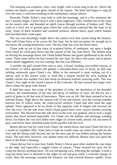The morning was exquisite, clear, cool, bright, with a sweet tang in the air. Above the eastern rim flared a pale rose glow, herald of the sunrise. The birds had begun to sing all over the oasis, a welcome breaking of the melancholy canyon silence.

Presently Toddy Nokin's sons rode in with the mustangs, and in a few moments the day's journey began. Chane faced it with a grim eagerness. They climbed out of the oasis on the eastern side, and threaded an uphill course through sections of broken wall. They came to a level rise of ground upon which the rocks stood scattered like the tents of an army. Some of these boulders had oxidized surfaces, almost black, upon which Indians had inscribed their crude signs.

The sun rose dazzlingly bright above the eastern rock that waved along the horizon. This wall Chane knew to be across the San Juan, but he had not gotten far enough up to see below the waving hummocky crest. The day bade fair to be hot down there.

Chane rode up out of that maze of scattered blocks of sandstone, out upon a height from which he could gaze down into the canyon of the San Juan River. The Indians kept on driving the mustangs down, but Chane halted Brutus and gazed spellbound at the awful scene. Three times before he had crossed the San Juan, far above this point, and at places where desert ruggedness was not wanting. But this was different.

A terrible red gulf wound from east to west, a broad, winding iron-walled canyon, at the bottom of which gleamed and glinted a chocolate-hued river in flood, its dull roar striking ominously upon Chane's ear. Miles to the eastward it came rushing out of a narrow split in the sinister walls, to wind like a serpent toward the west, pushing its muddy current into another river that swept on between majestic towering walls. This was Chane's first sight of the Grand Canyon of the Colorado. He had crossed this larger river above where the great walls boxed.

It held him mute, this scene of the grandeur of rocks, the desolation of the denuded surfaces, the manifestation of the ruin and decay of millions of years. He did not see a patch of green in all that area of barrenness. There was no life. But there seemed to be an infernal beauty. High above the canyon wall of red and bronze, rose the waving rounded horizon line of yellow stone, the wind-carved surfaces Chane had seen from the sage upland. There appeared to be no break in that opposite wall. It bulged and towered out over the river. On the side from which Chane gazed there were canyon mouths yawning everywhere. The descent from this side down to the river was gradual, and of such a rough nature that travel seemed impossible. Yet Chane saw the Indians and mustangs winding down. Far below the vast rock slides were ridges of colored earth, mostly red, but some of gray, and below these stretched sandy levels parallel with the river.

Brutus did not wait for word from Chane. He started down, and soon Chane felt lost in a world of crumbled cliffs. From time to time he would come out where he could see the river and the lifting walls beyond, but for the most part he was hidden among the broken rocks. The trail here, however, was neither steep nor difficult. Brutus soon was upon the heels of the Piute's mustang.

Chane did not fail to note how Toddy Nokin's falcon gaze often studied the vast slope to the right, and especially a rugged corner of canyon. Chane strained his eyes, but he could not discern anything more. All was red glaring rock, reflecting the sunlight. It took a long hot dusty hour to descend to the ridges of red and gray earth, a welcome change of travel. Here the mustangs resumed the leisurely trot that covered distance rapidly. From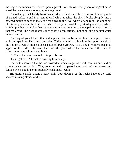the ridges the Indians rode down upon a gravel level, almost wholly bare of vegetation. A weed that grew there was as gray as the ground.

The red slope that Toddy Nokin watched now slanted and heaved upward, a steep mile of jagged rocks, to end in a seamed wall which touched the sky. It broke abruptly into a notched mouth of canyon that cut clear down to the level where Chane rode. No doubt out of this canyon came the trail from which Toddy had switched yesterday and from which he felt apprehension today. No living creature gave contrast to the appalling desolation of that red abyss. The river roared sullenly, low, deep, strange, not at all like a natural water in swift current.

The strip of gravel level, that had appeared narrow from far above, now proved to be wide and spacious. The time came when Toddy pointed to a break in the opposite wall, at the bottom of which shone a dense patch of green growth. Also a line of willows began to appear on this side of the river. Here was the place where the Piutes forded the river, to climb out on the yellow rock above.

To Chane the San Juan looked impossible to cross.

"Can I get over?" he asked, voicing his anxiety.

The Piute answered that he had crossed at worse stages of flood than this one, and he pointed ahead to the ford. They rode on, and had passed the mouth of the intersecting canyon when Toddy Nokin suddenly exclaimed, "Ugh!"

His gesture made Chane's heart sink. Low down over the rocks beyond the sand showed moving clouds of dust.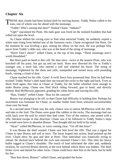## **Chapter Six**

THOSE dust clouds had been kicked aloft by moving horses. Toddy Nokin called to his sons, one of whom was far ahead with the mustangs. sons, one of whom was far ahead with the mustangs.

"Toddy! Who's raising that dust?" flashed Chane. "Indians?"

"Ugh!" ejaculated the Piute. His dark gaze was fixed on the isolated boulders that had rolled out upon the level.

As Chane shifted his roving eyes to find what attracted Toddy, he suddenly espied a white man rising from behind one of the foremost rocks. Chane recognized Jim Horn. On the moment he was leveling a gun, resting his elbow on the rock. He was perhaps fifty paces from Toddy's older son, who was at the head of the string of mustangs.

"Horn! Don't shoot!" yelled Chane, at the top of his lungs. "These mustangs aren't worth bloodshed."

But Horn paid no heed to this call. He shot once—twice at the nearest Piute, who was knocked off his pony, but got up and ran back. Horn now directed his fire at Toddy's younger son, a mere lad, who uttered a yell and wheeled his horse. The string of mustangs, frightened by the shots and yells, stampeded and turned away with pounding hoofs, raising a cloud of dust.

Chane reached for his rifle. Gone! A swift fierce fury possessed him. How he had been tricked! Toddy Nokin's dark hand shot out toward the rocks to the right and back. Even as Horn fired again, this time at Chane or Toddy, for the bullet whistled close enough to make Brutus jump, Chane saw Hod Slack riding forward, gun in hand, and directly behind, Bud McPherson appeared, goading his white horse and waving his rifle.

"Run, Toddy!" yelled Chane. "Run for the canyon!"

Brutus was plunging to be off, so that Chane had difficulty in holding him. Perhaps his movement was fortunate for Chane, as another bullet from Horn whizzed uncomfortably close over his head.

In a second more Chane saw his only chance was to outrun McPherson with the rifle, and take to the ford. The Piutes were gone like rabbits in the rocks. The mustangs had run wild, back over the trail by which they had come. Two of the outlaws, one armed with a rifle, blocked escape in that direction. Chane saw if he followed in Toddy Nokin's steps he would soon have to abandon Brutus. That thought did not hold in his mind.

"Hyar!" yelled McPherson, in voice coming clear. "Git off thet hoss!"

It was Brutus the thief wanted. Chane saw him level the rifle. That was a signal for Chane to spur Brutus and yell at once. The horse leaped into action, head pointed up the river. Chane drew his gun and shot at Horn. That individual was frantically trying to reload. He ducked back behind the rock and returned Chane's fire. This time his heavy bullet tugged at Chane's shoulder. The touch of lead infuriated the rider and, suddenly reckless, he swerved Brutus directly at the rock behind which Horn was hidden. The thief broke cover and darted for other rocks. Chane could have shot him in the back, but he held his fire.

"Run him down, Brutus!" called Chane, and goaded the horse.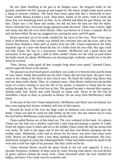He saw Horn fumbling at his gun as he dodged away. He dropped shells on the ground, stumbled and fell, sprang up and lunged on. His heavy weight made quick action a thing of extreme violence. The horse bore down upon him like a whirlwind of dust. Chane yelled. Brutus hurdled a rock. Then Horn, frantic in his terror, tried to elude the horse that was thundering down on him. As he whirled and lifted his gun Brutus ran into him. Chane saw a red flame and smoke, but did not hear the shot nor feel the bullet. Horn's distorted face, livid and savage, gleamed under the horse. Then came a shock, light and sharp, that did not even check Brutus. Horn was thrown as if from a catapult. But he had not been killed. He got up, staggered on, waving his arms, and fell again.

Brutus stretched out in his stride, headed for the curve of the river. Then Chane gave heed to McPherson. That worthy was behind him, between him and the river, and at the instant there flashed a white puff of smoke from the rifle. Chane experienced the bitter impotent rage of a man who heard the hiss of a bullet from his own rifle. But rage could not help Chane. He was in a precarious situation. McPherson had a good horse and possession of the gun. Again a puff of white smoke! Chane saw the whip of sand where the bullet struck far ahead. McPherson was shooting high, evidently careful not to hit this horse he coveted.

"Now, Brutus, make good all that wrangler brag about your speed," shouted Chane, and he urged the horse to his utmost.

The ground was level hard gravel, and there was a mile of it between him and the bend of river where Toddy had pointed out the ford. Chane did not look back. He gave every sense to his riding of the horse in that critical race. He heard the bullets sing above him and saw them strike ahead. Then, in a moment more, when Brutus settled into the terrible strain of a horse running to save the life of his master, it seemed to Chane that he was sailing through the air. The wind tore at him. The ground became a sheeted dim expanse, sliding under him. Rocks and walls blurred on either side. Never in his life had he bestridden a horse as fleet, as powerful as Brutus. He ran away from McPherson's white horse.

At the turn of the river Chane looked back. McPherson and Slack were far behind, but they were urging their horses, evidently still sure of their quarry.

Beyond the bend of the river the huge walls of shattered rock encroached upon the banks. Chane saw that he could not ride farther up the river. His one chance was to cross the ford before McPherson could reach him with the rifle.

Chane pulled Brutus out of that dead run. The river widened at this bend. At a glance Chane saw the ford was a shallow rapid half a mile long and perhaps a quarter in width. From the ripples close to shore and out to the middle Chane could tell that the stream-bed was rocky. He rode to the upper end of this rift and then sent Brutus plunging into the muddy water. Manifestly, water had no terrors for the horse, any more than steep rocky trails. Brutus ran through water a foot deep, heading across and downstream. His ironshod hoofs clanged on rocks like submerged bells. Chane had ridden round the bend of the river and so had lost sight of his pursuers. But they could not be far.

Chane directed Brutus toward the green break in the red wall opposite. It was a peculiar formation, evidently of steps worn by water flowing from above. An oval thicket of green willows choked the lower level. Chane discerned where the trail climbed the ledges, and knew if he could cross he would be safe.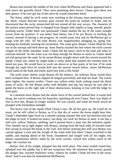Brutus had reached the middle of the river when McPherson and Slack appeared half a mile down the gravelly beach. They were punishing their horses. Chane gave them one dark glance. If he ever got out of this alive he would remember them!

The horse, aided by swift water now reaching to the stirrups, kept quartering toward the shore. Chane directed anxious gaze toward the point he wished to make, and he discovered that the rocky stream-bed did not extend all the way across. The character of the surface water proved that; it changed from choppy little ripples to long, smooth, gently swelling waves. Under them was quicksand! Chane studied the lay of the water straight across from his position. It was better than below, but if he put Brutus to bucking the current, instead of having it aid progress, he would waste time and let McPherson get in range with the rifle. All the time Brutus was magnificently plunging on, going fast, keeping his foothold, snorting his excitement. The water grew deeper. Chane lifted his feet out of the stirrups and held them up. Soon Brutus reached the line where the swift current verged on the stiller smoother water. Chane felt the horse catch in the sand and labor to extricate himself. As the water was not deep enough for Brutus to swim in, Chane dared not risk going into the sand. So he turned Brutus straight down with the current toward the rapids. Chane saw where he might make a rocky point that marked the extreme limit he dared not pass. He would have to work out above or at that point, or be lost. If he went through the rapid alive he would drift into the narrow stretch below, where McPherson could stand on the bank and easily reach him with a rifle bullet.

The swift water almost swept Brutus off his balance. An ordinary horse would have been swamped here. If Brutus slipped he lunged powerfully and kept his head. The waves grew higher, the current swifter. Chane saw yellow-white froth rushing round the black noses of rocks. He felt Brutus strike with shoulder and leg, but always he was able to guide the horse on the right side of these obstructions, keeping in line with the ledge he must gain.

In a moment more Brutus had the whole force of the current behind him. It swept him along, the waves washing over his haunches, splashing all over Chane. Here was depth of four to five feet. Brutus no longer walked. He was carried, and when his hoofs struck he plunged with tremendous strength.

The heavy roar of the rapids filled Chane's ears. He all but gave up. He could do no more, yet he still called to Brutus, as if in that din of waters the horse might hear him. Chane's distended sight fixed on a smooth rushing channel that now lay between him and the ledge of rock. It looked too heavy, too deep, too swift for Brutus to stem. It ran like a mill race, yellow, hideous, seething, and it poured down a slant into the turbulent rapids. This channel ran at right angles with Brutus, coming from the back eddy of smooth water that swung in toward the break in the wall. Just before entering this mill race Brutus was carried against a rock and the weight of the water held him there. Chane crouched in the saddle, and leaping ahead of the horse, floundered and lunged with all his might. His almost superhuman efforts, aided by the swift current, carried him within reach of the ledge. He crawled out.

Brutus, free of his weight, plunged into the swift place. The water rushed round him, splashed over the saddle, but it did not overpower him. He stemmed that current, passed the danger line, reached shallower water, whence he waded. Chane led him to the rocky shore. And it was then he remembered McPherson.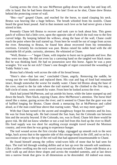Gazing across the river, he saw McPherson gallop down the sandy bar and leap off, rifle in hand. But he had been distanced. Too late! Even as he shot, Chane drew Brutus behind the protecting corner of wall.

"Bru—tus!" gasped Chane, and reached for the horse, to stand clasping his neck. Brutus was heaving like a huge bellows. The breath whistled from his nostrils. Chane heard the great heart pound. And in that moment such love as he had never given a horse stirred in him.

Presently Chane left Brutus to recover and took care to look about him. This green patch of willows hid a little cove, upon the opposite side of which the trail rose to the first curved ledge. By keeping behind the willows, along the base of the wall, Chane could reach the point where the trail started up. From here he would be out of range from across the river. Returning to Brutus, he found him about recovered from his tremendous exertions. Certainly his excitement was past. Brutus raised his noble head with the old inimitable lift of pride, curiosity, alertness. He whinnied at Chane.

"Well, Brutus——" began Chane, with impulse to burst out in gratitude and love. But they were too deep. He did not even lay a caressing hand on the tangled wet black mane. But he was thinking hard. He had no possession save this horse. Again he was a poor wrangler. Yet was he not rich? Chane's one thought of regret concerned the wounding of Toddy Nokin's son.

Brutus had a bloody welt across the side of his broad breast.

"Horn's shot—that last one," concluded Chane, angrily. Removing the saddle, he wrung out the wet blankets and replaced them. His coat and bag of food had remained intact, though somewhat the worse for muddy water. Chane led Brutus along the base of the cove, round to the far side where the trail started up. He climbed to the first step, a half-circle of stone, worn smooth by water. From here he looked across the river.

Slack had joined McPherson, and sat astride his horse, while the latter stamped up and down the beach. Then Slack, espying Chane, drew McPherson's attention. The horse thief stood like a statue, gazing across the river; and it seemed to Chane that the gaze was one of baffled longing for Brutus. Chane shook a menacing fist at McPherson and called aloud, as if the man could hear above that roaring water, "Bud, we may meet again!"

With that Chane turned to the ascent and straightway forgot his enemies and his loss. He was far from being safe. He had crossed the San Juan, but the Colorado ran between him and the security beyond. If the Colorado, too, was in flood, Chane felt there would be grave risk. He did not know whether or not a trail led from this ford up the river to Bluff. His food supply was too short for anything except straight travel toward the Mormon country, and even then he was going to experience hunger.

The trail wound across the first circular ledge, zigzagged up smooth rock to the next ledge, back across that to the opposite side of this strange break in the cliff, and so on by a succession of steps to the top of the red wall that had appeared insurmountable to Chane.

He found himself among the yellow wind-worn hills of stone that he had seen for days. The trail led through winding defiles and at last up over the smooth soft sandstone. Like a yellow swelling sea the rock waved away toward the north. Chane rode Brutus at a swift walk up and down these slopes and across the rounded summits, and at last down into a narrow break that grew in all dimensions as he descended. All indeed was stone,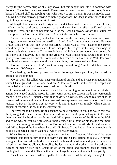except for the narrow strip of blue sky above, but this canyon had little in common with the ones Chane had lately traversed. There were no great slopes of talus, no splintered heaps of ruined cliff, no toppling rim-walls, ready to crash down. It was a smooth, clearcut, well-defined canyon, growing to noble proportions. So deep it went down that the light of day became gloom, almost of dusk.

At length this somber shade brightened and Chane rode round a corner of wall, suddenly to be confronted by open space and sunshine, the silent swift roll of the Colorado River, and the stupendous walls of the Grand Canyon. Across this sullen red river opened the Hole in the Wall, and to Chane it did not belie its reputation.

The river was scarcely any wider than the ford of the San Juan, but it ran deep, swift, strange, somehow tremendous and terrific in flood. But Chane was not daunted. He knew Brutus could swim that tide. What concerned Chane was to what distance the current would carry the horse downstream. It was not possible to get Brutus very far along the bank up this side; otherwise Chane would have had little concern about the crossing. On the other side, however, the break in the great wall was considerable. Brutus might drift a goodly way downstream and still come out within reach of the Hole in the Wall. Far down other breaks showed, canyon mouths, and dark clefts, just mere shadowy lines.

"Brutus, I reckon we don't want to hang around long," muttered Chane as he dismounted. "We've got to cross."

Then leading the horse upstream as far as the rugged bank permitted, he looped the bridle over the pommel.

"Go on, boy," he called, with deep expulsion of breath; and as Brutus plunged into the water Chane grasped his tail and held on. A few steps took Brutus over his depth and compelled him to swim. Chane merely held on to his tail.

It developed that Brutus was as powerful at swimming as he was in other kinds of action. He headed straight across for fifty yards before the current made any perceptible change in his course. Gradually after that he drifted downstream. Chane realized that the current had more weight and volume than had been apparent. No man or beast could have resisted it. But as the river was not very wide and Brutus swam rapidly, Chane did not despair of reaching the break in the canyon wall.

The river made no noise. Brutus seemed to be swimming in oil. The water felt cool, thick, weighted. Chane realized that he could not have held up very long in it. The next time he raised his head to look Brutus had drifted past the center of the Hole in the Wall, and as he was not yet halfway across, there seemed little hope of his making the mark. Indeed, the current grew swifter. Before Brutus had achieved two-thirds of the distance he had drifted beyond the line where he could climb out. Chane had difficulty in keeping his hold. He appeared a leaden weight, at which the water tugged.

When Brutus saw that he was going to run into the frowning blank wall he grew frightened, and tried to turn round to swim back. But Chane, letting go his tail, in several strong strokes reached the bridle. He headed the horse downstream and quartering across, talked to him. Brutus allowed himself to be led, and as in the other river, helped by the current, he made better time. Chane let go of the bridle and dropped back to catch the floating tail. He missed it. Then with a second lunge he secured it, and held on grimly.

Thus horse and man drifted rapidly down the river, while slowly making for the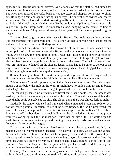opposite wall. Brutus was in no distress. And Chane saw that the cleft he had aimed for was enlarging into a canyon mouth, and that Brutus would make it with room to spare. But when they reached the rocky bank it was too steep and slippery for Brutus to climb out. He lunged again and again, wasting his energy. The current here swirled and chafed at the shore. Above loomed the dark towering walls, split by the sinister canyon. Chane got hold of the bridle and made the shore. But he could not help Brutus. It was impossible to get him up that steep bank. He floundered along, hanging to the bridle, calling to encourage the horse. They passed down yard after yard and the bank appeared to grow steeper.

Chane resolved to go on down the river with Brutus if he could not get him out here. But that moment was a desperate one. The silent river had a horrible repellant force; the walls of rock seemed barriers lifted against him.

They reached the extreme end of that canyon break in the wall. Chane leaped over a jutting point of bank, to keep even with Brutus, and was about to plunge back into the water, when he saw the horse find bottom. Brutus had fastened those powerful hoofs on solid foundation. He snorted and blew spray all over Chane. He lunged to get hold with his hind feet. Another lunge brought him half out of the water. Then with a magnificent leap, crashing out, he landed on the slippery ledge. Chane had to be quick to get out of his way. Brutus was off his balance. He was quivering when Chane dragged hard on the bridle, helping him to make the step that meant safety.

Brutus blew a great blast of a snort that appeared to get rid of both his fright and the dirty sandy water. As for Chane, he fell in his tracks and lay still a few moments.

"We're across," he said, presently, as if that fact ended the hazard. But this canyon mouth was far below the Hole in the Wall. It might have no outlet; it might end in boxed walls. Urged by these considerations, he got up and led Brutus away from the river.

The canyon presented no difficulties of travel that Chane could see. The ascent was gradual, the floor for the most part covered with boulders. The walls were so high and so close that he could scarcely see the sky. The gloom down there was almost dark as night.

Gradually the canyon widened and lightened. Chane mounted Brutus and rode on at a trot wherever possible, impatient to see if he were trapped. But as he progressed, the nature of the canyon appeared to favor his ultimate escape from its confines. The hoofs of Brutus rang off the boulders and struck hollow on the black ledges. Some narrow places required slowing up, but for the most part Brutus had no difficulty. The walls began to shade from red to gray; water appeared running over gravelly beds; grass and vines and flowers made color on the ledges.

Chane rode on for what he considered several miles, always gradually up hill, and meeting with no insurmountable obstacles. This canyon ran north, which was the general direction favorable to him. If he had not been greatly concerned about the possibility of being trapped he would have enjoyed this changing canyon. It narrowed and widened by turns; its walls had an endless variety of blank spaces, caves, bulges, slopes. But, in vast contrast to San Juan Canyon, it had no jumbled heaps of rock. All the débris along that winding lane had been washed down with water at flood time.

Presently Chane rode round into a long wide stretch that permitted him to see afar, both north and south. And he was amazed and thrilled to discover far above and back of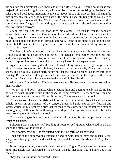his position the unmistakable southern end of Wild Horse Mesa. He could not mistake that majestic fluted wall of gold and red, with the black line of timber fringing the level rim. Like a grand bold-faced mountain it towered above him. This canyon that had engulfed him apparently ran along the eastern base of the mesa. Chane, studying all he could see of the lofty cape, concluded that Wild Horse Mesa sheered down perpendicularly, then spread out great flanges of surrounding escarpment that in turn sheered down to lend its base to winding canyons.

Chane rode on. The hot sun soon dried his clothes. He began to feel the pangs of hunger, but desisted from breaking in upon his slender store of food. The farther up this strange canyon he traveled the more he became prey to apprehension. At any moment he might turn a bend and face an insurmountable wall. Chane could stand to go long on scant ration, but Brutus had to have grass. Therefore Chane lost no time working toward the head of this canyon.

The first sight of cottonwood trees, still beautifully green, cheered him to hopefulness. Brutus could browse on cottonwood leaves if no better offered. Other trees met his trail, and then a grassy bench, a strip of willow bank. It was still summer down here, dreamy, lulled to repose, free from frost and wind, the very heart of the deep canyons.

Again the walls converged and there followed a long stretch bare of green growth or glint of water. At the end of this lane, insulated by its gray walls, Chane saw a sunlit space, and he gave a sudden start, believing that the canyon headed out there into open country. But an instant's thought scouted this idea. He was still in the depths of the rocky fastnesses. Nevertheless, he quickened to the beautiful vista ahead.

All at once Brutus halted. His long ears shot up. He had seen or scented something that was alive.

"What's up, old boy?" queried Chane, patting him and peering keenly ahead. He had no fear of what lay before him in the shape of living creature. His enemies were behind. Still, he was intensely curious. Urging Brutus on, Chane kept a sharp outlook.

To his amaze, the canyon aisle led into the most wonderful place Chane had ever beheld. It was an enlargement of the canyon, green and gold and silvery, fragrant and sweet, walled on his right by a cliff that reached to the skies, and on the left by a strange slanting area, a falling of the wall, to a gradual slope of bare yellow stone, dotted by cedar trees growing out of niches in the rock.

Chane's swift gaze had just time to take this all in when Brutus jumped to a halt and whistled an alarm.

Following that came the swift padding of hoofs on soft ground. Chane had heard that sound too often ever to mistake it.

"Wild horses, by gum!" he ejaculated, with the old thrill of his boyhood.

Then out of the cottonwoods trooped a band of wild horses, bays and blacks, sleek, shiny, with hanging manes and switching tails and keen wild heads erect. They faced Chane.

Brutus neighed now, more with welcome than affright. These were creatures of his kind. His neigh was answered by a piercing whistle that rang like a bugle down the canyon.

"Say, that's a stallion!" exclaimed Chane.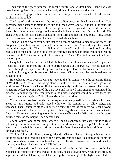Then out of the green pranced the most beautiful and wildest horse Chane had ever seen. He recognized him, though he had only sighted him once, and that afar.

"*Panquitch!*" gasped Chane, in bewildered ecstasy. His heart leaped to his throat and he shook in the saddle.

The king of wild stallions was the color of a lion except for black mane and tail. This quivering mane seemed to stand erect like an arched wave, and fall almost to the sand. He had the points of a racehorse, with the weight and muscle gained from wild life on the desert. But his symmetry and grace, his remarkable beauty, were dwarfed by his spirit. His black eyes shot fire. His nostrils dilated to send forth another piercing blast. Wild, proud, fierce, he was a creature to stop the heart of a wild-horse hunter.

Then with a backward spring, like that of a deer, he wheeled to race into the green. He disappeared, and his band of bays and blacks raced after him. Chane thought they would run up the canyon. No! The sharp click, click, click of bone hoofs on rock told him they had taken to the slope. Above the green of cottonwoods they appeared, Panquitch leading on a run uphill. What a torturing thrill the sight gave Chane! For his first instinct had been one to capture.

Panquitch slowed to a trot, and led his band up and down the waves of slope until Chane lost sight of them. He sat there astride Brutus and marveled. Then he galloped Brutus through the open, and the grove, to the slope. Here he dismounted and took to climbing. As he got up his range of vision widened. Climbing until he was breathless, he halted to look.

He could see north over the waving slope, to the far height where the spreading flange of Wild Horse Mesa met this rising plane of yellow rock. But there was no sign of the wild horses. Thereupon Chane climbed less violently, until he had passed the zone of straggling cedars growing out of the bare rock and mounted high enough to command the prospect. A canyon split the escarpment to the north. Panquitch could not cross there, nor climb to the towering rim of Wild Horse Mesa from that side.

Chane waited. At last, far above, he espied the tawny stallion now driving his band ahead of him. Manes and tails tossed wildly on the summit of a yellow ridge, and vanished. Then Panquitch stood silhouetted against the red of the mesa wall, far beyond. His mane waved in the wind. Every line of his magnificent frame seemed instinct with freedom. There was something about him that made Chane ache. Wild and grand he stood outlined there on the height. Then he vanished.

Chane looked long at the place where he had disappeared. Not easy was it to resist following. But as he was not equipped to chase wild horses, he gave up. Then he studied every line of the heights above, thrilling under the favorable position that had fallen to him through sheer luck.

"Toddy Nokin had it figured wrong," decided Chane, at length. "Panquitch gets on top the mesa round this end and not to the north. He comes down this canyon to climb up here. Somewhere above he has found a trail to the rim. But—if he comes down this canyon, why hasn't he been trailed? I'll find out."

Chane descended to Brutus and rode on out of the beautiful colored oval. As he had expected, he found fresh horse tracks in the sand, headed toward him. Keen on the trail, he kept on and did not look up until the perceptible darkening of the light demanded his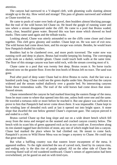attention.

The canyon had narrowed to a V-shaped cleft, with gleaming walls slanting almost straight up to the sky. How weird and strange! This pass of gleams narrowed and widened as Chane traveled on.

He came to pools of water over beds of gravel, then boulders almost blocking passage. But the trail of the wild horses led Chane on. He heard the gurgle of running water and saw where a stream disappeared under the cliff. He came to a pool that Brutus waded, clean, clear, beautiful green water. Beyond this was bare stone which showed no hoof marks. Then came sand again and the telltale tracks.

Looking ahead, Chane was utterly astounded to see the cliffs come closer and closer together. This cleft grew gloomy and somber. Chane kept on. He was sure of exit now. The wild horses had come down here, and his escape was certain. Besides, he would learn how Panquitch eluded his trailers.

Boulders had to be clambered over, and more pools traversed. The water now was running swift and deep in places. Brutus had trouble keeping his footing. The converging walls took on a darker, weirder gleam. Chane could touch both walls at the same time. The floor of this strange canyon was bare solid rock, with the stream covering most of it.

Chane came to a pool that was twenty feet deep. Brutus swam it. No horse tracks showed now on the granite floor. Even the iron hoofs of Brutus left no trace. The sand was gone.

Pool after pool of deep water Chane had to drive Brutus to swim. And the last was a hundred yards long. Chane could see the green depths under him. Beyond that the canyon widened and the stream rushed shallowly over a granite bed. No intersecting canyons broke these tremendous walls. The trail of the wild horses had come down that stonefloored stream.

Chane remembered the canyon he had marked bisecting the eastern flange of the mesa. Soon he must come to where that opened into this one, unless both were one and the same. He traveled a tortuous mile or more before he reached it. But one glance was sufficient to prove to him that Panquitch had never come down there. It was impassable. Chane kept to the winding lane of denuded rock until at last it opened out into bright space. A stone slope that dwarfed the one below greeted Chane's expectant gaze. The canyon pierced it and ended in a cleft.

Brutus carried Chane up that long slope and out on a wide desert bench which fell away from the mesa and merged on the seamed and cracked canyon country below. The bench with its scant bits of green appeared rock as far as eye could see. Everywhere along its rim slanted rugged bare declivities of stone, any one of which might lead into a canyon. Chane had marked the place where he had climbed out. He meant to come back. Panquitch's access to Wild Horse Mesa was no longer a mystery to Chane. He could trap that great stallion.

But what a baffling country was that eastern lower escarpment of the mesa. It appeared endless. To the right stretched the sea of carved rock, lined by its canyon rims, and ending only in the dim rise of purple upland. All on the other side of Chane the towering fluted wall of red wandered northward. Chane's senses of appreciation had been overwhelmed, yet he gazed on and on with tired eyes.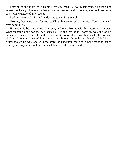Fifty miles and more Wild Horse Mesa stretched its level black-fringed horizon line toward the Henry Mountains. Chane rode until sunset without seeing another horse track or a living creature of any species.

Darkness overtook him and he decided to rest for the night.

"Brutus, there's no grass for you, so I'll go hungry myself," he said. "Tomorrow we'll have better luck."

He made his bed in the lee of a rock, and tying Brutus with his lasso he lay down. What amazing good fortune had been his! He thought of the horse thieves and of his miraculous escape. The cold night wind swept mournfully down this bench; the colossal black wall loomed back of him; white stars burned through the blue sky. Wild-horse hunter though he was, and with the secret of Panquitch revealed, Chane thought last of Brutus, and prayed he could get him safely across the barren land.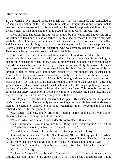## **Chapter Seven**

SUE MELBERNE missed Chess so much that she was surprised, and compelled to admit appreciation of the lad's many little acts of thoughtfulness and service, not to UE MELBERNE missed Chess so much that she was surprised, and compelled to mention the interest aroused by his personality. She missed the pleasing sight of him, his cheery voice, his whistling, and the fun it created for her to watch him with Ora.

Chess and Jake had taken the big wagon, drawn by two teams, and had driven off to the railroad to fetch back a load of barbed-wire. Sue had overheard Manerube's talk with her father about how easily a trap to catch wild horses could be constructed in the valley; and despite her own pleadings not to use so cruel a method, and Alonzo's disapproval, and Utah's silence, he had listened to Manerube, who was strongly backed by Loughbridge. Therefore he had dispatched Jake and Chess to fetch the wire.

This incident had marked in Sue a definite attitude of mind toward Manerube. Her first impressions had not been favorable, yet these had not kept her from feeling an inexplicable fascination when the man was in her presence. Sue had experienced it when near Mormons she had met in St. George, though not so powerfully. Moreover, she never felt it except when she could see or hear Manerube. But after he had successfully put through a plan to catch wild horses with barbed-wire, Sue thought she despised him. Nevertheless, she was inconsistent about it, for only when alone was she conscious of active dislike. The fact seemed that Manerube's coming had precipitated a strange sort of crisis in Sue's life, and she could not understand it any more than welcome it. But she grew convinced that it was owing to her loneliness and to the vague gathering forces of her heart. Once she found herself wishing she could love Chess. This not only amazed her, but made her angry. Moreover, it focused her mind on a bewildering possibility, and that was that her mental unrest had something to do with love.

Three days after Chess had left, Manerube had apparently ousted him from his place in Ora's fickle affections. Ora certainly was not proof against the virile fascination Manerube seemed to exert. She babbled to Sue about Manerube, utterly forgetting that she had babbled almost as fervently about Chess.

"Ora, listen," said Sue, finally driven to irritation. "I feel bound to tell you Benton Manerube has tried the same kind of talk on me."

"Wha-at! Why, Sue?" faltered Ora, suddenly confronted with realities.

"Yes, I mean what I say. It's not nice to tell things, but if you're going to be a little fool . . . To be blunt about it, he has tried to make love to me."

"What did he say?" asked Ora, with curiosity that approached jealousy.

"Oh, I—I don't remember," replied Sue, blushing. "But soft flattery, you know. About my pretty face—how sweet I am—that he never saw anyone like me. Then he makes eyes . . . and more than once he has got hold of my hand. Does that sound familiar, Ora?"

"Yes, it does," she replied, solemnly and ashamed. "But, Sue—he has kissed me!"

"Ora!" cried Sue, aghast.

"I—I couldn't help it," hastily added Ora, greatly troubled. "We were out under the cottonwoods, last night. He just grabbed me. . . . He's like a bear. I boxed his ears, but he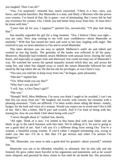just laughed. Then I ran off."

"Ora, I'm surprised," returned Sue, much concerned. "Chess is a boy—nice, you know, and maybe harmless. But Manerube is a man, and likely a Mormon who has power over women. I've heard of that. He is queer—sort of dominating. But I never felt he had any reverence for women. Ora, I think you had better keep away from him. At least don't be alone with him."

"Leave him all for you, I suppose?" queried Ora, sarcastically. "I'll play hob doing that."

Sue steadily regarded the girl for a long moment. "Ora, I believe Chess was right you are catty. Now stop coming to me with your confidences—about Manerube or anybody." With that Sue turned her back and went to her tent, tingling with anger. She resolved to pay no more attention to Ora and to avoid Manerube.

This latter decision was not easy to uphold. Melberne's outfit ate and talked and worked as one big family. The geniality of the leader was reflected in all his party. Moreover, Manerube had evidently struck Melberne with unusual favor. During the early hours, and especially at supper time and afterward, Sue could not keep out of Manerube's way. He watched her across the spread tarpaulin around which they ate, and across the camp fire, and when Sue slipped away to watch the sunset Manerube followed her and stood by the log where she sat. He did not ask for privileges, as was Chess's way.

"Ora says you told her to keep away from me," he began, quite pleasantly.

"Did she?" replied Sue.

"Yes. What made you say that?"

"Why don't you ask her?"

"I will. Say, is Ora Chess's girl?"

"She was."

"Humph! Well, Miss Melberne, I'm sorry you think I ought to be avoided. I can't see that Ora ran away from me." He laughed, not exactly with conceit, but certainly with a pleasing assurance. "Girls are different. I've been weeks alone riding the desert—lonely, hungry for the look and voice of a woman. Would you expect me to avoid one? Ora is full of fun. She's like a kitten. She'll purr and scratch. And if I'm fond of being with her, teasing her, how do you think I feel about being with you?"

"I never thought about it," replied Sue, shortly.

"All right. Think of it now. I'm settled in this horse deal with your father and am likely to go in the ranch business with him later. We're talking of it. So you're going to see a good deal of me. And I tell you it's a different thing from seeing Ora. You're a woman, a beautiful young woman. If you'd rather I stopped tormenting you, trying to make you like me—I'll do it. But then I'll get serious and when I'm serious I'm dangerous."

"Mr. Manerube, you seem to take a good deal for granted—about yourself," retorted Sue.

Manerube was not to be offended, rebuffed, or alienated. Sue let him talk and she listened. He grew rather more forceful in his arguments and statements, and as he waxed more eloquent and personal he drew closer to Sue until he sat beside her. His proximity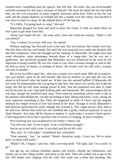seemed more compelling than his speech. Sue felt that. She knew she was level-headed and had contempt for this man's estimate of himself. The more he talked the less she liked him, yet she was conscious of some singular attraction about him. When at last the sun sank and the purple shadows of twilight fell like a mantle over the valley, Sue decided it was time to return to camp. So she slipped down off the big log.

"It's chilly. I'm going back to camp," she said.

Manerube grasped her hand and tried to draw her closer. It took no small effort on Sue's part to get away from him.

"Keep your hands off me," she said, with a heat she could not restrain. "Didn't I tell you before?"

"Sue, I reckon I'm in love with you," he replied.

Without replying, Sue fled and went to her tent. She was furious. Her cheeks were hot. She felt them with her cool hands. Not until she was snug and cozy under her blankets did she find composure. Then she thought out her estimate of Manerube. He might have had some education, some advantages beyond those of a range-rider, but he was not a gentleman. Sue intuitively grasped that Manerube was not influenced in the least by her objection to being courted. He was not a man to care what a woman thought or said or did. He had no sense of shame, or perhaps of honor. He would work his will with a woman one way or another.

But as for his effect upon her—that was a matter very much more difficult of analysis. Sue was honest, most of all with herself. She had an honesty of soul and she was not afraid to tell herself what she found out. In this case she seemed baffled. If Manerube did not cease his importunities she was going to hate him, that much was certain, but it did not imply she did not feel some strange power in him. And she pondered over that. It could not be because he was a big bold-looking rider and handsome. She acknowledged that he was that, though she preferred dark men. There must be something which came to her in his presence that thrilled her, yet did not belong to him. Being masculine, virile, strong, he must represent something to her. Then she happened to think of Chess and the singular emotion his simple avowal of love had stirred in her heart. Strange to recall, Manerube's had likewise quickened her pulse, though she scorned it. This vague power, then, had to do with love. Before that word love she trembled like a guilty creature surprised. It was an Open Sesame. Any man, did he choose to employ it, could make a woman's heart quiver, if she happened to be in Sue's peculiar state of unrest, of longing, of fancy-freedom.

Next morning Sue was awakened by her father's cheery call.

"Up with you, lass, if you're goin' to be a wild-horse wrangler."

Sue sat up in bed with a start. It was dark and the air felt cold.

"But, dad—it's still night," complained Sue, reluctantly.

"Fine mawnin', Sue," he replied. "Heah's breakfast ready. Crawl out. We're shore goin' to chase wild mules."

"Mules? Oh, I forgot," said Sue, with a reviving thrill. "All right, dad. I'm a-rarin' to go."

Sue got up, not without feminine qualms and shivers, despite her enthusiasm, and nimbly put on her riding clothes and boots in the dark. Then she rushed out to get to the fire. Her hands were tingling with the cold. Hot water was a boon that morning. She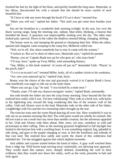brushed her hair by the light of the blaze, and quickly braided the long mass. Manerube, at her elbow, disconcerted her with a remark that she should be more careful of such beautiful hair.

"If I have to ride any more through the brush I'll cut it short," retorted Sue.

"Shore you will not," replied her father. "Not until you get some boss besides your dad."

Sue ate her breakfast in a wonderful dark morning twilight. In the east, low over the black waving range, hung the morning star, radiant, blue-white, blinking, a beacon that heralded the dawn. A grayness was imperceptibly stealing over the sky. The other stars looked pale, spectral. Down in the valley the shadows seemed lifting, changing, drifting.

The horses were in, and stamping the ground or champing their bits. When the riders, spurred and chapped, came trooping to the camp fire, Melberne called out:

"Wal, we're off. Jim, shore somebody has to stay in camp with the women."

"I reckon so. But we're short of riders now, Manerube says," replied his partner.

"Bonny, you an' Captain Bunk toss up for who goes an' who stays heah."

"I'll stay, boss," spoke up Tway Miller, with astounding fluency.

"Say, Miller, is this heah stutterin' of yourn all put on?" demanded Utah. "Playin' to the porch, huh?"

"T-t-t-t-t-ta-ta-tain't so!" retorted Miller, hotly, all of a sudden victim to his weakness.

"Aw, now yore naturool ag'in," replied Utah, dryly.

Bonny won the choice of the toss and graciously waived it in Captain Bunk's favor, who manifestly was eager to ride out on the mule chase.

"Shure you can go, Cap," he said. "I was kicked by a mule once."

"Thanks, mate. I'll take my chances navigatin' mules," replied Bunk, animatedly.

Sue rode beside her father out into the crisp frosty morning. Once beyond the fire she realized how really cold it was. Yet how exhilarating! They rode at a brisk trot, with backs to the lightening east, toward the long wandering dim line of the western wall of the valley. Utah and Alonzo were in the lead; Manerube rode on the other side of her father; Loughbridge with Ora and the two remaining riders brought up the rear.

The exercise soon sent the warm blood dancing all over Sue. How wonderful it was to ride out on an autumn morning like this! The wild quest would not wholly be resisted. She did not want to see a mule hurt any more than another creature, but the adventure appealed to her. Utah and Alonzo rode there ahead, lithe, erect, yet easy, somehow as wild and picturesque as their calling. Then as the morning grayness brightened to full daylight Sue looked to the horizon line with a swelling heart. It was something original, big, splendid to ride along, and gaze at the purple changing to rose, to feel the loneliness and solitude of that vast land. She realized how subtly and surely the charm of this wilderness had enfolded her. Yet she struggled against that which implied surrender.

Jack rabbits and coyotes trotted before the band of riders. A gray wolf watched them from a ridge top. Wild horses kept moving away continually, not allowing near approach. They would stand like statues, erect, sharply defined, resembling the wolf in their wildness; then they would race down the valley, swift as the wind, presently to halt and look again.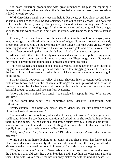Sue heard Manerube propounding with great vehemence his plan for capturing a thousand wild horses, all at one drive. She felt her father's intense interest, and somehow it filled her with sorrow.

Wild Horse Mesa caught Sue's eye and held it. Far away, yet how clear-cut and lofty, an endless black-fringed rosy-walled tableland, rising out of purple chaos! It did not seem real. It reached the soft, creamy, fleecy canopy of cloud that was turning pink. Then the sun burst over the obstructing range. All that rolling valley and waving rock line changed so suddenly and wondrously as to bewilder the vision. Wild Horse Mesa became a horizon of fire.

Presently Alonzo and Utah led off the valley slope into the mouth of a canyon, wide, low, gray-saged, and ribbed with outcroppings of ledges. No water showed in the sandy stream-bed. As they rode up the level meadow-like canyon floor the walls gradually grew more rugged, and the breaks fewer. Thickets of oak with gold and russet leaves livened the gray. Deer bounded up the slopes; birds flew in flocks from the acorn copses.

After several miles of travel mostly over even and a scarcely perceptible rising ground the canyon walls came together, forming a narrow gate. These rugged walls did not rise far without a breaking and falling back to ragged and crumbling steps.

This rock-walled lane opened into a long oval valley, sloping gently on each side up to rugged rims, colorful with dark green of cedars and a few straggling pines. The notches at the heads of the ravines were choked with oak thickets, lending an autumn touch of gold to the scene.

Straight ahead, however, the valley changed, showing lines of cottonwoods along a rock-strewn brook, and a number of remarkable ridges that ran up toward the head of the canyon like the ribs of a fan. It was a big country, this oval boxed end of the canyon, and beautiful enough to bring loud acclaim from Melberne.

"Shore this heah's a place for a ranch!" he ejaculated, slapping his leg. "What do you say, Jim?"

"If we don't find better we'll homestead here," declared Loughbridge, with enthusiasm.

"Pretty enough. Good water and grass," agreed Manerube. "But it's nothing to some of the box heads of canyons west."

Sue was asked for her opinion, which she did not give in words. She just gazed as if spellbound. Manerube saw her rapt attention and asked her if she could be happy living there in a log cabin. The half-curious, half-ironic query gave Sue a remarkable thrill. It was one of deep emotion and it seemed to fling at her mind the truth that she could live happily in such a place—with the man of her dreams.

"Wal, boss," said Utah, "you-all wait an' I'll ride up a ways an' see if the mules are here yet."

While Sue sat her horse, looking to all points of this shut-in park, her father and the other men discussed animatedly the wonderful natural trap this canyon afforded. Manerube rather dominated the council. Presently Utah rode back to the group.

"They're shore here," he said. "Seen mebbe a hundred. An' 'pears to me the boss of the bunch is a gray old cuss thet's been branded. I didn't see him the other day. Shore he wasn't born wild. An old mule who has run away makes the wildest kind of a beast. He'll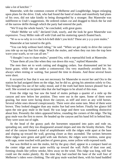take a lot of ketchin'."

Manerube, with the common consent of Melberne and Loughbridge, began enlarging upon plans for the drive. Utah, who had found the band of mules and manifestly had plans of his own, did not take kindly to being disregarded by a stranger. But Manerube was indifferent to Utah's suggestions. He ordered cedars cut and dragged to block the far end of the narrow defile through which the party had entered the park.

"We'll trap the whole bunch," he concluded, with great gusto.

"Ahuh! Mebbe we will," declared Utah, sourly, and the look he gave Manerube was expressive. Tway Miller rode off with Utah and his stuttering speech floated back.

"W-w-w-w-why in t-t-t-the h-h-h-hell didn't you kick? These are y-y-y-yore mules."

Manerube at last turned to the girls.

"You can help without hard riding," he said. "When we get ready to drive the canyon you ride up on top that first ridge. Watch the mules, and when they run into the trap here wave your scarfs, so we can all see."

"I thought I was to chase mules," pouted Ora, with a reproachful look at Manerube.

"Chase them all you like when they run down this way," replied Manerube.

The men then set to work cutting and dragging cedars. Sue dismounted and let her horse graze, while she sat under a cottonwood. Ora very manifestly avoided her. As always when resting or waiting, Sue passed the time in dreams. And those several hours were short.

It occurred to Sue that it was not necessary for Manerube to escort her and Ora to the station he had assigned them on the ridge, but he did so, giving his attention solely to Ora. This brought Ora out of her sulky mood, and if the truth had been known pleased Sue as well. She scorned an incipient idea that she had begun to be afraid of this man.

From the ridge top Sue saw the band of mules perhaps a quarter of a mile up the canyon and now below her position. They were out in the open. Some of them were grazing, but most were facing down the canyon, as stiff and erect as any wild horses. Several white ones showed conspicuously. There were also some tans. Most of them were brown. They looked shaggier than any mules Sue had seen before. Finally her glance fell upon the one gray mule in the band. He was large and there was something distinctive about him. Presently the riders appeared below, rounding the corners of the ridge. The big gray mule was the first to move. He headed up the canyon and his band fell in behind him. They were soon out of sight.

At the head of the grassy park the horsemen separated into pairs and rode on, spreading out, until they too disappeared around slopes and into the brushy thickets. That end of the canyon formed a kind of amphitheater with the ridges wide apart at the base and sloping up toward the wall, growing closer as they ascended. The ravines between these ridges were green and gold with oak thickets; the ridges were treeless, some gray with sage, some touched with patches of green grass, some yellow with exposed earth.

Sue was thrilled to see the mules, led by the gray chief, appear in a compact band on the center ridge and move quite swiftly up toward the wall. Puffs of dust rose and, forming clouds like yellow smoke, blew away on the wind. This ridge was long, still Sue could see the mules plainly. By the time they had reached the base of the wall four of Melberne's riders were climbing. The old gray mule watched them, with his band huddled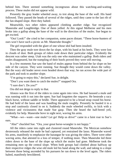behind him. There seemed something incongruous about this watching-and-waiting process. These mules did not appear wild.

Presently the gray leader wheeled away, to trot along the base of the wall. His band followed. They passed the heads of several of the ridges, until they came to the last rib of the fan-shaped slope. Here they halted.

Meanwhile, two other riders appeared climbing another ridge. Sue recognized Manerube and Loughbridge. One of them yelled. At this signal Melberne and his men broke into a gallop along the base of the wall in the direction of the mules. Sue began to get excited.

"Ora! Look!" she cried to her companion, some paces distant. "These horse-hunters of ours won't have such a picnic as Mr. Manerube thought."

The girl responded with the glare of one whose idol had been insulted.

Then the gray mule tore down the far slope, with his band at his heels. They were lost in clouds of dust. Both groups of riders rode down their particular ridges. Evidently the descent was rather steep. Utah was the only one who maintained a gallop. Both riders and mules disappeared, but the trampling of their hoofs proved they were still moving.

In a few moments Sue saw the band of mules appear from behind the far slope on her side of the canyon. They were running. Sue thought they would come down the valley. But the wary old leader never even headed down that way; he ran across the wide part of the park and took to another slope.

"I'm going to enjoy this," declared Sue, in delight.

"Don't you want them to catch the mules?" snapped Ora.

"I sure don't. Do you?"

Ora did not deign to reply to that.

Alonzo was the first of the riders to come again into view. He had lassoed a mule and was running with it out into the open. Sue had forgotten the *vaquero*. He bestrode a racy black horse, without saddle or bridle. There appeared to be a broad strap round his horse. He had hold of the lasso and was handling the mule roughly. Presently he hauled it to a stop and cautiously closed in on it. Suddenly the mule wheeled swiftly, to kick with a violence and viciousness that made Sue gasp. Then she heard the half-breed yell, evidently for help. Manerube hove in sight next, waving his arms.

"What—we—want—one mule? Let go! Help us drive!" came in a faint roar to Sue's ears.

"Aha!" chuckled Sue. "Ora, your great horse-wrangler is not happy."

All the riders came into sight and clustered round Manerube. The Mexican somehow dexterously released the mule he had captured, yet restrained the lasso. Manerube waved his arms, manifestly to emphasize the harangue he was giving the riders. There were other waving arms, that attested to a loss of temper, if nothing more. Then Manerube led three riders down to the base of the slope up which the mules had gone. Melberne took the remaining men up the central slope. When both groups had climbed about halfway up their respective ridges the wise old mule led his band along the wall, and taking to a slope between those being ascended by his pursuers he ran down to the level again. The riders halted, manifestly bewildered.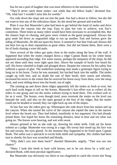Sue let out a peal of laughter that was most offensive to the sentimental Ora.

"They'll never catch those mules—not while that old fellow leads," declared Sue. "Oh, what fun! I wouldn't miss this for worlds."

Ora rode down the slope and out into the park. Sue had a desire to follow, but she did not want to lose any of the ridiculous chase. So she stood her ground and watched.

Plain it was that Manerube's plan had been to get behind the band of mules and drive them down the canyon into the trap. Easy to plan but vain to achieve, was Sue's contention. Three times as many riders would have been necessary to accomplish this. But the chasers kept on chasing, and grew more violent as the game progressed. Always the gray mule led down an unguarded ridge to run up another. Fast and furious grew the riding of Manerube. He did not spare his horse. It seemed to Sue that Utah and Alonzo did not here live up to their reputations as great riders. Sue did not blame them. Here were a lot of fools chasing a wise old mule.

Once several of the riders got quite close to the mules along the base of the wall. It happened that when the mules charged down a ridge Captain Bunk on his white horse appeared ascending that ridge. For some reason, perhaps the steepness of the slope, he did not see them until they were right upon him. Above the trample of hoofs Sue heard his yell. His horse wheeled in fright and plunged down. Despite her concern for his safety Sue suffered a spasm of glee. The tenderfoot seafaring man made a grotesque figure trying to hang on to his horse. Twice he was unseated, but lurched back into the saddle. The mules caught up with him, and no doubt the roar of their hoofs, their snorts and whistles, increased his terror to the extent that he swerved his horse away from them, over the steep bank, and went sliding down into the brush, out of sight.

The running up and down these ridges apparently left the mules as fresh as ever, but such hard work began to tell on the horses. Manerube's last effort was to collect all the riders in one group and run the mules without trying to head them. This worked well so far as it went. The horses, even though tired, soon overtook the mules on the level run beneath the wall, and also on the open ground at the foot of the ridges. But the mules could not be headed or turned; they ran right back up one of the slopes.

At last Sue saw the riders give up. Whereupon she rode down from her station and up the canyon. When she turned the curve of the canyon she espied the men in the narrow level where the brook ran. They had halted, manifestly in hot argument. Ora had already joined them. Sue loped her horse the remaining distance, keen to hear and see what was going on. The horses were heaving, and wet with sweat.

Alonzo grinned at her as she rode up, showing his white teeth. Utah sat his horse solemn as a judge. Manerube was raving in a rage. His tawny hair stood up; his face was hot and sweaty; his eyes glared. At the moment they happened to be fixed upon Captain Bunk. The sailor was a spectacle to excite both mirth and sympathy. His clothes had been torn to shreds; his face was scratched and bloody.

"Why didn't you turn them back?" shouted Manerube, angrily. "That was our one chance."

"Mate, I took this berth to hunt wild horses, not to be run down by a wild ass," declared Bunk, with most peculiar significance.

But Manerube was obviously too thick or too chagrined to catch the covert slur flung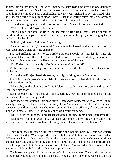at him. Sue did not miss it. And as she met her father's twinkling eyes she was delighted to see that neither Bunk's wit nor the general humor of the whole chase had been lost upon him. He winked at Sue. Loughbridge, however, was inclined to be sour-faced. Then as Manerube directed his tirade upon Tway Miller that worthy burst into an astonishing sputter, the meaning of which did not require correctly enunciated speech.

"That damned gray mule made fools of us," fumed Manerube as he dismounted.

"Wal, he shore did," agreed Melberne.

"I'll fix him," declared the rider, and snatching a rifle from Utah's saddle-sheath he faced the slope. Perhaps five hundred yards up, right out in the open, stood the gray leader in front of his band.

"Kill him, Manerube," shouted Loughbridge.

"I should smile I will," announced Manerube as he looked at the mechanism of the rifle, then threw a shell into the chamber.

Sue had stiffened on her horse. Surely Manerube would not murder this wise old guardian of the band. But as the rider leveled the rifle Sue saw the dark grim passion on his face and in that moment she likewise saw the nature of the man.

"Dad!" she cried, poignantly. "Don't let him shoot! Oh! don't!"

With a sweep of his long arm her father struck up the leveled rifle just as it was discharged.

"What the hell!" ejaculated Manerube, harshly, whirling to face Melberne.

In that instant Melberne's humor left him. Sue sustained another kind of thrill, one that struck a chill on her heart.

"Manerube, let the old mule go," said Melberne, tersely. "He shore outwitted us, an' I won't see him shot."

But Manerube's fury had not yet cooled. Jerking away, he again looked up to locate the mules. They had disappeared.

"Say, man, who's runnin' this heah outfit?" demanded Melberne, with voice still calm, yet edged as by ice. He took the rifle away from Manerube. "I'm allowin' for temper, because that old gray devil was shore exasperatin'. But cool off now, if you want to get along with me. . . . Jim, I reckon we might as well rustle for camp."

"But, Mel, if we killed thet gray leader we'd trap the rest," complained Loughbridge.

"Mebbe we would, as Utah said. I've dealt with mules all my life an' I'm tellin' you we cain't catch this bunch. We haven't enough riders. I shore knew that first off."

They rode back to camp with the westering sun behind them. Sue felt particularly pleased with the day. What a splendid man her father was! In times of stress he seemed so different, such an anchor, more a Texan then. She shivered a little as she recalled things she had been told about him long ago. She felt gratified at Manerube's discomfiture, and not a little pleased at Ora's peevishness. Both Utah and Alonzo had let Sue know, without a word, that Manerube's methods had not inspired them.

The horses, campward bound, were full of spirit and eagerness. They made short work of the miles. Sue rode the whole distance at a swinging lope. When they reached camp the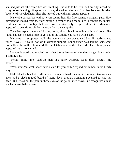sun had just set. The camp fire was smoking. Sue rode to her tent, and quickly turned her pony loose. Kicking off spurs and chaps, she wiped the dust from her face and brushed back her disheveled hair. Then she hurried out with a ravenous appetite.

Manerube passed her without even seeing her. His face seemed strangely pale. How different he looked from the rider ranting in temper about the failure to capture the mules! It struck Sue so forcibly that she turned instinctively to gaze after him. Manerube appeared to be striding aimlessly away from the camp fire.

Then Sue espied a wonderful shiny horse, almost black, standing with head down. Her father had just helped a rider to get out of the saddle. Sue halted with a start.

Melberne half supported a tall lithe man whose back was toward Sue. His garb showed rough travel. He could not walk without support. Loughbridge was talking somewhat excitedly as he walked beside Melberne. Utah strode on the other side. The others present appeared much concerned.

Sue ran forward, and reached her father just as he carefully let the stranger down under a cottonwood.

"Never—mind—me," said the man, in a husky whisper. "Look after—Brutus—my horse!"

"Wal, stranger, we'll shore have a care for you both," replied her father, in his hearty way.

Utah folded a blanket to slip under the man's head, raising it. Sue saw piercing dark eyes, and a black ragged beard of many days' growth. Something seemed to stop her heart. But it was not the pain in those eyes or the pallid lined brow. Sue recognized a man she had never before seen.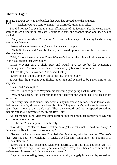## **Chapter Eight**

**M**ELBERNE drew up the blanket that Utah had spread over the stranger.<br>"Reckon you're Chane Weymer," he affirmed, rather than asked.

"Reckon you're Chane Weymer," he affirmed, rather than asked.

Sue did not need to see the man nod affirmation of his identity. Yet the weary action seemed to set a ringing in her ears. Venturing closer, she dropped upon one knee beside her father.

"Are you hurt anywheres?" went on Melberne, solicitously, with his big hands passing gently over Weymer.

"No—just starved—worn out," came the whispered reply.

"Ahuh. So I reckoned," said Melberne, and looked up to tell one of the riders to fetch Mrs. Melberne.

"Wal, I shore knew you was Chess Weymer's brother the minute I laid eyes on you. Didn't you reckon that way, Sue?"

Chane Weymer gave a slight start and would have sat up but for Melberne's restraining hand. The weariness seemed momentarily galvanized out of him.

"Chess! Do you—know him?" he asked, huskily.

"Shore do. He's in my employ, an' a fine lad. Isn't he, Sue?"

It was then the piercing eyes flashed upon Sue and seemed to be penetrating to her very heart.

"Yes—dad," she replied.

"Where—is he?" queried Weymer, his searching gaze going back to Melberne.

"Wal, he was heah. But I sent him to the railroad with the wagon. He'll be back aboot tomorrow."

The weary face of Weymer underwent a singular transfiguration. Those falcon eyes, dark as an Indian's, shone with a beautiful light. They met Sue's, and a smile seemed to open them, showing the man's soul. Then they closed, and he whispered something inaudibly that Sue interpreted as, "Little Boy Blue"!

At that moment Mrs. Melberne came bustling into the group, her comely face wearing an expression of concern.

"Is—he hurt?" she inquired, breathlessly.

"No, Mary. He's starved. Now I reckon he ought not eat much or anythin' heavy. A little warm milk with bread, or some soup."

"Seems like he has some fever," replied Mrs. Melberne, with her hand on Weymer's face. "An' see how he's twitching. . . . Make a bed for him—right here—an' put him in it. I'll look after him."

"Shore that's good," responded Melberne, heartily, as if both glad and relieved. "I'll fetch blankets. An' say, Utah, will you take charge of Weymer's horse? Feed him a little grain—very little—an' mix it in some warm water."

They left Sue kneeling there, uncertain what to do, strangely influenced by something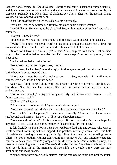that was not all sympathy. Chess Weymer's brother had come. It seemed a simple, natural, anticipated event, yet its culmination held a significance which was not made clear by his presence. Suddenly Sue felt a thrill of gladness for Chess. Then, on the instant, Chane Weymer's eyes opened to meet hers.

"Can I do anything for you?" she asked, a little hurriedly.

"Who are—you?" he returned, curiously, his voice again a husky whisper.

"Sue Melberne. He was my father," replied Sue, with a motion of her hand toward the camp fire.

"Do you—know Chess?"

"Indeed I do. We're great friends," she said, feeling a warmth steal to her cheeks.

"Well!" The single whispered word was expressive enough to cause Sue to drop her eyes and be relieved that her father returned with his arms full of blankets.

"Shore we'll have a bed in a jiffy," he said. "Sue, help me fold them. Reckon there ought to be three doubled to go under him. He's been sleepin' on the hard ground, if he's slept at all."

Sue helped her father make the bed.

"Now, Weymer, let me lift you over," he said.

"I'm not—quite helpless," was the reply. And Weymer edged himself over into the bed, where Melberne covered him.

"Shore you're not. But you're tuckered out. . . . Sue, stay with him until mother comes. I've got work to do before dark."

Again Sue found herself alone with this brother of Chess Weymer's. The fact was disturbing. She did not feel natural. She had an unaccountable shyness, almost embarrassment.

"You're kind people," whispered Weymer. "My bad luck—seems broken. . . . A fellow can never—tell."

"Tell what?" asked Sue.

"When there's—no hope left. Maybe there's always hope."

"You mean hope of life—during such terrible experience as you must have had?"

"Yes—of life—and happiness," he whispered, dreamily. "Always, both have seemed just beyond the horizon—for me. . . . I'll never be hopeless again."

"Your strength left you," said Sue, earnestly. "But of course there's always hope for any man—if he . . . But here comes mother with something for you to eat."

It fell fatefully to Sue's lot to help Mrs. Melberne feed this newcomer, who was so weak he could not sit up without support. The practical motherly woman bade Sue hold him while she lifted spoon and cup to his lips. Thus Sue found herself kneeling beside Chess Weymer's brother, with her arms round his shoulders. Pity and kindliness actuated her, the same as these feelings prompted Mrs. Melberne in her gentle motherly way, but there was something else. Chane Weymer's shoulder touched Sue's heaving breast as she knelt beside him. Of all the moments of Sue's life, these endless few were the most astounding and inexplicable.

Weymer might have been nearly starved, but the fact was he could not swallow much,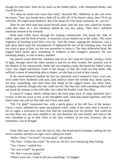though he tried hard. Soon he lay back on the folded pillow, with whispered thanks, and closed his eyes.

"It's sleep he needs now more than food," declared Mrs. Melberne as she rose from her knees. "Sue, stay beside him a little till he falls off. If he doesn't sleep, then I'll sit up with him. He might need medicine. But if he sleeps he'll be better tomorrow an' can eat."

Then for the third time Sue found herself alone with the man who called his brother Little Boy Blue. In a few moments indeed he was fast asleep. Then Sue's stultified emotions seemed to be released.

Dusk stole softly down through the rustling cottonwoods. She heard the clink of riders' spurs and the thud of hoofs. A mournful coyote barked out in the valley. The sweet fragrance of burning wood blew over her. And the moon, topping the mountain, cast a pale glow down upon the encampment. It lightened the face of the sleeping man. Sue did not want to gaze at him, yet she was powerless to resist it. The dark disheveled head, the ragged black beard, gave something of wildness to this stranger's presence. He was breathing deeply, as one in heavy slumber.

Sue peered round about her. Darkness had set in; the camp fire blazed, casting a circle of light, through which the riders passed to and fro on their errands. Her position was in the shadow of the cottonwoods. Some one was singing a song. She heard her father's deep voice. Sue edged noiselessly closer to her charge, so that she could see him better. She suffered a sense of something akin to shame, yet she bent to look at him closely.

In the moon-balanced shadow his face lay upturned, and it seemed to have a sad cast, level noble brow burdened with pain, dark hollows where the eyelids shut, blank spaces, yet how compelling, and stern lines that faded in the ragged beard. Sue drew back, strangely relieved, though why she could not tell. But that face held something which did not mock her interest in the wild rider who called his brother Little Boy Blue.

A sound of wagon wheels rolling down the hard slope back of camp disturbed Sue's reverie. It did not occur to her, in her thoughtful state, what that sound signified, until she heard some one yell out that Jake and Chess were back.

"Oh, I'm glad!" murmured Sue, with a quick glance at the still face of the sleeper. Chess's return afforded her some unexplained relief, while at the same time it stirred in her as vague a reluctance to have him find her watching over his brother. Sue could not see that there was any more needful to do; and therefore she rose hastily and went to her tent, intending to go to bed. Once in the dark confines of her tent, however, she sat motionless, lost in thought.

Some time later, how soon she had no idea, she heard quick footsteps rustling the dry leaves outside, and then an eager voice calling her name.

"Hello, Chess! You back? I'm sure glad," she replied.

"Oh, Sue!—Chane has come!" he went on, his low voice betraying deep feeling.

"Yes, I know," replied Sue.

"Are you in bed?" he queried.

"No. But I was just going."

"Please come out. I want to tell you something," he begged.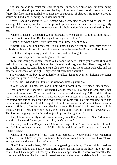Sue had no wish to resist that earnest appeal; indeed, her pulse was far from being calm. Rising, she slipped out between the flaps of her tent. Chess stood close, a tall dark figure, his face indistinguishable against the background of shadow. He made a dive to secure her hand, and, bending, he kissed her cheek.

"Why—Chess!" exclaimed Sue. Amaze was succeeding to anger when she felt the shaking of his hands, and then, as she peered up, she made out his face. He was greatly excited. Evidently he had no consciousness of a bold action. He was not thinking about her.

"Chane is asleep," whispered Chess, hoarsely. "I went close—to look at him. Say, it was hard not to wake him. But I was glad, for it gives me time."

"Time? For what, Chess? Why, boy, you're all upset!" replied Sue.

"Upset! Huh! You'd be upset, too—if you knew Chane," went on Chess, hurriedly. "If he finds out Manerube knocked me down—and what for—my God! Sue, he'll kill him!"

Sue felt a cold tightening prickle of her skin, and her thoughts raced.

"You must keep him from finding out," she said.

"Sure. I'm going to. When I found out Chane was here I asked your father if anyone had told about my fight with Manerube. He said he'd forgotten that. Then I begged him not to tell Chane. He said I had the right idea. He went with me to fix it with Jake and the other fellows who saw the fight. They were all darn nice about it."

Sue warmed to the boy as breathlessly he talked, leaning over her, holding her hands in a grip that proved his agitation.

"Then, Sue—what do you think?" he went on, almost pantingly.

"Go on, Chess. Tell me. How can I think, when I don't know?" rejoined Sue, in haste.

"We looked for Manerube," whispered Chess, tensely. "No one had seen him since Chane rode into camp. Your dad said that 'shore was damn strange.' But I didn't think so. . . . Maybe Manerube knows Chane. Anyway, we hunted all around camp, and at last we found him sitting back on a log away from the camp fire. He was thinking deep and our coming startled him. I pitched right in to tell him I—we didn't want Chane to know about the fight. . . . I reckon that surprised Manerube. He looked like it. And he got a little chesty, right off. You know how he is. Well, I made my part of it strong. I *crawled*. . . . Think of me begging that liar's pardon, just to prevent a fight here!"

"But, Chess, you hardly needed to humiliate yourself so," responded Sue. "Manerube would not have told Chane you struck him, that's certain."

"Darn my thick head!" ejaculated Chess, in exasperation. "Sure he wouldn't. I could just feel how relieved he was. . . . Well, I did it, and I reckon I'm not sorry. It was for Chane's sake."

"Chess, it was manly of you," said Sue, earnestly. "Never mind what Manerube thinks. . . . But, Chess, in your excitement because of your brother's return, haven't you exaggerated any danger of his—of any——"

"Sue," interrupted Chess, "I'm not exaggerating anything. Chane might overlook insults—such talk as that squaw-man stuff, or the vile hint about the little Piute girl. It'd be just like Chane to pass all that by, at least in a camp where there were womenfolks. But if he learned Manerube had struck me—beat me in the face for defending his honor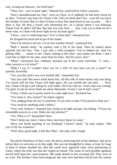why, so help me Heaven—he'd *kill* him!"

"Then, boy—you've done right," faltered Sue, unnerved by Chess's passion.

"Don't misunderstand me, Sue," went on Chess, as if suddenly he had been struck by an idea. "I haven't any fears for Chane's life. Did you think that? Say—wait till you know this brother of mine! But it's that I'd hate to have him shed blood on my account. . . . He's done it, Sue. He shot a rowdy who mistreated me—in a saloon where I was drinking. Thank God, he didn't kill him. But that was only luck. . . . Sue, I ask you to help me be a better man, so Chane will never fight on my account again."

"Chess—you're confessing now? You've been bad," whispered Sue.

He dropped his head and let go of her hands.

"Don't be afraid to tell me. I'm no fair-weather friend," continued Sue.

"Bad! I should smile," he replied, with a lift of his head. Then he looked down squarely into her face. "Sue, I was only a wild youngster. You've helped me. And I'm getting older . . . seems to me. Chane coming at this time—just makes me think. I don't want him to fight for his sake, more than for mine. And for *yours*, Sue!"

"Mine!" murmured Sue, suddenly shocked out of her warm solicitude. "I—why what concern is it of mine?"

"Didn't I say if I couldn't have you for a wife I'd sure have you for a sister?" he queried, forcefully.

"Yes, you did, and it was very foolish talk," responded Sue.

"Just you wait! But never mind about that. All this talk of mine means only one thing. I'm scared stiff for fear Chane will fight again. He was terrible the last time. . . . Now, Sue, Chane will get a job riding for your father. He'll be with us. I knew that was coming. I'm glad, if only he never finds out about Manerube. If only I can be half a man!"

"Chess, I think you're pretty much of a man right now," declared Sue.

"You mean it, Sue, honest?" he asked, eagerly.

"Yes, judging from all you've said here. If you stick to that I'll be proud to help you."

"You could do anything with a fellow."

"Very well, flatterer," returned Sue, trying to be light and gay, but failing. "I'll put my remarkable powers to a test. Make me one promise?"

"Yes. What is it?" demanded Chess.

"Don't drink any more. I know these men have liquor in camp."

"Have you heard anything of my drinking? I haven't lately," he said, simply. "But you've hit my weakness."

"Well, then, good night, Little Boy Blue," she said, with a laugh.

The pitchy blackness of Sue's tent, the heavy protecting feel of her blankets, had never before been so welcome as on this night. She was too thoughtful to sleep, at least for long. A kind of shame assailed her, that she could have appeared calm, even patronizing to Chess, where the truth was that she verged on tumult. The cause of such possible agitation forced itself upon her consciousness. She made denials to her accusing self. They were of no avail. The brother Chess had eulogized, the man who had been forced into her inmost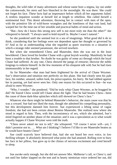thoughts, the wild rider of many adventures and whose name bore a stigma, lay out under the cottonwoods, his stern sad face blanched in the moonlight. He was there. She could not forget his face. These facts had an importance before which all her arguments failed. A restless impatient wonder at herself led at length to rebellion. She called herself a sentimental fool. This desert adventure, throwing her in contact with men of the open, with the primitive life of wild-horse wranglers and the loneliness of that vast land, had warped her for the time out of her sensible and practical habits of mind and action.

"But—how do I know this strong new self is not more truly me than the other?" she whispered to herself. "I always used to hold myself in. Maybe I wasn't natural."

So she pondered until she seemed lost in a sea of imaginings. What good did it do to think, considering that her feelings were not dependent upon her thought or governed by it? And as far as understanding what she regarded as queer reactions to a situation in which a strange rider seemed paramount, she arrived nowhere.

But when she remembered Chess and Manerube, then she was not in the least bewildered. Chess loved his brother Chane with a great boyish worship. Manifestly he had been a trouble to that brother. No doubt he was guilty of some act through which the loyal Chane had suffered. At any rate, Chess showed the pangs of remorse; likewise the noble longings to redeem himself. In the few moments of his eloquent talk with Sue he had risen immeasurably in her regard.

As for Manerube—that man had been frightened by the arrival of Chane Weymer. Sue's observation and intuition met perfectly on this plane. She had clearly seen his pale face, his somber, amazed, sullen look, his preoccupation, his hurry. He had rubbed against her in passing, yet had never seen her. Only one reason for this occurred to Sue—he was afraid to meet Weymer.

"Why, I wonder," she pondered. "Did he truly whip Chane Weymer, as he bragged he did? He feared Chess would tell Chane about the fight. That he had beaten Chess—been the cause of those dark-blue splotches which still showed on Chess's face."

Whatever else there might be behind Manerube's behavior, the main cause was that he was a coward. Sue had not liked the man, though she admitted his compelling personality, but this development damned him forever. Sue experienced a lifting sense of vague freedom; she had not been certain about Benton Manerube. She realized now where she stood in regard to him. Then, with the inconsistency of sex, which she admitted, Sue's mind lingered on another phase of the situation; and it was a speculation as to what would actually happen if Chane Weymer were told the truth.

"Chess never asked *me* not to tell," she whispered. "Of course I never will—yet, I didn't promise not to. . . . *What* am I thinking? I believe I'd like to see Manerube beaten as he would have beaten Chess!"

Sue could scarcely have believed that, had she not heard her own voice, in low thrilling whisper. It absolutely destroyed what poise she had attained. Rolling over to bury her face in her pillow, Sue gave up to the climax of nervous excitement and cried herself to sleep.

Sue awoke early enough, but she did not answer Mrs. Melberne's call, or Chess's; and not until her father slapped on the tent and in hearty stentorian voice ordered her out, did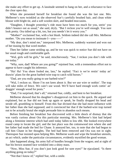she make any effort to get up. A lassitude seemed to hang on her, and a reluctance to face the clear open day.

When she presented herself for breakfast she found she was the last one. Mrs. Melberne's eyes twinkled as she observed Sue's carefully brushed hair, and clean white blouse with bright tie, and a soft woolen skirt, and beaded moccasins.

"Daughter, I thought yesterday's ride must have been too much for you, seein' you didn't bounce out as usual," she said, dryly. "But I reckon you're well enough. You sure look pretty. Ora tidied up a bit, too, but you needn't let it worry you."

"Mother!" exclaimed Sue, with a hot blush. Seldom indeed did she call Mrs. Melberne mother. "Do you mean to insinuate I—you——"

"My dear, don't mind me," interposed Mrs. Melberne, suddenly warmed and won out of her teasing by that word mother.

Then her father came striding up, and he too was quick to notice Sue did not have on her usual rough and comfortable garb.

"Wal, girls will be girls," he said, mischievously. "Sue, I reckon you don't ride with me today."

"Why, sure, dad! Where are you going?" rejoined Sue, with a tremendous effort not to appear to have caught his inference.

"Ha! Ha! You shore fooled me, lass," he replied. "Fact is we're restin' today an' drawin' plans for the great barbed-wire trap to catch wild horses."

"Dad, are you really going to use barbed-wire?"

"Wal, I reckon so. Shore I'm not keen aboot it. But we use wire or nothin'. The trap will take miles of fence. We cain't use wood. We'll have hard enough work cuttin' an' draggin' enough wood for posts."

"Dad, I'm surprised, that's all," returned Sue, coldly, and bent to her breakfast.

Melberne showed that his daughter's disapproval cut him to the quick. He argued and explained, but as Sue did not look up again or speak, he finally dropped his head and strode off, grumbling to himself. From this Sue divined that she had more influence with her father than she had supposed; and it convinced her that if the barbed-wire trap turned out to be actually brutal she might persuade him to abandon such means.

Before finishing her breakfast Sue discovered with a little shock of dismay that she was vastly curious about Ora this particular morning. Mrs. Melberne's hint had helped along a feminine interest which had until today fallen to low ebb. She looked everywhere round camp to locate the girl, and the last place was the cottonwood tree where she and her father had made the bed for Chane. It annoyed her, too, to note that she had begun to call him Chane in her thoughts. The bed had been removed and Ora was not in sight. Thereupon Sue insisted upon helping Mrs. Melberne wash and wipe the breakfast utensils, an act which, under the particular circumstances, evidently mystified the good woman.

Jake happened along, his arms full of bundles brought from the wagon; and at sight of Sue his brown seamed face wrinkled into a shiny mass.

"Now, Miss Sue, if you don't just look good for sore eyes!" he ejaculated. "Is there anything going on today?"

"Not that I know of," replied Sue, with a smile.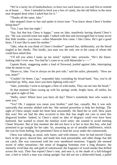"We're a lucky lot of bushwhackers, to have two such lasses as you and Ora to remind us of home. . . . Now I intended to fetch you a box of candy, but the old fellow in the store near dropped dead when I asked him for it."

"Thanks all the same, Jake."

Jake stepped closer to Sue and spoke in lower tone: "You know about Chess's brother being here?"

"Yes, I saw him last night."

"Say, but that boy Chess is happy," went on Jake, manifestly having shared Chess's joy. "He was worried some last night. I talked with him and encouraged him to keep secret that little trouble—you know—when Manerube first came. I like Chess. He's got a good heart. I'd sure like to meet his mother."

"Jake, what do you think of Chess's brother?" queried Sue, deliberately, yet the blood tingled in her cheeks. This kindly, just man was the only one in the camp of whom she could have asked that.

"I'll tell you when I make up my mind," replied Jake, seriously. "He's the finestlooking rider I ever saw. Too bad he's come to us with Manerube's——"

Captain Bunk, staggering under a load of firewood, jostled against Jake, interrupting what he meant to say.

"Heave to, Jake. You're always on the port side," said the sailor, pleasantly. "How are you, mate?"

"Couldn't be better, Cap," responded Jake, extending his broad hand. "Say, you're all scratched up. Why, man, have you been fighting wild-cats?"

"Jake, yesterday I went to navigate a fleet of wild mules. They run me into the brush."

At that moment Chess swung up with his springy stride, bright, keen, all smiles, his eyes glad at sight of Sue.

"Hello, sister! Where have you been all day? There's somebody here who wants to meet you."

"Yes? Oh, I suppose you mean your brother," said Sue, casually. But it was only outwardly that serenity abided with her. She seemed powerless to help her feelings. The sight of Chess simply made her heart beat unwontedly. He liked her so well. How plain that was! Not yet had the idea occurred to him that Sue might not care to meet this disgraced brother. Indeed, in Chess's mind no idea of disgrace could ever have been harbored. Sue wanted to resent the familiar word sister; she wanted to avoid meeting Chane Weymer. But at that moment she did not have it in her to hurt this boy, who had promised to go straight for her sake. So, assuming an air of amiable indifference, which she was far from feeling, Sue permitted Chess to lead her away under the cottonwoods.

Chess was talking, as usual, only faster, and with elation—how he had moved Chane back in the grove, shaved him, and made him look presentable, and other things Sue did not catch. She was concerned with her own smothered emotions. Vaguely she seemed aware of other sensations—the sense of dragging footsteps over a long distance, the intensely vivid blue sky and gold of cottonwood, the fragrance of wood smoke that drifted across the way. Then Sue espied Chess's tent, and near it, in the shade of a full-foliaged tree, a bed in which a man was sitting upright. Sue did not see a disheveled head, a pallid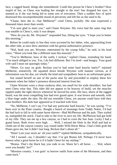face, a ragged beard, things she remembered. Could this person be Chess's brother? How stupid of her, as Chess was leading her straight to the tree! Sue dropped her eyes. It seemed as if she was being led to some sort of execution. Then a sudden fury of spirit dismissed this incomprehensible mood of perversity and left her as she used to be.

"Chane, here she is—Sue Melberne!" cried Chess, joyfully. His tone expressed a thousand times more than words.

"I'm sure glad to meet you," said Chane Weymer. His voice had the same ring that was notable in Chess's, only it was deeper.

"How do you do, Mr. Weymer!" responded Sue, lifting her eyes. "I hope you're better this morning."

Before he could reply to Sue they were accosted by her father, who, approaching from the other side, at once drew attention with his genial authoritative presence.

"Wal, heah you are, Weymer, entertained by the young folks," he said, in his loud voice. "Shore you look like a different man this mawnin'."

"You're Melberne, boss of the outfit, I reckon," replied Chane, extending his hand. "I'm much obliged to you. Yes, I do feel different. But I'm tired—and hungry. Your good wife said I must eat sparingly today."

"Shore. Go easy on grub. Reckon you've had some hard knocks lately?" rejoined Melberne, tentatively. He squatted down beside Weymer with manner curious, as if information was his due, yet wholly the kind and sympathetic host to an unfortunate guest.

Sue seated herself on one of the packs near by and proceeded to employ these few moments when her father's presence distracted interest from her.

Chane Weymer wore a clean corduroy shirt, too small for his wide shoulders. Sue had seen Chess wear that. This rider did not appear to be brawny of build, yet the muscles rippled under the tight sleeves whenever he moved his arms. His face, shorn of the ragged beard, was the most compelling Sue had ever gazed upon. It was brown and smooth, with a blue tinge under the skin. He did not resemble Chess, yet anyone could have told they were brothers. His dark hair appeared as if touched with frost.

"No, Melberne, I can't say I've had any particular hard knocks," he was saying. "I've been over in the Piute country. Bought a bunch of mustangs from Toddy Nokin. I'd had the bad luck to fall in with some horse thieves—Bud McPherson and his pals. They trailed us, stampeded the stock. I had to take to the river to save my life. McPherson had got hold of my rifle. They ran me up a box canyon, so I had to cross the San Juan. Lucky I had a grand horse. Both rivers were high. . . . Well, I missed the Hole in the Wall and had to climb out of the canyon country way round under Wild Horse Mesa. I had a little grub the Piutes gave me, but it didn't last long. Reckon that's about all."

"Hum! Lost your stock an' all your outfit?" replied Melberne, sympathetically.

"All I owned—no, I shouldn't say that. I've got Brutus left. Perhaps I'd never have known what a great horse he is if it hadn't been for my mishap."

"Brutus. That's the black bay you rode in on. Shore he's all horse. . . . Wal, where were you headin' for?"

"Mormon country. I was goin' to borrow outfit from some of the Mormons, and then come back."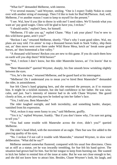"What for?" demanded Melberne, with interest.

"I've several reasons," said Weymer, smiling. "One is I expect Toddy Nokin to come over with another string of mustangs. Then I'd like to look for Bud McPherson. And, well, Melberne, I've another reason I want to keep to myself for the present."

"I see. Wal, how'd you like to throw in with me? I need riders. We'll furnish what you want an' pay good wages. Chess will be glad to have you, I reckon."

"I should smile," replied Chess, for himself.

"Melberne, I'll take you up," replied Chane. "May I ask your plans? You're new to this wild-horse game, aren't you?"

"Reckon I am," returned Melberne, shortly. "That's why I want good riders. Wal, my plans are easy told. I'm aimin' to trap a thousand horses heah in Stark Valley, ship them out, an' then move west over there under Wild Horse Mesa, ketch an' break some good horses, an' then homestead a fine valley."

"A thousand wild horses! Reckon you are new to this game. If you do catch them how on earth will you ship them? Wild horses!"

"Wal, I reckon I don't know, but this rider Manerube knows, an' I'm leavin' that to him."

"Bent Manerube?" queried Weymer, sharply, his fine smooth brow wrinkling slightly between the eyes.

"Yes, he's the man," returned Melberne, and he gazed hard at his interrogator.

"Melberne! Do I understand you to mean you've hired Bent Manerube?" demanded the rider, in astonishment.

Sue felt Chess's hand gripping hers, and she returned the pressure, as if to reassure him. It might be a ticklish moment, but she had confidence in her father. He was wise, calm, and just. Sue's intensity of interest had to do with Chane Weymer. She gazed closely at him, as with piercing eyes he looked up into her father's face.

"Yes, I told you. Bent Manerube."

The rider laughed outright, and both incredulity, and something harder, sharper, vanished from his expression.

"Wal, reckon it may seem funny to you," said Melberne, gruffly.

"Yes it is," replied Weymer, frankly. "But if you don't know why, I'm sure not going to tell you."

"You had some trouble with Manerube across the river, didn't you?" queried Melberne.

The rider's head lifted, with the movement of an eagle. Then Sue saw fire added to the piercing quality of his eyes.

"No. I reckon I'd not call it trouble with Manerube," returned Weymer, in slow cool deliberation. "What did he say?"

Melberne seemed somewhat flustered, compared with his usual free directness. Chess sat as stiff as a statue, yet he was inwardly trembling, for Sue felt his hand quiver. The situation had grown bad for him. Sue bit her tongue to keep from bursting out. She wanted to kick her father to remind him of the issue at stake. But he was not close enough to her, and she did not know how to attract him. Besides, Chane Weymer's look, his laugh, and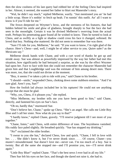then the slow coolness of his last query had robbed her of the feeling Chess had inspired in her. Almost, it seemed, she wanted her father to blurt out Manerube's story.

"Wal, he didn't say much," replied Melberne, warily. "Just mentioned you an' he had a little scrap. Shore it's nothin' to fetch up heah. I'm runnin' this outfit. An' all I want to know is if you'll ride for me."

The frown deepened on Weymer's brow, and the sternness of his features, that had hidden behind his smile and glow of gladness, brought sharply to Sue the face she had seen in the moonlight. Certain it was he divined Melberne's swerving from the actual truth. Perhaps his penetrating gaze found all he wished to know. Then he turned to look at Chess, and as swiftly as a light or shadow could cross his face it changed, softened. He loved that boy. Nothing else mattered. He did not seem to remember Sue was there.

"Sure I'll ride for you, Melberne," he said. "If you want to know, I'm right glad of the chance. Here's Chess—and, well, I might be of other service to you. *Quien sabe?* as the Mexicans say."

Melberne shook hands with Chane, and with a curt word of thanks he got up and strode away. Sue was almost as powerfully impressed by the way her father had met this situation, how significantly he had betrayed a surprise, as she was by the effect Weymer had upon her. Face to face with him she could not remember the character Manerube had given him and that Loughbridge said was the estimate of him among desert men. There was more, too, that she could not divine at the moment.

"Boy, it seems I've taken a job to ride with you," said Chane to his brother.

"I should—smile," responded Chess, choking down some stubborn emotion. "And I'm sure glad. Aren't you, Sue?"

How the foolish lad always included her in his raptures! He could not see anything except that she must be glad.

"Why, yes, Chess, if it pleases you," she replied.

"Miss Melberne, my brother tells me you have been good to him," said Chane, directly, and fastened his eyes on Sue's face.

"Oh no, hardly that," murmured Sue.

"Don't believe her, Chane," spoke up Chess. "She's an angel. She calls me Little Boy Blue and I call her sister. Now what do you say to that?"

"I hardly know," replied Chane, gravely. "I'll reserve judgment till I see more of you together."

"Chane, listen," said Chess, with entire difference of tone. The boyishness vanished. His ruddy face paled slightly. He breathed quickly. "Sue has stopped my drinking."

"*No!*" exclaimed the elder brother.

"I swear to you she has," declared Chess, low and quick. "Chane, I fell in love with her. . . . She didn't know it, but I've never drank since. . . . Of course, Chane—you mustn't misunderstand. Sue doesn't love me—never can. I'm too much of a boy. Sue is twenty. But all the same she stopped me—and I'll promise you, too—I'll never drink again."

"Little Boy Blue!" replied Chane. "That's the best news I ever had in all my life."

Then Sue felt his eyes on her face, and though she dared not raise it, she had to.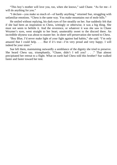"This boy's mother will love you, too, when she knows," said Chane. "As for me—I will do anything for you."

"I declare—you make so much of—of hardly anything," returned Sue, struggling with unfamiliar emotions. "Chess is the same way. You make mountains out of mole hills."

He smiled without replying, his dark eyes of fire steadily on her. Sue suddenly felt that if she had been an inspiration to Chess, wittingly or otherwise, it was a big thing. She must not seem to belittle it. And the reverence, or whatever it was she saw in Chane Weymer's eyes, went straight to her heart, unutterably sweet to the discord there. An incredible shyness was about to master her. In sheer self-preservation she turned to Chess.

"Boy Blue, I'd never make light of your fight against bad habits," she said. "I'm only amazed that I could help. . . . But if it's true—I'm very proud and very happy. I will indeed be your sister."

Sue left them, maintaining outwardly a semblance of the dignity she tried to preserve. She heard Chess say, triumphantly, "Chane, didn't I tell you? . . ." That almost precipitated her retreat to a flight. What on earth had Chess told this brother? Sue walked faster and faster toward her tent.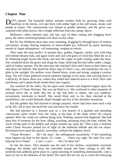## **Chapter Nine**

DAYS passed. The beautiful Indian summer weather held on, growing white with hoarfrost in the dawns, rich and thick with amber light at the still noons, smoky and hoarfrost in the dawns, rich and thick with amber light at the still noons, smoky and purple at sunset. The cottonwoods now blazed in golden splendor, and the grove was carpeted with fallen leaves, like a bright reflection from the canopy above.

Melberne's riders labored early and late, part of them cutting and dragging fence posts, the others stretching barbed-wire down in the valley.

But for Sue Melberne these days were unending, dragging by through hours of restless uncertainty, strange fleeting moments of indescribable joy, followed by quick fastening moods of vague unhappiness—all tormenting, verging on torture.

Then came the most perfect of autumn days, golden, fragrant, smoky, now with long still solemn dreamy lulls, and again sweet and cool with gusts of wind that filled the air as by fluttering bright leaves like birds, and sent the carpet of gold rustling under the trees. Sue wandered about the grove and along the slope, believing she had fallen under a magic spell of Indian summer. For the most part she watched Chess and Chane at their labors up and down the hillside. She heard the sharp ring of Chess's axe, and sometimes she saw it glint in the sunlight. His mellow voice floated down, crude and strong, singing a cowboy song. The tall Chane gathered several trimmed saplings in his arms, and carrying them to a declivity, he threw them over, where they rolled and clattered down to a level. Here Jake and Bonny and Captain Bunk loaded them into wagons.

Sue watched all the riders, but her gaze went oftenest and lingered longest upon the lithe figure of Chane Weymer. She was not blind to it. She confessed it when moments of torment drove her to truth. But fair as she had been to others, she was stubborn, inconsistent, intolerant to herself. She would think only so far, then, shocked at the possibilities, she would defiantly dispel thought and live in her dreamful sensations.

But this golden day had dawned to strange purpose. Never had there been such a day in her life. All at once she faced her soul and knew her trouble.

She had perched in a favorite seat on a low branch of a gnarled and spreading cottonwood, quite remote from the camp, at the base of the slope where the canyon opened. Here she could see without being seen. Nothing unusual had happened. She had been free of torments for the hour, idling, watching, dreaming away the time. Indeed, the sweet strong spell of the golden and purple autumn lay upon her. Then came a moment when Chane Weymer passed out of sight on the timbered hillside and did not return. Revelation burst upon her quietly, inevitably, without the slightest shock.

"Chane Weymer! . . . He's the man," she soliloquized, mournfully. "I felt something must happen out here in this desert. It's come. . . . Chess was right. He said,'You can't help but love Chane!' . . . I can't. I can't. . . . Oh, I'm done for!"

At last she knew. That moment saw the end of her restless, unsatisfied, uncertain longings, her doubts and fears, her miserable moods and bitter railings at self. Her torments had suddenly given place to a great dawning of something immeasurable. Like a burst of sun in the darkness of her heart! Her spirit did not rise up to crush this betraying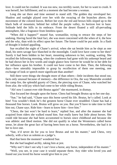love. It could not be crushed. It was too new, too terribly sweet, for her to want to crush. It was herself, her fulfillment; and in a moment she had become a woman.

Long she sat there and time seemed to stand still. The golden day enveloped her. Shadow and sunlight played over her with the swaying of the branches above, the movement of the colored leaves. Before her eyes the red and brown hills sloped up to the black bulk of mountain; behind her rolled the purple valley, its horizon lost in haze. Solitude held the hills in its embrace. From the desert floated a still all-pervading atmosphere, like a fragrance from limitless space.

"When did it happen?" mused Sue, womanlike, trying to retrace the steps of her undoing. Having faced the fatal fact, she was more concerned with the when of it, the how and the why, than with its effect upon her future. The future could be put aside. In a flash of thought it looked appalling.

Sue recalled the night of Chane's arrival, when she sat beside him as he slept as one dead, his stern savage face blanched in the moonlight. Could love have come to her then? Surely it had been hidden in her heart, mounting unknown to her, waiting, waiting. She recalled the following morning, when the crudeness had gone with his unkempt beard and he had shown her in few words and single glance how forever he would be in her debt for her influence upon his brother. It could not have come to her then. Then, the following days—how utterably impossible to grasp by recollection of them one meeting, one exchange of look or speech more significant than another!

Still there were things she thought more of than others—little incidents that stood out, facts only unusual because of memory—the difference in Ora, the way Manerube avoided the camp fire, the splendid gayety of Chess, the piercing eyes of Chane, who watched her from afar, the wild joy which had come to her while riding Brutus.

"Ah! now I cannot ever ride Brutus again!" she murmured, in dismay.

That focused her thought upon the horse. Chess had brought Brutus up to her one day.

"Sue," he had said, "Chane says this horse saved his life. Brutus, he's called. Look at him! You wouldn't think he's the greatest horse Chane ever straddled. Chane has had a thousand fine horses. Look. Brutus will grow on you. But you'll have to take time to find him out, Chane says. Ride him—learn to know him—love him."

"Chess, the last won't be hard to learn," replied Sue, and after the manner she had acquired from riders she walked round him. Sue really knew but little about horses. She could ride because she had been accustomed to horses since childhood and because she was athletic and liked motion. She did not qualify in what the Westerners called horse sense, let alone the great fact of having been born on a horse. Nevertheless, she had it in her to love one.

"Sue, it'd never do for you to love Brutus and not his master," said Chess, very soberly, with a face as solemn as a judge's.

Had that been the moment? wondered Sue.

But she had laughed archly, taking him at jest.

"Why not? I don't see why I can't love a horse, any horse, independent of his master."

"Well, you see, in your case it would separate them. Any rider who loved you and found out you loved his horse would give him to you."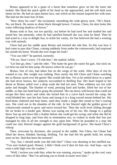Brutus appeared to be a giant of a horse that somehow grew on her the more she looked. She liked the quick uplift of his head as she approached, and the soft dark eyes intent on her. He had an open honest face, one which on the instant inspired her with trust. She had not the least fear of him.

"How shiny his coat!" she exclaimed, smoothing the wide glossy neck. "He's black. No, not black. He seems to shine black through brown. Curious. Chess, his skin looks like water reflecting shadows of leaves."

Brutus took to Sue, not too quickly, not before he had eyed her and studied her and nosed her, but presently, when he had satisfied himself she was what he liked. Then he had acted in a way to delight Sue, to tickle her vanity, for Sue believed she had a winning way with animals.

Chess had put her saddle upon Brutus and insisted she ride him. So this was how it had come to pass that Chane, coming suddenly from under the cottonwoods, had surprised her astride his horse. Would she ever forget his look?

"You can ride?" he queried, earnestly.

"Oh yes. Don't worry. I'll ride him," she replied, loftily.

"Let him go, then," said the rider. "The faster he goes the easier his gait. Just stick on. Let him run and let him jump. He knows where he can go."

Brutus, free of rein, had taken Sue on the wings of the wind. After days of rest he wanted to run. Her weight was nothing. How surely she felt Chess and Chane watching her as Brutus raced over the green! She would ride him. Yet as he settled down to a speed she had never known, her audacity succumbed to thrilling fear. Her heart leaped to her throat as Brutus sailed over a deep wash she had not seen. Then wildness ran riot with pulse and thought. The blanket of wind, pressing hard and harder, lifted her out of her saddle, so that one hand had to grasp the pommel. She ran down wild horses that could not escape this fleet racer; and when she turned him in a curve back toward the camp, the wind blinded her, tore her hair loose and strung it in a long waved stream behind her. His hoof-beats clattered and beat faster, until they made a single dim sound in Sue's roaring ears. She cried out in the abandon of the ride. In her blurred sight the golden grove of cottonwoods seemed to grow and move toward her. Then the swift level sliding through the air broke to a harder gait. Brutus was easing out of his run. His change to a gallop threw Sue up and down like a feather before she could get his swing; and when she did he dropped to long lope, and from this to tremendous trot, so violent in stride that Sue just managed by dint of all her strength to stay upon him. When he pounded to a stop she could see only blurred images against the gold background of grove. She heard Chess's whoop.

Then, overcome by dizziness, she swayed in the saddle. Not Chess, but Chane had lifted her down, blinded, burning, thrilling. Yet she had felt his gentle hold, his strong arms on her. Had that been the moment?

"Say, Sue, I should smile you did ride him!" Chess was shouting in her muffled ear. "You sure looked good. Honest, I didn't think you'd dare let him run. And leap—say he went a mile high over the washes."

"Well, I reckon you rode him, when he was running, anyway," spoke up the cool, easy voice of that other. "But I'm advising you to break in easier next time."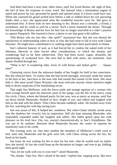And there had been a next time, other times, until Sue loved Brutus, the sight of him, the feel of him, his response to every word. She learned what a tremendous engine of speed and power he was, governed by gentle and spirited mind, if a horse could have one. When she caressed his grand arched neck before a ride or rubbed down his wet quivering flanks after a race, she appreciated what the wonderful muscles were for. She grew to understand him. A horse took on new meaning to her. Brutus was a comrade, a friend, a sweetheart, and he could as well be a savior. Such a horse mastered the desert. Through her knowledge of Brutus and her love for him Sue no longer marveled at a rider's passion to capture Panquitch. She learned to know a desire to see that great wild stallion.

"Did Brutus ride me into this—this spell?" murmured Sue. But she was denied the satisfaction of understanding when or how or why she had come to fall in love with Chane Weymer. All might have contributed to it, nothing might have been particularly to blame.

Sue's inherent honesty of soul, as it had forced her to confess the naked truth of her dilemma, likewise in time forced other considerations, to which the dreams and wonderings had so far been subservient. They had been sweet, vague, dreamful, the questionings of awakened love. She next had to deal with sense, not sentiment. And shame flooded through her.

"What is he? A wandering rider, lover of wild horses and Indian girls! . . . Squaw man!"

Clamoring voices from the unknown depths of her fought for hold in her conscience. But she silenced them. To realize that she had loved unsought, unwooed, made her untrue to the best in her, merciless to the man who had roused this tumult of her heart. She must hide it. She must avoid Chane Weymer; she must welcome anyone whose attention might help to divert suspicion of her humiliating secret.

That night Sue Melberne, with the fierce pride and strange egotism of a woman who must avenge herself upon the innocent cause of her pangs, was the life of the merry camp fire circle. Chess, whom she blamed partly for her woe, was as merry as anyone, until Sue sat down beside Manerube, flushed of face, bright of eye, and talked and laughed with him as she had with the others. Then Chess became suddenly sober. He backed away from the fire, watching her with big staring eyes.

Sue was aware of this. It helped her, somehow. But when Chane silently strode away into the shadows her vivacity lost its inspiration. Still she kept amusing Manerube, who responded, expanded under her laughter and sallies. Her father gazed upon her with pleasure on his tired face. Ora, too, reacted characteristically to Sue's friendliness. She was not to be outdone. Between them Manerube became the center of repartee he manifestly took to his credit.

The evening wore on. One after another the members of Melberne's outfit went to bed, until only Manerube and the girls were left, with Chess sitting across the fire, his head on his hands.

Sue knew he was waiting for her to start for her tent—that he would wait no matter how she tarried. At last she could keep up the deception no longer, and rose to go, bidding them good night.

"Sue, let me walk with you to your tent?" asked Manerube.

"No, thanks. Take Ora. She's afraid of the dark," replied Sue, tripping away. But once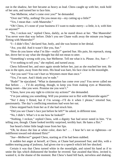out in the shadow, her feet became as heavy as lead. Chess caught up with her, took hold of her arm, and turned her to face him.

"Sue Melberne, what's come over you?" he demanded.

"Over me? Why, nothing! Do you mean my—my cutting up a little?"

"Yes, I mean that—with Manerube."

"Oh! Chess, it's none of your business if I want to make merry—a little, is it, with him or anyone?"

"No, I reckon not," replied Chess, darkly, as he stared down at her. "But Manerube! You never were that way before. Didn't you see Chane walk away the minute you began flirting with Manerube?"

"I—I didn't flirt," declared Sue, hotly, and she was honest in her denial.

"Aw, you did. And it wasn't like you, Sue."

"How do you know what I'm like—really?" queried Sue. His pain, his reproach, stung her, drove her to say what she thought but did not mean to utter.

"Something's wrong with you, Sue Melberne. Tell me what it is. Please. Aw, Sue—"

"I've nothing to tell you," she replied, and turned away.

Chess followed her, and once again strode before her, just as she reached her tent. He was in the open, away from the trees. His head was bare, his face clear in the moonlight.

"Are you sure? You can't hurt us Weymers more than once."

"Yes, I'm sure. And I think you're rude."

"Rude!" he ejaculated. "What in damnation has come over you? You never called me that before. . . . I'd do anything, though, to keep you from making eyes at Manerube, being sweet—like you were. Promise me you won't."

"Chess, have you any right to criticize my actions?" she demanded.

"I'm just asking you something. Will you promise not to flirt with Manerube again?"

"No! I deny I flirted, but if I'm wrong—I'll do it when I please," retorted Sue, passionately. The day's conflicting emotions had worn her out.

Chess stepped back from her as if she had struck him.

"Did you see Chane's face just before he left?" he asked, in different tone.

"No, I didn't. What's it to me how he looked?"

"Nothing, I reckon," replied Chess, with a dignity Sue had never noted in him. "I'm telling you, though. Chane looked terribly surprised, terribly hurt. He hates a flirt."

Sue heard a bitter little laugh issue from her lips.

"Oh, he draws the line at white color, does he? . . . I hear he's not so righteous—or indifferent toward red-skinned flirts!"

"*Sue—Melberne!*" gasped Chess, starting as if he had been stabbed.

A sudden hot anger at herself, at Chess, at Chane had possessed Sue; and this, with a sudden tearing pang of jealousy, had given rise to a speech which left her shocked.

Certain it was that Chess turned white in the moonlight, and raised his hand as if to smite the lips which dishonored the brother he revered. Sue awaited that blow, invited it, wanted it, in the shame of the moment. But Chess's hand fell back, nerveless and shaking.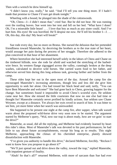Then with a wrench he drew himself up.

"I didn't know you, really," he said. "And I'll tell you one thing more. If I hadn't made that promise to Chane I'd sure get drunk tonight."

Wheeling with a bound, he plunged into the shade of the cottonwoods.

"Oh, Chess—I—I didn't mean that," cried Sue. But he did not hear. He was running over the rustling leaves. Sue went into her tent and fell on her bed. "What have I done? Oh, I'm a miserable little beast! . . . I love that boy as much as any sister could. And I've hurt him. His eyes! He was horrified. He'll despise me now. He'll tell his brother I—I . . . Oh, this day, this day! My heart will break!"

Sue rode every day, but no more on Brutus. She nursed the delusion that her pretended friendliness toward Manerube, by deceiving the brothers as to the true state of her heart, would assuage her pain during the process of her struggle. Therefore she adhered to the plan conceived in that hour of her abasement.

Where heretofore she had interested herself solely in the labors of Chess and Chane on the timbered hillside, now she rode far afield and watched the stretching of the barbedwire fence. Its western flange zigzagged across the valley, cunningly broken at the deep washes, calculated to deceive wild horses. She carried warm food to her father, and otherwise served him during this long arduous task, growing farther and farther from the camp.

These rides kept her out in the open most of the day. Around the camp fire she encouraged Manerube's increasing attentions, though less and less did she give him opportunity to seek her alone. Ora had tossed her black head and said, tartly, "You can have Bent Manerube and welcome!" She had gone back to Chess, growing happier for the change. Sue sometimes found it impossible to avoid Chess's scornful eyes. He seldom came near her. How she missed the little courtesies that now no one else had time or thought for! Manerube certainly never profited by kindly actions. Sue seldom saw Chane Weymer, except at a distance. Yet always her eyes roved in search of him. It was bitter to see him, yet more bitter when her search was unrewarded.

She happened to be present one night at the camp fire, after supper, when talk waxed warm about the proposed wild-horse drive very soon now to be started. The argument started by Melberne's query, "Wal, now our trap is aboot ready, how are we goin' to start the drive?"

Manerube, as usual, did all the replying, and Melberne had evidently learned by heart this rider's ideas. Most of Manerube's talk was devoted to his past performances; he had little to say about future accomplishments, except his brag as to results. This night Melberne, approaching the climax of his cherished enterprise, plainly showed dissatisfaction with Manerube.

"I've given you authority to handle this drive," declared Melberne, forcibly. "Reckon I want to know *how* you propose to go aboot it?"

"We'll just spread out and drive down the valley, toward the trap," replied Manerube, with impatient gesture of finality.

"Ahuh! So that's all?" returned Melberne, with more of sarcasm than Sue had ever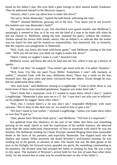heard on her father's lips. His eyes held a glint foreign to their natural kindly frankness. Then he addressed himself to his Mexican *vaquero*.

"Alonzo, what's your say aboot how to make this drive?"

"No savvy Señor Manerube," replied the half-breed, indicating the rider.

"What?" shouted Melberne, growing red in the face. "You mean you're not favorin' this barbed-wire trap Manerube's built?"

The *vaquero* had no more to say. His sloe-black eyes gazed steadily into Melberne's, meaningly it seemed to Sue, as if he was not the kind of a man to be made talk when he did not choose to. Melberne, taking the hint, repeated his query, without the violence. Alonzo spread his brown little hands, sinewy like an Indian's, to indicate that the matter was too much for him and he wanted no responsibility. Sue intuitively felt, as formerly, that the *vaquero* was antagonistic to Manerube.

"Wal, Utah, you know this heah wild-horse game," said Melberne, turning to the lean rider. "Will you tell me how you think we ought to make this drive?"

"Shore. I think we oughtn't make it a'tall," drawled Utah.

Melberne swore, and threw the stick he held into the fire, where it sent up a shower of sparks.

"I didn't ask that," he snapped. "You needn't get smart with me. I'm talkin' business."

"Wal, boss, I'm like my pard Tway Miller. Sometimes I cain't talk business or nothin'," returned Utah, with his easy, deliberate drawl. There was a smile on his lean bronzed face. Sue grew more and more convinced that her father, Texan though he was, did not understand these riders.

"Jim, look heah," said Melberne, turning to Loughbridge. "Come to think aboot it, you hired most of these close-mouthed gentlemen. Suppose you make them talk."

"Don't think thet's important, even if I wanted to make them, which I don't," replied Loughbridge. "Manerube's plan suits me to a T. An' I sure don't see why you're reflectin' on his judgment by naggin' these other riders."

"Wal, Jim, I reckon there's a lot you don't see," responded Melberne, with more sarcasm. "We're deep in this deal now an' we stand to lose or gain a lot."

"We don't stand to lose nothin'," rejoined Loughbridge, "unless you make these riders so sore they'll quit us."

"Jake, please fetch Weymer heah quick," said Melberne. "Tell him it's important."

Sue gathered from this obstinacy on the part of her father that there was something preying on his mind. Quick to read the expressions of his mobile features, she detected more than the usual indecision characteristic of him in situations with which he was not familiar. His deliberate sending for Chane Weymer seemed flinging more than reasonable doubt in the faces of his partners, and especially Manerube. Sue slipped back into the shadow and waited. When presently she heard Weymer's well-known footstep, he was striding out of the gloom, in advance of Jake. The instant Sue saw the dark gleam of his eyes in the firelight, his forward action, guarded yet quick, the something commanding in his presence, she divined what had actuated her father in sending for him. He was a man to rely upon. The moment of Weymer's arrival held for Sue less of pain than other times lately, for she sensed that in some way he would become an ally of her father's.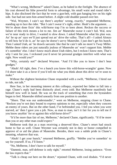"What's wrong, Melberne?" asked Chane, as he halted in the firelight. The absence of his coat showed his lithe powerful form to advantage, his small waist and round rider's hips. It also disclosed the fact that he wore a gun-belt, with gun hanging low on his right side. Sue had not seen him armed before. A slight cold shudder passed over her.

"Wal, Weymer, I cain't say there's anythin' wrong, exactly," responded Melberne, standing up to face the rider. "But I cain't swear it's right, either. Heah's the argument. . . . We're aboot done fixin' this wild-horse trap I'm so keen aboot. Reckon the success or failure of this trick means a lot to me. Jim an' Manerube swear it cain't fail. Wal, now we're near ready to drive, I wanted to slow down. I asked Manerube what his plan was. An' he up an' says we'll just spread out an' drive the valley. That's all!—I asked Alonzo to tell how he'd do it, an' he says he doesn't savvy Manerube. I just don't get his hunch. Then I asked Utah, an' he drawls sarcastic like that he cain't talk no more'n Tway Miller. Mebbe these riders are just naturally jealous of Manerube an' won't support him. Mebbe it's somethin' else. I don't know much aboot Utah riders, but I reckon I know men. That's why I sent for you. I reckoned you'd never let personal grudges interfere with what was right. Now would you?"

"Why, certainly not!" declared Weymer. "And I'd like you to know I don't bear grudges."

"Ahuh! All right, then. I've a hunch you know this wild-horse-wranglin' game. Now I'd shore take it as a favor if you'd tell me what you think aboot this drive we're soon to make."

Without the slightest hesitation Chane responded with a swift, "Melberne, I hired out to ride, not talk."

Here Sue, in her mounting interest at this colloquy, expected her father to fall into a rage. Chane's reply had been distinctly aloof, even cold. But Melberne manifestly had himself now well in hand. He was on the track of something that even the bystanders began to feel. Manerube shifted uneasily from one position to another.

"Shore. That was our understandin'," went on Melberne, stepping closer to Chane. "Reckon you're not duty bound to express opinions to me, especially when they concern an enemy of yours. But on the other hand, I've befriended you. I fed you when you were starved, an' then I gave you a job. Now, as man to man, isn't it fair for you to tell me if you know anythin' for or against this wild-horse drive?"

"It'd be more than fair of me, Melberne," declared Chane, significantly. "It'd be more than you or any other man could expect."

Melberne took that as a man receiving a deserved blow. Chane's retort had struck home to Sue as well. Chane Weymer was certainly not in duty or honor compelled to approve of or aid the plans of Manerube. Besides, there was a subtle pride in Chane's meaning, whatever that was.

"Ahuh! I get your hunch," returned Melberne, gruffly. "Mebbe you've somethin' to say for yourself. If so, I'll listen."

"No, Melberne, I don't have to talk for myself."

"Dammit, man, self-defense is only right," retorted Melberne, losing patience. "Even the law expects that."

"Talk is cheap out here on the desert," rejoined Chane, with cool disdain. "I'd never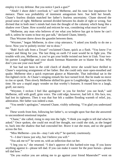employ it in my defense. But you notice I pack a gun?"

"Ahuh! I shore didn't overlook it," said Melberne, and his tone lost impatience for menace. There was probability of imminent antagonism here. Sue held her breath. Chane's fearless disdain matched her father's fearless uncertainty. Chane showed the proud sense of right; Melberne seemed divided between his doubt of right or wrong. Sue divined that in both men's minds had risen the thought of the calumny which hung like a shadow over Chane. How scornful and reticent he was, considering what must be true!

"Melberne, any man who believes of me what you believe has got to know he can't *talk* it, unless he wants to hear my *gun* talk," declared Chane, bitterly.

Thus Weymer threw down the gauntlet between them.

"Weymer," began Melberne, in slow crisp utterance, "I asked you kindly to do me a favor. Now you're politely invitin' me to draw."

"Bah! Such talk from a Texan!" exclaimed Chane, quick as a flash. "You know I've respect and liking for you. The last thing on earth I'd want would be to fight you. The trouble with you, Melberne, is you've got your bridle twisted out here in Utah. Your twobit partner Loughbridge and your skunk foreman Manerube are to blame for that. Why don't you use your own head?"

If Sue had not been in the cold clutch of deadly terror she would have thrilled to Chane's surprising arraignment of her father. But she could only stare open-mouthed and quake. Melberne shot a quick expectant glance at Manerube. That individual sat in the fire-lighted circle. At Chane's stinging remark his face turned livid. But he made no move to rise or speak. Then slowly Melberne shifted his gaze to Loughbridge, less expectant this time. He saw a stupid angry wonder on that worthy's features. It roused him to a laugh, gruff, not merry.

"Weymer, I reckon I feel like apologizin' to you for fetchin' you out heah," said Melberne, still with gruff, grim voice. The cold edge, however, had left it. His face, too, had lost its tightness. Then it was that Sue felt a sudden flooding warmth of relief, joy, admiration. Her father was indeed a man.

"You needn't apologize," returned Chane, visibly softening. "I'm glad you understand me."

These words from him, following her father's, so wrought upon Sue that she answered to unconsidered emotional impulse.

"Chane," she called, rising to step into the light, "I think you ought to tell dad what he asked." Once spoken, she could not recall her thought, nor could she sink, as she longed to, back into the shadow that had concealed her. Brave it out she must, and so she gazed across the fire.

"Miss Melberne—you do—may I ask why?" he queried, courteously.

"I—I don't know just why, but I believe you will."

"*You* ask me to?" he went on, with an inflection that cut her.

"I beg you to," she returned. "I don't approve of this barbed-wire trap. If you know anything against it—please tell dad. If you can make it easier for the poor horses—please tell dad how."

"Do you realize you are asking me to go against your friend Manerube?" went on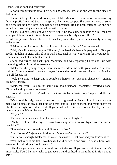Chane, still so cool and courteous.

A hot blush burned up into Sue's neck and cheeks. How glad she was for the cloak of darkness!

"I am thinking of the wild horses, not of Mr. Manerube's success or failure—or my father's profit," returned Sue, in the spirit of her rising temper. She became aware of some one close behind her. Chess! She had felt his presence. He had been listening. As she half turned, he took a step and encircled her with his arm.

"Chane, old boy, she's got you figured right," he spoke up, quite loudly. "Tell the boss what you told me about this wild-horse drive—what a bloody mess it'll be."

At this juncture Manerube rose to his feet, sullen-faced, and unmistakably laboring under stress.

"Melberne, am I a horse thief that I have to listen to this gab?" he demanded.

"Wal, it's a little rough on you, I'll admit," declared Melberne, in perplexity. "But you needn't indulge in crazy talk. If your wild-horse deal is what you claim for it you needn't fear heahin' what others think about it."

Chane had turned his back upon Manerube and was regarding Chess and Sue with something akin to ironical amusement.

"Melberne, the young couple there seem to endow me with great virtue," he said, smiling. "I'm supposed to concern myself about the good fortunes of your outfit when you-all despise me."

"Wal, I've tried to keep this a confab on horses, not personal character," rejoined Melberne, testily.

"Melberne, you'll talk to *me* some day about personal character," retorted Chane. "Now, what do you want to know?"

"Your idea aboot drivin' wild horses into this barbed-wire trap," replied Melberne, eagerly.

"It's a cruel, bloody, cowardly method that originated in Nevada. It will catch twice as many wild horses as any other kind of a trap, and kill half of them, and maim many for life. It never ought to be done at all. If you must make this drive do it in the daytime, not by moonlight as Manerube wants."

"Why so?"

"Because more horses will cut themselves to pieces at night."

"Ahuh! I reckoned that myself. Now how many horses do you figure we can trap in one drive?"

"Somewhere round two thousand, if we work fast."

"*Two thousand!*" ejaculated Melberne. "Shore you're not serious?"

"I'm serious enough, Melberne. It's a serious matter—just how bad you don't realize."

"Wal, that knocks me flat. Two thousand wild horses in one drive! A whole train-load. Weymer, I could ship an' sell them all."

"Ah, there you are wrong. You might sell a train-load if you could ship them. But it's impossible. You'd be very lucky to get even a hundred head to the railroad in fit shape to ship."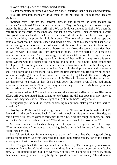"How's that?" queried Melberne, incredulously.

"Hasn't Manerube informed you how it's done?" queried Chane, just as incredulously.

"No. He says trap them an' drive them to the railroad, an' ship them," declared Melberne.

"Sounds easy. But it's the hardest, dirtiest, and meanest job ever tackled by horsemen," continued Chane, almost wrathfully. "Say you've got your horses trapped inside the first big wire corral. All right. We rustle down there at daylight. We open the gate from the big corral to the small one, and let in a few horses. Then we pitch into work. Five good men can handle a wild horse, but seven do it quicker and better. We rope a horse, throw him, jump on him, hold him down. Then one of us takes a short rope and doubles a front foot up under his knee and binds it tight. Round his knee tight! Then we let him up and go after another. The faster we work the more time we have to drive to the railroad. We've got to get the bunch of horses to the railroad the same day we tied them up. So we work like dogs say from daylight to noon. Then we start off with maybe a hundred or more horses. These three-legged wild horses take a lot of driving. They can run almost as well on three legs as on four. Some of them will get away from this small outfit. Others will kill themselves plunging and falling. The bound knees sometimes develop terrible swelling sores. Of course the knees have to be untied in the stockyard at the railroad. Then many horses that looked fit to ship develop gangrene and have to be shot. You don't get paid for them. Well, after the first shipment you ride thirty miles back to camp at night, get a couple of hours sleep, and at daylight tackle the same dirty job again. I'd say three days will be about your limit. The wild horses left in the corrals will cut themselves to pieces, if they don't break down the fence. Even if you had strong wooden corrals you couldn't keep so many horses long. . . . There, Melberne, you have the barbed-wire game. It's a hell of a job."

At the conclusion of Chane's long statement there ensued a silence that testified to its effect. All eyes gravitated from Chane to Melberne. He did not appear in any hurry to speak. Sue imagined she detected a slight paling of her father's ruddy cheeks.

"Loughbridge," he said, at length, addressing his partner, "let's give up this barbedwire drive."

"No, by dam!" shrieked Loughbridge, in a frenzy. "If you don't go through with it I'll demand half the outfit money back. I ain't takin' stock in this pretty talker. Besides, we cain't ketch wild horses without scratchin' them a bit. Sure it's tough on them, an' men, too. But we're out for cash, aren't we? What do we care if we kill a hoss or two?"

Melberne threw up his hands with a gesture of impotence. Disgust distorted his visage. "Turn in, everybody," he ordered, and taking Sue's arm he led her away from the camp fire toward her tent.

Sue felt so fatigued from the day's exertion and stress that she staggered along, leaning on her father. She was unnerved, too. That illuminating explanation of the barbedwire capture of wild horses had been the last straw.

"Lass," began her father as they halted before her tent, "I'm shore glad you spoke up to Weymer. If you hadn't he'd never have told us. But he's sweet on you an' you fetched him. . . . I'm bound to say, Sue, I'm worried. Not only by this horse deal we're in, but by this mix-up among the men. Loughbridge's a good friend an' bad enemy. This Manerube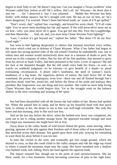begins to look fishy to me. He doesn't ring true. Can you imagine a Texan swallerin' what Weymer called him, before us all? He's yellow, that's all. An' Weymer—he shore shot it into me. . . . An' I deserved it. Sue, I was ashamed. . . . Mebbe this Weymer has been foolin' with Indian squaws, but he's straight with men. He has an eye on him, an' he's shore dangerous. I'm worried. There's been bad blood made, an' some of it'll get spilled."

"Don't worry, dad," replied Sue, coaxingly, and kissed his worn cheek. "It'll all come right. You've never been anything but fair and square. If the wild horse-drive turns out as we fear—why, you must never do it again. You got led into this. First Jim Loughbridge, and then Manerube. . . . And, oh, dad, you must keep Chane Weymer from fighting!"

"Lass, I reckon it's got beyond me," replied her father. "But shore I'll do my best. Good night."

Sue went to bed fighting desperately to silence that insistent trenchant voice within, the voice which cried out in defense of Chane Weymer. What if her father had begun to rely upon this strong-spirited rider of the old school? Fearless he undoubtedly was, one to whom men and women would instinctively draw near in a moment of doubt or peril. He stood out in this company of riders. But for Sue all his fine qualities, that seemed to grow from his arrival in Stark Valley, had been poisoned at the roots. Lover of squaws! She hid her face at the shameful thought. But the still small voice bade her listen—to wait—to watch—to withhold judgment—to be tolerant—to give benefit of a doubt—to plead extenuating circumstances. A desert rider's loneliness, the need of woman's touch, kindliness of a big heart, the imperious desires of nature, the hard fierce life of that wasteland, the power of propinquity, even love—these one and all flashed through Sue's merciless mind, tried her, tested her, and before the flame of her pride and jealousy they perished. But forgiveness was one thing and love another. She could no more help loving Chane Weymer than she could forgive him. Yet as the struggle went on the balance shifted, to the slow corroding and wearing of her spirit.

Sue had been dissatisfied with all the horses she had ridden of late. Brutus had spoiled her. When she passed him in camp, and he threw up his beautiful head with that quick look, to whinny at her, the desire to run to him was well-nigh irresistible. She rode this horse and that mustang, only to like each one less.

And on the last day before the drive, when the barbed-wire fence was completed, she went out to see it, riding another strange horse. He appeared tractable enough and soon she forgot any uneasiness she might have felt at first.

Away down in the valley bands of wild horses dotted the green, some moving, others grazing, ignorant of the plot against their freedom and of those miles of iron-toothed fence that stretched across their domain. Sue gazed upon them with pity, praying for something to scare them far away before it was too late.

In time she circled to the west, and eventually got into rough ground, which she desired to cross, so that she could climb to the valley rampart and ride the ridge top round to where it joined the mountain slope near the camp. Her horse stumbled over a shallow clay-banked wash, and, falling, threw her hard against the opposite bank.

The impact stunned Sue, though not to the point of total unconsciousness. She lay there, numb, for a few moments, slowly becoming conscious of pain in her right knee.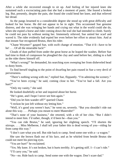After a while she recovered enough to sit up. And feeling of her injured knee she sustained such a excruciating pain that she had a moment of panic. She feared a broken leg. But, presently, despite the pain, she found she could bend her knee, and that relieved her dread.

As the pangs lessened to a considerable degree she stood up with great difficulty and looked for her horse. He did not appear to be in sight. This occasioned Sue genuine distress, and she was wringing her hands and crying out what in the world could she do, when she espied a horse and rider coming down the trail she had intended to climb. Surely he could not pass by without seeing her. Immensely relieved, Sue untied her scarf and waved it. The rider evidently had espied her even before her effort to attract him. And at that instant Sue recognized Brutus, then his rider.

"Chane Weymer!" gasped Sue, with swift change of emotion. "That it'd—have to be he! . . . Of all the miserable luck!"

Clouds of dust puffed from under the great horse as he leaped the washes. Before Sue had time to think of composure he ploughed the clay and sand before her, sliding to a halt as the rider threw himself off.

"What's wrong?" he demanded, his searching eyes sweeping her from disheveled head to dusty boots.

To find herself tingling to the point of dwarfing her pain roused in Sue a very devil of perverseness.

"There's nothing wrong with *me*," replied Sue, flippantly. "I'm admiring the scenery."

"You've been crying," he said, coming close to her. "You've had a fall. Are you hurt?"

"Only my vanity," she said.

He looked doubtfully at her and inquired about her horse.

"He's gone, and I hope I never see him again."

"Did you let him wander off?" queried Chane.

"I reckon he just left without my letting him."

"Well, it's good you weren't hurt," he went on, severely. "But you shouldn't ride out alone this way. . . . Perhaps you meant to meet Manerube!"

"That's none of your business," she retorted, with a tilt of her chin. "But I didn't intend to meet him. I'd rather, though, it'd been he—than you."

"You can ride Brutus," he said, ignoring her slighting speech. "I'll shorten the stirrups. . . . Miss Melberne, I shall tell your father this is dead wrong of you—riding far from camp this way."

"I don't care what you tell. But ride back to camp. Send some one with a—a wagon."

She saw the brown flash out of his face, and as he whirled from beside Brutus she could not meet his piercing eyes.

"You are hurt!" he exclaimed.

"Yes. My knee. It's not broken, but it hurts terribly. It's getting stiff. I—I can't ride." "I'll carry you," he said.

"No—no. Ride back to camp. Send some one with the wagon. Don't scare dad."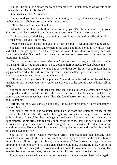"But it'll be dark long before the wagon can get here. In fact, nothing on wheels could come within a mile of this place."

"Oh, what shall I do?" cried Sue.

"I am afraid you must submit to the humiliating necessity of my carrying you," he replied, with that slight scorn again in his grave voice.

"I'll not let you," declared Sue, hotly.

"Miss Melberne, I certainly don't want to carry you. But the afternoon is far gone. Your folks will be worried. I can't let you stay here alone. There's no other way."

"I—I don't care," cried Sue, succumbing to combined pain and mortification. "I'll— I'll die before I let you—carry me."

"Well, what a sweet disposition you have!" he declared. "I wouldn't have guessed it."

Suddenly he placed a hand under each of her arms, and lifted her bodily, with a sweep, and set her feet gently down on the edge of the wash. It was done so adroitly and with such strength that Sue could only stare her amaze and resentment. He returned the resentment fourfold.

"I'm not a rattlesnake or a—a Mormon," he shot down at her, not without passion. "You stand still. If you make a fuss you're going to hurt yourself. So don't blame me."

Sue did not leave the spot where he had set her down, for the very good reason that her leg pained so badly she did not dare move it. Chane vaulted upon Brutus and rode him down into the wash and close to where Sue stood.

"I'll have to hold you free of the pommel," he said, as he leaned out of the saddle and reached for her. "I hope you show some sense. If you act the spoiled baby it'll hurt all the more"

Sue stood like a statue, with her head bent. But she could see his arms, one of which he slipped round her waist, and the other under her knees. Gently as he lifted her, the pressure and contact made her wince. Then she found herself resting in his arms, her head on his shoulder.

"Brutus, old boy, you can step out light," he said to the horse. "We've got rather a precious burden."

Sue closed her eyes, not so much from pain as from the stunning reality of her position. She felt him shift the hold of his right arm, so that it no longer came in contact with her injured knee. After that she began to feel easier. She was in a kind of swing, the light embrace of his arms, and felt only slightly the jar of the horse as he walked. Sue did not open her eyes. If she was detected looking at him she imagined her shameful secret would be known. How endless the moments! He spoke no word and she felt that he did not gaze down upon her.

She lay in his arms—Chane Weymer's arms—and could not help herself. Then flashed the monstrous truth. The secret emotion she despised reveled in the fact. It burned the truth over all her palpitating body, through veins of fire. It sent messages along her throbbing nerves. She lay in his arms glad, shamelessly glad, despicably glad. Vain to lie to herself! She had changed to a woman and had come to love him more every day. Her love had battened on her bitter, savage, perverse spirit, and now it mocked her.

Every time she swayed gently with the movement of the horse her cheek rolled against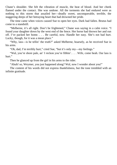Chane's shoulder. She felt the vibration of muscle, the heat of blood. And her cheek flamed under the contact. She was undone. All the torments she had endured were as nothing to this storm that assailed her—deadly sweet, unconquerable, terrible, the staggering deeps of her betraying heart that had drowned her pride.

The time came when voices caused Sue to open her eyes. Dark had fallen. Brutus had come to a standstill.

"Melberne, it's all right. Don't be frightened," Chane was saying in a calm voice. "I found your daughter down by the west end of the fence. Her horse had thrown her and run off. I've packed her home. . . . Be careful, now. Handle her easy. She's not bad hurt. Lucky, though, for it was a mean place."

"Why, lass—is he tellin' the truth?" asked Melberne, hoarsely, as he received Sue in his arms.

"Oh, dad, I'm terribly hurt," cried Sue, "but it's only my—my feelings."

"Wal, you're shore pale, an' I reckon you're fibbin'. . . . Wife, come heah. Our lass is hurt."

Then he glanced up from the girl in his arms to the rider.

"Ahuh! so, Weymer, you just happened along? Wal, now I wonder aboot you!"

The content of his words did not express thankfulness, but the tone trembled with an infinite gratitude.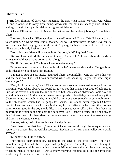## **Chapter Ten**

THE first glimmer of dawn was lightening the east when Chane Weymer, with Chess<br>and Alonzo, rode away from camp, down into the dark melancholy void of Stark and Alonzo, rode away from camp, down into the dark melancholy void of Stark Valley, to begin their part in Melberne's great wild-horse drive.

"Chane, I'll bet we owe it to Manerube that we got the hardest job today," complained Chess.

"I reckon. But what difference does it make?" returned Chane. "We'll have a day of tough riding. No worse than Utah's, though. Believe I'd rather have the wide level valley to cover, than that rough ground to the west. Anyway, the harder it is the better I'll like it, till we get the bloody business over."

"You think one drive will be enough for the boss, huh?" inquired Chess.

"Reckon I know it. Melberne's a white man, Chess. If he'd known about this barbedwire game he'd never have gotten so far along."

"But if it's a success? The boss's keen to make money."

"If he made ten thousand dollars on this drive he'd never tackle another. I'm gambling on his daughter. She'd keep him from it."

"I'm not so sure of Sue, lately," returned Chess, thoughtfully. "One day she's this way and the next day that. But I was surprised when she spoke up to you the other night. Weren't you?"

"Boy, I told you twice," said Chane, trying to steer the conversation away from the charming topic Chess always led round to. It was not that Chane ever tired of eulogies to Sue, or the events of any day that included her, but Chess had an obsession. Some day Sue would be his sister! And when her name came up, which inevitably happened every time Chess came near enough to talk, he would dreamily or unconsciously or cunningly return to the shibboleth which had its pangs for Chane. But Chane never regretted Chess's beautiful and romantic love for Sue Melberne, for he believed it had been the turningpoint toward good in the boy's wild life. Chane's pangs were selfish. For it had been his misfortune to worship at first sight the dark-eyed Sue. Chane's dreams, if he had any at this fruitless time of his hard desert experience, never dared to verge on the extreme edge of Chess's enchanted visions.

"Horses, señor," said Alonzo, his lean hand pointing.

"Yes, there's the first bunch," returned Chane, peering through the opaque dawn at some horse shapes that moved like specters. "Reckon they'll run down valley for a while anyhow."

"Sí, señor," said the Mexican.

They trotted their horses on, keeping to the edge of the oval valley. The black mountain range loomed above, tipped with paling stars. The valley itself was losing its density of space at night, responding to the invisible influence that hid far under the gray widening mantle of the east. It was a frosty morning, nipping cold, and the iron-shod hoofs rang like silver bells on the stones.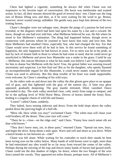Chess had lighted a cigarette, something he always did when Chane was not responsive to his favorite topic of conversation. His horse was mettlesome and wanted action. In fact, all their mounts showed the good of several days' rest. Chane saw the long ears of Brutus lifting now and then, as if he were waiting for the word to go. Brutus, however, never wasted energy unbidden. His gentle easy pace kept him abreast of the two trotting horses.

Chane's thoughts were not unhappy ones, despite the pangs of a passion he had never revealed, or the disgrace which had been laid upon his name by a liar and a coward. He knew, though no one had ever told him, what Melberne believed he was. He felt where he stood in Sue Melberne's estimation. The thing had happened before, though never in connection with persons whom he yearned to have know him truly and love him. But these Melbernes had steadied Chess, especially Sue, who had changed the boy. For that Chane would serve them with all he had in him. In this service he found something of happiness, the only happiness he had known in years. Yet so stern was he in his pride, so hurt by lack of instant faith in those to whom he had come in need, that he could never go unsolicited to Melberne and prove how Manerube was a snake in the grass. Could he say —Melberne, this outcast Mormon is what he has made you believe I am? How impossible for him to shame Sue Melberne with the facts! True, the genial father was wearing toward uncertainty and suspicion. Let him find out! But as for the daughter, who openly flaunted an incomprehensible regard for this Manerube, it could never matter what she believed. Chane was used to adversity. But this deep trouble of his heart was made supportable, even welcome, by Chess's mending of his wild ways.

As the riders rode on and down into the valley the dim gloom gave place to an opaque veil of gray, and that lightened with the gray of the eastern sky. A faint rosy glow appeared, gradually deepening. The gray mantle retreated, lifted, vanished. Dawn succeeded to day. The stark valley stretched clear, cold, steely from range to rampart, and far to the upflung level of Wild Horse Mesa. Droves of horses dotted the frosty floor, lending it a singular charm of wild life and beauty.

"Listen!" called Chane, suddenly.

They halted, faces turning sidewise and down. From the bold slope above the valley pealed down the piercing bugle of a bull elk.

"Blow elk, blow while you may!" exclaimed Chane. "The white man will chase your wild brothers off the desert. Then your turn will come."

"There he is—close—on the ridge end," said Chess. "Funny how much tamer elk are than wild horses."

"They don't know men, yet, in these parts," returned Chane. "Spread out now, boys, and begin the drive. Keep about a mile apart. Wave and yell and shoot as you drive. When a bunch breaks to run between us—ride!"

Chane was left alone. While waiting for his comrades to reach their stands he bent keen roving eyes on the valley below. Many bands of wild horses were in sight, more than he had entertained any idea would be so far away from toward the center of the valley. Perhaps during the erecting of the trap and fences many bands of horses had grazed north. Chane could see the dim shadow of ridges, far down, where the two flanges of the wire fence joined the corrals. They appeared ten miles distant, perhaps more. All of Melberne's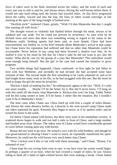force of riders were in the field, stretched across the valley; and the work of each and every one was to ride to and fro, and always down, driving the wild horses before them. It would not take hard riding until the horses had traveled miles. As this drive progressed down the valley, toward and into the trap, the lines of riders would converge, at last meeting at the apex of the long triangle of barbed-wire.

"Devilish trick!" muttered Chane, grimly. "Wish I'd shot Manerube that day I caught him running off with Sosie."

The thought voiced so violently had flashed before through his mind, always to be subdued and cast aside. Yet he could not prevent its recurrence. As time went by he divined more and more that there was something wrong in regard to his status in the Melberne outfit. Nothing openly had been said, or even hinted; Chess had been noncommittal, too frankly so, in his brief remarks about Manerube's arrival at that camp; but Chane knew his reputation had suffered and that no other than Manerube could be accountable. Never before in any camp had there hovered a shadow over him. As he mulled it over in his mind he felt that for Chess's sake he did not want to pry into the matter. What did he care for the gossip of a man like Manerube? This individual would soon enough hang himself. But the girl in the case had caused the situation to grow poignant.

Two terrible things had happened, Chane confessed—at first sight he had fallen in love with Sue Melberne, and secondly he had divined she had accepted some base estimate of him. The second made the first something to be vastly ashamed of, and as he had fought down many trials in his life, so he had struggled with this one. But the more he tried to forget the girl the more he loved her.

"Reckon I think of nothing but her," he soliloquized, aghast at the fact. "Well, it's only one more trouble. . . . Maybe I'll be the better for it. But she'll never know. I'll hang on with this outfit till she learns what Manerube is. Reckon that won't be long. Toddy Nokin will hit this camp sooner or later. It'll be funny. I rather like the situation. But I wouldn't want to be in Manerube's boots."

The time came when Chane saw Chess lined up with him a couple of miles distant, and Alonzo the same distance farther on. Likewise to the west toward camp Chane made out riders stationed far apart. Presently they began to move, as if by spoken order, and he turned his horse to the south.

Far below Chane espied wild horses, but there were none in his immediate vicinity. A scattered drove began to walk and trot half a mile in front of Chess, and a large number had headed away from Alonzo. The riders west of Chane would have considerable ground to cover before coming upon any wild horses.

Brutus did not want to go slow. He sensed a race with his wild brothers, and though he was good-natured in obeying Chane's word or touch, he repeatedly manifested his spirit. Moreover, he could see the wild horses very much better than Chane.

"Now I reckon you'd like to run wild with these mustangs," said Chane. "Brutus, I'm ashamed of you."

Chane kept his eye roving from west to east, to see how soon the action would begin. In perhaps a quarter of an hour, when he had covered a couple of miles, he saw Alonzo riding to head off a band of light-colored horses that were making a break. Chane halted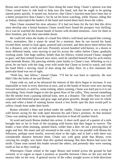Brutus and watched, and he espied Chess doing the same thing. Chane's opinion was that Chess would have to ride hard to help turn this band, and that he ought to be getting started pretty quickly. It turned out, however, that Chess's inaction must have been due to a better prospective than Chane's, for he sat his horse watching, while Alonzo, riding like an Indian, intercepted the leaders of the band and turned them back down the valley.

Then Chane resumed his slow advance. If it had not been for the fact that this drive must develop into a brutal business Chane would have found the prospect very thrilling. As it was he watched the distant bands of horses with divided emotions—love for them in their freedom, pity for their inevitable doom.

He could tell when the leader of a band first lifted a wild head and espied him coming. Erect, motionless, like a statue he stood for a moment, then he ran toward his band, excited them, turned to look again, pranced and cavorted, and then drove them before him for a distance, only to halt and turn. Presently several hundred wild horses, in a dozen or more different bands, were moving to and fro across the valley before Chane, gradually working south. One huge stallion, bolder than his fellows, trotted toward Chane, stopped to gaze, and then trotted forward once more, until he satisfied himself that his arch enemy man bestrode Brutus. His piercing whistle came faintly to Chane's ears. Wheeling as on a pivot, he ran back with the long, even wild stride that Chane so loved to watch, and with his band lifted a moving cloud of dust along the valley floor. In a few moments this particular band was out of sight.

"Wild boy, that fellow," mused Chane. "I'll bet he was born in captivity. He sure didn't like the looks of me and Brutus."

Chane rode on, and as he advanced the interest of this drive began to increase. It was impossible to look in every direction at once, and as the bands of horses were now moving forward and back, to and fro, some trotting, others running, Chane was hard put to it to see everything. Dust clouds began to dot the green floor of the valley. They moved something like the smoke from a passing railroad train, seen at a distance. The valley floor was well carpeted with bleached grass and gray sage and green growths, though not over its whole area; and when a band of running horses struck a less fertile spot the dust would puff in yellow clouds from under their hoofs.

Brutus whistled a blast and jerked under the saddle. Chane turned to see a string of wild horses racing for the wide open between his and Chess's position. At that moment Chess was making fast time in the opposite direction to head off another bunch.

At word and touch Brutus dashed into action. A short swift spurt of a quarter of a mile brought him so far in front of the escaping wild horses that they began to swerve. The leader, a lean white mustang, spotted black, wilder than a deer, let out a piercing blast of anger and fear. His mane and tail streamed in the wind. As he ran parallel with Brutus his followers, perhaps more fearful, swerved more to the right, and in half a mile there was considerable distance between them. Chane saw with great pride that Brutus, even carrying his weight, was faster than this spotted mustang. But then Brutus had twice the stride. Chane soon turned this leader toward the others, and presently they were running south as fast as they could go.

Whereupon Chane reined in the eager Brutus and trotted across the ground he had covered, so to regain as equal a position as possible between Chess on the east and the nearest rider on the west. A general survey of the valley straight across in both directions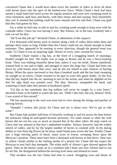convinced Chane that it would have taken twice the number of riders to drive all these wild horses down into the apex of the barbed-wire fence. While Chane's back had been turned a small band had raced across his regular position and were now sweeping north in close formation, dark bays and blacks, with their manes and tails tossing. How beautifully they ran! It seemed that nothing could be more smooth and free and fleet. Chane was glad that they had gotten by him.

For a while he had only to ride to and fro, working south enough to keep even with his comrade riders. Chess too was having it easy. But Alonzo, far to the east, evidently had a task cut out for him.

"He'll eat that job up!" declared Chane, in admiration of the *vaquero*.

Five thousand wild horses were in motion along a belt of valley three miles deep and perhaps three times as long. Farther than this Chane could not see clearly enough to make estimates. They appeared to be running in every direction, though the general trend was south. To Chane it was an inspiring sight. Horses of every color crossed his vision.

Suddenly Chane espied a big bay, at the front of a straggling bunch of mustangs, headed straight for him. The leader was as large as Brutus and he was a fierce-looking brute. There was nothing beautiful about him, unless it was his stride. Brutus manifestly wanted both to run and to fight, and plunged to meet this huge bay. Chane had been run down by wild horses more than once, and he did not intend to take chances of hurting Brutus. When the space narrowed to less than a hundred yards and the bay kept sweeping on straight as an arrow, Chane resorted to his gun to scare this gaunt leader. At the first shot the bay leaped into the air, seeming to turn in the action, and when he alighted on his feet his ugly head was pointed west. The shot, likewise, stampeded the band, and scattering to both sides they passed at breakneck speed.

"I'd like to bet somebody that big stallion will never be caught by a wire fence," declared Chane as he halted to watch the bay run. "Didn't like him, did you, Brutus? Well, I was scared of him myself."

The bay quartering to the west was soon lost to view among the strings and patches of moving horses.

"Humph! I reckon this picnic for Chess and me is about over. We've got to ride some."

But Chane had another half-hour of leisurely working to and fro across his beat before the strenuous riding he anticipated became necessary. For some reason or other the wild horses did not run his way as much as toward that of the other riders. He kept watch on Chess and was amused at that boy's undoubted troubles. Alonzo, however, had the widest stretch of valley, and by far the largest number of horses to contend with. In his daring dashes to turn back big droves he let many small bands pass across the line. Finally Chane saw a huge moving patch of black, many acres in extent, sweeping down upon the Mexican's position. There must have been a thousand wild horses in that drove. Dust rose in yellow clouds similar to the trailing smoke of a prairie fire. Chane did not expect the Mexican to turn back that stampede. The white puffs of Alonzo's gun showed against the green. Then as the horses swept on in a resistless tide Chane saw how Alonzo had to run for his life. He disappeared behind the moving level mass and showed no more.

That incident was the last Chane had time to watch. Straggling twos and threes of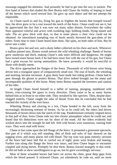mustangs engaged his attention. And presently he had to get into the race in earnest. The first band of horses that eluded the fleet Brutus told Chane the futility of hoping to head all the horses which raced toward him. He gave up such object and did not attempt the impossible.

As Chane raced to and fro, firing his gun to frighten the horses that trooped toward him, the drive grew to be a rout toward the notch of the fence. Chane could not see it, but he appreciated the fact that it was now not many miles distant. Everywhere the valley floor appeared colorful and active with twinkling legs, bobbing heads, flying manes and tails. The air grew thick with dust, so that in some places a clear view could not be obtained. An intermittent trampling roar of hoofs mostly drowned the gun-shots of the riders. From time to time Chane heard faint shots, like spats, on both sides of him. But he never saw a rider.

Brutus grew hot and wet, and a dusty lather collected on his chest and neck. Whenever a stallion passed near, Brutus would answer the wild whistling challenge. Bands of horses grew numerous and thick, making Chane's task more difficult and dangerous. He might have turned more horses back if he had been more free with the use of his gun, but Chane had a grim excuse for saving ammunition. He knew presently it would be merciful to shoot with deadly intent.

The drive approached the flanges of the fence. Thousands of wild horses were being driven into a triangular space of comparatively small size. The roar of hoofs, the whistling and snorting, became incessant. A gray dusty haze made fast riding perilous. Chane had to peer through the gloom to protect Brutus. That drive indeed brought out the many and incomparable qualities of this horse. Many times Brutus equaled the keenness and caution of his rider.

At length Chane found himself in a *mêlée* of running, plunging, maddened wild horses, criss-crossing the space in every direction. There came to be as many horses behind him as in front or on either side. They streaked by like specters. Then, despite dustclogged nostrils, Chane caught the odor of blood. From this he concluded that he had reached the vicinity of the wire fence.

Wheeling Brutus and slowing to a trot, Chane headed to the left, away from the increasingly thickening streams of horses. As far as he could tell, the riders had driven thousands of horses down into the notch of the trap. Pandemonium certainly reigned down in that pall of dust. Soon Chane rode out into clearer atmosphere where he could see, and found that his deductions were not far short of the mark. All the riders evidently had worked down into the triangle he had left. Still wild horses were numerous, running both ways. They were mad with terror.

Chane at last came upon the left flange of the fence. It presented a gruesome spectacle, that part of it which was still standing. Bits of flesh and tufts of hair showed on the sagging wires, and many places red with blood. The top wire was gone entirely; sections of the fence had been laid flat or carried out of sight; posts were broken and leaning. Farther east along this flange the fence was intact, and here Chane began to encounter crippled and dying horses. Promptly he shot them. Brutus reacted strangely to this work: he did not balk or show unwillingness to go on, but he grew exceedingly nervous.

Most of these wounded horses had been cut across the chest, great deep gaps from which the blood poured. It sickened Chane, yet relentlessly he rode on, until no more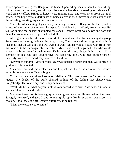horses appeared along that flange of the fence. Upon riding back he saw the dust lifting, rolling away on the wind, and through the cloud a blood-red westering sun shone with weird sinister effect. Strings of horses were running north and west, away from that fatal notch. In the huge corral a dark mass of horses, acres in area, moved in close contact; and the whistling, snorting, squealing din was terrific.

Chane heard a spatting of gun-shots, out along the western flange of the fence, and as he neared the center of the notch he espied Utah riding in, manifestly from the merciful task of ending the misery of crippled mustangs. Chane's heart was heavy and sore and there had risen in him a temper that boded ill.

At length he reached the spot where Melberne and his riders formed a singular group. Some were still sitting their wet heaving horses; Chess hunched on the ground with his face in his hands; Captain Bunk was trying to walk; Alonzo was so pasted with froth from his horse as to be unrecognizable in feature; Miller was a dust-begrimed rider who would never have been taken for a white man. Utah came riding up, his gun in his hand, a black sternness on his lean face. Loughbridge was jabbering like a wild man, beside himself, evidently, with the extraordinary success of the drive.

"Seventeen hundred! More mebbe! Near two thousand horses trapped! We've struck a gold mine!" he shouted.

Manerube received this acclaim as one his just due, but as he encountered Chane's gaze his pompous air suffered a blight.

Chane last bent a curious look upon Melberne. This was where the Texan must be judged. The leader of the outfit showed nothing of the feeling that characterized Loughbridge. He was weary, and heavy on his feet.

"Well, Melberne, what do you think of your barbed-wire drive?" demanded Chane, in a voice full of scorn and curiosity.

Melberne turned to disclose a gray face and gleaming eyes. He seemed another man. Savagely he cursed, and gave Chane no intelligible reply. But his profanity was expressive enough. It took the edge off Chane's bitterness, as he replied:

"Man, the worst is yet to come."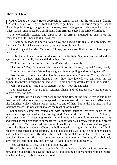## **Chapter Eleven**

**DUSK** found the weary riders approaching camp. Chane led the cavalcade, finding Brutus, as always, light of foot and eager to get home. The flickering camp fire shone **B**rutus, as always, light of foot and eager to get home. The flickering camp fire shone like a pin point through the gathering darkness, growing larger and brighter as he rode on. At last Chane, announced by a shrill neigh from Brutus, entered the circle of firelight.

The womenfolk, excited and anxious at his arrival, inquired as one voice the whereabouts of the men and if all was well.

"They'll be in soon. It's been a tough day, and I reckon Brutus is the only horse not dead beat," replied Chane as he wearily swung out of the saddle.

"Good!" ejaculated Mrs. Melberne. "Hungry as bears you'll all be. We'll have supper ready right off."

Sue Melberne limped out of the shadow into the firelight. She was bareheaded and her eyes seemed unnaturally large and dark in her pale face.

"Tell me—was it successful—the drive?" she asked, intensely.

"Successful? Yes, if you mean a big bunch of horses captured," replied Chane, slowly.

"I don't mean numbers. Were they caught without crippling and torturing many?"

"No. I'm sorry to say it was the bloodiest mess I ever saw," returned Chane, grimly. "I wouldn't tell you how many horses I shot—how they looked. We can never tell the number that broke through the barbed-wire—to die lingering deaths down in the desert."

"Oh! I feared that!" said Sue, in distress. "How—how did dad take it?"

"I'd rather not say what I think," returned Chane, and led Brutus away into the grove to have a care for him.

A little later, when Chane went back to the camp fire, all the riders were in and more than ready for the bountiful supper spread by the women. Mostly they ate in silence and like famished wolves. Chane was as hungry as any of them, but he did not miss word or look that passed. He was curious to see the reaction of this day.

Loughbridge, somewhat rested and with appetite satisfied, reverted again to the manner and expression which had so disgusted Chane at the end of the drive. Naturally, after supper, the talk waged vigorously, and opinions, deductions, forecasts were as many and varied as the personalities of the riders. Loughbridge was already raking in big profits from the drive. Manerube had taken upon himself the honors of a hero, and swaggered before the listening women. Chess sat hollow-eyed and raging, his voice lifted high. Melberne presented a queer contrast. He had not spoken a word, but he no longer seemed stultified and thick. Presently Manerube detached himself from the half-circle of men on one side of the camp fire and crossed to where the women sat listening. Ora obviously gave him the cold shoulder. Sue, however, began to question him eagerly.

"You women go to bed," spoke up Melberne, gruffly.

His wife obediently left the group, but Mrs. Loughbridge and Ora paid no attention to him, and if Sue heard she gave no sign. She stood looking up at Manerube with an interest which could very easily be misunderstood.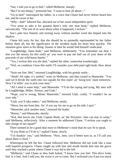"Sue, I told you to go to bed," called Melberne, sharply.

"But I'm not sleepy," protested Sue. "I want to hear all about—"

"Go to bed!" interrupted her father, in a voice that Chane had never before heard him use, and he swore at her.

"Why—dad!" faltered Sue, shocked out of her usual independent spirit.

"You seem to take it for granted there's only one man heah," replied Melberne, sarcastically. "The rest of us were aboot when it happened, I reckon."

Sue's pale face flamed, and turning away without another word she limped into the shadow.

Chane felt sorry for her, that she should be so pointedly reprimanded by her father before them all, but the significance of the incident made his heart beat quickly. The situation grew more to his liking. Sooner or later he would find himself vindicated.

"Loughbridge, listen heah," said Melberne, deliberately. "You remember our deal. I lent you the money for this outfit an' you were to pay me half out of your share of the proceeds of our wild-horse huntin'."

"Yes, I reckon thet was the deal," replied the other, somewhat wonderingly.

"Wal, on condition I boss this outfit I'll consider your debt paid right heah. How about it?"

"Suits me fine, Mel," returned Loughbridge, with his greedy smile.

"Ahuh! All right, it's settled," went on Melberne, and then turned to Manerube. "You said we'd divide the outfit into two squads for this ropin' an' hawg-tyin' stunt tomorrow. Now I'm tellin' you to pick your men."

"All I need is some help," said Manerube. "I'll do the roping and tying. My men will be Loughbridge, Miller, Alonzo, and Utah."

"Nope, you're wrong, Mister Manerube," retorted Utah, coolly. "I wouldn't be on your side."

"Utah, you'll take orders," said Melberne, testily.

"Shore, but not from him. An' if you say for me to go on his side, I quit."

"Manerube, pick another man," returned the leader.

"Bonny," said Manerube, shortly.

"Wal, that leaves me, Utah, Captain Bunk, an' the Weymers. Jake can stay in camp," said Melberne, reflectively. After a moment he addressed Chane. "I reckon you ought to take charge of our squad?"

There seemed to be a good deal more in Melberne's mind than he saw fit to speak.

"If you think so I'll do it," replied Chane, slowly.

"I'm thankin' you," said Melberne. "Now, men, you'd better turn in, as I'll call you aboot three o'clock."

Whereupon he left the fire. Chane followed him. Melberne did not walk like a man with hopeful prospects. Chane caught up with him and strode beside him into the grove until they reached a point where Chane's way led to the left.

"Melberne," said Chane as they both halted, "I know how you feel. This drive looks bad. It *is* bad. And I told you, the worst is yet to come. But I reckoned you'd put too much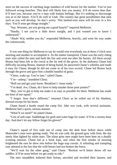store on the success of catching large numbers of wild horses for the market. You've just followed wrong hunches. This deal will likely lose you money. It'll do worse than that. It'll hurt you, because you're a man with human feelings. But it's nothing to discourage you as to the future. You'll do well in Utah. The country has great possibilities that men such as you will develop. So don't worry. This barbed-wire mess will be over in a few days. You'll soon get things straight."

"Say, Weymer, are you giving me a good hunch?" inquired Melberne.

"Hardly. I see you're a little down tonight, and I just wanted you to know I understood."

"Ahuh! Wal, mebbe you do," responded Melberne, heavily, and went his way under the cottonwoods.

It was one thing for Melberne to say he would rout everybody out at three o'clock next morning and another to accomplish it. As the matter transpired, Chane was the early riding riser who called the men and built the fire and went out after the horses. All these except Brutus had been left in the corral at the far end of the grove. In the darkness Chane had difficulty locating Brutus. Instead of being found, he answered Chane's whistles and made it easy for Chane, though he did not come in of his own accord. Chane led Brutus back through the grove and gave him a double handful of grain.

"Chess, wake up. You're late," called Chane.

"I'm—asleep," mumbled Chess.

"Roll out and get your horse. Breakfast's 'most ready."

"I'm dead. Aw, Chane, do I have to help murder those poor ponies?"

"Boy, you've got to help me make it as easy as possible for them. Melberne has made me boss of our squad."

"I forgot. Sure that's different," returned Chess as he rolled out of his blankets, dressed except for his boots.

Chane found a bustle round the camp fire. Jake was cook, with several assistants. Melberne had a quick, serious manner.

"What'll we need?" he asked Chane.

"Lots of soft rope. Saddlebags for grub and water bags for water. It'll be a twenty-hour day. And don't let any fellow forget his gloves!"

Chane's squad of five rode out of camp into the dark hour before dawn while Manerube's men were getting ready. The air was cold, the ground gray with frost, the sky steely blue lighted by white stars. The silent grim men might have been bent on a deadly scouting mission. Chane led at a brisk lope, and when the first streaks of morning brightened the east he drew rein before the huge trap corrals. A whistling and trampling roar attested to the fact that the wild horses had not broken the fence.

"We'll wait for the other gang," said Chane. "Reckon we'd better throw off our saddles. It'll be noon before we get ready to ride."

The men unsaddled, haltered their horses, uncoiled and recoiled their lassoes, and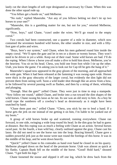lastly cut the short lengths of soft rope designated as necessary by Chane. When this was done the other squad rode up.

"You fellars get a hustle on," said Melberne.

"No rush," replied Manerube. "Are any of you fellows betting we don't tie up two horses to your one?"

"Manerube, this is a gambling matter for me, but not for you," retorted Melberne, significantly.

"Now, boys," said Chane, "crawl under the wires. We'll go round to the empty corral."

Two corrals had been constructed, one a quarter of a mile in diameter, which now contained the seventeen hundred wild horses, the other smaller in size, and with a fiftyfoot gate of poles and wires.

"Boys, here's our system," said Chane, when his men gathered round him inside the empty corral. "We'll open the gate and let in ten or a dozen or twenty horses. They won't need to be driven in yet a while. Keep out of their road. Some wild horses are bad. I'll do the roping. When I throw a horse you-all make a dive to hold him down. Melberne, you're the heaviest. You sit on his head. Chess, you hold one front foot while I tie up the other. Utah, you know the game. I'm asking you to look out for Cap till he gets the hang of it."

Manerube's squad now appeared in the gray gloom of the morning, and all approached the wide gate. When it had been released at the fastening it was swung open wide. Horses were thick in the gray obscurity of the larger corral, but evidently the dim light did not prevent them from seeing well. Soon a wild leader shot through like an arrow from a bow, to be followed by several passing swift as flashes, and then by a string of them, whistling and plunging.

"Enough. Shut the gate!" yelled Chane. They were just in time to stop a stampede. "Now follow me round," added Chane, and broke into a run toward the dim shapes of the wild horses. Chane swung his lasso as he ran. Its use was an old story to him. As a boy he could rope the sombrero off a cowboy's head as dexterously as it might have been snatched by hand.

"Chase them past me," yelled Chane. "Chess, you stick by me to lend a hand. If a horse gets the jerk on me instead of me getting it on him, I'm liable to be yanked out of my boots."

A group of wild horses broke up and scattered, running everywhere. Chane ran forward, to one side, swinging a wide loop round his head. In the dim gray he had to guess at distance. But this roping was as much a feeling with Chane as an action. Several horses raced past. At the fourth, a lean wild bay, clearly outlined against the gray, Chane cast his lasso. He did not need to see the horse run into the loop. Bracing himself, Chane gave a sudden powerful jerk just as the noose went taut round the forelegs of this horse. It was in the middle of his leap, and he went down heavily.

"Quick!" yelled Chane to his comrades as hand over hand he closed in on his quarry. Melberne plunged down on the head of the prostrate horse. Utah was almost as quick at his flanks. Captain Bunk fell on the middle of the horse. "Good! Hold hard," shouted Chane. "I got both his legs."

Chane loosened the noose and slipped it off one leg, which he drew back from the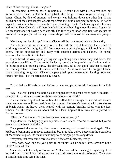other. "Grab that leg, Chess. Hang on."

The groaning, quivering horse lay helpless. He could kick with his two free legs, but to no purpose. Chane hauled the foreleg back, then let go his rope to grasp the leg in his hands. Chess, by dint of strength and weight was holding down the other leg. Chane pulled one of the short lengths of soft rope from the bundle hanging in his belt. He had to expend considerable force to draw the leg up, bending it back. The horse squealed his fury and terror. Then Chane's swift hard hands bound that bent leg above the knee. It gave the leg an appearance of having been cut off. The foreleg and hoof were tied fast against the inside of the upper part of the leg. Chane slipped off the noose of his lasso, and jumped up.

"Get away and let him up," ordered Chane. All the men leaped aside with alacrity.

The wild horse got up as nimbly as if he had still the use of four legs. He snorted his wild judgment of this indignity. His first move was a quick plunge, which took him to his knees. But he bounded up and away with amazing action and balance. His speed, however, had been limited to half.

Chane heard the rival squad yelling and squabbling over a horse they had down. The gray gloom was lifting. Chane coiled his lasso, spread the loop to his satisfaction, and ran to intercept another passing horse. His aim went true, but it was good luck that he caught one foreleg instead of two. This horse was heavier. As he went down he dragged Chane, boots ploughing the ground. Chane's helpers piled upon the straining, kicking horse and forced him flat. Thus the strenuous day began.

Chane tied up fifty-six horses before he was compelled to ask Melberne for a little rest.

"My—Gawd!" panted Melberne, as he flopped down against a fence post. "I'm daid on my feet. . . . Weymer—you're shore—a cyclone—for work."

The sun shone bright and hot. A fine dust sifted down through the air. All of Chane's squad were as wet as if they had fallen into a pond. Melberne's face ran with dirty streaks of black sweat; his heavy chest heaved with his panting breaths. Chess was the least exhausted of the squad, as his labors had been least. Captain Bunk was utterly played out for the moment.

"Blast me!" he gasped. "I could—drink—the ocean—dry."

"Cap, don't let the boys guy you any more," said Chane. "You're awkward, but you're game, and you haven't shirked."

They passed the water bag from one to another, and passed it round again. Then Melberne, beginning to recover somewhat, began to take active interest in the operations of Manerube's squad. On the moment they were dragging a mustang down.

"Weymer, that man cain't throw a horse," declared Melberne, testily.

"Wal, boss, how long are you goin' to be findin' out he cain't throw anythin' but a bluff?" drawled Utah.

Manerube, with the help of Bonny and Miller, downed the mustang. Loughbridge tried to hold down its head, but did not succeed until Alonzo came to his assistance. They were a considerable time tying the knee.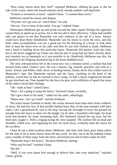"How many horses have they tied?" inquired Melberne, shifting his gaze to the far side of the corral, where the bound animals stood, already pathetic and dispirited.

"Sixteen or seventeen at most," replied Chane. "I counted them twice."

Melberne cursed his amaze and disgust.

"Weymer, let's go over an' watch them," he said.

"Not me. You're boss of the outfit. You go," replied Chane.

Whereupon Melberne got up and strode toward the other squad. Perhaps his approach caused them to speed up in action, but it did not add to their efficiency. Chane had needed only one glance to see that Manerube was only ordinary in the use of a lasso. Alonzo could have done better blindfolded. Manerube cast his noose to circle the neck, and this hold, when accomplished, was not a good one for the throwing of a horse. It took three men to haul the horse over on his side, and then he was half choked to death. Melberne lent a hand in holding down this particular horse. Manerube did quicker work this time, but as the horse staggered up Chane saw that the job of tying had not been cleverly done, and certainly not as humanely as it was possible to do. Manifestly Melberne saw this, for he pointed at the flopping shortened leg as the horse hobbled away.

The only unbound horse left in the corral now was a chestnut sorrel, a stallion that had several times taken Chane's eyes. He was a beauty, big, smooth, graceful, and wild as a hawk. Alonzo and Miller, both clever at herding horses, finally drove him within reach of Manerube's rope. But Manerube missed, and the lasso, crackling on the head of the stallion, scared him so that he seemed to have wings. In half a dozen magnificent bounds he got stretched out. Then headed for the fence he gave such exhibition of speed that some of the riders voiced their feelings.

"Oh—look at him!" yelled Chess.

"Boys—he's going to jump the fence," declared Chane, excitedly.

"He's got a bone in his teeth," called out the sailor, admiringly.

"Shure now—he's gr-rrand!" said the Irishman.

The sorrel meant freedom or death. His action showed more than mere brute wildness of terror. He had less fear of that terrible barbed fence than of the man enemies with their ropes. Like a greyhound he rose to the leap, having the foresight to leave the ground far enough from the fence to allow for the height. Up he shot, a beautiful wild sight, his head level and pointed, his mane streaming back. His forehoofs cleared the top wire, but his hind ones caught it. With a ringing twang the wire snapped. The stallion fell on head and shoulder, rolled over, and regaining his feet, he raced away, evidently none the worse for the accident.

Chane let out a short exultant shout. Melberne, who had come back, gave sharp orders for the men to let in more horses from the big corral. As they ran to do his bidding Chane took a bundle of short ropes from the fence and tucked one end of them under his belt.

"Manerube hasn't the knack," declared Melberne, fuming.

"Who said he had?" retorted Chane.

"He did."

"Well, if you were damn fool enough to believe him, take your medicine," rejoined Chane, grimly.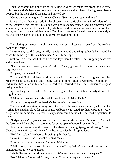Then, as another band of snorting, shrieking wild horses thundered from the big corral both Chane and Melberne had to take to the fence to save their lives. The frightened beasts trooped by: the men closed the gate and hurried up.

"Come on, you wranglers," shouted Chane. "See if you can stay with me."

It was a boast, but not made in the cheerful rival spirit characteristic of riders of the open. Chane's heart was sore, his blood was hot, his temper fierce; and his expression was a taunt, a grim banter. He meant to lay Melberne and the others of his squad flat on their backs, as if he had knocked them there. But they, likewise inflamed, answered violently to his challenge. Chane ran out into the corral, swinging his lasso.

The glaring sun stood straight overhead and dusty heat veils rose from the trodden floor of the corral.

"Sixty-eight," said Chane, huskily, as with cramped and stinging hands he slipped his noose from the leg of the last horse tied. "Let—him—up."

Utah rolled off the head of the horse and lay where he rolled. The struggling beast rose and plunged away.

"Shall we—make it—sixty-nine?" asked Chane, gazing down upon the spent and begrimed rider.

"I—pass," whispered Utah.

Chane and Utah had been working alone for some time. Chess had given out, then Melberne had succumbed, and finally Captain Bunk, after a wonderful exhibition of endurance, had fallen in his tracks. He had to be carried to the fence. Manerube's squad had quit an hour ago.

Approaching the spot where Melberne sat against the fence, Chane slowly drew in his dragging lasso.

"Melberne—we made it—sixty-eight. And that—finished Utah."

"Damn you, Weymer!" declared Melberne, with deliberation.

Chane could only stare a query as to the reason he was being damned, when he had worked like a galley slave for eight hours. Melberne was rested. He had wiped the sweaty, dusty lather from his face, so that his expression could be noted. It seemed enigmatical to Chane.

"Sixty-eight an' fifty-six make one hundred twenty-four," said Melberne. "That with the forty-nine Manerube has accounted for sums up one hundred seventy-three."

"For ten men—some of them—green hands—that's a mighty—good showing," panted Chane as he wearily seated himself and began to wipe his dripping face.

"Hell!" ejaculated Melberne, throwing up his hands.

"Sure. I told you—it'd be hell," replied Chane.

"I don't mean what you mean," grunted Melberne.

"Well—boss, the worst—is yet to come," replied Chane, with as much of maliciousness as he could muster.

"Ahuh! Reckon you said that before. . . . Weymer, have you heard me squeal?"

"No, Melberne," returned Chane, quietly. "I've only respect—for you."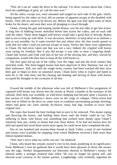"Wal, let's eat an' make the drive to the railroad. I'm shore curious aboot that. Chess, fetch the saddlebags of grub, an' call the men over."

All the riders, except two, were mounted and ranged on each side of the gate, which, being opened by the riders on foot, left an avenue of apparent escape to the disabled wild horses. They did not need to be driven out. Before the gate was half open some of them broke for the desert, and soon they were all plunging to crowd through.

Chane, closing the gate and leaping astride Brutus, was the last rider to get into action. A long line of bobbing horses stretched before him across the valley, and on each side rode the riders. These three-legged wild horses would take a good deal of driving. Brutus had to run to keep up with them. It was necessary, therefore, to keep them at as uniform a gait as was possible, for if some traveled fast and others slow the line would spread so wide that ten riders could not prevent escape of many. Drives like these were nightmares to Chane. He had never taken one that was not a race. Indeed, the crippled wild horses were racing for freedom. But if any did escape it was only to meet a lingering death. Chane had Alonzo and Utah with him in the rear of the moving line, and they, moved by compassion, would ride their best to keep all the wild horses in.

The first spurt led up out of the valley, over the ridge, and into the level country that stretched north. The three-legged horses had been deprived of their fleetness, but not of their endurance. Still, not until the rough rocky country had been reached did they slow their gait or begin to show an unnatural strain. Chane knew what to expect and hated to look for it. He rode hard, and the chasing and heading and driving of these wild horses occupied his thoughts to the exclusion of all else.

Toward the middle of the afternoon what was left of Melberne's first assignment of captured wild horses was driven into the corrals at Wund, a hamlet at the terminus of the railroad. Here help was available, as wild-horse shipping had become quite a business in that section of Utah. Melberne's drove were on the verge of collapse. Thirty-seven had been lost or killed on the drive in; some were in condition necessitating prompt shooting; others had great raw sores already fly-blown; many had legs swollen to twice their original size.

The ropes that bound the bent forelegs had at once to be removed. This meant roping and throwing the horses, and holding them down until the bonds could be cut. The suffering of these wild horses was something that worked more deeply upon Chane's emotions than any cruelty to beasts had ever done before. If he had not known how his skill and speed had saved them much more agony he could never have completed the job.

Out of one hundred and seventy-three bound at Stark Valley a total of one hundred and twenty were available for shipping, from which Melberne received a little more than fifteen hundred dollars.

"Wal, that's twice what my outfit cost me," he muttered.

Chane, who heard this remark, turned it over in his mind, pondering at its significance. From Melberne's tone he gathered that it would have been pleasure to throw the money into the sage. Neither disappointment nor bitterness showed in Melberne's tensity. He labored under a stronger emotion than either. He was no longer his genial self, and showed scant courtesy to his former partner, Loughbridge, who evidently regretted his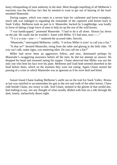hasty relinquishing of joint authority in the deal. Most thought-impelling of all Melberne's reactions was the obvious fact that he seemed to want to get out of hearing of the loudmouthed Manerube.

During supper, which was eaten in a tavern kept for cattlemen and horse-wranglers, much talk was indulged in regarding the remainder of the captured wild horses back in Stark Valley. Melberne took no part in it. Manerube, backed by Loughbridge, was loudly in favor of taking a large force of men to help tie up the rest of the wild horses.

"I was handicapped," protested Manerube. "I had to do it all alone. Alonzo lay down on the job. He could, but he wouldn't. Same with Miller. If I had men, now——"

"Y-y-y-y-you—you——" stuttered the accused rider, fiercely.

"Manerube," interrupted Melberne, coldly, "I reckon Miller is tryin' to call you a liar."

"Is that so?" shouted Manerube, rising from the table and glaring at the little rider. "If you can't talk, make signs, you stuttering idiot. Do you call me a liar?"

Miller had never been an aggressive fellow, and now, dominated perhaps by Manerube's swaggering assurance before all the men, he did not attempt an answer. He dropped his head and resumed eating his supper. Chane observed that Miller was not the only one who bent his face over his plate. Melberne and Utah both seemed absorbed in the food before them, which on the moment they were not eating. Again Chane sensed the passing of a crisis to which Manerube was as ignorant as if he were deaf and blind.

Sunset found Chane leading Melberne's outfit out on the trail for Stark Valley. Brutus at last was satisfied to accommodate his gait to the trot and walk of the other horses. Chess rode beside Chane, too weary to talk. And Chane, steeped in the gloom of that sordid day, had nothing to say, nor any thought of what usually abided with him on a ride through the dark, lonely, melancholy desert night.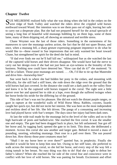## **Chapter Twelve**

SUE MELBERNE realized fully what she was doing when she hid in the cedars on the west ridge of Stark Valley and watched the riders drive the crippled wild horses UE MELBERNE realized fully what she was doing when she hid in the cedars on the northward toward Wund. Her intention was to see them pass out of sight, leaving her safe to carry out a desperate plan. But she had not prepared herself for the actual spectacle of seeing a long line of beautiful wild mustangs hobbling by on three legs, some of them lame, many of them dripping red, all showing an unnatural and terrible stress.

Chane Weymer was the last of those riders. Something in the earnestness of his maneuvers to save the mustangs useless action, the fact that he did not spare Brutus, and once, when a mustang fell, a sharp gesture expressing poignant impotence to do what he would like to—these roused in Sue impressions that not only warmed her heart toward Chane, but strengthened her spirit for the deed she had in mind.

"If dad ever finds me out he'll half kill me," soliloquized Sue as she watched the last of the captured wild horses and their drivers disappear. She would have had the nerve to carry out her design even if she had not just been an eye-witness to the brutality of this business. Nothing now could have deterred her. "How can dad do it?" she muttered. "It will be a failure. Those poor mustangs are ruined. . . . Oh, I'd like to tie up that Manerube and drive *him*—horsewhip *him*!"

Sue went back to where she had hidden her pony in the cedars, and mounting with difficulty, for she still had a stiff knee, she rode down the ridge over the ground that the wild horses had just covered. In the distance she could see a dark patch on the valley floor and knew it to be the captured wild horses trapped in the corral. The sight sent a little quiver over her and spurred her to ride at a lope, even though she suffered twinges when her horse broke his stride for the differing lay of the ground.

This ride of Sue's was not for pleasure. She did not watch the distant purple ranges, or gaze in rapture at the wonderful walls of Wild Horse Mesa. Rabbits, coyotes, lizards caught her quick eye, but did not incite her interest. She was bent on the most independent and reckless deed of her life. She felt driven. The pangs of a consuming and increasing love had played havoc with Sue's temper. The days since her injury had been dark ones.

At last the wide trail made by the mustangs led to the level of the valley and on to the high barricade of posts and barbed-wire. She reached the first corral. It was the smaller one and empty. The gate had been dragged back in place, but left unfastened. Sue got off her horse and, by tugging hard, opened the gate to its limit. This done, she deliberated a moment. Across this corral she saw another and larger gate. Behind it moved a mass of pounding, snorting, whistling mustangs. Dust rose in a pall over them. The sun poured down hot. How thirsty those poor creatures must be!

"Shall I tie my horse here or over there?" queried Sue, in perplexity. Finally she decided it would be best to keep him near her. Owing to her stiff knee, she preferred to walk across the intervening corral, so she led her horse, and every step of the way felt a rising tumult in her breast. No easy thing was this to do! Had she a right to defeat her father's labors? When she reached the far side of the corral fear and conscience were in conflict with her love of wild horses. She was panting for breath. Excitement and effort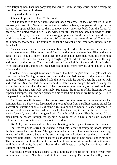were fatiguing her. Then her pony neighed shrilly. From the huge corral came a trampling roar. The dust flew up in sheets.

She gazed at the wide gate.

"Oh, can I open it? . . . I *will*!" she cried.

She had intended to tie her horse and then open the gate. But she saw that it would be necessary to use him. Going close to the barbed-wire fence, she peered through at the horses. Her approach had caused them to move away some rods back from the fence. All heads were pointed toward her. Lean, wild, beautiful heads! She saw hundreds of dark, fierce, terrible eyes, it seemed, fixed accusingly upon her. As she stood and gazed, so the wild horses stood, motionless, quivering. What an enormous drove of horses! There must be hundreds, thousands. Sue trembled under the weight of her emotions. Impossible to draw back!

Then she became aware of an incessant buzzing. It had not been in evidence when the horses were moving. Flies! A swarm of flies buzzed around and over her. Flies as thick as bees—a black cloud of them—horseflies, the abominable pests that made life miserable for all horseflesh. Next Sue's sharp eyes caught sight of red cuts and scratches on the legs and breasts of the horses. Thus she had a second actual sight of the work of the barbedwire. Bleeding sores and horseflies! There could be no more horrible combination, to one who loved horses.

It took all Sue's strength to unwind the wires that held the gate shut. The gate itself she could not budge. Taking her rope from the saddle, she tied one end to the gate, and then pondered whether or not she should ride the horse while he pulled open the gate, or walk and lead him. She decided the latter would be safer, even though she risked losing her horse. So she wound the other end of the rope around the pommel, and urged the horse. He pulled the gate open wide. Hurriedly Sue untied the rope, fearfully listening for the expected stampede. But she had plenty of time to lead her horse away from the gate. Then she peered through the fence.

The foremost wild horses of that dense mass saw the break in the fence which had hemmed them in. They were fascinated. A piercing blast from a stallion seemed signal for a whistling, snorting chorus. Next came a restless pound of hoofs. A leader appeared—a stallion, wildest creature Sue had ever beheld, black as coal, instinct with fire. He trotted warily forward, neared the gate, gazed with fierce bloodshot eyes. Then he bolted. Like a black flash he passed through the opening. A white horse, a bay, a buckskin leaped to follow and, fleet as their leader, sped out to freedom.

"Run! Oh, run!" screamed Sue, her heart bursting in the joy and terror of the moment.

The restless pound stirred, quickened, closed into a roar of trampling hoofs, smiting the hard ground as one horse. The gate emitted a stream of moving horses, heads up, manes and tails tossing. Sue saw the stream lengthen and widen across the corral until it connected both gates. Then dust obscured clear vision. The ground shook under her feet. The din was terrific. It swelled until she could not hear more. What endless time it seemed until the roar of hoofs, the thud of bodies, the shrill blasts passed by her position, sped on, lessened, and died away.

Sue found herself sagging against a post, holding the halter of her horse, weak from tumultuous emotions. Near her the dust clouds floated away. Far out on the valley floor a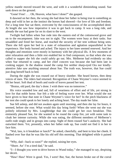yellow mantle moved toward the west, and with it a wonderful diminishing sound. Sue sank down on the ground.

"Gone! Free! . . . Oh, Heaven, what have I done?" she gasped.

It dawned on her then, the wrong she had done her father in being true to something as deep and wild in her as the instinct the horses had showed—for love of life and freedom. For a long time Sue sat there, overcome by the consciousness of the accomplished deed. At length she saw how imperative it was to get back to camp. It was a long ride, and already the sun had gone far on its slant to the west.

Twilight had fallen when Sue rode into the eastern end of the cottonwood grove and on to the encampment. Jake was not in sight. The women were busy at their tasks. Sue unsaddled and freed her horse, and reached the security of her tent without being seen. There she fell upon her bed in a state of exhaustion and agitation unparalleled in her experience. Her body burned and ached. The injury to her knee seemed renewed. And her thoughts and emotions were mostly in harmony with her physical ills. A few moments of utter relaxation and then a little rest enabled her to find composure, so that when she was called to supper she felt she could safely go out. Mrs. Melberne had evidently no idea when Sue returned to camp, and her chief concern was because she had been late in cooking supper. In the shadow round the camp fire neither sharp-eyed Ora nor kindlyattentive Jake saw anything unusual about Sue. The truth was, however, that Sue could just drag herself back to bed.

During the night she was roused out of heavy slumber. She heard horses, then deep voices of men. The riders had returned. Recognition of Chane Weymer's voice seemed to lift her heart. Soft thud of hoofs and rustle of leaves passed her tent.

"Brutus, old pard, the day's done. I wish there was no tomorrow."

His voice sounded low and sad, full of weariness of effort and of life, yet strong in love for that noble horse. Sue felt a tide of feeling wave over her. What would she not have given to hear that note in Chane Weymer's voice for her? In the pitch blackness of her tent she could speak to her lonely and aching heart. The day made her false.

Sue fell asleep, and did not awaken again until morning, and then she lay for hours, it seemed, before she rose. What would this day bring forth? When she went out she was politely informed by Mrs. Loughbridge that she could get her own breakfast. This eminently pleased Sue, for she wanted to be round the camp fire, yet with some task to cloak her intense curiosity. While she was eating, the different members of Melberne's outfit rode singly and in groups into camp. Sight of them roused Sue's audacity. She had outwitted them. Yet, presently, when her father rode up, Sue could not find it in her to face him.

"Wal, lass, is it breakfast or lunch?" he asked, cheerfully, and bent to kiss her cheek. It flashed over Sue that he was like his old self this morning. That delighted while it pained her.

"Why, dad—back so soon?" she replied, raising her eyes.

"Shore. An' I'm a tired dad," he said.

"I—I thought you were to drive horses to Wund today," she managed to say, despising her deceit.

"Haw! Haw! Were is good. Yes, I were! But, Sue, the horses broke out of the corral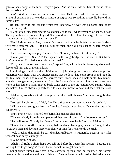gates or somebody let them out. They're gone! An' the only hide an' hair of 'em is left on the barbed-wire."

"*Oh!*" cried Sue. It was an outburst of emotion. That it seemed relief to Sue instead of a natural exclamation of wonder or amaze or regret was something assuredly beyond her father's ken.

He bent down to her ear and whispered, hoarsely, "Never was so damn glad aboot anythin' in my life!"

"Dad!" cried Sue, springing up so suddenly as to spill what remained of her breakfast. The joy in this word was not feigned. She kissed him. She felt on the verge of tears. "You —you won't use barbed-wire again—ever?"

"Huh! I shore won't. Sue, there ain't a cowman in this heah West who hates barbedwire more than me. An' I'll tell you real cowmen, the old Texas school where cowmen came from, all hate wire fences."

"Dad, I—I'm very—happy," faltered Sue. "I hope you haven't lost money."

"Broke just even, Sue.  $An'$  I'm square with Loughbridge an' the riders. But listen, don't you let on I'm glad aboot this busted deal."

"Dad, dear, I've secrets of my own," replied Sue, with a laugh. Some day she would dare to tell him one of them, at least.

Loughbridge roughly called Melberne to join the group beyond the camp fire. Manerube was there, with two strange riders that no doubt had come from Wund. Sue did not like their looks. The rest of Melberne's outfit stood back in a half-circle. Excitement attended that gathering, emanating from the Loughbridge group. Sue, in response to a wave of her father's hand, moved back some steps to the big cottonwood stump, where she halted. Unless absolutely forbidden to stay, she meant to hear and see what the issue was.

"Melberne, somebody in this camp let out them wild horses," declared Loughbridge, forcefully.

"You still harpin' on that? Wal, Jim, I'm a tired man an' your voice ain't soothin'."

"All the same, you gotta hear me," replied Loughbridge, hotly. "Manerube swears he can prove it."

"Huh! Prove what?" snorted Melberne, his manner changing.

"Thet somebody from this camp opened them corral gates an' let loose our horses."

"Say, talk sense. Nobody but Jake an' our women were heah," retorted Melberne.

"Some of your outfit rode into camp before eleven last night," went on Loughbridge. "Between then and daylight there was plenty of time for a *rider* to do the trick."

"Wal, I reckon that might be so," drawled Melberne. "Is Manerube accusin' any rider who got heah early last night?"

"No, he ain't. Not yet."

"Ahuh! All right. I shore hope you tell me before he begins his accusin', because I'm too dog tired to go dodgin' round. I want somethin' to get behind."

Loughbridge fumed over this slow, sarcastic speech, and he regarded his former partner with some doubt and much disfavor. Then he burst out with redoubled vehemence.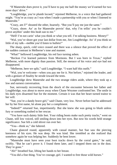"If Manerube does prove it, you'll have to pay me half the money we'd earned for two more days' drive."

"Loughbridge, you're plumb locoed," rejoined Melberne, in a voice that had gathered might. "You're as crazy as I was when I made a partnership with you or when I listened to Manerube<sup>"</sup>

"Crazy, am I?" shouted the other, hoarsely. "But you'll pay me just the same."

"Crazy, shore. An' as for Manerube provin' that, why I'm tellin' you he couldn't prove anythin' under this heah sun to me."

"Hell! I'm not carin' what you think or what you tell. I'm talking business. Money!"

"Wal, you've shore got your last dollar from me, Jim Loughbridge. An' if you think so little of my talk—mebbe you'd listen to bullets!"

The sharp, quick, cold voice ceased and there was a silence that proved the effect of the sudden contrast in Melberne's tone and manner.

"What!" bellowed Loughbridge, his red face turning ashen.

"Reckon I've learned patience from Mormons. But I was born in Texas," replied Melberne, with more dignity than passion. Still, the menace of his voice and eye had not disappeared.

"Melberne, here we split," said Loughbridge. "I want half this outfit."

"Wal, you're welcome—when you pay me for it. Not before," rejoined the leader, and with a gesture of finality he strode toward the tents.

Loughbridge drew Manerube and the two strange riders aside, where they took up a low and earnest conversation.

Sue, nervously recovering from the shock of the encounter between her father and Loughbridge, was about to move away when Chane Weymer confronted her. The smile in his dark eyes disarmed Sue for the moment. Certain it was that her heart turned traitor to her will.

"Sue, you're a dandy brave girl," said Chane, very low. Never before had he addressed her by her first name, let alone pay her a compliment.

"Indeed?" returned Sue, impertinently. But she knew she was going to blush unless fury or something rushed to her rescue.

"You have such dainty little feet. Your riding boots make such pretty tracks," went on Chane, still low voiced, still smiling down into her eyes. But now his words held strange significance. Sue felt a cold shiver run over her.

"You—think so," she faltered.

Chane glanced round, apparently with casual manner, but Sue saw the piercing keenness of his eyes. He was deep. He was kind. She trembled as she realized that somehow again he was helping her. Suddenly he bent lower.

"Manerube must have seen your boot tracks down by the corral gates," he said, swiftly. "But he can't prove it. I found them later, and I stepped them out in the dust. They're gone."

"Ah!" breathed Sue, lifting her hands to her breast.

"You did a fine thing. You've courage, girl. I wanted to free those wild horses."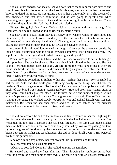Sue could not answer, not because she did not want to thank him for both service and compliment, but for the reason that the look in his eyes, the depths she had never seen before, rendered her mute. He was gazing down at her wonderingly, as if she presented a new character, one that stirred admiration, and he was going to speak again when something interrupted. Sue heard voices and the patter of light hoofs on the leaves. Chane straightened up to look. His dark face lighted with gladness.

"Piutes! By golly! My friend Toddy Nokin has come with my mustangs," he ejaculated, and he ran toward an Indian rider just entering camp.

Sue saw a small squat figure astride a shaggy pony. Chane rushed to greet him. The Piute's face, like a mask of bronze, suddenly wreathed and wrinkled into a beautiful smile. He extended a lean sinewy hand which Chane grasped and wrung. Sue could not distinguish the words of their greeting, but it was one between friends.

A drove of clean-limbed long-maned mustangs had entered the grove, surrounded by Indian riders, picturesque with their high-crowned sombreros, their beads and silver. How supple and lithe their figures! With what ease and grace they rode!

When Sue's gaze reverted to Chane and the Piute she was amazed to see an Indian girl ride up to them. She was bareheaded. Her raven-black hair glinted in the sunlight. She was young. Her small piquant face, her slight, graceful form, the white band of beads she wore round her head, the silver buttons and ornaments bright against her velveteen blouse these facts of sight flashed swiftly on Sue, just a second ahead of a strange dammed-up force, vague, powerful, yet ready to burst.

Chane shouted something in Indian to this girl—perhaps her name—for she smiled as had the old Piute, and that smile gave a flashing beauty to the dusky face. It broke the barrier to Sue's strange emotion. Her blood left her heart to confound pulse and vein. The might of that blood was stinging, searing jealousy. Pride and scorn and shame, bitter as they were, could not equal the other. Sue tortured herself one moment longer, with a woman's perversity, and in it she saw Chane greet the Indian girl. That sufficed for her. Averting her gaze, Sue walked slowly toward her tent and upheld herself with apparent inattention. But when she had once closed and tied the flaps behind her the pretense vanished, and she sank to her knees in misery and shame.

Sue did not answer the call to the midday meal. She remained in her tent, fighting for the fortitude she would need to carry her through the inevitable worst to come. She welcomed the fact that it appeared she had been forgotten. The camp was much livelier than ever before, and Sue's ears were continually assailed by low voices passing her tent, by loud laughter of the riders, by the movement of horses. Anxious as she was over the break between her father and Loughbridge, she did not long dwell upon it. Her personal trouble was paramount.

A heavy clinking step outside her tent brought Sue up, excited and thrilling.

"Sue, are you home?" asked her father.

"Always to you, dad. Come in," she replied, untying the tent flaps.

He entered and closed the flaps after him. Then throwing his sombrero on the bed, with the gesture of a man come to stay awhile, he faced Sue with an unusual expression,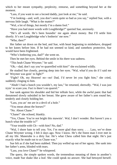which to her meant sympathy, perplexity, remorse, and something beyond her at the moment.

"Lass, if you want to see a locoed daddy, just look at me," he said.

"I'm looking—and, well, you don't seem quite so bad as you say," replied Sue, with a nervous little laugh. "What is the matter?"

"Wal, a lot of things, but mostly I'm a damn fool."

"Have you had more words with Loughbridge?" queried Sue, anxiously.

"He's all words. He's been houndin' me again aboot money. But I'll settle him shortly. It's not Loughbridge who's botherin' me now."

"Who, then?"

Her father sat down on the bed, and Sue, with heart beginning to misbehave, dropped to her knees before him. If he had not seemed so kind, and somehow protective, Sue would have been frightened.

"Who's bothering you, dad?" she went on.

Then he met her eyes. Behind the smile in his there was sadness.

"This heah Chane Weymer," he said.

"Oh,—dad, don't say you've quarrelled with him!" she exclaimed wildly.

He studied Sue closely, peering deep into her eyes. "Wal, what'd you do if I said me an' Weymer was goin' to fight?"

"Fight? Oh, my Heaven! no—no! Dad, I'd never let you fight him," she cried, suddenly clinging to him.

"Ahuh! I had a hunch you wouldn't, my lass," he returned, shrewdly. "Wal, I was just tryin' to scare you. Fact is there's no quarrel."

Sue sank against his shoulder and hid her telltale face, while the awful panic that had threatened slowly subsided in her breast. She grew aware of her father's arm round her, tenderly and closely holding her.

"Lass, you an' me are in a devil of a hole."

"You mean about the horses?"

"No. Aboot Chane."

"Chane!" she echoed, blankly.

"Yes, Chane. You're not bright this mawnin'. Wal, I don't wonder. But haven't you a hunch what the trouble is?"

"Your trouble with Ch—with him? No, dad."

"Wal, I shore hate to tell you. Yet, I'm more glad than sorry. . . . Lass, we've done Chane Weymer wrong. I felt it days ago. Now I know. He's the finest man I ever met in all my life. Manerube is a dirty liar. He's what Chess called him that night. He's just exactly what he made out to us Chane was."

Sue felt as if she had been stabbed. Then joy welled up out of her agony. She sank into her father's arms, blinded with tears.

"Lass, you love Chane?" he whispered.

The query, the simple spoken words, the tremendous meaning of them in another's voice, made Sue shake like a leaf. She could speak no answer. She had betrayed herself.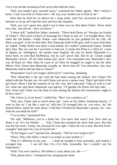Yet it was not the revealing of her secret that held her mute.

"Wal, you needn't give yourself away," continued her father, gently. "But I reckon I know. I seen you look at Chane once—the way your mother use to look at me."

After that he held her in silence for a long while, until Sue recovered in sufficient measure to sit up and wipe her eyes and face the situation.

"Dad, you can't guess how glad I was to hear you say that about Chane. Never mind now why. Just tell me—how you know."

"I shore will," replied her father, earnestly. "These heah Piutes an' Navajos are friends of Chane's. They have a bunch of mustangs for Chane to sell, an' I've bought them. Wal, when the old Indian—Toddy Nokin—saw Manerube he just grabbed for his rifle. He shore was goin' to do for that rider. But Chane got hold of the gun, took it away from him, an' talked. Toddy Nokin was shore a mad Indian. He couldn't understand Chane. Neither did I then. But you can bet I was keen to find out. It seems this Piute is a chief an' a man of dignity an' intelligence. He speaks some English. He says he thinks Manerube is a horse thief, in with Bud McPherson, but he can't prove that. But he an' Chane caught Manerube carryin' off the little Indian girl, Sosie. You remember how Manerube's face was all black an' blue when he came to us? How he bragged we ought to see the other fellow! Wal, Chane beat Manerube soundly an' drove him off. You remember, Sue, how Manerube said he did just that to Chane?"

"Remember! Can I ever forget I *believed* it?" cried Sue, shrinking.

"Wal, Manerube is the one with the bad name among the Indians. Not Chane! We talked with the Navajo, too. He said Chane was never a squaw man. Then I got hold of the girl Sosie. Shore I had the surprise of my life. Sue, she's educated. Talks as well as you! An' what she said aboot Manerube was aplenty. I'll gamble the Piutes kill that rider. . . . Wal, Sosie said Chane was the kind of man among the Indians the missionaries ought to be but wasn't."

"Oh, I *knew* it, in my heart," wailed Sue. "But I was a jealous cat."

"Wal, lass, Chane said as much aboot me," went on her father, breathing heavily. "I went to him an' I up like a man an' told him I'd wronged him an' was sorry. An' the darned fellow asked me what aboot. I told him I'd believed Manerube's gossip. An', Sue, what do you think he said?"

"I've no idea," murmured Sue.

"He said, 'Melberne, you're a damn liar. You *knew* that wasn't true. Now shut up aboot it an' let's be friends.' . . . Wal, Chane has stumped me more than once. But that was the last straw. Funny, too, because he was right. I knew he was a man. But this horsewranglin' had upset me, sort of locoed me."

"So he forgave you?" queried Sue, dreamily. "Will he ever forgive me?"

"Shore. Why, that fellow's heart is as tender as your mother's."

"Dad, it's different in my case. . . . I shall go straight to him, presently, and confess I wronged him. . . . I can tell him I'm—I'm little, miserable, but I couldn't ask his forgiveness."

"Huh! You won't need to. The fellow's crazy about you. He——"

"Dad, please don't," whispered Sue, dropping her head.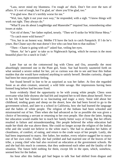"Lass, never mind my bluntness. I'm rough an' thick. Don't fret over the turn of affairs. It's sort of tough, but I'm glad, an' shore you'll be glad, too."

"I'm glad *now*. But it's terribly worse for me."

"Wal, lass, fight it out your own way," he responded, with a sigh. "I know things will work out right. They always do."

"What'll you do about Loughbridge and Manerube?" inquired Sue, remembering other issues at stake.

"Get rid of them," her father replied, tersely. "Then we'll strike for Wild Horse Mesa." "To catch more wild horses?"

"Yes, but in an honest way. Mebbe I'll have the luck to catch Panquitch. If I do he's yours. But Chane says the man doesn't live who can beat him to that stallion."

"Then—Chane is going with us?" asked Sue, veiling her eyes.

"Shore. An' he's goin' to take us to Nightwatch Spring, which he swears is the most beautiful place for a ranch in Utah."

Later Sue sat on the cottonwood log with Chess and Ora, assuredly the most absorbingly interested one in the Piute girl, Sosie. Sue had bravely sauntered forth on what seemed a severe ordeal for her, yet so curious was she to see and hear this Indian maiden that she would have endured anything to satisfy herself. Besides curiosity, disgust had been her most prominent feeling.

Sue found herself in line to be as surprised as was her father. At first she regarded Sosie as an alien creature, unsexed, a wild little savage. Her impressions having been formed long before had become fixed.

Sosie evidently liked the opportunity to be with young white people. Chess soon overcame what little shyness she had felt and inspired her to tell them about herself. Never in her life had Sue listened to so fascinating and tragic a story. Sosie told about her childhood, tending goats and sheep on the desert, how she had been forced to go to the government school, and later to a school in California, how she had learned the language and the habits of white people. The religion of the Indians had been schooled and missionaried out of her. Then when she had advanced as far as possible she was given a choice of becoming a servant or returning to her own people. She chose the latter, hoping her education would enable her to teach her family better ways of living. But her efforts resulted in failure and misunderstanding. Her people believed the white education had made her think she was above them. She could no longer accept the religion of the Indian tribe and she would not believe in the white man's. She had to abandon her habits of cleanliness, of comfort, of eating, and return to the crude ways of her people. Lastly, she had been importuned to marry. Her father, her mother, every relative nagged her to marry one of her own color. Finally she had yielded and had married one of the braves of her tribe, a young chief who had also received an education at the government schools. He and she had this much in common, that they understood each other and the fatality of the situation. The future held nothing for them, except life in the open, which, somehow, seemed best for the Indian.

An hour after this Indian girl had begun to talk Sue had shifted from disgust and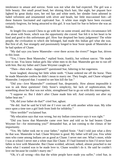intolerance to amaze and sorrow. Sosie was not what she had expected. The girl was a little beauty. Her small proud head, her shining black hair, like night, her piquant face lighted by great dusky eyes, her red lips and white teeth, her slender form adorned in faded velveteen and ornamented with silver and beads, her little moccasined feet—all these features fascinated and captivated Sue. A white man might have been excused, certainly forgiven, for being attracted to this girl. It was hard for Sue to believe she was an Indian.

At length Ora coaxed Chess to go with her on some errand, and this circumstance left Sue alone with Sosie, which was the opportunity she craved. Sue felt it in her heart to be kind and good to this unfortunate girl. How Sue despised her hasty judgments! The white people, the civilization to which she belonged, had made this Indian girl what she was. But first of all, Sue strangely and passionately longed to hear Sosie speak of Manerube as he had spoken of Chane.

"My dad says you knew Manerube—over there across the rivers?" began Sue, driven to this issue.

"Yes, I knew Bent Manerube," replied Sosie, frankly, but without rancor. "He made love to me. You know Indian girls like white men to do that. Manerube got me to run off with him. But my father and Chane Weymer caught us."

"Then—then what—happened?" questioned Sue, faltering in her eagerness.

Sosie laughed, showing her little white teeth. "Chane ordered me off the horse. Then he made Manerube confess he didn't mean to marry me. They fought, and Chane whipped Manerube. I enjoyed that. I wanted to see him kill the liar."

"Did you—love Manerube?" continued Sue, desperately. How almost impossible it was to ask these questions! Only Sosie's simplicity, her lack of sophistication, the something about her that was not white, strengthened Sue to go on with this interrogation.

"I suppose so. But I didn't after Chane made him tell. And certainly not after my father beat me."

"Oh, did your father do that?" cried Sue, aghast.

"He did. And he said he'd kill me if I ever ran off with another white man. My tribe once upon a time tore a girl limb from limb for infidelity."

"How terrible!" exclaimed Sue.

"My education says that was wrong, but my Indian conscience says it was right."

"Did you know that Manerube came over here and told us he had beaten Chane Weymer for—for mistreating you?" demanded Sue, at last coming to the climax of her importunity.

"Yes. My father took me to your father," replied Sosie. "And I told just what a dirty lie that was. Manerube is bad. Chane Weymer is good. My father will tell you. Few white men who come among Indians are as good as Chane. I never met one. What's more, while I was at school I never met a white man like Chane. If I had listened to him I'd never have fallen in love with Manerube. But Chane scolded, advised, talked, almost preached to me when what I wanted was to be made love to. Chane wouldn't do it. He said he couldn't love me because he couldn't marry me."

"Oh, it's all wrong—this that the white people have made you suffer," cried Sue, in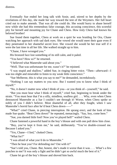distress.

Eventually Sue ended her long talk with Sosie, and, stirred to her depths by the revelations of this day, she made her way toward the tent of the Weymers. Her full heart cried out to make amends. That was all she could do. She would hurry to abase herself now while she had this tremendous false courage, this accusing conscience, this scornful pity for herself and mounting joy for Chane and Chess. How truly Chess had known his beloved brother!

Sue found them together, Chess at work on a quirt he was braiding for Ora, Chane watching her approach with sad dark eyes. She vowed she would meet their gaze even if they penetrated to her shameful secret love. She vowed she would be her true self if it were the last time in all her life. She walked straight up to him.

"Chane, I have wronged you."

His bronzed face lost something of its still calm, and it paled.

"You have? How so?" he returned.

"I believed what Manerube said about you."

"Well. That was unfortunate for me, wasn't it?" he rejoined.

"I was stupid and shallow," added Sue, in ringing bitter voice. "Then—afterward—I was too slight and miserable to listen to my weak little conscience."

"Sue Melberne, this is what you say to me?" he demanded, incredulously.

"Nothing I can say matters to you now. But I wanted you to know what I think of myself."

"No, it doesn't matter now what I think of you—or you think of—yourself," he said.

"But you must hear what I think of myself," cried Sue, beginning to break under the strain. "You must hear that I'm a silly, mindless, soulless girl. . . . Why, even when Chess denounced Manerube as a liar I couldn't see through it! Worse, when Chess spoke so nobly of you I didn't believe. Most shameful of all, after they fought, when I saw Manerube's horrid face after he'd beat Chess down——"

"What!" cried Chane, in piercing interruption. He sprang erect, and the look of him made Sue quake. "Beat Chess down!" he repeated, menacingly. "Say, boy, come here."

"Sue, you darned little fool! Now you've played hell!" wailed Chess.

Chane fastened a powerful hand in the boy's blouse and with one pull drew him close.

"Boy, you've kept it from me," he said, deliberately. "You've double-crossed me. Because I asked you."

"Yes, Chane—I lied," choked Chess.

"What for?"

"I was afraid of what you'd do to Manerube."

"Then he beat you? For defending me? Out with it!"

"Sue's told you, Chane. But, honest, she's made it worse than it was. . . . What's a few punches to me? It was only a fight and he didn't get so awful much the best of it."

Chane let go of the boy's blouse and shoved him back.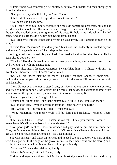"I knew there was something," he muttered, darkly, to himself; and then abruptly he dove into the tent.

"Sue, you've played hell, I tell you," said Chess.

"Oh, I didn't mean to tell. It slipped out. What can I do?"

"You can't stop Chane now."

"Yes I can," cried Sue. She recognized she must do something desperate, but she had no idea what it should be. Her mind seemed clogged. Then, when Chane emerged from the tent, she quailed before the lightning of his eyes. He held a rawhide whip in his left hand. And on his right side a heavy gun swung from his belt.

"Sue Melberne, I'll use either gun or whip on your lover. But I suspect it must be the whip."

"Lover! Bent Manerube? How dare you?" burst out Sue, suddenly infuriated beyond endurance. She gave him a swift hard slap in the face.

A bright red spot stained his pale cheek. He lifted a hand to feel the place, while his gaze blazed down on her.

"Thanks. I like that. It was human and womanly, something you've never been to me. Did I wrong you with my insinuation?"

"You insulted me. I despised Manerube. I *never* liked him. I—I flirted with him—to my shame—because—well, I don't choose to tell."

"So. You are indeed clearing up much this day," returned Chane. "I apologize. I reckon that was temper. I didn't really mean it. . . . All the same, I'll use my gun or whip on Manerube."

Chess did not even attempt to stop Chane, but Sue cried out some incoherent entreaty and tried to hold him back. Not gently did he thrust her aside, and without another word strode toward the group of men plainly discernible round the camp fire.

"Come to your tent, Sue," begged Chess.

"I guess not. I'll not quit—like that," panted Sue. "I'll tell dad. He'll stop them."

"Sue, it's too late. Anybody getting in front of Chane now will be hurt."

"But, Chess—he—he might be killed!" whispered Sue.

"Who? Manerube, you mean? Well, it'll be darn good riddance," rejoined Chess, hotly.

"Oh, I mean Chane—Chane. . . . Listen, if you tell I'll hate you forever. Forever! I—I love Chane. It's killing me. Now do you understand?"

"You poor girl!" replied Chess, in wonder and pity, and he put his arm round her. "Sue, don't be scared. Manerube is a coward. He'll never face Chane with a gun. All he'll get will be a horsewhipping. Come on—let's see him get it."

Sue was unsteady and weak on her feet and needed Chess's support, yet slow as they were they got out to the edge of the grove in time to see Chane confront the staring halfcircle of men, among whom Manerube stood out prominently.

"What's up?" demanded Melberne, loudly.

"Manerube's game," retorted Chane, curtly.

Certain and significant it was that Melberne hurriedly moved out of line, and every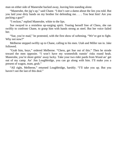man on either side of Manerube backed away, leaving him standing alone.

"Manerube, the jig's up," said Chane. "I don't care a damn about the lies you told. But you laid your dirty hands on my brother for defending me. . . . You beat him! Are you packing a gun?"

"I reckon," replied Manerube, white to the lips.

Sue swayed to a resistless up-surging spirit. Tearing herself free of Chess, she ran swiftly to confront Chane, to grasp him with hands strong as steel. But her voice failed her.

"Sue, you're mad," he protested, with the first show of softening. "We've got to fight. Why not now?"

Melberne stepped swiftly up to Chane, calling to his men. Utah and Miller ran in. Jake followed.

"Grab him, boys," ordered Melberne. "Chess, get Sue out of this." Then he strode toward the men opposite. "I won't have my womenfolk runnin' risks round heah. Manerube, you're shore gettin' away lucky. Take your two rider pards from Wund an' get out of my camp. An' Jim Loughbridge, you can go along with him. I'll make you a present of wagon, team, grub."

"All right, Melberne," returned Loughbridge, harshly. "I'll take you up. But you haven't see the last of this deal."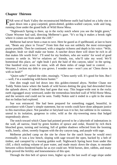## **Chapter Thirteen**

 $\Gamma$ <sup>AR</sup> west of Stark Valley the reconstructed Melberne outfit had halted on a lofty rim to gaze down into a gray-carpeted, green-dotted, golden-walled canyon, wide and long, gaze down into a gray-carpeted, green-dotted, golden-walled canyon, wide and long, running close under the grand bulk of Wild Horse Mesa.

"Nightwatch Spring is there, up in the rocky notch where you see the bright green," Chane Weymer had said, directing Melberne's gaze. "It's so big it makes a brook right where it comes out from under the cliff."

Melberne had never been a man to rave. Here he gazed as if spellbound, at last to burst out, "Beats any place in Texas!" From him that was not unlikely the most extravagant praise possible. Then he continued, with a singular richness and depth in his voice: "Wife, daughter, heah we shall make our home. A rancher down there will shore be rich in all that makes life worth livin'. I'll send for my brothers, who are waitin' for word of good country to settle in. We've relatives an' friends, too, who'll take my word. We'll homestead this place, an' right heah I pick the haid of this canyon, takin' in the spring. One hundred sixty acres for mine, with all them miles of range land to control. . . . Weymer, I reckon my debt to you grows. I wonder now—won't you an' Chess throw in with us heah?"

"*Quien sabe?*" replied the rider, musingly. "Chess surely will. It's good for him. But I —well, I'm a wandering wild-horse hunter."

One dim rough trail led down into this golden-rimmed abyss. Neither Chane nor Toddy Nokin knew where the bands of wild horses dotting the gray had descended from the uplands above, if indeed they had gone that way. This league-wide rent in the rocky earth zigzagged away westward, under the tremendous benched wall of Wild Horse Mesa, and the western end could not be seen. Toddy Nokin said it ended in a split in the stone that no Indian had explored.

Sue was entranced. She had been prepared for something rugged, beautiful, in accordance with Chane's simple statement, but no words could have done adequate justice to this marvelous place. Not paradise or fairyland was it to her, but sublime in its vastness, unreal in its isolation, gorgeous in color, wild as the sky-towering mesa that bulged stupendously above.

The notch toward which Chane had pointed proved to be a labyrinth of indentations in the wall, all narrow, lined by green borders of spruce and cedar, floored by rich thick bleached grass, turning and twisting, full of golden shadows reflected from the looming walls, lonely, silent, sweetly fragrant with the dry canyon tang, and purple with sage.

Melberne pitched camp on the site he chose for the ranch house he would erect eventually. It was a low bench, sloping with sage toward the open, backed by a belt of timber, and canopied by a leaning golden wall. Nightwatch Spring burst from under this cliff, a thick rushing volume of pure water, and made music down the slope, to meander between willow-bordered banks far as eye could see. Wild horses, deer, rabbits, and many birds proved the fertility and lonesomeness of this spot.

Through the thin belt of spruce trees, higher up on the last swell of sage slope under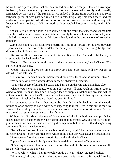the wall, Sue espied a place that she determined must be her camp. It looked down upon the bench; it was sheltered by the curve of the wall; it seemed dreamily and drowsily permeated by the song of the stream. It was indeed a throne from which perhaps some barbarian queen of ages past had ruled her subjects. Purple sage bloomed there, and the scarlet of Indian paint-brush, the vermilion of cactus, lavender daisies, and an exquisite flower unknown to Sue, a delicate nodding three-petaled blossom of white with violet heart.

She enlisted Chess and Jake in her service, with the result that sunset and supper time found her task completed—a camp which must surely become a home, comfortable, safe, secluded, and open to a view beautiful close at hand, and in the distance one of exceeding grandeur.

Camp that night had for Melberne's outfit the best of all virtues for the tired travelers —permanence. It did not disturb Melberne or any of his party that Loughbridge and Manerube had followed on their trail.

"Reckon we'll have six more weeks of this heah fine weather," remarked Melberne, as he stood with his back to the fire.

"Hope so. But winter is mild down in these protected canyons," said Chane. "The snow seldom lays long."

"Good. Wal, that'll give me time to throw up a log house heah. Will my wagons be safe where we left them?"

"They're well hidden. Only an Indian would run across them, and he wouldn't steal."

"We cain't ever drive a wagon down in heah," observed Melberne.

"That's the beauty of it. Build a corral and barn up on the rim, and down here also."

"Chane, you shore have idees. Wal, in a day or two I'll send Utah an' Miller back to Wund to mail letters an' fetch back a wagon-load of supplies. Mebbe my brothers will be so keen aboot this place they'll come before the snow flies. If not, then by spring, shore. . . . Wal, wal, I reckon I'm happier than I've been for long."

Sue wondered what her father meant by that. It brought back to her the subtle intimation of an enemy he had always been expecting to meet. Here in this out-of-the-way corner of the world perhaps he felt secure at last from the fear he must kill a man. So Sue interpreted that strange observance of her father's.

Without the disturbing element of Manerube and the Loughbridges, camp life had indeed taken on a happier order. Chess confessed that he missed Ora, and hinted he might go after her some day. Sue also missed a girl companion, but the rest of that disorganizing contingent did not occasion regret.

"Say, Chane, I reckon I can make a big pond heah, judgin' by the lay of the land an' the rocky ground," observed Melberne, whose mind obviously was active on possibilities.

"Sure you can," replied the ever-optimistic and enthusiastic Chane.

Captain Bunk removed his pipe, manifestly to deliver a remark of importance.

"Shiver my timbers if I wouldn't dam up the other end of this hole in the rocks and fill her up with water to the gunwale."

"W-w-w-wh-wh-what'n hell for would you do t-t-t-t-th—that?" stuttered Miller.

"Why, mate, I'd have a bit of a lake, and run boats on it, and start a fish ranch," replied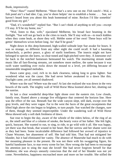Bunk, impressively.

"Haw! Haw!" roared Melberne. "Shore that's a new one on me. Fish ranch!—Wal, a fish pond ain't a bad idee. Cap, you're shore helpin' me to establish a home. . . . Sue, we haven't heard from you aboot this heah homestead of mine. Reckon I'd like somethin' good from my girl."

"Dad, it's wonderful!" replied Sue. "But I can't think of anything to tell you—except I'll stay. It'll be my home, too."

"Wal, listen to that, wife," ejaculated Melberne, his broad face beaming in the firelight. "Sue will not go back to the cities to teach. She'll stay with us—to teach kiddies when they come heah, as shore they will. Mebbe some of her own! These boys will be gettin' themselves wives before long. An' that'll be good."

Night down in this deep-bottomed, high-walled solitude kept Sue awake for hours. It was so strange, so different from any other night she could recall. It had a haunting melancholy, a perfect peace, a glory of starlit loneliness. The insects might not have belonged to species she knew, so clear-toned and high-pitched were they. A lonesome owl far back in the notched fastnesses bemoaned his watch. The murmuring stream made music like all fast-flowing streams, yet somehow more mellow, the same because it was swift water tumbling over rocks down the mound to a level, yet differing because of innumerable imagined melodies.

Dawn came gray, cool, rich in its dark clearness, taking long to grow lighter. Sue wondered what was the cause. She had never before awakened to a dawn like this. Daylight came, yet all seemed shadowed.

Where was the sun? Where was the east? At last she realized she was down in the very bowels of the earth. The mighty wall of Wild Horse Mesa loomed above her, shutting out the sunrise.

At last a clear wonderful deep-blue light shone over the eastern rim. Low clouds, faintly rose, floated above a strange live effulgence that centered the horizon line. Here was the effect of the sun. Beneath Sue the wide canyon slept, still dark, except over the gray levels, and they were vague. Far to the west the faces of the great escarpments that lifted high above the rim began to brighten, to turn purple. Sue watched the changes, sure of them, though they seemed imperceptible. Under the wandering wall of Wild Horse Mesa showed only a soft dark freshness of dawn.

Sue rose to begin the day, aware of the whistle of the riders below, of the ring of an ax, the smell and blue of a column of smoke, the hearty voice of her father. She felt light, quick, buoyant. She wanted to run, to sing, to ride, to go wild with it all. She was happy, yet there was that break, that wound in her heart. But her sorrow and her shame were not as they had been. Some incalculable difference had followed her avowel of injustice to Chane Weymer, her abasement of self. She had told him. That had not mitigated her blunder, but it had eliminated her vanity. The absence of Manerube had much to do with her mounting pleasure in the present. He was not there with his swaggering figure, his hateful handsome face, to mar every scene for her. How wrong she had been to encourage his attention just to sting the man she loved! She had never forgiven herself for that blindness; she was always uneasily conscious that the end of her blunder was not yet come. Nevertheless, happiness encroached more and more on her trouble. She stifled the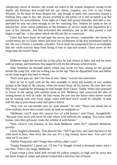whispering voices of dreams; she would not listen to the woman temptress strong in her depths, the feminine that would bid her use charm, coquetry, sex, love to win Chane Weymer. In his heart he must despise her, and though at times this conviction roused a flashing fiery rage in her, she always reverted to the justice of it and accepted it as her punishment for unworthiness. Even sight of Chane had grown bearable, and then a joy, provided he was not close enough to see her watching him. Seldom he spoke to her or noticed her; never unless politeness or the kindness of service made that imperative to a man of his character. Sue had welcomed this aloofness, but as the days passed it had begun to gall her—a fact about which she did not like to conjecture.

Chess had been loyal; he had kept her secret, but always, womanlike, she feared he would betray her to Chane. More and more the lovableness of the boy manifested itself to her. He was a friend, a comrade, a brother. Yet at times he exasperated her so exceedingly that she could scarcely keep from flying at him to slap and scratch. Chess never let her forget that she loved Chane.

Melberne began the second day in this place he had chosen to labor and end his years with an energy and heartiness that augured well for his ultimate achievements.

After breakfast he dictated letters which Sue wrote for him, sitting on the ground beside the camp fire, with her writing case on her lap. Then he dispatched Utah and Miller on the long wagon trip back to Wund.

"Pack your guns an' don't be slow in usin' them," was his last instruction.

Next he set to work with all the men available to fence the mouths of two verdant prongs at the head of the canyon, where he turned loose all his horses. He now had over fifty head, counting the mustangs he had bought from Chane. Toddy Nokin had promised to return in the spring with another band to sell. Melberne had conceived the idea of raising horses as well as cattle. He had vision. He saw into the future when horses would not be running wild over every range, when well-bred stock would be valuable. It took half the day to erect those cedar and spruce fences.

"Wal, now we can breathe easy an' look around," he said. "Shore was afraid one of them stallions down there would come up heah an stampede us."

"Melberne, you'll want this canyon free of wild horses," said Chane, thoughtfully. "Because your stock will never be safe where wild stallions are ranging. You know tame horses, once they get away, make the wildest of wild horses."

"Wal, what're you foreman of this heah Melberne outfit for?" rejoined Melberne, jovially.

Chane laughed pleasantly. That pleased him. "We'll get busy and catch the best of the wild stock in here, then drive the rest out. It's a big country down here. You can't tell what we'll run into."

"Mebbe Panquitch, huh? Forgot that stallion, didn't you?"

"Forgot Panquitch? I guess not. I'll bet I've thought of him a thousand times since I saw him. There's his range, Melberne."

Chane swept a slow hand aloft toward the yellow rampart, so high and far away that the black fringe of cedars and piñons looked like a thin low line of brush.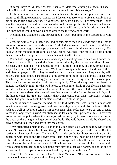"On top, hey? Wild Horse Mesa!" ejaculated Melberne, craning his neck. "Chane, I reckon if Panquitch ranges up there he's no longer a horse. He's an eagle."

In the afternoon Sue accompanied her father and the riders out upon a venture that promised thrilling excitement. Alonzo, the Mexican *vaquero*, was to give an exhibition of his ability to run down and rope wild horses. Sue heard Chane tell her father that Alonzo was the only rider he had ever known who could accomplish this. It seemed a fair and honest matching of speed and endurance against the wild horse, with the advantage all his. Sue imagined it would be worth a good deal to see the *vaquero* at work.

Melberne had abandoned any further idea of cruel practices in the capturing of wild horses.

Creasing with a rifle bullet, a method considerably used in Nevada and Utah, was to his mind as obnoxious as barbed-wire. A skilled marksman could shoot a wild horse through the outer edge of the nape of the neck and so stun him that capture was easy. The fault with this method of creasing, as it was called, was that if the bullet did a little more than crease, which happened more times than not, it killed the horse.

Water-hole trapping was a humane and easy and exciting way to catch wild horses, but seldom or never did it yield the best results—that is, the fastest and finest horses, especially the stallions, would refuse to enter the trap, or if they did they broke out or leaped the fence or killed themselves. Wild-horse wranglers, however, liked this method, and often employed it. First they located a spring or water hole much frequented by wild horses, and round it they constructed a large corral of poles or logs, and mostly cedar trees which they cut whole and dragged into close formation, leaving space for a wide gate. This gate had to be one that could be shut quickly. When the trap was completed the hunters watched by night for the wild horses to come in to drink. It was always necessary to hide on the side against which the wind blew from the horses. Otherwise their keen noses would soon detect the scent of man. Not always on the first or the second night did the horses enter the trap. But usually their thirst conquered their suspicions. When a number had gone in to drink the hunters rushed out to close the gate.

Chane Weymer's favorite method, so he told Melberne, was to find a favorable location where wild horses grazed, and one preferably with natural obstructions to flight, such as a wall of rock, or a canyon rim on one side. Then cedar trees were cut and dragged to make a long fence, a wing that stretched as far as needful, perhaps a mile in extreme instances. At the point where this fence joined the wall, or, if there was a canyon rim, at the apex of the triangle, a large corral was built. The wild horses would be chased and driven toward this fence and down into the corral.

"I've often tried a method that I got on to by accident," said Chane as they were riding along. "It takes a mighty fast horse, though. I'm keen now to try it with Brutus. But this particular place wouldn't suit. The idea is for a rider on the fast horse to get *in front* of a bunch of wild horses and ride away from them. Other riders must be on both sides and behind the wild horses, driving them. Now the strange fact is this. If the rider in front can keep ahead of the wild horses they will follow him clear to a trap corral. Such drives begin with a small bunch. But as they run along they draw in other wild horses, and at the end of a fifteen-mile drive upward of a hundred and fifty might be in the band."

"Huh! There'd shore be fun in that," replied Melberne. "But I reckon none of them stunts would work with your stallion Panquitch."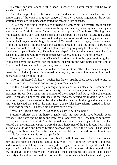"Hardly," declared Chane, with a short laugh. "If he's ever caught it'll be by an accident or trick."

The riders kept close to the western wall, under cover of the cedars that lined the gentle slope of the wide gray grassy canyon. Thus they avoided frightening the several scattered bands of wild horses that dotted the meadow-like expanse.

To Sue the ride was a continually growing delight. What a perfectly beautiful and amazing place! The deer trotted away into the spruce, scarcely showing fear. Small game was abundant. Birds in flocks fluttered up at the approach of the horses. The high wall was notched like a saw, and each indentation appeared to be a deep fissure, red-walled, thick with green spruce and russet oak and golden cottonwood. Winding gray aisles of sage led back mysteriously; huge blocks of cliff choked some passages; caverns yawned. Along the outside of the main wall the scattered groups of oak, the lines of spruce, the dots of cedar looked as if they had been planted on the gray grassy level to insure effect of stateliness, of park-like beauty. Though it was crisp October weather above, down here the sun shone warm and wild flowers bloomed everywhere, nodding in the soft breeze.

Three or four miles from camp Chane led the riders out into the open, stationing them wide apart across the canyon, for the purpose of keeping the wild horses at that end so Alonzo could have favorable opportunity to chase them.

Sue stayed with her father, who had a central stand. The lithe, sinewy *vaquero* resembled an Indian jockey. He wore neither coat, hat, nor boots. Sue inquired how could he manage to race without spurs?

"Shore, I'm blessed if I know," replied her father. "But he shore looks good to me. All muscle. No bones. Reckon he doesn't weigh more'n a feather."

Sue thought Alonzo made a picturesque figure as he sat his black racer, scanning the level grassland. His horse was not a beauty, but he had every other qualification of greatness. He was lean, long, slim, powerful of chest, ragged and wiry, with a challenging look. He quivered under the bare heels of the *vaquero*. Around his middle was belted a broad surcingle. This appeared no less than a band with a ring in the right side, and to this ring was fastened the end of the thin, greasy, snake-like lasso Alonzo carried in loops. Alonzo rode bareback. His horse did not have even a bridle.

"Wal, Sue, I reckon this will be as good as a show," said Melberne.

Presently Alonzo gave his horse a gentle kick. No spur could have brought better response. The horse sprung from one leap into a long easy lope. How lightly he moved! He did not even raise the dust. And the dark-skinned rider seemed a part of him. Sue had learned that the Mexican *vaqueros* were the great horsemen of the Southwest, from whom all the cattle-driving and bronco-busting cowboys had learned their trade. It had been a heritage from Texas, and Texas had learned it from Mexico. Sue did not see how it was possible for a rider to sit his horse so perfectly.

Alonzo headed to go round the closest band of wild horses, so to place them between him and the riders on the stands across the canyon. The wild horses saw him, stood erect and motionless, watching for a moment, then began to move restlessly. When he had approached to within a quarter of a mile they broke and ran eastward. Sue uttered a little cry of delight at the beauty and wildness of their appearance and action. The leader, evidently not a stallion, was red in color, and there were whites, blacks, tans, and bays, all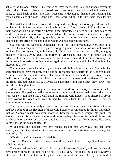actuated as by one instinct. Like the wind they raced, long tails and manes streaming behind them. Then suddenly it appeared that in one bound they had halted and wheeled at once, to gaze back at this lone rider. Presently it developed that the red mustang had espied enemies to the east. Chane and Chess were riding in to turn them back toward Alonzo.

But first the wild horses trotted this way and that, fiery in motion, proud and wild, intolerant of this intrusion upon their lonely precincts. Alonzo kept a little to the north of their position, no doubt fearing a break in that unprotected direction. But manifestly the wild horses knew the unobstructed open distance lay in the opposite direction. Sue espied other bands farther off, gathering together, trotting to and fro, evincing the same curiosity that had at first affected the band upon whom Alonzo had concentrated.

Sue enjoyed this watching experience to the full. The surroundings were such as to exalt her. Calm acceptance of this place of rugged grandeur and isolation was not possible to Sue. The dry sweet air, unbreathed; the blue sky above the great walls; the gray meadow with its waving grass; the borders of green; and then the wild horses and the riders, and the surety that this was to be a clean fine race devoid of deceit or brutality—all this appealed powerfully to Sue, waking again that something which the Utah upland had discovered in her.

The moment came when the *vaquero* launched his black into the race. Sue, who had seen racehorses leave the post, could not but recognize the superiority of Alonzo's black. All in a second he seemed wild, too. The band of horses broke and ran, in a way to make their former running seem slow. They stretched out to the east, and the fleetest forged to the front. The red leader had two rivals for supremacy, and these three drew away from the others, though not far.

Alonzo did not appear to gain. He kept to the north of his quarry. His reason for this was obvious. For perhaps half a mile eastward this position was maintained, then shots from Chane's gun acted like a wall upon the running wild horses. They sheered in abrupt curve toward the open, and were turned by Chess back toward the west. Here the wonderful race began.

The *vaquero* had now only to head directly toward them to gain the distance that he had been behind. If the fleetness of those wild horses was something thrillingly incredible, that of Alonzo's black was even more so, because he carried weight. No doubt the *vaquero* meant this particular race to be short, or perhaps this was his method. At any rate he closed in on the rear of that band, and began to pass mustang after mustang. He wanted to rope one of the best and fleetest.

Wild horses and pursuer were now racing back toward where Sue and her father waited, and the line on which they would pass, if they kept straight, was scarcely two hundred yards.

"Oh, dad, they'll come close," cried Sue.

"You bet. Reckon I'll shoot to scare them if they head closer. . . . Say, Sue, look at that half-breed ride!"

The stretched-out band did head closer toward Melberne's stand, and probably would have broken through the line had he not fired his gun. That made the leaders swerve a little north. It also enabled Sue to get a perfect view of the race. The rhythmic thud of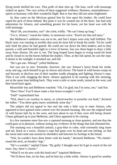flying hoofs thrilled her ears. Thin puffs of dust shot up. The lean, swift wild mustangs rushed on apace. The very action of them suggested wildness, fleetness, untamableness spirits in harmony with their wonderful flight. But to Sue they did not seem frightened.

As they came on the Mexican gained foot by foot upon the leaders. He could have roped his pick of those behind. But plain it was he wanted one of the three. Sue had only admiration for Alonzo, and something greater for his horse, yet her heart was with the wild mustangs.

"Run! Oh, you beauties, run!" she cried, wildly. "He can't keep up long."

"Go it, Alonzo," roared her father, in stentorian voice. "Ketch me that red mare."

But Melberne's ambition was not to be, and Sue's hopes were only half fulfilled. The black racer was running so terribly that soon he must fall or break his stride. Yet he could only hold the place he had gained. He could not run down the fleet leaders; and as they passed, a wild and beautiful sight to a lover of horses, Sue saw them begin to draw a little away from Alonzo. He saw it, too. The long looped lasso began to swing round his head and he closed in on the horses behind the leaders. Then, at this full speed, he cast the rope. It shone in the sunlight; it streaked out, and fell.

"He's got one. Whoop!" yelled Melberne.

Sue was not so sure. Presently, however, she saw Alonzo's horse break his stride, sway and sag, catch himself to go on slower and slower. The band of wild horses swept on and beyond, to disclose one of their number madly plunging and fighting Alonzo's rope. Then it ran wild, dragging the black. Alonzo appeared to be running with this mustang, yet at the same time holding back. They went a mile or more north, turned to the west, and then faced back again.

Meanwhile Sue and Melberne watched. "Oh, I'm glad, but I'm sorry, too," said Sue.

"Haw! Haw! You'll shore make a fine horse-wrangler's wife."

"Dad!" expostulated Sue.

"Wal, there's no cowboy to marry, or school-teacher or preacher out heah," declared her father. "You shore gotta marry somebody some day."

The subject did not appeal to Sue and she rode a little way to meet Alonzo, who appeared to have gained some control over the lassoed mustang. She saw the original band of wild horses halt far to the west, and turn about to see if they were still being chased. Chane galloped up to join Melberne, and Chess appeared to be coming.

In a few moments more Sue saw a captured mustang at close quarters, and one that she could gaze at in pleasure, without seeing any evidence of the things that had alienated her.

The mustang was a beautiful animal, a gray-blue in color, with extremely long mane and tail, black as a raven. Alonzo's rope had gone over its head and one foreleg, so that the noose had come taut around its shoulders and between its forelegs at the breast.

"Wal, he couldn't have done better with his hands," declared Melberne. "No chokin' round the neck, no breakin' legs."

"He's a wonder," replied Chane. "By golly! I thought once he'd get in reach of the red mare. Say, there's a horse."

"What'll we do now with this heah one?" inquired Melberne.

"We'll throw him, tie his feet, and let him lay a little while. Alonzo is good for another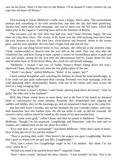race on his black. Then I'd like him to ride Brutus. I'll be darned if I don't believe he can rope that red mare off Brutus."

That evening at sunset Melberne's outfit were a happy, merry party. The environment perhaps had something to do with satisfaction, and then the day had been gratifying. Alonzo had roped three wild mustangs, and one of them was the red mare, which had fallen prey to the *vaquero's* unerring lasso and to the fleetness of Brutus.

This occasion was the first time Sue had ever seen Chane Weymer happy. He was more of a boy than Chess. The victory of his horse over the wild mustang must have been the very keenest of joys. His dark face, clean-shaven and bronzed, shone in the sunset glow, and his eyes sparkled. He even had a bright look and nod for Sue.

There was one thing forced home to Sue, perhaps, she reflected at the moment when Chane condescended to observe that she was still on the earth. This was, that after the wonderful day, and now facing in mute rapture a sunset of extraordinary glory of gold and rose and purple, seeing for the first time the phenomenon told by Chane about the lilac and lavender haze on Wild Horse Mesa, she could not call herself unhappy.

"Melberne, I reckon I see two of Toddy Nokin's Piutes riding down the trail," observed Chane, shading his eyes from the last golden glare of the sun.

"Ahuh! I see them," replied Melberne. "Ridin' in for supper, hey?"

Chane looked thoughtful, and, watching the Indians, he shook his head ponderingly, as if he could not just quite understand their coming. Presently two little mustangs, with the wild-appearing riders unmistakably Indian, rode out of the cedars and came across the level in a long swinging lope.

"One of them is Sosie's brother," said Chane, peering hard down the bench. "And, by golly! the other one is her husband."

With that Chane strode down to meet them, and at the foot of the bench he detained them in conversation for some minutes. Presently they dismounted and, slipping the saddles and bridles, they let the mustangs go, and accompanied Chane up to the camp fire.

Sue had seen Sosie's brother, but not her husband. He was a slender Indian, with lean, dark handsome face and somber eyes. He did not smile or talk, as did his comrade. He carried a shiny carbine which he rested on the instep of his moccasined foot.

"Jake, rustle some grub," called Chane, and then he turned to Melberne. "Some news, Melberne. Though I'm not surprised. Loughbridge and Manerube, with *five* men and no women, are camped back on the rim about five miles."

"Five men now, an' no womenfolk!" ejaculated Melberne. "Huh! that's kind of funny. How'd they get rid of Ora and her mother?"

"They're packing their outfit. They haven't the wagon you gave Loughbridge. Reckon that's gone to Wund with the girl and Mrs. Loughbridge."

"Wal, that's where Jim Loughbridge ought to be, I'm thinkin'. But shore I'm not carin' where he is."

"Would you mind if he packed down here?" inquired Chane.

"Huh! I shore would," declared the other, bluntly. "I just wouldn't let him. This is my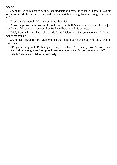range."

Chane threw up his hands as if he had understood before he asked. "That talk is as old as the West, Melberne. You can hold the water rights of Nightwatch Spring. But that's all."

"I reckon it's enough. What's your idee aboot it?"

"Water is power here. We might be in for trouble if Manerube has control. I'm just wondering if those extra men could be Bud McPherson and his cronies."

"Wal, I don't know, that's shore," declared Melberne. "But your wonderin' aboot it makes me think."

Chane bent lower toward Melberne, so that none but he and Sue who sat with him, could hear.

"It's got a funny look. Both ways," whispered Chane. "Especially Sosie's brother and husband trailing along when I supposed them over the rivers. Do you get my hunch?"

"Ahuh!" ejaculated Melberne, seriously.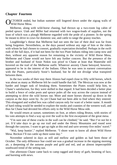## **Chapter Fourteen**

O CTOBER ended, but Indian summer still lingered down under the zigzag walls of Wild Horse Mesa.

Melberne, along with wild-horse chasing, had thrown up a two-room log cabin of peeled spruce. Utah and Miller had returned with two wagon-loads of supplies, not the least of which was a plough Melberne regarded with the pride of a pioneer. In the spring he meant to drive in cows for domestic use, and cattle to range the grassy reaches.

Loughbridge's threat that Melberne had not seen the last of their deal was far from being forgotten. Nevertheless, as the days passed without any sign of him or the riders with whom he had chosen to consort, gradually expectation dwindled. Perhaps in the swift rush of the full days, if it had not been for the two Piute Indians riding into camp now and then, without any apparent reason for remaining in the vicinity of Wild Horse Mesa, Melberne and Chane would not have felt any further concern. But the presence of the brother and husband of Sosie Nokin was proof to Chane at least that Manerube still hovered on the trail of the Melberne outfit. Whatever anxiety Chane betrayed, however, appeared to be in the interest of the Indians. Often he was seen in earnest conversation with the Piutes, particularly Sosie's husband, but he did not divulge what transpired between them.

In the two weeks of their stay there Alonzo had roped close to fifty wild horses, which was about as many as Melberne felt he could handle that fall. The Mexican was now at the harder and longer task of breaking them. Sometimes the Piutes would help him, to Chane's satisfaction, for they were skilled in that regard. It had been decided a better plan to build a fence of cedar posts and spruce poles all the way across the canyon instead of attempting to drive the wild horses out. More and more horses showed up down in the canyon as the days went by. As yet Chane had not been able to find where they entered. This elongated and walled box was called canyon only for want of a better name. A month of hard riding would be needed to explore the nooks and crannies of the western wall, and thus far Chane had devoted his efforts only to the Wild Horse Mesa side.

He would return at sunset, sometimes on foot, at others riding Brutus, with stories of his vain attempts to find a way up over the wall to the first escarpment of the great mesa.

"I'm sure one of these cracks in the wall can be climbed," he said. "But I've not hit it yet. It'd take days to go up our trail and under the Henry Mountains and round west through the canyons. I want to get up right at this end and save seventy-five miles' travel."

"Wal, keep huntin'," replied Melberne. "I shore want to know all aboot Wild Horse Mesa. Reckon I'll run cattle up there some day."

November ushered in days as still and mellow and golden as had been those of October. The only difference Sue could see was a gradual increase in the nipping morning air, a deepening of the autumn purple and gold and red, and an almost imperceptible southward trend of the setting sun.

One afternoon Chane came back to camp ragged and dusty of garb, beaming of face, and bursting with news.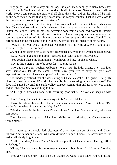"By golly! I've found a way out on top," he ejaculated, happily. "Funny how easy, after I found it. Took me right under the sharp bluff of the mesa. Grandest view in all the world! Now I can explore the great wall all along this side. And on the other I'll be right on the bare rock benches that slope down into the canyon country. Fact is I was close to the place where I worked up from the rivers."

Sue, watching Chane and listening to him, was inclined to believe Chess's whisper that Chane had something up his sleeve. "Sue, the son-of-a-gun is on the track of Panquitch," added Chess, in her ear. Anything concerning Chane had power to interest and excite Sue, and this time she was fascinated. Under his physical weariness and the contrasting enthusiasm of his talk there seemed a deep suppressed emotion. Could Chane care so much about the capture of a wild horse? It was just the intensity of his nature.

"Wal, I'll tell you what," interposed Melberne. "I'll go with you. We'll take a pack horse an' explore for a few days."

Chane did not exhibit his usual happy acceptance of any plan by which he could serve.

"Dad, I want to go and I'm going," declared Sue, with sudden positiveness.

"You couldn't keep me from going if you hawg-tied me," spoke up Chess.

"Say, is this a picnic I'm to be scout for?" queried Chane.

"Shore it's a picnic," replied Melberne. "We'll take the kids, Chane. They can look after themselves. I'll do the same. That'll leave you free to carry out your own explorations. But we'll have a camp we'll all come back to."

Sue suddenly realized that she was staring at Chane, caught off her guard. The guilty blood warmed her cheek. What did he mean by his penetrating, almost stern gaze? The days had passed by until the Stark Valley episode seemed dim and far away, yet Chane had not changed. She was nothing to him.

"All—right," drawled Chane, with returning good nature, "if you can keep up with me."

"Huh! Thought you said it was an easy climb," retorted Melberne.

"Boss, the talk of this brother of mine is a delusion and a snare," averred Chess. "But we don't care what his easy means. Hey, Sue?"

"We don't care in the least what Chane—thinks," rejoined Sue, demurely, with eyes cast down.

Chess let out a merry peal of laughter, Melberne looked wise, and Chane retreated within himself.

Next morning in the cold dark clearness of dawn Sue rode out of camp with Chess, following her father and Chane, who were driving two pack horses. The adventure to Sue had an alluringly bright face.

"Well, sister dear," began Chess, "this little trip will be Chane's finish. The big stiff of an iceberg!"

"Chess, I declare, if you begin to tease me about—about him—I—I'll not go," replied Sue.

"Not go? You're crazy. This'll be the chance we want. But I know you're bluffing.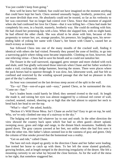You just couldn't keep from going."

How well he knew her! Indeed, Sue could not have imagined on the moment anything that could have kept her back. Chess seemed unusually happy, brotherly, protective, and yet more devilish than ever. He absolutely could not be trusted, so far as his verbosity to her was concerned. Sue no longer had control over Chess. Since that moment of anguish when she had confessed her love for Chane—that it was killing her—Chess had made her completely his own, in a boyish, masterly, brotherly way. She could do nothing with him. He had closed her protesting lips with a kiss. When she slapped him, with no slight hand, he had offered the other cheek. She was afraid to be alone with him, because of this propensity to torture her; yet, strange paradox, his presence, his laughing eyes, his neverending habit of yoking her name with Chane's, her future with Chane's, caused her as much ecstasy as torment.

Sue followed Chess into one of the many mouths of the cracked wall, finding it identical with others she had visited. Presently they passed the zone of fertility, to go into a narrowing gulch where riding soon became impossible. Climbing on foot, however, had one relieving virtue—Chess had to save his breath and so could not tantalize her.

The fissure in the wall narrowed, zigzagged, grew steeper and more choked with rock and shale, until Sue gladly welcomed those intervals when Chane and her father worked to make a trail, cracking with sledge hammer, heaving the stones. There were places where the pack horses had to squeeze through. It was slow, hot, laborsome work, and Sue felt so confined and restricted by the winding upward passage that she had no pleasure in this part of the day's adventure.

An hour was consumed on the last devious steep ascent of the split in the wall.

"Ea—sy! That—son-of-a-gun said—easy," panted Chess, as he surmounted the rim. "Come on—Sue."

Sue's leaden boots could barely be lifted; they seemed riveted to the trail. At length she made it, and raising her eyes was almost staggered by a colossal red corner of wall, cracked, seamed, stained, sheering up so high that she had almost to unjoint her neck to bend back her head to see the top.

"What's—that?" she asked, huskily.

"Reckon it's Wild Horse Mesa. Isn't Chane an awful liar? Easy to get on top, he said. Why, we've only climbed one step of a stairway to the sky."

The bulging red corner hid whatever lay to east and south. In the other direction the view showed the country back upon which Sue had so often gazed—desert upland, sweeping away, grass and ridge and range, to the distant black mountains. Suddenly she gazed down. The gray canyon yawned at her feet, not unlike when she had first seen it from the other rim. Her father's labors seemed lost in the vastness of gray and green. Only the column of blue smoke proved that the homestead was a reality.

"Get on and ride," called Chane.

The bare red rock sloped up gently in the direction Chane and her father were leading. Sue trotted her horse to catch up with them. To her left the stone slanted gradually, growing broken, and at length merged in the deceiving irregularity of the desert. She felt a mounting curiosity to see what lay beyond the close horizon. As for the wall of the mesa to her right, that somehow staggered her.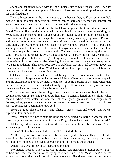Chane and her father halted with the pack horses just as Sue reached them. Then for Sue the very world of stone upon which she stood seemed to have dropped away before her transfixed gaze.

The southwest country, the canyon country, lay beneath her, as if by some incredible magic, within the grasp of her vision. Waving gently, bare and red, the rock beneath her sloped down and down, until it seemed to be lost in the gleaming abyss.

Sue did not need to be told that the first terrible gap in the terraced stone was the Grand Canyon. She saw the granite walls, almost black, and under them the swirling red river. Dark and menacing, this canyon wound in rugged sweeps through the leagues of bare stone, meeting lines of cleavage that were other canyons, emptying into it. Between and beyond rolled the endless waves, knolls, ridges, domes of red and yellow rock; and dark clefts, thin, wandering, showed deep in every rounded surface. It was a grand and stunning spectacle. Dimly across this waste of canyon-cut stone rose a flat land, purple in color, overtopped by a round black mountain. The west seemed all closed by the bulk of Wild Horse Mesa. It ranged away, an unscalable wall, for many miles, regular and clearcut at single glance, but discovering to long study a mountain of seamed and creviced stone, with millions of irregularities, sheering down to the base of bare stone that appeared to be its foundation. This mesa rose from a tableland that in itself towered above the canyon country. The far end of Wild Horse Mesa stood up in supreme isolation and grandeur, bright-walled in the morning sun.

If Chane expected those whom he had brought here to exclaim with rapture their impressions of this spectacle, he had reckoned falsely. Chess was the only one to speak, and his exclamations proved the natural tendency of some persons to be funny when they mean to be impressive. Sue wanted intensely to get off by herself; she gazed no more because her faculties seemed to have become dwarfed.

Chane rode down over the waving stone, to enter a curving-walled break, that soon became a canyon in itself and swallowed them up. It opened at length into a loftier walled canyon, where clear water ran, and the richest of green grass and most exquisite of flowers, white, yellow, lavender, made verdure on the narrow benches. Cottonwood trees showed foliage just beginning to turn gold.

"Here's a good place to camp," said Chane. "Grass, water, and wood. And we can explore in four directions."

"Wal, I reckon we'd better hang up right heah," declared Melberne. "Because, I'll be darned, if you show me any more pretty places I'll get discontented with my homestead."

"Melberne, did you see any tracks on the way across the bench above?" asked Chane as he swung out of his saddle.

"Tracks! On that bare rock? I shore didn't," replied Melberne.

"Well, I did, and some of them were fresh, made by shod horses. They were headed west along the bench. The Piute boys rode up this way yesterday, but their ponies were not shod. I'm inclined to believe Manerube and his outfit made those tracks."

"Ahuh! Wal, what if they did?" demanded the other.

"No matter, I reckon. They're leaving us alone," rejoined Chane, thoughtfully. "But it bothers me—the idea they may be trying to climb Wild Horse Mesa. They're on the wrong track down that bench, for about ten or twelve miles down there's an impassable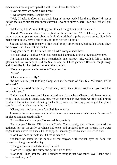break which runs square up to the wall. That'll turn them back."

"How far have we come down heah?"

"Two or three miles, I should say."

"Wal, I'll take it afoot an' go back, keepin' an eye peeled for them. Shore I'd just as lief do that as go further into these canyons. I want to climb where I can see. What'll you do?"

"Melberne, I don't mind telling you I think I can get on top of the mesa."

"Good! You make shore," he replied, with satisfaction. "An', Chess, you an' Sue prowl around to please yourselves, only don't work back up the way we come. Now let's make camp quick, have a bite to eat, an' then be free till dark."

Sue and Chess, more in spirit of fun than for any other reason, had trailed Chane down the canyon until they lost his tracks.

"Dog-gone him! Has he turned into a bird?" complained Chess.

"He's an angel," said Sue, who had responded strangely to this growing adventure.

The canyon had grown to be a remarkable one, narrow, lofty-walled, full of golden gleams and hollow echoes. It drew Sue on and on. Chess gathered flowers, caught frogs and butterflies for her, helped her over the boulders.

"Do you suppose he climbed out?" inquired Sue.

"Who?"

"Chane, of course, silly."

"So-ho! You're just toddling along with me because of *him*. Sue Melberne, I'd be ashamed."

"I am," confessed Sue, boldly. "But then you're nice at times. And when you are I like to be with you."

"I don't see how we could have missed any place where Chane could have gone up with Brutus. It sure is queer. But, Sue, we've come mostly over bare wet rock and granite boulders. I'm not so bad following tracks. Still, with a distractingly sweet girl like you, I couldn't track an elephant in the mud."

"Chess, you can shore spout," replied Sue, merrily.

Presently the canyon narrowed until all the space was covered with water. It ran swift in places, and appeared shallow.

"Looks like we're stumped," observed Sue, ruefully.

"Us stumped? Never. I'll carry you," said Chess, gayly, and without more ado he gathered her up, as easily as Chane had once, and splashed into the stream. The water began to rise above his knees. Chess slipped, then caught his balance. Sue cried out:

"Don't you dare fall with me, Chess Weymer."

Suddenly he halted in the middle of the canyon, with roguish eyes on hers. Sue recognized the gleam of deviltry.

"That gives me a wonderful idea," he said.

"Does it? All right. But hurry and get me out of this."

"Not at all. That isn't the idea. I suddenly thought just how much love Chane and I have wasted on you."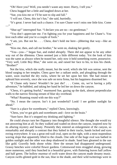"Oh! Have you? Well, you needn't waste any more. Hurry, I tell you."

Chess hugged her a little and laughed down at her.

"Sue, you kiss me or I'll be sure to slip and fall."

"I will not. Chess, this isn't fun," she said, hurriedly.

"It's great. I never had such a chance. I'm sure Chane won't miss one little kiss. Come —"

"Shut up!" interrupted Sue. "I declare you are no—no gentleman."

"You don't appreciate me. I'm fighting *you* for your happiness and for Chane's. You love each other and you're a couple of fools."

"*I* am, yes. But not he. . . . Chess, don't hold me here—jibbering that way—like an idiot."

"Kiss me, then, and call me brother," he went on, shaking her gently.

"You—you—" began Sue, and ended abruptly. There did not appear to be any other way out of the dilemma. Chess seemed just a little different today. Yet the look of him was the same as always when he teased her, only now it held something sweet, possessive. "Very well, Little Boy Blue," she went on, and raised her face to his, to kiss his cheek. "Brother!"

Not the kiss, which she really meant, but the word, which she felt was untrue, sent the blood surging to her temples. Chess gave her a radiant smile, and ploughing through the water, soon reached the dry rocks, where he set her upon her feet. She had meant to upbraid him severely, once she was safe on terra firma, but his happiness disarmed her.

"If Chane only knew! Wouldn't he just die? . . . Come, sis, we're having a jolly adventure," he babbled, and taking her hand he led her on down the canyon.

"Chess, it's getting fearful," murmured Sue, gazing up the dark, almost perpendicular walls to the narrow flowing stream of blue sky overhead.

"What? Roaming round with me this way?"

"No. I mean the canyon. Isn't it just wonderful? Look! I see golden sunlight far ahead."

"Sure is a place for sweethearts," replied Chess, knowingly.

"Chess, you've got girls and sweethearts and—love on the brain."

"Sure have. But it's stopped my drinking and fighting."

He could always turn her flippancy into thoughtful silence. She thought she would try not answering him at all. So they walked and waded on down the canyon, inspired now by its alluring mystery and beauty. Presently they entered an enlargement of the canyon, so remarkably and abruptly a contrast that they halted in their tracks, hands locked and eyes roving everywhere. It was a great red-wall oval, open on the right, with a most stupendous waving slope that apparently lifted to the clouds. One side of the huge oval was bathed in golden sunlight and the other was deep shadowed in shade. Sand bars gleamed in the sun like gold. Gravelly beds shone white. Here the stream had disappeared underground. Grassy benches were colorful flower gardens. Cottonwood trees straggled along, growing more numerous, until they bunched in a beautiful grove, with fluttering leaves half yellow and half green. The hollow murmur of swift water down the canyon made dreamy music. Canyon swifts glinted gold in the sun, blue in the shade, and their wild twitterings were in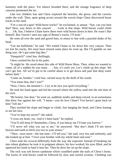harmony with the place. Yet silence brooded there, and the strange fragrance of deep canyons permeated the air.

Like two children Sue and Chess explored the benches, the grove, and the caverns under the wall. Then, upon going across toward the waved slope Chess discovered horse tracks in the sand.

"I'm a son-of-a-gun! Wild-horse tracks!" he exclaimed, in amaze. "Sue, can you beat that? Here, way down in this canyon! . . . Look at that slope. Wild horses could climb it. . . . Oh, Sue, I believe Chane knew there were wild horses down in here. He wasn't like himself. But I haven't seen any sign of Brutus's tracks. I'll look."

He went all over the sand and gravel bars, to return to Sue with a puzzled shake of his head.

"Got me buffaloed," he said. "We trailed Chane so far down this very canyon. Then we lost his tracks. We must have missed some place he went up. But I'll gamble on one thing sure. He's got some big idea."

"Panquitch!" cried Sue, thrillingly.

Chess cracked his fist in his palm.

"It might be. He raved about this side of Wild Horse Mesa. Then, when we wanted to come, all of a sudden he was mum. . . . Sue, it's early yet. Let's climb up this slope. We can't get lost. All we've got to be careful about is to get down and past that deep water before dark."

"Come on, brother," cried Sue, carried away by the thrill of his words.

"You mean that, don't you?"

"Now, Chess, the moment I—I try to be nice you spoil everything."

He took her hand again and led her toward where the yellow sand met the red slant of the rock.

"Be honest, Sue dear," he went on, suddenly tender and deep-voiced, in an earnestness that drew Sue against her will. "I mean—you do love Chane? You haven't gone back on him? Tell me."

They reached the slope and began to climb, Sue hanging her head, and Chess leaning to see her face.

"You've kept my secret?" she asked.

"I cross my heart, yes. And it's been hard," he replied.

"You'll still keep it? Remember, Chess, if you betray me I'll hate you forever."

"I'll never tell what you say to me," he answered. "But don't think I'll not move heaven and earth to fetch you two to your senses."

"Then—once more—the last time—I'll tell you," she said, very low and solemnly, and she looked up at him. "I love your brother with my whole heart and soul."

Chess took her avowal differently from the way she expected. Instead of breaking out into robust gladness he took it in poignant silence; his face worked, his eyes filled, and he squeezed her hand so hard it hurt her. Then he drew her on up the slope.

The rock was soft brown sandstone which crumbled under the nails of Chess's boots. The tracks of wild horses could be followed by slow and careful scrutiny. Climbing was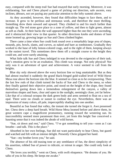easy, compared with the steep trail Sue had essayed that early morning. Moreover, it was exhilarating. Sue and Chess played a game of picking out direction, safe ascents, easy inclines, détours, not yet paying any particular attention to the lofty summit above.

As they ascended, however, they found that difficulties began to face them, and to increase. It grew to be perilous and strenuous work, and therefore the more thrilling. Something drew them onward and upward. They climbed to and fro much farther than straight up. The red stone gave place to a zone of yellow, and then to light green, almost as soft as chalk. At their backs the wall appeared higher than the one they were ascending, and it obstructed their view in that quarter. In other directions knobs and domes of bare stone loomed up, growing larger as Sue and Chess climbed higher.

There came a time when Sue could look round over a remarkably large area of slopes, mounds, pits, bowls, slants, and curves, as naked and bare as tombstones. Gradually they worked to the base of lofty lemon-colored crags, and to the right of them, keeping always to the easiest travel. This sometimes drew them off a straight course to the height they could see, and were surely attaining.

What little talk Sue and Chess indulged in was devoted to the exigencies of their task. Sue's emotion grew to be an exultation. This climb was strange. Not only physical! Not only was it an adventure of sport and achievement. A voice seemed to call from the heights.

Blue sky only showed above the wavy horizon line so long unattainable. But as they had almost reached it suddenly the grand black-fringed gold-walled level of Wild Horse Mesa rose above the horizon into the blue. It seemed so close as to be overpowering. Then the last few rods of that climb turned the backs of Sue and Chess to the mesa, so when they finally gained their objective point, and stood on the height of the slope, they found themselves gazing down into a tremendous enlargement of the canyon, a valley of marvelous shapes and hues, clear and open in the sunlight, seemingly close, yet far below. Like that of a colossal octopus the dark green body and arms seemed to float on a sea of opal. There were no clouds or sunset to confuse the eye. Nevertheless, there was an impression of many colors, all pale, imperceptibly shading into one another.

Beautiful as Sue found that valley, the instant she turned she forgot it. Awe possessed her. Chess drew a deep hard breath. Wild Horse Mesa loomed before and above them, its great western cape a magnificent promontory, running toward the westering sun. Its inaccessibility seemed more paramount than ever, yet from this height Sue conceived a haunting sense that it was indeed the abode of wild horses.

"Sue, sit down and rest," said Chess. "I've got something to tell you—soon as I can breathe—and talk. This is the place."

Absorbed in her own feelings, Sue did not want particularly to hear Chess, but gazed and watched and felt with an intense delight. Presently Chess gripped her hand.

"Sue—my brother loves you," he said.

The absence of his old teasing tone or any semblance of fun, the direct simplicity of his assertion, robbed Sue of power to ridicule, or retreat in anger. She could only look at Chess.

"He loves you terribly," went on Chess, with swift eloquence. "He dreams of you. He talks of you in his sleep. He keeps me awake."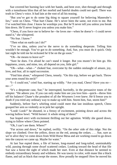Sue covered her burning face with her hands, and bent over, shot through and through with a tumultuous bliss that all her morbid and hateful doubts could not quell. There was truth in Chess's voice. It had lain at the root of all his teasing.

"But you've got to do some big thing to square yourself for believing Manerube's lies," went on Chess. "That hurt Chane. He's never been the same, not even to me. But I've watched him close. I know he worships you. But he'll never tell you unless you break him down. He'll never forgive you unless you make him."

"Chess, if you force me to believe he—he loves me—when he doesn't—I could never stand it," she whispered.

"No fear. I know."

"Then what on earth can I do?"

"I've no idea, unless you've the nerve to do something desperate. Telling him wouldn't be enough. You've got to *do* something. And, Sue, you must do it quick. Only last night he told me he reckoned he'd be on the go soon."

"Oh—he means to leave us?"

"Sure he does. I'm afraid he can't stand it longer. But you mustn't let him go. His happiness, yours, and mine, too, all depend on you, little girl."

"Oh—what—what—" choked Sue, overcome by the sudden onslaught of amaze, joy, love, and fear, all in rapid succession.

"Find him alone," whispered Chess, tensely. "On this trip, before we get back. Throw your arms round his neck!"

"I—I could not," cried Sue, starting up wildly. "Are you mad, Chess? Have you no  $no$ "

"It's a desperate case, Sue," he interrupted, hurriedly, in the persuasive tones of the tempter. "He adores you. If you can only make him see you love him—quick—throw him off his balance! Chane's the proudest of all the Weymers I ever knew. He'd freeze you to death if you tried any ordinary way to make up with him. Storm him, Sue, storm him!"

Suddenly, before Sue's whirling mind could meet that last insidious speech, Chess grasped her arm so violently as to jerk her upright.

"Look! Look!" he shouted, in a frenzy of excitement, pointing down and across the waving hollow bowl. "Wild horses! A whole string of them!"

Sue leaped erect with excitement thrilling out her agitation. Wildly she gazed down, trying to follow where Chess pointed.

"Oh, I can't see them. Where?"

"Far across and down," he replied, swiftly. "On the *other* side of this ridge. Not the slope we climbed. Over the yellow, down on the red, among the cedars. . . . Sue, sure as we're alive they've come down from Wild Horse Mesa and are working round to go down into the canyon we came up. Maybe for water."

At last Sue espied them, a file of horses, long-maned and long-tailed, unmistakably wild, passing through some dwarf scattered cedars. Looking toward the head of that file Sue saw a horse the sight of which made her start. Even at that distance he seemed to embody extraordinary beauty and wildness. He was tawny in color, with mane like a black flame, and tail as black that swept the stones. How proudly he stepped! How he moved his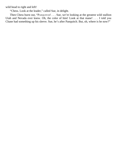wild head to right and left!

"Chess. Look at the leader," called Sue, in delight.

Then Chess burst out, "PANQUITCH! . . . Sue, we're looking at the greatest wild stallion Utah and Nevada ever knew. Oh, the color of him! Look at that mane! . . . I told you Chane had something up his sleeve. Sue, he's after Panquitch. But, oh, where is he now?"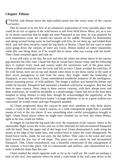## **Chapter Fifteen**

C HANE rode Brutus down the dark-walled portal into the rocky maze of the canyon country.

This he meant to be the first of an exhaustive exploration of every possible place that could be an exit or egress of the wild horses to and from Wild Horse Mesa; yet, as it was by no means uncertain that he might not meet Panquitch at any time, he was prepared for such momentous event. He carried two lassoes on his saddle. Presently he dismounted, and taking several burlap sacks he had brought with him, he cut them up, and folded them thick, and tied them securely round the big hoofs of Brutus. Chane did not want to make noise going down the canyon, or leave any tracks. Brutus looked on rather impatiently while this was being done, as if he would like to know what was wrong with his hoofs. Then Chane mounted again and rode on.

It was still early in the day, for now and then the white sun shone above in the narrow gap between the lofty rims. Chane felt that he would have leisure today and the following days to explore every nook and cranny under the mysterious wall of the great mesa. Brutus walked noiselessly over the rocks and left no trace. Chane avoided the sand bars. If the wild horses were out on top and should come down to see horse tracks in the sand of their secret passageway to and from the mesa, they might, under the leadership of Panquitch, at once turn back. Chane remembered wonderful instances of the intelligence, almost reasoning power, of wild stallions. The longer a stallion was hunted the keener and wilder he became. Panquitch had outwitted a hundred wild-horse wranglers. But that had been in open country. Here, deep in these narrow canyons, with their abrupt turns and deep waterways, he would be decidedly at a disadvantage. Chane had not in the least been tempted to bring Alonzo to help him, though he acknowledged the superiority of the *vaquero*. Chane had the wild-horse hunter's strange ambition, so far as a great stallion was concerned: he would corner and rope Panquitch unaided.

As Chane progressed down the canyon he paid strict attention to only those places where a crack in the wall, a branch canyon, or a wide enlargement might hide a possible means of exit to the rim above. It was astonishing what careful investigation brought to light. Chane found places where he might have climbed out on foot, but where Brutus, agile as he was, could not follow.

At length he reached the big park-like oval, the expansion of the canyon, where in his memorable flight across the rivers and out of this labyrinth he had encountered Panquitch with his band. Near the upper end of this huge oval Chane dismounted to walk along the stones at the edge of the sandy bars, and worked back to where the water disappeared. He found horse tracks, made, he was sure, the day before. They came to the water and went back toward the low rise of red slope. This point was not where he had encountered Panquitch. That, Chane remembered, was a beautiful constriction of this enlargement of the canyon, a bowl-like place, full of cottonwoods and willows, and characterized by a more wonderful slope than this one.

Chane studied the whole opposite wall, as far as he could see. He could see perhaps a mile of this oval. Just opposite where he stood a wide break in the wall came down to the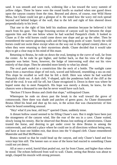sand. It was smooth and worn rock, widening like a fan toward the wavy summit of yellow ridges. These he knew were the round knolls so marked when one gazed down upon the canyon country from the rims. Beyond and above, of course, rose Wild Horse Mesa, but Chane could not get a glimpse of it. He noted how the wavy red rock spread beyond and behind bulges of the wall, that to the left and right of him sheered down perpendicularly to his level.

That one to the right of him held his studious attention because he believed it hid much from his gaze. This huge frowning section of canyon wall lay between the slope opposite him and the one below where he had watched Panquitch climb. It looked to Chane as if the wild horses could come down one slope and go up the other. Then he remembered the narrow gleaming walls and the long deep pools of water. Surely the wild horses could not swim these except when on the way out to the upland country above, or when they were returning to their mysterious abode. Chane decided that it would take days to get a clear map in his mind of this maze.

Returning to Brutus, he rode on down the oval, keeping to the curve of wall, far from the center. As he rode he got higher, and farther back, so that his view of the slope opposite was better. Soon, however, the bulge of intervening wall shut out his view entirely of that slope. Then he attended more keenly to what lay ahead.

The oval park ended in a constriction like the neck of a bottle. The sunlight came down from a marvelous slope of red rock, waved and billowed, resembling a sea on end. This slope he recalled so well that he felt a thrill. Here was where he had watched Panquitch climb out. A dark cleft, V-shaped, split the ponderous bulk of the cliff at the end of the oval. It was still far off, but Chane recognized it. Down in there was where he hoped some day to meet Panquitch. His hope was merely a dream, he knew, for the chances were a thousand to one that he never would have such luck.

"Reckon I'll leave Brutus and climb that slope," soliloquized Chane.

Whereupon he rode on down past the break in the wall toward the grove of cottonwoods. Here there was shade and patches of green grass. As Chane dismounted Brutus lifted his head and shot up his ears, in the action that was characteristic of him when he heard something unusual.

"Hey! what'd you hear, old boy?" queried Chane, suddenly tense.

A distant hollow sound seemed to be filling Chane's ears. But it might have been just the strangeness of the canyon wind, like the roar of the sea in a cave. Chane waited, slowly losing his tensity. But he observed that Brutus lost nothing of attentiveness. Chane trusted the horse, and desiring to get under cover he drew Brutus in among the cottonwoods, and selected a place where he could see in all directions without being seen, and have at least one hidden exit, that down into the V-shaped cleft. Chane remembered Manerube and Bud McPherson.

Brutus turned so that he could head up the canyon, and only Chane's hand and low voice kept him still. The keener ears or nose of the horse had reacted to something Chane could not yet detect.

All at once a weird, horrid blast pealed out, not far from Chane, and higher than where he stood. The echoes bellowed from wall to wall. Chane, seeing that Brutus was about to neigh, clasped his muzzle with strong pressure.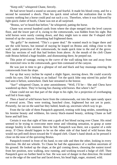"Keep still," whispered Chane, fiercely.

He had never heard a sound so uncanny and fearful. It made his blood creep, and for a second he sustained a shock. Then his quick mind solved the realization that in this country nothing but a horse could peal out such a cry. Therefore, when it was followed by light quick clatter of hoofs, Chane was not at all surprised.

"Brutus, we've heard that before," he whispered, patting the horse.

Chane was several hundred yards from where the slope merged into the level canyon floor, and the lower part of it, owing to the cottonwoods, was hidden from his sight. But wild horses were surely coming down, and they might turn to enter the V-shaped cleft instead of up the canyon. Something had frightened them.

"By golly!" he muttered. "This's a queer deal." He wanted much to linger there and see the wild horses, but instead of staying he leaped on Brutus and, riding close to the wall, under protection of the cottonwoods, he made quick time to the end of the grove. Here lay sections of wall that had broken from above. At the mouth of the cleft Chane rode Brutus behind a huge boulder, and dismounting there, he peeped out.

This point of vantage, owing to the curve of the wall taking him out and away from the restricted view in the cottonwoods, gave him command of the canyon.

He was just in time to get a glimpse of red and black and bay mustangs entering the cottonwoods from the slope.

Far up that wavy incline he espied a slight figure, moving down. He could scarcely credit his eyes. Did it belong to an Indian? Yet the quick lithe step stirred his pulse! He had seen it before, somewhere. Dark hair streamed in the breeze.

"*Sue!*" whispered Chane, in utter astonishment. "Well, I'll be— She and Chess have wandered up there. They're having fun chasing wild horses. But where's he?"

Chane could not see that part of the slope to his right, for a projection of overhanging wall hid it from sight.

Then a band of wild horses burst from the cottonwoods, out into the open sandy space of several acres. They were trotting, bunched close, frightened but not yet in panic. Presently, far out on the sand bar they halted, heads up, uncertain which way to go.

From the far side of them Panquitch appeared, trotting with long strides, something in his leonine beauty and wildness, his tawny black-maned beauty, striking Chane as half horse and half lion.

Certain it was that sight of him sent a gush of hot blood racing over Chane. His mind seemed to be trying to overcome mere tense and vibrating sensation, to grasp at some strange fatality in the moment. Here he hid. Panquitch was there, not a quarter of a mile away. If Chess should happen to be on the other side of that band of wild horses they would run pell-mell down toward the V-shaped cleft. Chane's hand shook as he pressed it close on the nose of the quivering Brutus.

Panquitch trotted in front of his band, to one side and then the other, looking in every direction. He did not whistle. To Chane he had the appearance of a stallion uncertain of his ground. He looked up the slope, at the girl coming down, choosing the easiest travel from her position, now walking, now running, and working toward a bulge of cliff. Then Panquitch gave no further heed to Sue. He was sure of danger in that direction. He trotted out to the edge of the sand bar and faced down, his head high, eager, strained, wild.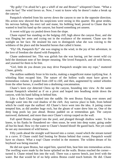"By golly! I'm afraid he's got a whiff of me and Brutus!" whispered Chane. "What a nose he has! The wind favors us. Now, I want to know why he doesn't make a break up the canyon."

Panquitch wheeled from his survey down the canyon to one in the opposite direction. His action now showed that his suspicions were strong in this quarter. His great strides, his nervous halting, his erect tail and mane, his bobbing head, proved to Chane that he wanted to lead his band up the canyon, but feared something yet unseen.

A sweet wild gay cry pealed down from the slope.

Chane espied Sue standing on the bulging cliff, high above the canyon floor, and she was flinging her arms and crying out in the exultance of the moment. Chane saw the sunlight on her face. He strained his ears to distinguish what she was voicing to the wildness of the place and the beautiful horses that called it home.

"Fly! Oh, Panquitch fly!" she was singing to the wind, in the joy of her adventure, in the love of freedom she shared with Panquitch.

Chane understood her. This was girlish fun she was having, yet her sweet wild cry held the dominant note of her deeper meaning. She loved Panquitch, and all wild horses, and yearned for them to be free.

"Girl, little do you dream you may drive Panquitch straight into my rope," muttered Chane, grimly.

The stallion suddenly froze in his tracks, making a magnificent statue typifying fear. A whistling blast escaped him. The nature of the hollow walls must have given it tremendous volume. It pealed from cliff to cliff, and then, augmented by united whistles from the other horses, it swelled into a deafening concatenation.

Chane's keen eye detected Chess up the canyon, bounding into view. At the same instant Panquitch wheeled as if on a pivot and leaped into headlong stride down the canyon, with his band falling in behind him.

Like a flash Chane vaulted into the saddle. He sent Brutus flying over stones and through water into the cool shadow of the cleft. Any narrow place to hide, from behind which he could rope the stallion! All Chane's force went into the idea. A jutting corner tempted him, as did another huge rock, but the gleam of water drew him on. One of the deep long pools lay just ahead. Brutus padded on at tremendous gait. The canyon narrowed, darkened, and more than once Chane's stirrup rasped on the wall.

Full speed Brutus charged into the pool, and plunged through shallow water. To his knees, to his flanks he floundered on—then souse, he went into deep water, going under all but his head. How icy the water to Chane's heated blood! He gazed back. Not yet could he see any movement of wild horses.

Fifty yards ahead the straight wall heaved into a corner, round which the stream turned in a curve. If Chane could find footing for Brutus behind that corner, Panquitch would have no chance. What a trap! Chane reveled in the moment. The wildest dream of his boyhood was being enacted.

He did not spare Brutus, but urged him, spurred him, beat him into tremendous action. The swelling wave made by the horse splashed on the walls. Brutus reached the corner turned it. Chane reined him into the wall. There was a narrow bench, just level with the water. But that would be of no help unless Brutus could touch bottom. He did. Chane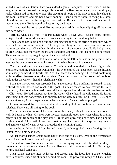stifled a yell of exultation. Fate was indeed against Panquitch. Brutus waded his full length before he reached the ledge. He was still in five feet of water, and on slippery rocks. Chane had no time to waste. The cracking of hoofs up the canyon rang like shots in his ears. Panquitch and his band were coming. Chane needed room to swing his lasso. Should he get out on the ledge or stay astride Brutus? Both plans had features to recommend them. But it would be best to stay on Brutus.

Chane turned the horse round. Brutus accomplished this without slipping off the rocks into deep water.

"Brutus, what do I want with Panquitch when I have you?" Chane heard himself whisper. He did not need Panquitch. It was his hunting instinct and long habit.

Then Chane had burst upon him the last singular fact in the string of fatalities which now bade fair to doom Panquitch. The important thing at the climax here was to have room to cast the lasso. Chane had felt the nearness of the corner of wall. He had planned to urge Brutus into the water the instant Panquitch appeared. But this need not be risked. There was no necessity to get beyond the corner of wall.

Chane was left-handed. He threw a noose with his left hand, and in the position now assumed he was as free to swing his rope as if he had been out in the open.

The trap and the trick were ready. Chane's agitation settled to a keen, tight, grim exultation. Nothing could save Panquitch if he ever entered that deep pool. Chane listened so intensely he heard his heartbeats. Yes! He heard them coming. Their hard hoofs rang with bell-like clearness upon the boulders. Then the hollow muffled sound of hoofs on rock under the water—then the splashing swish!

Soon the narrow canyon resounded to a melodious din. Suddenly it ceased. Chane realized the wild horses had reached the pool. His heart ceased to beat. Would the keen Panquitch, victor over a hundred clever tricks to capture him, shy at this treacherous pool? — Clip—clop! He had stepped out into the water. Chane heard his wild snort. He feared something, but was not certain. The enemies behind were realities. *Clip—clop!* He stepped again. *Clip—clop!* Into deeper water he had ventured. Then a crashing plunge!

It was followed by a renewed din of pounding hollow hoof-cracks, snorts, and splashes. They were all taking to the pool.

Chane swung the noose of his lasso round his head, tilting it to evade the corner of wall. It began to whiz. His eyes were riveted piercingly upon the water where it swirled gently in sight from behind the gray stone. Brutus was quivering under him. The plunging crashes ceased. All the wild horses were swimming. The din fell to sharp snuffing breaths and gentle swash of water. A wave preceded the swimming band.

A lean beautiful head slid from behind the wall, with long black mane floating from it. Panquitch held his head high.

At that short distance Chane could have roped one of his ears. Even in the tremendous strain Chane could wait a second longer. Panquitch was his.

The stallion saw Brutus and his rider—the swinging rope. Into the dark wild eyes came a terror that distended them. A sound like a horrid scream escaped him. He plunged to turn. His head came out.

Then Chane cast the lasso. It hissed and spread, and the loop, like a snake, cracked over Panquitch, under his chin and behind his ears. One powerful sweep of Chane's arm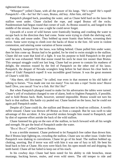tightened that noose.

"*Whoopee!*" yelled Chane, with all the power of his lungs. "He's roped! He's roped! *Panquitch!*—Oh—ho! ho! He's ours, Brutus, old boy. After him, old boy!"

Panquitch plunged back, pounding the water, and as Chane held hard on the lasso the stallion went under. Chane clacked the rope, and urged Brutus off the rocks. Pandemonium had begun round that corner of wall. As Brutus soused in, and lunged to the middle of the stream, Chane saw a sight he could never forget.

Upwards of a score of wild horses were frantically beating and crashing the water to escape back in the direction they had come. Some were trying to climb the shelving wall, only to slip, and souse under. They bobbed up more frantic than before, screaming their terror. Some were trying to climb over the backs of those to the fore. All were in violent commotion, and uttering some variation of horse sounds.

Panquitch, hampered by the lasso, was falling behind. Chane pulled him under water, then let him come up. Brutus had to be guided, for he tried to swim straight to the stallion. Chane did not want that kind of a fight. It was his purpose to hold Panquitch in the pool until he was exhausted. With that noose round his neck he must tire sooner than Brutus. This unequal struggle could not last long. Chane had no power to contain his madness of delight, the emotion roused by the feel of Panquitch on the other end of his lasso. Panquitch, the despair of Nevada wranglers long before he had shown his clear heels to those of Utah! Panquitch roped! It was incredible good fortune. It was the great moment of Chane's wild life.

"Aha there, old lion-mane," he called, true even in that moment to his old habit of talking to horses. "You made one run too many! You run into a rope! Swim now! Heave hard! Dive, you rascal! You're a fish. Ho! Ho! Ho!"

But when Panquitch plunged round to make for his adversaries the tables were turned. Chane's yell of exultation changed to one of alarm, both to frighten Panquitch, if possible, and to hold Brutus back. Both, however, seemed impossible. Brutus would not turn his back to that stallion. His battle cry pealed out. Chane hauled on the lasso, but he could not again pull Panquitch under.

Despite all Chane could do, the stallion and Brutus met in head-on collision. A terrific *mêlée* ensued. Chane was thrown off Brutus as from a catapult. But he was swift to take advantage of this accident. A few powerful strokes brought him round to Panquitch, and by dint of supreme effort astride the back of the wild stallion.

Chane fastened his grip on the ears of the stallion, to lurch forward with all his weight and strength. He got the head of Panquitch under the water.

"BACK! BACK!" yelled Chane to Brutus.

It was a terrible moment. Chane preferred to let Panquitch free rather than drown him. But if Brutus kept fighting on, crowding the stallion, Chane saw no other issue. Under him Panquitch was shaking in convulsions. Chane let go of his head. The stallion bobbed up, choking, snorting. But if terror was still with him it was one of fury to kill. He bent his head back to bite at Chane. His eyes were black fire; his open mouth red and dripping; his teeth bared. Chane all but failed to keep out of his reach.

In his cowboy days Chane had been noted for his ability to ride bronchos, mean mustangs, bucking horses, mules, and even wild steers. The old temper to ride and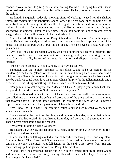conquer awoke in him. Fighting the stallion, beating Brutus off, keeping his seat, Chane performed perhaps the greatest riding feat of his career. He had, however, almost to drown the stallion.

At length Panquitch, suddenly showing signs of choking, headed for the shallow water. His swimming was laborious. Chane loosed the tight rope, then plunging off he swam back to Brutus and got in the saddle. He urged Brutus faster and faster, to pass the sinking Panquitch. Not a moment too soon did Brutus touch bottom, and plunging shoreward, he dragged Panquitch after him. The stallion could no longer breathe, yet he staggered out of the shallow water, to the sand, where he fell.

Chane leaped off Brutus to fall on Panquitch and loosen the lasso. The stallion gave a heave. He had been nearly choked to death; perhaps the noose had kept water out of his lungs. His breast labored with a great intake of air. Then he began to shake with short quick pants.

"Aw, but I'm glad!" ejaculated Chane, who for a moment had feared a calamity. But Panquitch would revive. Chane ran back to the heaving Brutus, and procuring a second lasso from the saddle, he rushed again to the stallion and slipped a noose round his forelegs.

"Reckon that's about all," he said, rising to survey his captive.

Panquitch was the noblest specimen of horseflesh Chane had ever seen in all his wandering over the rangelands of the west. But in these flaming black eyes there was a spirit incompatible with the rule of man. Panquitch might be broken, but his heart would ever be wild. He could never love his master. Chane felt pity for the fallen monarch, and a remorse. He was killing something, the like of which dwelt in his own heart.

"Panquitch, it wasn't a square deal," declared Chane. "I played you a dirty trick. I'm not proud of it. And so help me God I've a mind to let you go."

So the wild-horse-hunting instinct in Chane found itself in conflict with an emotion compelled into existence by the defeat and prostration of the great stallion. Chane missed that crowning joy of the wild-horse wrangler—to exhibit to the gaze of rival hunters a captive horse that had been their passion to catch and break and ride.

"Wo—hoo! Oh—h, Chane, I'm coming!" called a girlish high-pitched voice, pealing along the narrow walls.

Sue appeared at the mouth of the cleft, standing upon a boulder, with her hair shining in the sun. She had espied him and Brutus from afar, and perhaps had guessed the issue. Then Chess's voice rang down the canyon.

"What you-all doing, Chane Weymer?"

He caught up with Sue, and lending her a hand, came striding with her over the rock benches. He had lost his hat.

Chane heard them talking excitedly, out of breath, wondering, tense and expectant. Brutus whistled. Then Chess and Sue came out of the shadow, into the strip of sunlit canyon. They saw Panquitch lying full length on the sand. Chess broke from Sue and came rushing up. One glance showed him Panquitch was alive.

"Good Lord!" he screeched, beside himself with excitement, running to grasp Chane and embrace him. He was sweating, panting, flushed of face, wild of eye. "*Panquitch!* And you got him hawg-tied!"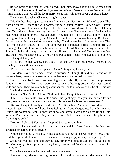He ran back to the stallion, gazed down upon him, moved round him, gloated over him. "Hurry, Sue! Come! Look! Will you—ever believe it?—We chased—Panquitch right —into Chane's trap! Of all the luck! Hurry to see him! Oh, there never was such a horse!"

Then he strode back to Chane, waving his hands.

"We climbed that slope—back there," he went on. "Just for fun. Wanted to see. Then from up on top—I spied the wild horses. Sue saw Panquitch first. We ran down—having fun—seeing how close we could get. Then Sue said: 'Run down ahead, Chess. I'll stay here. Turn them—chase them by me—so I'll get to see Panquitch close.' So I ran like mad. Queer place up there. I headed them. They ran back—up over that hollow—behind the big knob of wall. Right by Sue! I saw her run down the slope—this way. But I made for the canyon. Just wanted to see them run by. Couldn't see them. I ran some more. Then the whole bunch trotted out of the cottonwoods. Panquitch lorded it round. He was prancing. He didn't know which way to run. I heard Sue screaming at him. Then Panquitch bolted this way—and his bunch followed. . . . Just think! You were here. You saw them. You must have hid. . . . You roped Panquitch! Chane, you owe it all to Sue. She drove Panquitch to you."

"I reckon," replied Chane, conscious of unfamiliar riot in his breast. "Where'd the bunch go—when they ran back?"

"Passed me—like the wind," panted Chess. "Straight up the canyon!"

"You don't say!" exclaimed Chane, in surprise. "I thought they'd take to one of the slopes. Chess, these wild horses have more than one outlet to their burrow."

Sue had held back, and was standing some rods off, staring from the prostrate Panquitch to Chane. Her hands were pressed over a heaving bosom. Her eyes seemed wide and dark. There was something about her that made Chane catch his breath. This was not Sue Melberne as he knew her.

"Come on, Sue," called Chess. "Nothing to fear. Panquitch has ropes on him."

"Oh, it's all my fault—my fault," cried Sue, pantingly, as again she hurried toward them, keeping away from the fallen stallion. "Is he hurt? He breathes so—so hard."

"Reckon Panquitch's only choked a little," replied Chane. "You see, I roped him in the water. Brutus and I had to follow. Panquitch got mad and charged up. I couldn't manage Brutus. He wanted to fight. So they had it hot and heavy. I was knocked off Brutus. But I swam to Panquitch, straddled him, and had to hold his head under water to keep him from drowning us both."

"You're all bloody! You're hurt," replied Sue, coming to him.

Chane had not noted the blood on his hands and his face. Evidently he had been scratched or barked in the struggle.

"Guess I'm not hurt," he said, with a laugh, as he drew out his wet scarf. "Here, Chess, hold the rope while I tie my cuts. If Panquitch tries to get up just keep the rope tight."

Chess received the lasso and drew it taut. "Hyar, you king of stallions," he called out. "You've sure got tied up in the wrong family. We're bad *hombres*, me and Chane. Just you lay still."

Chane became aware that Sue had come quite close to him.

"Let me do it," she said, taking the scarf. And without looking up she began to bind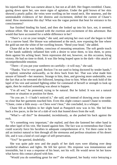his injured hand. She was earnest about it, but not at all deft. Her fingers trembled. Chane, gazing down upon her, saw more signs of agitation. Under the gold brown of her skin showed a pearly pallor; the veins were swelling on her round neck. Her nearness, and the unmistakable evidences of her distress and excitement, shifted the current of Chane's mind. How momentous this day! What was the vague portent that beat for entrance to his consciousness?

Sue finished binding his hand, and then she looked up into his face, not, it seemed, without effort. She was strained with the exertion and excitement of this adventure. But would that have accounted for a subtle difference in her?

"There's a cut on your temple," she said, and untying her own scarf she began to fold it in a narrow band. Her blouse was unbuttoned at the neck, now exposing the line where the gold tan met the white of her swelling bosom. "Bend your head," she added.

Chane did as he was bidden, conscious of mounting sensations. The soft gentle touch of her hands suddenly inflamed him with a desire to seize them, to kiss them, to press them against his aching heart. Stern repression did not, however, on this occasion, bring victory. He had no time to think. It was like being leaped upon in the dark—this attack of incomprehensible emotion.

"There—if you put your sombrero on carefully—it will stay," she said.

"Thanks. You're very good. Reckon I'm not used to being doctored by tender hands," he replied, somewhat awkwardly, as he drew back from her. That was what made him unsure of himself—her nearness. Strange to him, then, and growing more undeniable, was the fact that as he retreated she followed, keeping close to him. When she took hold of the lapel of his vest and seemed fighting either for command of herself or strength to look up again, then he realized something was about to happen.

"I'm all wet," he protested, trying to be natural. But he failed. It was not a natural moment or situation or position for them.

"So you are. I—I hadn't noticed it," she said, and instead of drawing away she came so close that her garments touched him. Even this slight contact caused Chane to tremble. "Chane, come a little away—so Chess won't hear," she concluded, in a whisper.

Chane felt as helpless in her slight hand as Panquitch now was in his. She led him back a few paces, in the lee of a slab of rock that leaned down from the wall.

"What's—all this?" he demanded, incredulously, as she pushed his back against the rock.

"It's something very important," she replied, and then she fastened her other hand in the other lapel of his vest. She leaned against him. The fact was so tremendous that Chane could scarcely force his faculties to adequate comprehension of it. Yet there came to his aid an instinct natural to him through all the strenuous and perilous situations of his desert life, and it was a kind of cool anger of self-preservation.

"Yes?" he queried, doubtfully.

She was quite pale now and the pupils of her dark eyes were dilating over deep wonderful shadows and lights. He felt her quiver. His response was instantaneous and irresistible, but it was a response of his heart, not his will. He would never let her know what havoc this contact played with him.

"Would you do something great for me?" she whispered, her husky voice betraying a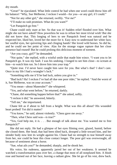dry mouth.

"Great!" he ejaculated. What little control he had when one word could throw him off his balance! "Why, Sue Melberne, I reckon I would—for you—or any girl, if I could."

"Not for any other girl," she returned, swiftly. "For *me*!"

"I'll make no rash promises. What do you want?"

"Let Panquitch go free."

Chane could only stare at her. So that was it! Sudden relief flooded over him. What might she not have asked? How powerless he was to refuse her most trivial wish! But she did not know that. This longing of hers to see Panquitch freed was natural and he respected her, liked her, loved her the more for it. Easy now to understand her white face, her soulful eyes, her quivering lips and clinging hands! She loved wild horses. So did he, and he could see her point of view. Alas for the strange vague rapture that her close presence had roused! But he could prolong this delicious moment of torment.

"Are you crazy, girl?" he demanded.

"Not quite," she replied, with a wistful smile that made him wince. "I want you to let Panquitch go. It was my fault. I was his undoing. I longed to see him close—to scream at him—to watch him run. So I drove him into your trap."

"Quite true. I'd never have caught him save for you. But what's that? I don't care. Once in my life I had a wrangler's luck."

"Something tells me it'll be bad luck, unless you give in."

"Bad luck? Ha! I reckon I've had all due one poor rider," he replied. "And the worst of it, Sue Melberne, was on your account."

"You mean—about Manerube?" she whispered.

"Yes, and what went before," he returned, darkly.

"Chane, did something happen before that?" she asked, softly.

"I reckon it did," he answered, bitterly.

"Tell me," she importuned.

Chane felt as if about to fall from a height. What was this all about? His wounded heart probed! Yet did it matter?

"You know," he said, almost violently. "Chess gave me away."

"Then, what Chess said was—is true?"

"Yes, God help me, it *is*. . . . But enough of talk about me. You wanted me to free Panquitch?"

She did not reply. He had a glimpse of her eyes filming over, glazed, humid, before she closed them. Her head, that had been tilted back, drooped a little toward him, and her slender body now lent its weight against his. Chane had no strength to tear himself away from her, nor could he bear this close contact longer. The poor girl was overwrought, all because of sentiment about a horse.

"Sue, what ails you?" he demanded, sharply, and he shook her.

His voice, his rudeness, apparently jarred her out of her weakness. It seemed he watched a transformation pass over her, a change that most of all nonplused him. A blush rose and burned out of her face, leaving a radiant glow. She let go of his vest, drew back.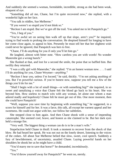And suddenly she seemed a woman, formidable, incredible, strong as she had been weak, eloquent of eye.

"Something did ail me, Chane, but I'm quite recovered now," she replied, with a wonderful light on her face.

"You talk in riddles, Sue Melberne."

"If you weren't so stupid you'd not think so."

"Reckon I am stupid. But we've got off the trail. You asked me to let Panquitch go."

"Yes, I beg of you."

"You're awful set on seeing him walk off up that slope, aren't you?" he inquired, trying to find words to prolong the conversation. He despised himself for longing to have her come close again, to appeal to him. Presently he must tell her that her slightest wish could never be ignored, that Panquitch was hers to free.

"Chane, I'll do anything for you if only you'll let him go."

He laughed, almost with bitter note. "How careless you are with words! No wonder Manerube got a wrong hunch."

She flushed at that, and lost for a second the smile, the poise that so baffled him. But swiftly they returned.

"I was a silly girl with Manerube," she replied. "I'm an honest woman now. . . . I said I'll do anything for you, Chane Weymer—*anything*."

"Reckon I hear you, unless I'm locoed," he said, thickly. "I'm not asking anything of you. But I'm powerful curious. If you're honest now, suppose you tell me a few of the things you'd do for me."

"Shall I begin with a lot of small things—or with something big?" she inquired, in so sweet and tantalizing a voice that Chane felt the blood go back to his heart. She was beyond him. How useless to match wits with any woman, let alone one whom a man adored madly and hopelessly! Chane felt he must get out of this. One more moment, then she could have Panquitch!

"Well, suppose you save time by beginning with something big," he suggested, in a scorn for himself and for her. It was a farce, this talk, all except her earnest appeal and her sweetness. He could not argue with her, nor follow her subtleties.

She stepped close to him again. And then Chane shook with a sense of impending catastrophe. She seemed cool, brave, and honest as she claimed to be. But her dark eyes held a strange fire.

"Very well. The biggest thing a woman can do is to be a man's wife."

Stupefaction held Chane in thrall. It took a moment to recover from the shock of that blow. He had heard her speak. He was not out on the lonely desert, listening to the voices of the cedars. All about Sue Melberne belied that slow, sweet, cool speech. Suddenly a fury of bewilderment, of uncertainty, assailed Chane. Laying powerful hands on her shoulders he shook her as he might have a child.

"You'd marry me to save that horse?" he demanded, incredulously.

"Yes."

"You'd throw yourself away for Panquitch?" he went on, sternly.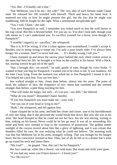"Yes. But—I'd hardly call it that."

"Sue Melberne, you'd be my—my *wife*!" The very idea of such fortune made Chane mad. He released her. He wrestled with himself. Thick and heavy his heart beat. It mattered not why or how he might possess this girl, but the fact that he might was maddening. Still he fought for the right. What a sentimental inexplicable girl!

"Yes, I will, Chane," she said.

"You love Panquitch so well. I remember you risked much to free the wild horses in the trap corral. But this is beyond belief. Yet you say so. You don't look daft, though your talk seems so. I can't understand you. To sacrifice yourself for a horse, even though it's Panquitch!"

"I wouldn't regard it as—sacrifice," she whispered.

"But it is. It'd be wrong. It'd be a crime against your womanhood. I couldn't accept it. Besides, you're doing wrong to tempt me. I'm only a poor lonely rider. I've always been hungry for a woman. And I've never had one. . . . It's doubly wrong, I tell you."

Chane stamped up and down the narrow place behind the rock. Hard violent action in the open had been his life: he brought it to bear on the conflict in his breast. With a black, hot, tearing wrench he got rid of the spell.

"Sue, I brought this—on myself," he said, gentle of tone, though his voice broke. "I wanted to hear you beg for Panquitch. I wanted you to be close to me. It was madness. All the time I was lying. From the moment you asked me to free Panquitch I meant to do it. You helped me catch him. You can free him."

Sue walked straight to him, closer than before, almost into his arms. The poise of head, the radiance of face, the eloquence of eye—these had vanished and she seemed stranger than before, a pale thing reaching for him.

"That will make me happy, but only—if I can pay—my debt," she faltered.

"What *do* you mean?" demanded Chane, harshly.

"If you free Panquitch you must make me—your wife."

"Are you out of your head or lying to me?"

"Both," she whispered, and fell against him.

Chane clasped her in his arms, and held her closer and closer, sure in his bewilderment of only one thing, that if she persisted she would break him down. But now she was in his arms. Her head drooped so that he could not see her face, but she was stirring, turning to him, sinking on his breast. Never could he let her go now! It was all so astounding. His mind and body now seemed to leap to the sweetness of possession. The golden amber sunlight of the canyon moved about him like a glory of lightning, and it was certain that thunders filled his ears. He was realizing what he could not believe. The stunning truth was that Sue Melberne lay in his arms, strangely willing. That was enough for his hungry heart, but his conscience stormed at him. Then, last of all, he felt as in a dream Sue's arms go up round his neck and fasten there.

"My God!" . . . he gasped. "Sue, this can't be for Panquitch."

Her face came up, white like a flower, wet with tears. But strain and strife were gone.

"If you had any sense you'd have known I—I loved you!"

"SUE MELBERNE!"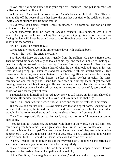"Now, my wild-horse hunter, take your rope off Panquitch—and put it on me," she replied, and raised her lips to his.

A little later Chane took the rope out of Chess's hands and held it to Sue. Then he knelt to slip off the noose of the other lasso, the one that was tied to the saddle on Brutus. Swiftly Chane stripped this from the stallion.

"Hey! What you doing?" yelled Chess, in amaze. "He's come to. The son-of-a-gun will be on his feet in a jiffy."

Chane apparently took no note of Chess's concern. This moment was full of unutterable joy in that he was making Sue happy and slipping his rope off Panquitch freeing the last wild horse he would ever capture. Bending over the stallion he loosed the knot round the forelegs.

"Pull it—easy," he called to Sue.

Chess actually leaped up in the air, to come down with cracking boots.

"What—the—hell!" he cried, piercingly.

Sue drew the lasso taut, and slid it gently from the stallion. He gave a fierce snort. Then he raised his head. Actually he looked at his legs, and then with muscles knotting all over his body he heaved hard and got up. He was free and he knew it. Hate and fear flamed in his bloodshot eyes. Chane thrilled when he met that look and knew in his soul what he was giving up. Panquitch stood for a moment, with his breaths audible. Thus Chane saw him close, standing unfettered, in all his magnificent and matchless beauty. Indeed, he was a lion of wild horses. Perfect in build, perfect in color, the rarest combination and the only one Chane had ever seen in a tawny shade of yellow, with flowing mane and tail black as night. He had not a scar, not a blemish, not a fault. He represented the supreme handiwork of nature—a creature too beautiful, too proud, too noble, too wild for the yoke of man.

Panquitch shook himself and moved away. He was still weak, but his spirit showed in his prance. He snorted fiercely at Brutus. And Brutus returned the challenge.

"Run—oh, Panquitch, run!" cried Sue, with rich and mellow sweetness in her voice.

But the stallion did not run. His slow action was that of a spent horse. Keeping to the middle of the canyon, he trotted on, by the sand patch where lately he had pranced so proudly, by the cottonwood grove and the wavy slope of rock, and on, out of sight.

Then Chess exploded. He cursed, he raved, he glared, not for a full moment becoming intelligible.

"You let him go! Panquitch, the greatest wild horse in the world. You had him. You could have given him to me. I've no great horse, like Brutus. I always wanted one. . . . Let him go for Manerube to rope! Or some damned lucky rider who'll happen on him before he recovers. . . . Oh, you're locoed. The two of you. Sue, you're a sentimental fool. Chane, you're a damn fool. . . . I could cry. Chane, whatever has come over you?"

"Chess, I reckon I'm no longer boss of the Weymer outfit," replied Chane, striving to keep undue pride and joy out of his words, but failing utterly.

"Hey?" ejaculated Chess, as if he had been struck. His mouth opened wide, likewise his eyes, and he made a picture of stupidity and incredulity.

"Little Boy Blue, I'm sure going to be your sister," said Sue, with all of gladness.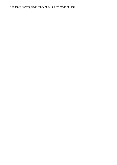Suddenly transfigured with rapture, Chess made at them.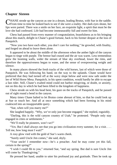## **Chapter Sixteen**

CHANE strode up the canyon as one in a dream, leading Brutus, with Sue in the saddle.<br>From time to time he looked back to see if she were a reality. Her dark eyes shone, her From time to time he looked back to see if she were a reality. Her dark eyes shone, her lips were parted. There was a smile on her face, an exquisite light, a spirit that must be the love she had confessed. Life had become immeasurably full and sweet for him.

Chess had passed from every manner of congratulation, boastfulness as to his bringing about this match, delight in Chane's good fortune, back to his former despair at the loss of Panquitch.

"Now you two have each other, you don't care for nothing," he growled, with finality, and forged on ahead to leave them alone.

It appeared to be about the middle of the afternoon when the amber light of the canyon began to tinge with purple. The breeze had ceased and the air was warm. Less tremendous grew the looming walls, wider the stream of blue sky overhead, lower the rims, and therefore the oppressiveness began to wane, and the sense of overpowering weight and silence.

In many places showed the fresh tracks of the wild horses, last of which were those of Panquitch. He was following his band, on the way to the uplands. Chane would have preferred that they had turned off at the wavy slope below and were now safe under the lee of Wild Horse Mesa. Panquitch, in his spent condition, would hardly be able to escape a fast rider. Still, Chane's exalted mind could not harbor misgiving, or doubt, or anxiety, not on this day in which he had been lifted to the kingdom of happiness.

Chess strode on with his head bent, his gaze on the tracks of Panquitch, and he passed out of sight round a bend in the canyon.

Many times Chane halted to let Brutus come abreast of him, so that he could look up at Sue or touch her. And all at once something which had been forming in his mind coalesced into an insupportable query.

"Sue, when will you marry me?"

She laughed happily. "Why, we've only just become engaged," she replied, roguishly.

"Darling, this is the wild canyon country of Utah," he protested. "People only stay engaged in cities or settlements."

"We'll really be pioneers, won't we?"

"Yes. But I shall always see that you go into civilization every summer, for a visit. . . . Tell me, how long must I wait?"

A rosy glow vied with the gold of Sue's warm cheek.

"Surely until Uncle Jim comes," she said, shyly.

"Your uncle! I remember now—he's a preacher. And he may come yet this fall, certain in the spring?"

"I wish I could fib to you," returned Sue, "and say spring. But dad is sure Uncle Jim will come by Thanksgiving."

He pressed her hand, unable to utter his profound joy and gratitude. Then he took up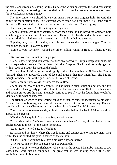the bridle and strode on, leading Brutus. He saw the widening canyon, the sand bars cut up by many hoofs, the lowering rims, the shallow brook, yet he was not conscious of them, for he walked as one in a trance.

The time came when ahead the canyon made a curve into brighter light. Beyond this point was the junction of the four canyons where camp had been made. As Chane turned the corner Brutus shied so violently that he tore the bridle from Chane's grasp.

"Hands up, Weymer," called a tough, husky voice.

Chane's dream was rudely shattered. More than once he had heard the ominous note which rang now in his ears. He was unarmed. He raised his hands, and at the same instant he saw a dark-bearded man, with leveled gun, stride from behind the cliff.

"Up they are," he said, and ground his teeth in sudden impotent anger. Then he recognized the man. "Howdy, Slack."

"Same to you, Weymer," replied the other, sidling round in front of Chane toward Brutus.

"Reckon you see I'm not packing a gun."

"Yep, I shore was glad you wasn't wearin' any hardware. But just keep your hands up an' a respectable distance. I'm a distrustful fellar," replied Slack, and presently, getting within reach of Brutus, he secured the bridle.

Chane's line of vision, as he stood rigidly, did not include Sue, until Slack led Brutus forward. Then she appeared, white of face and mute in her fear. Manifestly she had no thought of herself, but of the gun Slack held leveled at Chane.

"Mosey on in front, Weymer," ordered the outlaw.

Chane had no choice but to comply. He had been in such situations before, and this one would not have greatly perturbed him if Sue had not been there. He lowered his hands and strode on toward the camp, intensely curious to see if what he found there would be identical with what he expected.

The triangular space of intersecting canyons presently came unobstructed to his view. A camp fire was burning, and several men surrounded it, one of them sitting. Even at considerable distance Chane recognized the hard lean face of Bud McPherson.

Chess sat on a stone to one side, with his hands tied behind his back. Melberne did not appear to be present.

"Oh, there's Panquitch!" burst out Sue, in shrill distress.

Chane, shocked at Sue's exclamation, saw a number of horses, all saddled, standing bridles down, to the left of the camp fire group.

"Look! Look!" cried Sue, as if choking.

As Chane did not know where she was looking and did not care to take too many risks with Slack, he shifted his gaze in search of the stallion.

"Chane! Look!" screamed Sue, this time with fury and horror.

"*Manerube! Manerube!* he's got a rope on Panquitch!"

The content of her words flashed on Chane just as he espied Manerube hanging to two lassoes that were fast on Panquitch. The great stallion was holding back with a spirit vastly in excess of his strength.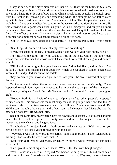Many as had been the bitter moments of Chane's life, that was the bitterest. Sue's cry of anguish rang in his ears. The wild horse which she had loved and freed was now in the power of a hated rider. It was a blow that to Chane struck home acutely. Panquitch, spent from his fight in the canyon pool, and expending what little strength he had left to catch up with his band, had fallen easily into Manerube's clutches. The cheap and arrogant rider probably had not even credited his capture to the weakened condition of the stallion. He was crowing like a game cock over his prize, with his braggart's and bully's air more pronounced than ever. He whipped the ropes that secured Panquitch, making the horse flinch. The effect of this on Chane was to distort his vision with passion and hate, so that it seemed for a moment he was gazing through a blood-red haze.

"OH-H!" cried Sue, now deep and poignantly. "He's hurting Panquitch. I won't stand it."

"Sue, keep still," ordered Chane, sharply. "We can do nothing."

"Hyar, you squallin' bobcat," growled Slack, "stop walkin' your hoss on my heels."

They reached the camp fire, with Chane a little in the lead. One of the other men, whose face was familiar but whose name Chane could not recall, drew a gun and pointed it at him.

"Bill, he ain't got no gun, but your idee is correct," drawled Slack, and turning to Sue he laid a rough and meaning hand upon her, which she repulsed in anger. Then Slack swore at her and pulled her out of the saddle.

"Say, wench, if you know when you're well off, you'll be sweet instead of catty," he declared.

On the moment, when the other men were hawhawing at Slack's sally, Chane happened to catch Sue's eye and conveyed to her in one glance the peril of the situation.

"Howdy, Weymer," said Bud McPherson, coolly. "I'm savin' some of your good grub."

"Howdy, Bud. It's a habit of yours to help yourself to other people's property," rejoined Chane. This outlaw was the most dangerous of the group, Chane decided, though he knew little of the two strangers who had followed Manerube from Wund. But McPherson, though a horse thief and a bad man, had elements that Manerube and the others did not show. He was not little.

Back of the camp fire, near where Chess sat bowed and disconsolate, crouched another man, also tied, and he appeared a pretty worn and miserable object. Chane at last recognized the unshaven and haggard face.

"Loughbridge!" he ejaculated, in both amaze and satisfaction. "Well, what're you hawg-tied for? Reckoned you'd thrown in with this outfit."

"Weymer, I was fooled worse'n Melberne," said Loughbridge. "I took Manerube at his brag. I had no idea he was a hoss thief—"

"Stop your gab!" yelled Manerube, stridently. "You're a white-livered liar. I'm not a horse thief."

"Bud, give it to me straight," said Chane. "What's the deal with Loughbridge?"

"Wal, it ain't so clear to me," replied McPherson, wiping his mouth and scant beard and rising to his feet. "Somebody gimme a smoke. . . . Fact is, Weymer, I wasn't keen on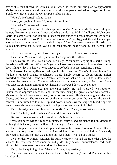havin' this man thrown in with us. Wal, when he found out our plan to appropriate Melberne's stock—which shore come out at this camp—he hedged an' began to bluster. You know I never argue. So we just put a halter on him."

"Where's Melberne?" added Chane.

"Shore you ought to know. We're waitin' fer him."

"Then what?" demanded Chane.

"Weymer, you allus was a hell-bent-pronto *hombre*," declared McPherson, with good humor. "Reckon you want to know bad what the deal is. Wal, I'll tell you. We've been loafin' in camp waitin' for you-all to ketch the last bunch of hosses before fall set in cold. Then we seen them two Piutes prowlin' around, an' we figgered they'd fetched you another bunch of mustangs. Wal, the deal is hyar. When Melberne comes we'll rustle back to his homestead an' relieve you-all of considerable hoss wranglin' an' feedin' this winter."

"Then, next summer, you'll look us up again," asserted Chane, with sarcasm.

"Haw! haw! You shore hit it plumb center," rejoined the ruffian.

"Bud, you're no fool," said Chane, seriously. "You can't keep up this sort of thing. Somebody will kill you. Why don't you cut loose from these two-bit wranglers you've been riding with? I've known horse thieves to go back to honest ranching. It paid."

McPherson had no guffaw or badinage for this speech of Chane's. It went home. His frankness relieved Chane. McPherson would hardly resort to blood-spilling unless thwarted or cornered. Chane felt greatest anxiety on behalf of Sue. The outlaw leader, however, had never struck Chane as being a man to mistreat women, white or red. Slack was vicious, but under control of McPherson. It narrowed down to Manerube.

This individual swaggered into the camp circle. He had stretched two ropes on Panquitch, in opposite directions, and for the time being the great stallion was tractable. Manerube's blond face showed heat, not all of excitement. He shot a malignant glance at Chane, and leered. The true nature of the man came out when he was on the side in control. As he turned to look Sue up and down, Chane saw the surge of blood ridge his neck. Chane also saw a whisky flask in his hip pocket and a gun in his belt.

"Bud, I heard you weren't boss of your outfit," said Chane, whose wits were active.

"Huh! The hell you did. When an' whar did you hear thet?"

"Reckon it was in Wund, when we drove Melberne's horses in."

"Wal, you heerd wrong," replied McPherson, gruffly, and his glance fell on Manerube with a glint that surely fanned a flame of cunning in Chane's mind.

"Bud, I trapped Panquitch in a deep hole down in the canyon," went on Chane. "It was a dirty trick to play on such a horse. I roped him. We had an awful time. He nearly drowned Brutus and me. But we got him out. And then—what do you think?"

"I've no idee, Weymer," returned the outlaw, eagerly. He had the true rider's love for a horse, the true wrangler's ambition and pride. Only adverse circumstances had made him a thief. Chane knew how to work on his feelings.

"Bud, I let Panquitch go free!" declared Chane, impressively.

"Aw now, Weymer, you can't expect me to believe thet," said McPherson, with a broad smile.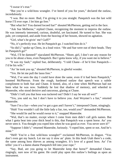"I swear it's true."

"But you're a wild-hoss wrangler. I've heerd of you for years," declared the outlaw, incredulously.

"I was. But no more. Bud, I'm giving it to you straight. Panquitch was the last wild horse I'll ever rope. I let him go free."

"But what fer? You darned locoed liar!" shouted McPherson, getting red in the face.

"Ask Sue Melberne," replied Chane, recognizing the moment to impress the outlaw. He was intensely interested, curious, doubtful, yet fascinated. He turned to Sue. She was pale, yet composed, and aside from the heaving of her bosom, showed no agitation.

"Girl, what's he givin' me? Guff?"

"No, it's perfectly true. He let Panquitch go. I watched him do it."

"So did I," spoke up Chess, in a loud voice. "He and Sue were out of their heads. They let Panquitch go!"

"Wal, I'll be damned!" ejaculated McPherson. "Shore, girl, I don't see any reason for you to lie about a hoss, even Panquitch. But I gotta know why, if you want me to believe."

"It was my fault," replied Sue, deliberately. "I told Chane—if he'd free Panquitch— I'd be his wife."

"An' he took you up," shouted McPherson, in gleeful wonder.

"Yes. He let me pull the lasso free."

"Wal, I've seen the day I could have done the same, even if it had been Panquitch," boomed McPherson. From the rough, hardened outlaw that speech was a subtle compliment to both Sue and Chane. It hinted, also, of a time when McPherson had not been what he was now. Suddenly he lost that shadow of memory, and wheeled to Manerube, who stood derisive and rancorous, glaring at Chane.

"Didn't I tell you that hoss was tuckered out? Didn't I say he was all wet?"

"Yes, you said so, but I don't have to believe you. And Weymer's a liar," retorted Manerube.

"Sure I'm a liar—when you've got a gun and I haven't," interposed Chane, stingingly.

"Huh! You wouldn't call the little lady a liar, too, would you?" demanded McPherson.

"She would lie and he would swear to it," snapped Manerube.

"Wal, that's no matter, except where I come from men didn't call girls names. But what I gotta beat into your thick head is this, that Panquitch was a spent horse. An' you never seen it. You thought you roped him when he was good as ever. You never *seen* it!"

"Suppose I didn't," returned Manerube, furiously. "I roped him, spent or not. And he's mine."

"Hell! You're a fine wild-hoss wrangler!" exclaimed McPherson, in disgust. "You don't even get my hunch. Let me say it slow an' plain. In this heah Utah there's a code, the same among hoss thieves as among wranglers. It's love of a grand hoss. An' I'm tellin' you it's a damn shame Panquitch fell into your rope."

"Say, Bud, are you going to let Manerube keep that horse?" demanded Chane, ringingly, sure now of his game. He could play upon this outlaw's feelings as upon an instrument.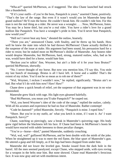"Wha-at?" queried McPherson, as if staggered. The idea Chane launched had struck like a thunderbolt.

"If it's your outfit—if you're the boss, Panquitch is yours," asserted Chane, positively. "That's the law of the range. But even if it wasn't would you let Manerube keep that grand stallion? He'll ruin the horse. He couldn't break him. He couldn't ride him. For this man is not the real thing as a rider. He never was a wrangler. . . . Now, McPherson, listen. You may be a horse thief, but you're a real rider. You have a rider's love for a grand stallion like Panquitch. You have a wrangler's pride in him. You'd never beat Panquitch, now would you?"

"Hell no! I never beat any hoss," shouted the outlaw, hoarsely.

"There you are," announced Chane, with finality, and he threw up his hands. How well he knew the state into which he had thrown McPherson! Chane actually thrilled in the suspense of the issue at stake. His argument had been sound, his persuasion hard for a rider to resist; but he staked most on McPherson's dislike of Manerube. Any honest rider would despise Manerube, but McPherson, hard, strong, matured outlaw, who, bad as he was, would have died for a horse, would hate him.

"Reckon you're talkin' fine, Weymer, but ain't a little of it fer your hoss Brutus?" queried McPherson, shrewdly.

"No. I never thought of my horse. But now you mention him, I'll say this. You stole my last bunch of mustangs. Brutus is all I have left. A horse and a saddle! That's the extent of my riches. You'd not be so mean as to rob me of them?"

"Wal, Weymer, I reckon I wouldn't now," he replied, significantly. "Brutus ain't so bad. But what'd I do with him now? Haw! Haw!"

Chane drew a quick breath of relief, yet the suspense of that argument was in no wise diminished.

Manerube grew black with rage. His light eyes gleamed balefully.

"Bud McPherson, you mean you'll take Panquitch?" he rasped out.

"Wal, you heerd Weymer's idee of the code of the range," replied the outlaw, calmly. With all his acumen and experience he had no fear of Manerube. Rather contempt!

"Code be damned!" yelled Manerube, fiercely. "Panquitch is mine. I roped him."

"Shore. But you're in my outfit, an' what you ketch is mine, if I want it. An' I want Panquitch. Savvy?"

Chane, watching so piercingly, saw a break in Manerube's quivering rage. His body grew rigid before the blackness left his face. If Chane had been in McPherson's boots he would have reacted with subtle keenness to those peculiar changes.

"You're a—horse—thief," panted Manerube, suddenly crouching.

"Wal, wal, wal!" guffawed McPherson, and he bent double with the mirth of the joke. When he straightened up it was to meet the red flame, the blue spurt of Manerube's gun. He uttered a gasp and fell limply, as if his legs had been chopped from under him.

Manerube did not lower the leveled gun. Smoke issued from the dark hole in the barrel. All the men seemed paralyzed, except Chane, who stepped aside, with eyes roving for a weapon in the belts near him. But none showed. Chane read Manerube's ferocious face. It was now gray and set with murderous intent.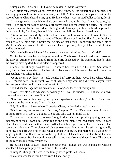"Jump aside, Slack, or I'll kill you," he hissed. "I want Weymer."

Slack frantically leaped aside, leaving Chane exposed. But Manerube did not fire. The smoking gun shook in his nerveless hand, and fell. At that instant, perhaps a fraction of a second before, Chane heard a tiny spat. He knew what it was. A lead bullet striking flesh!

Chane's gaze shot over Manerube's outstretched hand to his face. It was the same, but fixed. Then from the ragged brushy cliff above rang out the crack of a rifle. The echoes clapped back and forth. Over Manerube's glazed blank eyes, in his forehead, appeared a little round hole, first blue, then red. He swayed and fell, full length, face down.

This action was incredibly swift. Before Chane could make a move to rush to Sue he heard another spat. The bullet spanged off bone. Slack was knocked flat. Again the sharp crack of a rifle rang out. It broke the rigidity of that group. Frantically the three left of McPherson's band rushed for their horses. Slack leaped up, bloody of face, wild of mien, and he bellowed:

"It's them hell-hound Piutes! Bud swore they was trailin' us. Get on an' ride!"

Not far behind was he in a leap to the saddle. The horses plunged madly and broke up the canyon. Another shot sounded from the cliff, deadened by the trampling hoofs. Then the swiftly moving dark blot of riders disappeared.

Chane's first thought was for Sue. He ran to her, took her in his arms. She seemed stiff, but her hands suddenly clutched him. Her cheek, which was all he could see as he grasped her, was ashen in hue.

"Come away, Sue dear," he said, gently, half carrying her. "Over here where Chess is. . . . You're safe. I'm all right. We're all saved. They went up a different canyon from the one your father took. They won't meet him."

Sue hid her face against his breast while a long shudder went through her.

"How—terrible!" she whispered, hoarsely. "All so—so sudden! . . . Let me sit down. I'm weak and sick. But I won't faint."

"Sure you won't. Just keep your eyes away—from over there," replied Chane, and releasing her he ran to untie Chess's bonds.

"My Gawd! what blew in here?" queried Chess, in decidedly weak voice.

"Kinda stormy and smoky, wasn't it, boy," replied Chane. "I've seen some of that sort of thing. Been in it, too. . . . You go to Sue and talk. Get her mind off it."

Chane's next move was to release Loughbridge, who sat up with popping eyes and incoherent speech. From him Chane ran to the dead men, who had fallen close to each other. He covered them with a canvas. After that Chane gazed up at the cliff whence had come the rifle shots. Thin clouds of blue smoke were floating on the still air, gradually thinning. The cliff was broken and ragged, green with brush, and marked by a wildness of ledge up to the rim. It was not far to the top. Full well Chane knew who had fired that shot fatal to Manerube. But he would never tell, and no one else would ever know. The depths of the canyons hid many mysteries.

He hurried back to Sue, finding her recovered, though she was leaning on Chess's shoulder. Chane promptly relieved him of the burden.

"Humph! I thought she was in the family now," protested Chess.

"Boy, you wander in mind," returned Chane, softly.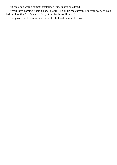"If only dad would come!" exclaimed Sue, in anxious dread.

"Well, he's coming," said Chane, gladly. "Look up the canyon. Did you ever see your dad run like that? He's scared Sue, either for himself or us."

Sue gave vent to a smothered sob of relief and then broke down.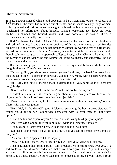## **Chapter Seventeen**

**MELBERNE** amused Chane, and appeared to be a fascinating object to Chess. The leader of the outfit had returned out of breath, and if Chane was any judge of men, leader of the outfit had returned out of breath, and if Chane was any judge of men, both frightened and furious. When he caught his breath he blurted out many queries, but vouchsafed no information about himself. Chane's observant eye, however, noted Melberne's skinned and bruised wrists, and how conscious he was of them, a circumstance undoubtedly due to pain.

Bud McPherson had lied to Chane. The outlaws had happened to run into Melberne and had tied him up. Chane grew more convinced of this as the moments passed. Besides Melberne's telltale wrists, which he had probably skinned by working free of a tight rope, he had come back minus his gun. Moreover, his relief at sight of Sue safe and well, though pale, was so great as to approach collapse. Lastly, when Chane had pulled aside the canvas to expose Manerube and McPherson, lying so ghastly and suggestive, he had cursed them under his breath.

But the amusing part of this sequence was the argument between Melberne and Loughbridge, and Chess's deep concern.

"I'm sorry, Jim, you shore have queered yourself with me," declared Melberne for at least the tenth time. His demeanor, however, was not in harmony with his hard words. He strode to and fro nervously, as was his wont when perturbed.

"But, Mel, this here Manerube made a damn fool of you, same as me," persisted Loughbridge.

"Shore I acknowledge that. But he didn't make me double-cross you."

"I didn't. You ain't fair. We couldn't agree, about money mostly, an' you fired me out of your outfit. I leave it to Chess, here. You ain't jest fair."

"Boss, if you'll excuse me, I think it was more temper with you than justice," replied Chess, with immense gravity.

"Huh! Wal, I'll be darned!" quoth Melberne, surveying the boy in great disfavor. "I reckon you'd like to see Loughbridge homestead with us over there at Nightwatch Spring."

"That'd be fair and square of you," returned Chess, losing his dignity of a judge.

"An' fetch Ora along to live with him, huh?" went on Melberne, ironically.

"I should smile," answered Chess, with an anticlimax of weakness.

"See heah, young man, you've got good stuff, but you talk too much. I've a mind to fire you."

"Aw now—boss," appealed Chess, abjectly.

"Wal, if you don't marry Ora before spring I will fire you," growled Melberne.

Then he turned to his former partner. "Jim, I reckon I've no call to crow over you. I've had my lesson. An' if you've had yours, mebbe we'll both profit by it. My fault is temper, an' yours is a little too much fondness for money. . . . Let's begin over again, each for himself. It's a new country. You're welcome to homestead in my canyon. There's room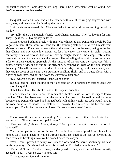for another rancher. Some day before long there'll be a settlement west of Wund. An' that'll make our problem easier."

Panquitch startled Chane, and all the others, with one of his ringing neighs; and with head, ears, and mane erect he faced up the canyon.

Shrill whistles answered him. Chane espied a troop of wild horses coming out of the shadow.

"By golly! there's Panquitch's band," said Chane, pointing. "They're looking for him. They'll pass us. . . . Everybody lie low."

Chane crouched behind a rock with Sue, who whispered that Panquitch should be free to go with them. It did seem to Chane that the straining stallion would free himself from Manerube's ropes. For some moments the wild horses could not be seen, owing to the fact that Chane and Sue were low down. At last, however, they came in sight, trotting cautiously, wary as always, but not yet having caught scent of the camp. Only a faint breeze stirred and that came down the canyon. The whistling of Panquitch must have been a factor in their cautious approach. At the junction of the canyons the space was fully a hundred yards wide, and owing to the stream-bed, somewhat lower on the side opposite the camp. The wild horse band worked down this side, trotting, with heads erect, until they caught scent of the camp, then burst into headlong flight, and in a dusty cloud, with a clattering roar they sped by, and down the canyon to disappear.

"Sue, wasn't it great?" queried Chane, as he got up.

But Sue had not been looking at the fleet band of wild horses; her startled gaze was fixed on Panquitch.

"Oh, Chane, look! He's broken one of the ropes!" cried Sue.

Chane wheeled in time to see the remnant of broken lasso fall off the superb tawny shoulder. The other lasso was round the noble arched neck of the stallion and had now become taut. Panquitch reared and lunged back with all his weight. As luck would have it, the rope broke at the noose. The stallion fell heavily, then raised on his forefeet, with mouth open. The broken noose hung loose. He was not yet sure of freedom.

Chess broke the silence with a wailing: "Oh, the ropes were rotten. They broke. He'll get away. . . . Gimme a rope. A rope! A rope!"

"Boy, keep still," shouted Chane, sternly. "Can't you see Panquitch was never born to be roped?"

The stallion painfully got to his feet. As the broken noose slipped from his neck he jumped as if stung. Then he walked through camp. He shied at the canvas covering the dead men, and breaking into a trot he headed down the canyon.

"Wal, I cain't pretend to savvy you, Chane," observed Melberne, scratching his head in his perplexity. "But shore I will say this. Somehow I'm glad you let him go."

"Damn it! So'm I!" yelled Chess, suddenly red of face, as if he had been unjustly accused. "But I—I was so crazy to keep him!"

Chane turned to Sue with a smile.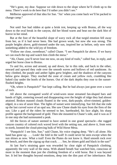"He's gone, my dear. Suppose we ride down to the slope where he'll climb up to the mesa. There's work to do here that I'd rather you didn't see."

Melberne approved of that idea for Sue. "An' when you come back we'll be packed to change camp."

Not until Sue had ridden at quite a brisk trot, keeping up with Brutus, all the way down to the oval break in the canyon, did her blood warm and beat out the dark blot of horror in her mind.

But at the foot of the beautiful slope of wavy rock all that turgid emotion fell away from her, as if it had never been. She had grown weak, but now she was strong. The purple heights above, gold-rimmed under the sun, inspired her as before, only now with something added to the wild joy of freedom.

"Follow me close, sweetheart," called Chane. "I see Panquitch far above. If we hurry we can reach the top and watch him climb the mesa."

"Ah, Chane, you'll never lose me now, on any kind of trails," called Sue, in reply, and urged her horse close to Brutus.

To and fro, across and around, up and down, far to this side, and back to the other, onward and upward they rode over the smooth waves and hollows of red sandstone. As they climbed, the purple and amber lights grew brighter, and the shadows of the canyons below grew deeper. They reached the zone of cream and yellow rock, crumbling like baked clay under the hoofs of the horses. Out of the dark depths they rose to the sunsetflushed heights.

"Oh, where is Panquitch?" Sue kept calling. But he had always just gone over a wave of rock.

All above the corrugated world of wind-worn stone streamed fan-shaped bars and bands of light, centering toward and disappearing over the height of ridge they had almost attained. Broken massed clouds floated in the west, dark-purple, silver-rimmed, goldenedged, in a sea of azure blue. The lights of sunset were intensifying. Sue felt that she rode up the last curved wave of an opal sea. She saw Chane shade his eyes from the fires of the sun. Like a god of the riders he seemed to her, bareheaded, his face alight, his sharp profile against the background of gold. Then she mounted to Chane's side, and it was as if in one step she had surmounted a peak.

All the forces of nature seemed to have united in one grand spectacle—the rugged canyon country of colored rock waved level with the setting sun, and above it, from west to north, loomed the cloud-piercing bulk of Wild Horse Mesa.

"Panquitch! I see him, Sue," said Chane, his voice ringing deep. "He's all alone. His band has gone up. . . . Look! the fold in the wall! It could never be seen except when the sun shines as now. What a trail! Even the Piutes do not know it. Hard smooth rock over the bench, and then the zigzag up that crack. . . . See, he shines gold and black in the sun!"

At last Sue's straining gaze was rewarded by clear sight of Panquitch climbing, apparently the very wall of the mesa. With abated breath Sue watched him, conscious of more in the moment than just the climbing freedom of a wild horse. But it was beyond her. It led her thoughts beyond emotions, deep into the dim past of her inheritance. But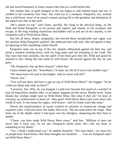she had loved Panquitch or some creature like him in a world before this.

The intense flare of gold changed as the sun began to sink behind cloud and rim. It yielded to the wondrous lilac haze. Sue cried out in a transport. Panquitch, too, seemed less a wild horse, more of an unreal creature, giving life to the grandeur and desolation of the naked rock-ribs of the earth.

"He's almost on top," said Chane, joyfully. He clung to the physical thing—to the flesh and blood Panquitch, to his pursuit and capture and release, to his recapture and escape, to the long winding mysterious and hidden trail in and out of the canyons, to the wonderful wall of Wild Horse Mesa.

Sue felt all these, deeply, poignantly, but beyond them, inexplicable and vague, was the spiritual thing Panquitch typified. She endowed him with soul. She had gazed at him, recognizing in him something within herself.

Panquitch came out on top of the rim, sharply silhouetted against the blue sky, and stood a moment looking down, with his long mane and tail streaming in the wind. The lilac haze lent him unreality, but the uplift of his head gave him life. Wild and grand he seemed to Sue, fitting that last stand of wild horses. He moved against the sky; he was gone.

"Oh, Panquitch, stay up there always!" called Sue.

Chane smiled upon her. "Sweetheart, I'd stake my life he'll never feel another rope."

"We alone know his trail to the heights. And we never will tell?"

"Never, Sue."

"You will not show dad how to get on top of Wild Horse Mesa?" she begged. "So he could run sheep and cattle up there?"

"I promise, Sue. Why, do you imagine I could ever become that much of a rancher? It may be long before another rider, or an Indian, happens on this secret. Maybe never. Some distant day airships might land on Wild Horse Mesa. But what if they do? An hour of curiosity, an achievement to boast of—then gone! Wild Horse Mesa rises even above this world of rock. It was meant for eagles, wild horses—and for lonely souls like mine."

Slowly the transformation of sunset worked its miracles of evanescent change and exquisite color. Gold and silver fire faded, died away. The sun sank below the verge. Then from out of the depths where it had gone rose the afterglow, deepening the lilac haze to purple.

"Chane, you have made Wild Horse Mesa yours," said Sue. "Millions of men can never take it from you. As for me—Panquitch seems mine. He's like my heart or something in my blood."

"Yes, I think I understand you," he replied, dreamily. "We must labor—we must live as people have lived before. But these thoughts are beautiful. . . . You are Panquitch and I am Wild Horse Mesa."